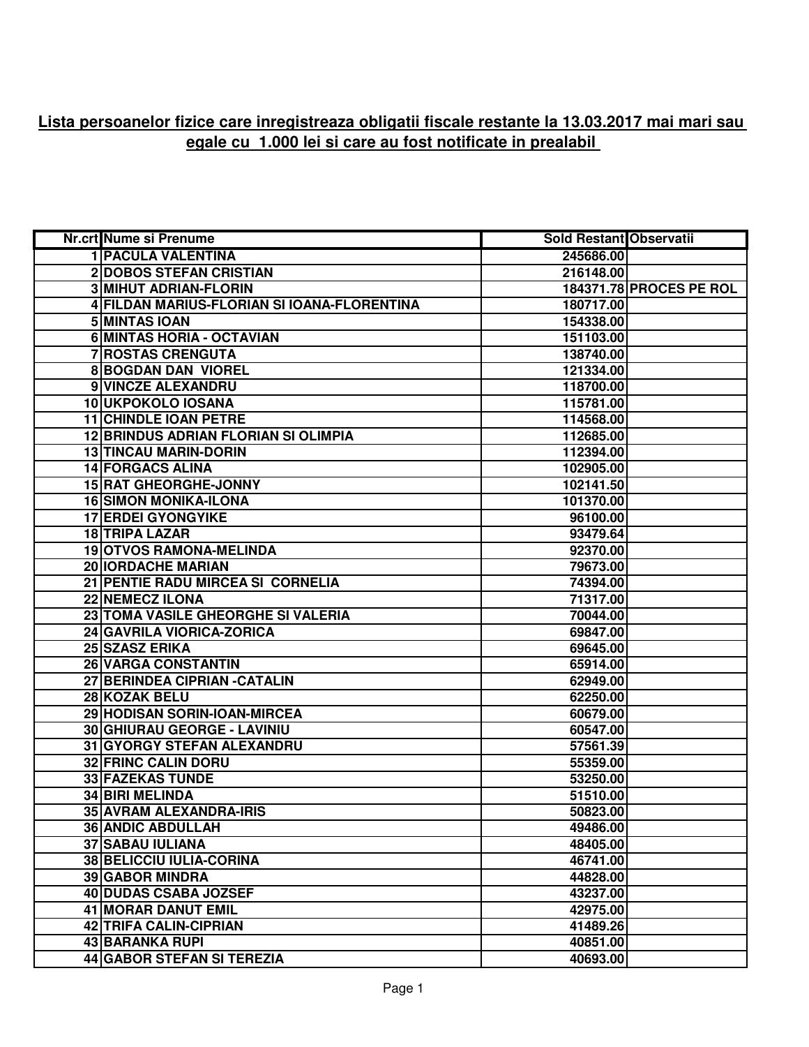## **Lista persoanelor fizice care inregistreaza obligatii fiscale restante la 13.03.2017 mai mari sau egale cu 1.000 lei si care au fost notificate in prealabil**

| Nr.crt Nume si Prenume                      | <b>Sold Restant Observatii</b> |                         |
|---------------------------------------------|--------------------------------|-------------------------|
| <b>1 PACULA VALENTINA</b>                   | 245686.00                      |                         |
| <b>2DOBOS STEFAN CRISTIAN</b>               | 216148.00                      |                         |
| <b>3 MIHUT ADRIAN-FLORIN</b>                |                                | 184371.78 PROCES PE ROL |
| 4 FILDAN MARIUS-FLORIAN SI IOANA-FLORENTINA | 180717.00                      |                         |
| 5 MINTAS IOAN                               | 154338.00                      |                         |
| <b>6 MINTAS HORIA - OCTAVIAN</b>            | 151103.00                      |                         |
| <b>7 ROSTAS CRENGUTA</b>                    | 138740.00                      |                         |
| <b>8 BOGDAN DAN VIOREL</b>                  | 121334.00                      |                         |
| 9 VINCZE ALEXANDRU                          | 118700.00                      |                         |
| 10 UKPOKOLO IOSANA                          | 115781.00                      |                         |
| <b>11 CHINDLE IOAN PETRE</b>                | 114568.00                      |                         |
| <b>12 BRINDUS ADRIAN FLORIAN SI OLIMPIA</b> | 112685.00                      |                         |
| <b>13 TINCAU MARIN-DORIN</b>                | 112394.00                      |                         |
| <b>14 FORGACS ALINA</b>                     | 102905.00                      |                         |
| 15 RAT GHEORGHE-JONNY                       | 102141.50                      |                         |
| <b>16 SIMON MONIKA-ILONA</b>                | 101370.00                      |                         |
| <b>17 ERDEI GYONGYIKE</b>                   | 96100.00                       |                         |
| <b>18 TRIPA LAZAR</b>                       | 93479.64                       |                         |
| <b>19 OTVOS RAMONA-MELINDA</b>              | 92370.00                       |                         |
| <b>20 IORDACHE MARIAN</b>                   | 79673.00                       |                         |
| 21 PENTIE RADU MIRCEA SI CORNELIA           | 74394.00                       |                         |
| <b>22 NEMECZ ILONA</b>                      | 71317.00                       |                         |
| 23 TOMA VASILE GHEORGHE SI VALERIA          | 70044.00                       |                         |
| 24 GAVRILA VIORICA-ZORICA                   | 69847.00                       |                         |
| 25 SZASZ ERIKA                              | 69645.00                       |                         |
| 26 VARGA CONSTANTIN                         | 65914.00                       |                         |
| 27 BERINDEA CIPRIAN - CATALIN               | 62949.00                       |                         |
| 28 KOZAK BELU                               | 62250.00                       |                         |
| 29 HODISAN SORIN-IOAN-MIRCEA                | 60679.00                       |                         |
| 30 GHIURAU GEORGE - LAVINIU                 | 60547.00                       |                         |
| 31 GYORGY STEFAN ALEXANDRU                  | 57561.39                       |                         |
| <b>32 FRINC CALIN DORU</b>                  | 55359.00                       |                         |
| 33 FAZEKAS TUNDE                            | 53250.00                       |                         |
| <b>34 BIRI MELINDA</b>                      | 51510.00                       |                         |
| 35 AVRAM ALEXANDRA-IRIS                     | 50823.00                       |                         |
| <b>36 ANDIC ABDULLAH</b>                    | 49486.00                       |                         |
| <b>37 SABAU IULIANA</b>                     | 48405.00                       |                         |
| 38 BELICCIU IULIA-CORINA                    | 46741.00                       |                         |
| <b>39 GABOR MINDRA</b>                      | 44828.00                       |                         |
| 40 DUDAS CSABA JOZSEF                       | 43237.00                       |                         |
| 41 MORAR DANUT EMIL                         | 42975.00                       |                         |
| 42 TRIFA CALIN-CIPRIAN                      | 41489.26                       |                         |
| 43 BARANKA RUPI                             | 40851.00                       |                         |
| 44 GABOR STEFAN SI TEREZIA                  | 40693.00                       |                         |
|                                             |                                |                         |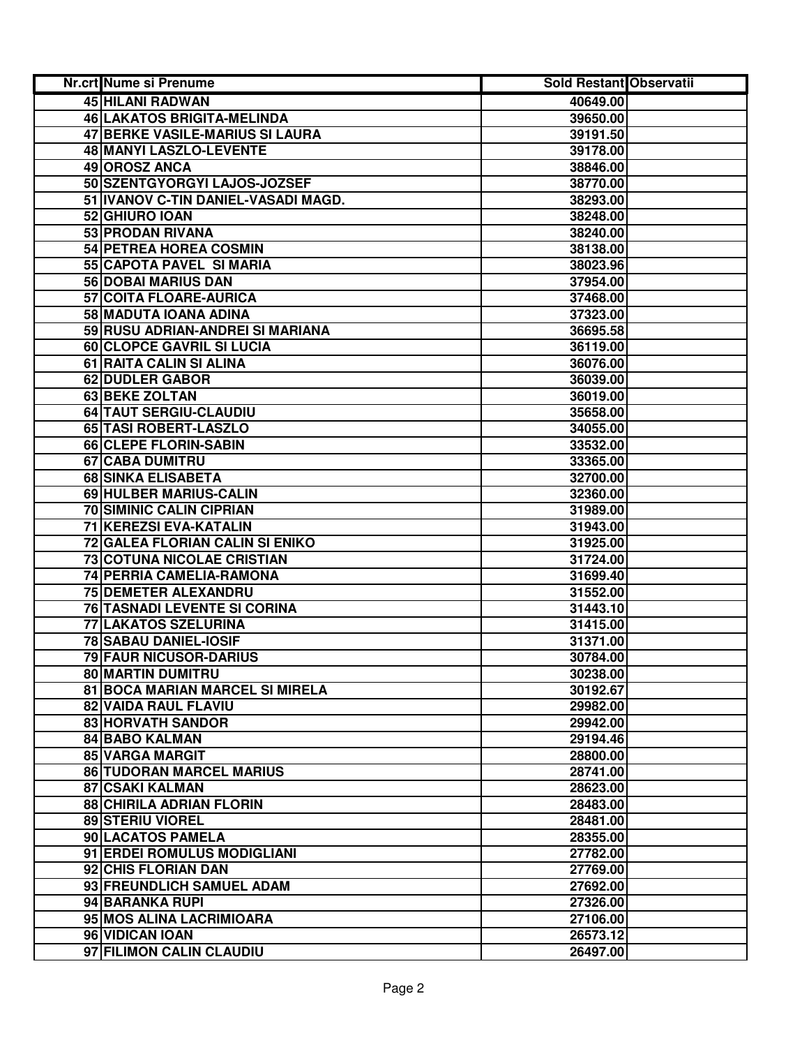| Nr.crt Nume si Prenume |                                     | Sold Restant Observatii |  |
|------------------------|-------------------------------------|-------------------------|--|
|                        | 45 HILANI RADWAN                    | 40649.00                |  |
|                        | 46 LAKATOS BRIGITA-MELINDA          | 39650.00                |  |
|                        | 47 BERKE VASILE-MARIUS SI LAURA     | 39191.50                |  |
|                        | 48 MANYI LASZLO-LEVENTE             | 39178.00                |  |
| 49 OROSZ ANCA          |                                     | 38846.00                |  |
|                        | 50 SZENTGYORGYI LAJOS-JOZSEF        | 38770.00                |  |
|                        | 51 IVANOV C-TIN DANIEL-VASADI MAGD. | 38293.00                |  |
| 52 GHIURO IOAN         |                                     | 38248.00                |  |
|                        | 53 PRODAN RIVANA                    | 38240.00                |  |
|                        | 54 PETREA HOREA COSMIN              | 38138.00                |  |
|                        | 55 CAPOTA PAVEL SI MARIA            | 38023.96                |  |
|                        | <b>56 DOBAI MARIUS DAN</b>          | 37954.00                |  |
|                        | 57 COITA FLOARE-AURICA              | 37468.00                |  |
|                        | 58 MADUTA IOANA ADINA               | 37323.00                |  |
|                        | 59 RUSU ADRIAN-ANDREI SI MARIANA    | 36695.58                |  |
|                        | 60 CLOPCE GAVRIL SI LUCIA           | 36119.00                |  |
|                        | 61 RAITA CALIN SI ALINA             | 36076.00                |  |
|                        | 62 DUDLER GABOR                     | 36039.00                |  |
| <b>63 BEKE ZOLTAN</b>  |                                     | 36019.00                |  |
|                        | 64 TAUT SERGIU-CLAUDIU              | 35658.00                |  |
|                        | 65 TASI ROBERT-LASZLO               | 34055.00                |  |
|                        | 66 CLEPE FLORIN-SABIN               | 33532.00                |  |
| 67 CABA DUMITRU        |                                     | 33365.00                |  |
|                        | 68 SINKA ELISABETA                  | 32700.00                |  |
|                        | 69 HULBER MARIUS-CALIN              | 32360.00                |  |
|                        | 70 SIMINIC CALIN CIPRIAN            | 31989.00                |  |
|                        | 71 KEREZSI EVA-KATALIN              | 31943.00                |  |
|                        | 72 GALEA FLORIAN CALIN SI ENIKO     | 31925.00                |  |
|                        | <b>73 COTUNA NICOLAE CRISTIAN</b>   | 31724.00                |  |
|                        | 74 PERRIA CAMELIA-RAMONA            | 31699.40                |  |
|                        | 75 DEMETER ALEXANDRU                | 31552.00                |  |
|                        | 76 TASNADI LEVENTE SI CORINA        | 31443.10                |  |
|                        | 77 LAKATOS SZELURINA                | 31415.00                |  |
|                        | <b>78 SABAU DANIEL-IOSIF</b>        | 31371.00                |  |
|                        | <b>79 FAUR NICUSOR-DARIUS</b>       | 30784.00                |  |
|                        | 80 MARTIN DUMITRU                   | 30238.00                |  |
|                        | 81 BOCA MARIAN MARCEL SI MIRELA     | 30192.67                |  |
|                        | 82 VAIDA RAUL FLAVIU                | 29982.00                |  |
|                        | 83 HORVATH SANDOR                   | 29942.00                |  |
| 84 BABO KALMAN         |                                     | 29194.46                |  |
| <b>85 VARGA MARGIT</b> |                                     | 28800.00                |  |
|                        | <b>86 TUDORAN MARCEL MARIUS</b>     | 28741.00                |  |
| <b>87 CSAKI KALMAN</b> |                                     | 28623.00                |  |
|                        | <b>88 CHIRILA ADRIAN FLORIN</b>     | 28483.00                |  |
| 89 STERIU VIOREL       |                                     | 28481.00                |  |
|                        | 90 LACATOS PAMELA                   | 28355.00                |  |
|                        | 91 ERDEI ROMULUS MODIGLIANI         | 27782.00                |  |
|                        | 92 CHIS FLORIAN DAN                 | 27769.00                |  |
|                        | 93 FREUNDLICH SAMUEL ADAM           | 27692.00                |  |
| 94 BARANKA RUPI        |                                     | 27326.00                |  |
|                        | 95 MOS ALINA LACRIMIOARA            | 27106.00                |  |
| 96 VIDICAN IOAN        |                                     | 26573.12                |  |
|                        | 97 FILIMON CALIN CLAUDIU            | 26497.00                |  |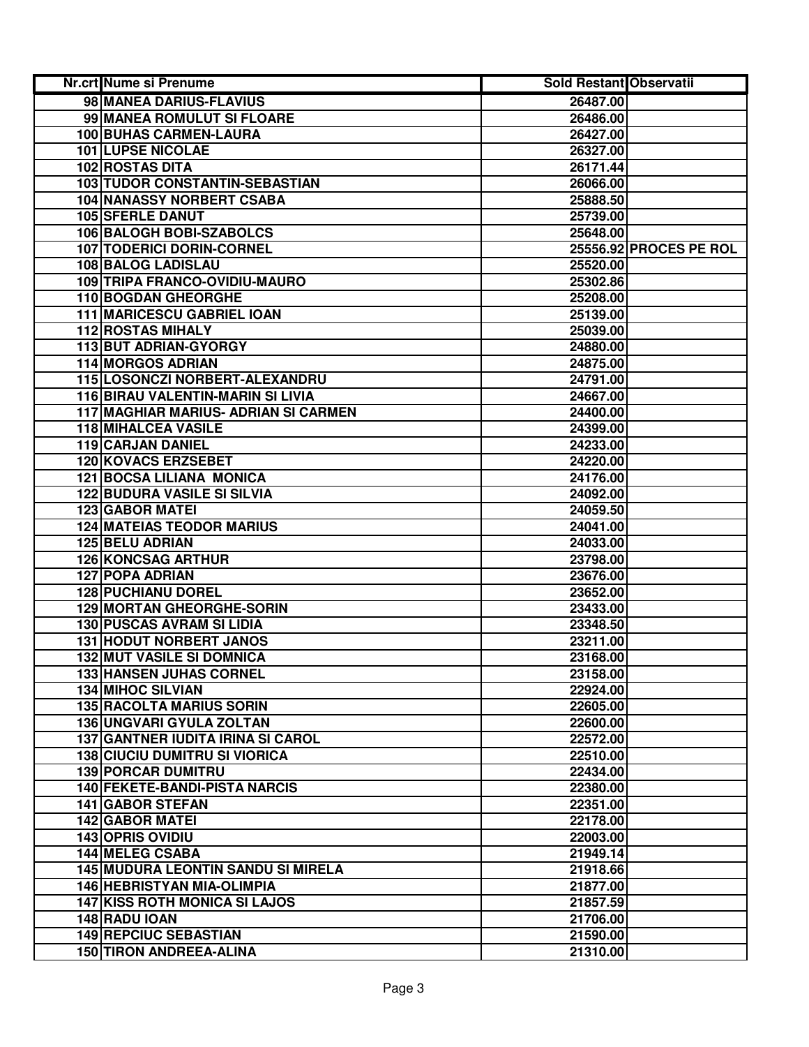| Nr.crt Nume si Prenume                      | Sold Restant Observatii |                        |
|---------------------------------------------|-------------------------|------------------------|
| 98 MANEA DARIUS-FLAVIUS                     | 26487.00                |                        |
| 99 MANEA ROMULUT SI FLOARE                  | 26486.00                |                        |
| 100 BUHAS CARMEN-LAURA                      | 26427.00                |                        |
| 101 LUPSE NICOLAE                           | 26327.00                |                        |
| <b>102 ROSTAS DITA</b>                      | 26171.44                |                        |
| 103 TUDOR CONSTANTIN-SEBASTIAN              | 26066.00                |                        |
| 104 NANASSY NORBERT CSABA                   | 25888.50                |                        |
| <b>105 SFERLE DANUT</b>                     | 25739.00                |                        |
| 106 BALOGH BOBI-SZABOLCS                    | 25648.00                |                        |
| <b>107 TODERICI DORIN-CORNEL</b>            |                         | 25556.92 PROCES PE ROL |
| 108 BALOG LADISLAU                          | 25520.00                |                        |
| 109 TRIPA FRANCO-OVIDIU-MAURO               | 25302.86                |                        |
| 110 BOGDAN GHEORGHE                         | 25208.00                |                        |
| 111 MARICESCU GABRIEL IOAN                  | 25139.00                |                        |
| <b>112 ROSTAS MIHALY</b>                    | 25039.00                |                        |
| 113 BUT ADRIAN-GYORGY                       | 24880.00                |                        |
| <b>114 MORGOS ADRIAN</b>                    | 24875.00                |                        |
| 115 LOSONCZI NORBERT-ALEXANDRU              | 24791.00                |                        |
| 116 BIRAU VALENTIN-MARIN SI LIVIA           | 24667.00                |                        |
| <b>117 MAGHIAR MARIUS- ADRIAN SI CARMEN</b> | 24400.00                |                        |
| <b>118 MIHALCEA VASILE</b>                  | 24399.00                |                        |
| 119 CARJAN DANIEL                           | 24233.00                |                        |
| 120 KOVACS ERZSEBET                         | 24220.00                |                        |
| <b>121 BOCSA LILIANA MONICA</b>             | 24176.00                |                        |
| <b>122 BUDURA VASILE SI SILVIA</b>          | 24092.00                |                        |
| <b>123 GABOR MATEI</b>                      | 24059.50                |                        |
| <b>124 MATEIAS TEODOR MARIUS</b>            | 24041.00                |                        |
| <b>125 BELU ADRIAN</b>                      | 24033.00                |                        |
| <b>126 KONCSAG ARTHUR</b>                   | 23798.00                |                        |
| <b>127 POPA ADRIAN</b>                      | 23676.00                |                        |
| <b>128 PUCHIANU DOREL</b>                   | 23652.00                |                        |
| <b>129 MORTAN GHEORGHE-SORIN</b>            | 23433.00                |                        |
| <b>130 PUSCAS AVRAM SI LIDIA</b>            | 23348.50                |                        |
| <b>131 HODUT NORBERT JANOS</b>              | 23211.00                |                        |
| <b>132 MUT VASILE SI DOMNICA</b>            | 23168.00                |                        |
| 133 HANSEN JUHAS CORNEL                     | 23158.00                |                        |
| <b>134 MIHOC SILVIAN</b>                    | 22924.00                |                        |
| <b>135 RACOLTA MARIUS SORIN</b>             | 22605.00                |                        |
| 136 UNGVARI GYULA ZOLTAN                    | 22600.00                |                        |
| <b>137 GANTNER IUDITA IRINA SI CAROL</b>    | 22572.00                |                        |
| <b>138 CIUCIU DUMITRU SI VIORICA</b>        | 22510.00                |                        |
| <b>139 PORCAR DUMITRU</b>                   | 22434.00                |                        |
| 140 FEKETE-BANDI-PISTA NARCIS               | 22380.00                |                        |
| <b>141 GABOR STEFAN</b>                     | 22351.00                |                        |
| <b>142 GABOR MATEI</b>                      | 22178.00                |                        |
| <b>143 OPRIS OVIDIU</b>                     | 22003.00                |                        |
| <b>144 MELEG CSABA</b>                      | 21949.14                |                        |
| <b>145 MUDURA LEONTIN SANDU SI MIRELA</b>   | 21918.66                |                        |
| <b>146 HEBRISTYAN MIA-OLIMPIA</b>           | 21877.00                |                        |
| <b>147 KISS ROTH MONICA SI LAJOS</b>        | 21857.59                |                        |
| 148 RADU IOAN                               | 21706.00                |                        |
| 149 REPCIUC SEBASTIAN                       | 21590.00                |                        |
| <b>150 TIRON ANDREEA-ALINA</b>              | 21310.00                |                        |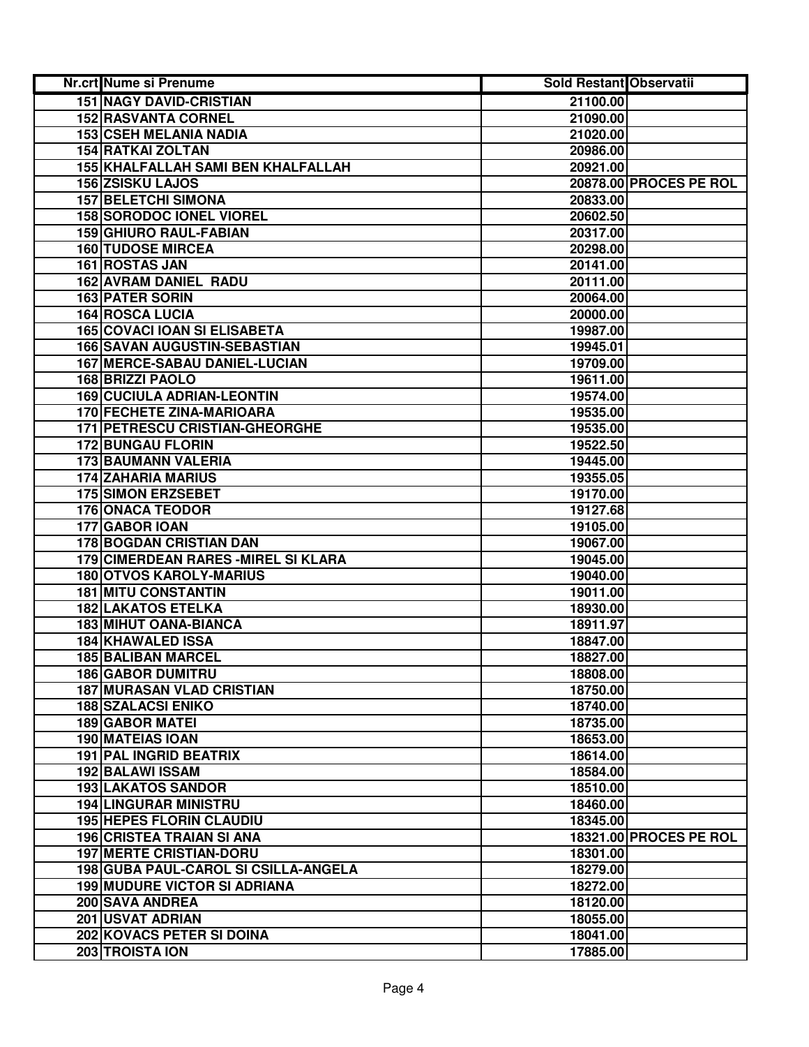| Nr.crt Nume si Prenume                | <b>Sold Restant Observatii</b> |                        |
|---------------------------------------|--------------------------------|------------------------|
| <b>151 NAGY DAVID-CRISTIAN</b>        | 21100.00                       |                        |
| <b>152 RASVANTA CORNEL</b>            | 21090.00                       |                        |
| <b>153 CSEH MELANIA NADIA</b>         | 21020.00                       |                        |
| 154 RATKAI ZOLTAN                     | 20986.00                       |                        |
| 155 KHALFALLAH SAMI BEN KHALFALLAH    | 20921.00                       |                        |
| 156 ZSISKU LAJOS                      |                                | 20878.00 PROCES PE ROL |
| <b>157 BELETCHI SIMONA</b>            | 20833.00                       |                        |
| <b>158 SORODOC IONEL VIOREL</b>       | 20602.50                       |                        |
| 159 GHIURO RAUL-FABIAN                | 20317.00                       |                        |
| <b>160 TUDOSE MIRCEA</b>              | 20298.00                       |                        |
| 161 ROSTAS JAN                        | 20141.00                       |                        |
| 162 AVRAM DANIEL RADU                 | 20111.00                       |                        |
| <b>163 PATER SORIN</b>                | 20064.00                       |                        |
| <b>164 ROSCA LUCIA</b>                | 20000.00                       |                        |
| <b>165 COVACI IOAN SI ELISABETA</b>   | 19987.00                       |                        |
| <b>166 SAVAN AUGUSTIN-SEBASTIAN</b>   | 19945.01                       |                        |
| 167 MERCE-SABAU DANIEL-LUCIAN         | 19709.00                       |                        |
| <b>168 BRIZZI PAOLO</b>               | 19611.00                       |                        |
| <b>169 CUCIULA ADRIAN-LEONTIN</b>     | 19574.00                       |                        |
| <b>170 FECHETE ZINA-MARIOARA</b>      | 19535.00                       |                        |
| <b>171 PETRESCU CRISTIAN-GHEORGHE</b> | 19535.00                       |                        |
| <b>172 BUNGAU FLORIN</b>              | 19522.50                       |                        |
| 173 BAUMANN VALERIA                   | 19445.00                       |                        |
| <b>174 ZAHARIA MARIUS</b>             | 19355.05                       |                        |
| <b>175 SIMON ERZSEBET</b>             | 19170.00                       |                        |
| <b>176 ONACA TEODOR</b>               | 19127.68                       |                        |
| 177 GABOR IOAN                        | 19105.00                       |                        |
| 178 BOGDAN CRISTIAN DAN               | 19067.00                       |                        |
| 179 CIMERDEAN RARES - MIREL SI KLARA  | 19045.00                       |                        |
| <b>180 OTVOS KAROLY-MARIUS</b>        | 19040.00                       |                        |
| <b>181 MITU CONSTANTIN</b>            | 19011.00                       |                        |
| <b>182 LAKATOS ETELKA</b>             | 18930.00                       |                        |
| 183 MIHUT OANA-BIANCA                 | 18911.97                       |                        |
| <b>184 KHAWALED ISSA</b>              | 18847.00                       |                        |
| <b>185 BALIBAN MARCEL</b>             | 18827.00                       |                        |
| <b>186 GABOR DUMITRU</b>              | 18808.00                       |                        |
| <b>187 MURASAN VLAD CRISTIAN</b>      | 18750.00                       |                        |
| <b>188 SZALACSI ENIKO</b>             | 18740.00                       |                        |
| <b>189 GABOR MATEI</b>                | 18735.00                       |                        |
| <b>190 MATEIAS IOAN</b>               | 18653.00                       |                        |
| <b>191 PAL INGRID BEATRIX</b>         | 18614.00                       |                        |
| <b>192 BALAWI ISSAM</b>               | 18584.00                       |                        |
| <b>193 LAKATOS SANDOR</b>             | 18510.00                       |                        |
| <b>194 LINGURAR MINISTRU</b>          | 18460.00                       |                        |
| <b>195 HEPES FLORIN CLAUDIU</b>       | 18345.00                       |                        |
| <b>196 CRISTEA TRAIAN SI ANA</b>      |                                | 18321.00 PROCES PE ROL |
| <b>197 MERTE CRISTIAN-DORU</b>        | 18301.00                       |                        |
| 198 GUBA PAUL-CAROL SI CSILLA-ANGELA  | 18279.00                       |                        |
| <b>199 MUDURE VICTOR SI ADRIANA</b>   | 18272.00                       |                        |
| 200 SAVA ANDREA                       | 18120.00                       |                        |
| 201 USVAT ADRIAN                      | 18055.00                       |                        |
| 202 KOVACS PETER SI DOINA             | 18041.00                       |                        |
| 203 TROISTA ION                       | 17885.00                       |                        |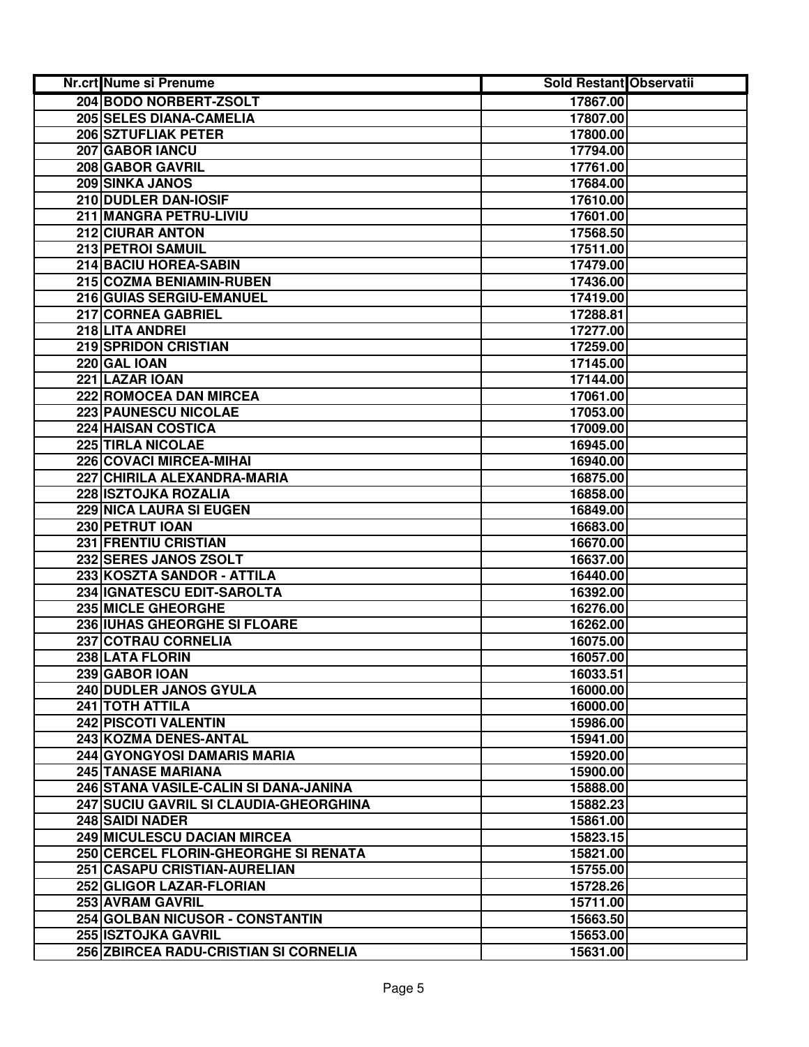| Nr.crt Nume si Prenume                 | <b>Sold Restant Observatii</b> |  |
|----------------------------------------|--------------------------------|--|
| 204 BODO NORBERT-ZSOLT                 | 17867.00                       |  |
| 205 SELES DIANA-CAMELIA                | 17807.00                       |  |
| 206 SZTUFLIAK PETER                    | 17800.00                       |  |
| 207 GABOR IANCU                        | 17794.00                       |  |
| 208 GABOR GAVRIL                       | 17761.00                       |  |
| 209 SINKA JANOS                        | 17684.00                       |  |
| 210 DUDLER DAN-IOSIF                   | 17610.00                       |  |
| 211 MANGRA PETRU-LIVIU                 | 17601.00                       |  |
| 212 CIURAR ANTON                       | 17568.50                       |  |
| 213 PETROI SAMUIL                      | 17511.00                       |  |
| 214 BACIU HOREA-SABIN                  | 17479.00                       |  |
| 215 COZMA BENIAMIN-RUBEN               | 17436.00                       |  |
| 216 GUIAS SERGIU-EMANUEL               | 17419.00                       |  |
| 217 CORNEA GABRIEL                     | 17288.81                       |  |
| 218 LITA ANDREI                        | 17277.00                       |  |
| 219 SPRIDON CRISTIAN                   | 17259.00                       |  |
| 220 GAL IOAN                           | 17145.00                       |  |
| 221 LAZAR IOAN                         | 17144.00                       |  |
| 222 ROMOCEA DAN MIRCEA                 | 17061.00                       |  |
| <b>223 PAUNESCU NICOLAE</b>            | 17053.00                       |  |
| 224 HAISAN COSTICA                     | 17009.00                       |  |
| <b>225 TIRLA NICOLAE</b>               | 16945.00                       |  |
| 226 COVACI MIRCEA-MIHAI                | 16940.00                       |  |
| 227 CHIRILA ALEXANDRA-MARIA            | 16875.00                       |  |
| 228 ISZTOJKA ROZALIA                   | 16858.00                       |  |
| 229 NICA LAURA SI EUGEN                | 16849.00                       |  |
| 230 PETRUT IOAN                        | 16683.00                       |  |
| 231 FRENTIU CRISTIAN                   | 16670.00                       |  |
| 232 SERES JANOS ZSOLT                  | 16637.00                       |  |
| 233 KOSZTA SANDOR - ATTILA             | 16440.00                       |  |
| 234 IGNATESCU EDIT-SAROLTA             | 16392.00                       |  |
| 235 MICLE GHEORGHE                     | 16276.00                       |  |
| 236 IUHAS GHEORGHE SI FLOARE           | 16262.00                       |  |
| 237 COTRAU CORNELIA                    | 16075.00                       |  |
| 238 LATA FLORIN                        | 16057.00                       |  |
| 239 GABOR IOAN                         | 16033.51                       |  |
| 240 DUDLER JANOS GYULA                 | 16000.00                       |  |
| 241 TOTH ATTILA                        | 16000.00                       |  |
| 242 PISCOTI VALENTIN                   | 15986.00                       |  |
| 243 KOZMA DENES-ANTAL                  | 15941.00                       |  |
| 244 GYONGYOSI DAMARIS MARIA            | 15920.00                       |  |
| <b>245 TANASE MARIANA</b>              | 15900.00                       |  |
| 246 STANA VASILE-CALIN SI DANA-JANINA  | 15888.00                       |  |
| 247 SUCIU GAVRIL SI CLAUDIA-GHEORGHINA | 15882.23                       |  |
| <b>248 SAIDI NADER</b>                 | 15861.00                       |  |
| 249 MICULESCU DACIAN MIRCEA            | 15823.15                       |  |
| 250 CERCEL FLORIN-GHEORGHE SI RENATA   | 15821.00                       |  |
| 251 CASAPU CRISTIAN-AURELIAN           | 15755.00                       |  |
| 252 GLIGOR LAZAR-FLORIAN               | 15728.26                       |  |
| 253 AVRAM GAVRIL                       | 15711.00                       |  |
| 254 GOLBAN NICUSOR - CONSTANTIN        | 15663.50                       |  |
| <b>255 ISZTOJKA GAVRIL</b>             | 15653.00                       |  |
| 256 ZBIRCEA RADU-CRISTIAN SI CORNELIA  | 15631.00                       |  |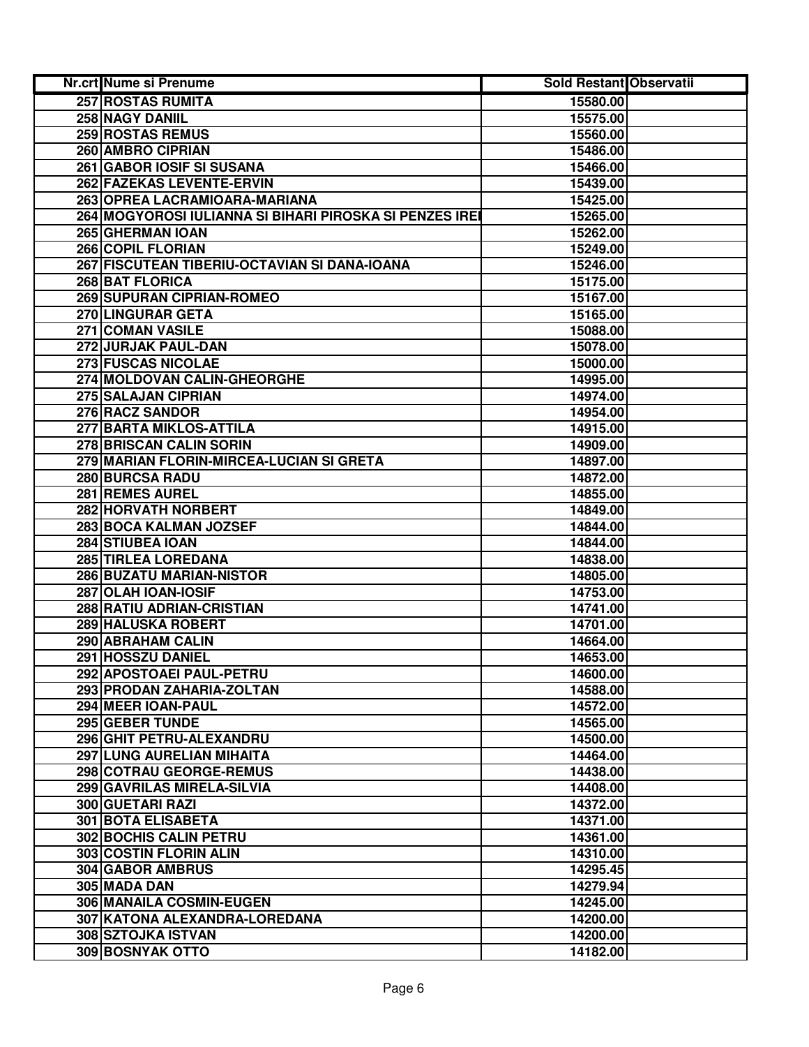| Nr.crt Nume si Prenume                                  | Sold Restant Observatii |  |
|---------------------------------------------------------|-------------------------|--|
| 257 ROSTAS RUMITA                                       | 15580.00                |  |
| 258 NAGY DANIIL                                         | 15575.00                |  |
| 259 ROSTAS REMUS                                        | 15560.00                |  |
| 260 AMBRO CIPRIAN                                       | 15486.00                |  |
| 261 GABOR IOSIF SI SUSANA                               | 15466.00                |  |
| 262 FAZEKAS LEVENTE-ERVIN                               | 15439.00                |  |
| 263 OPREA LACRAMIOARA-MARIANA                           | 15425.00                |  |
| 264 MOGYOROSI IULIANNA SI BIHARI PIROSKA SI PENZES IREI | 15265.00                |  |
| 265 GHERMAN IOAN                                        | 15262.00                |  |
| 266 COPIL FLORIAN                                       | 15249.00                |  |
| 267 FISCUTEAN TIBERIU-OCTAVIAN SI DANA-IOANA            | 15246.00                |  |
| 268 BAT FLORICA                                         | 15175.00                |  |
| <b>269 SUPURAN CIPRIAN-ROMEO</b>                        | 15167.00                |  |
| 270 LINGURAR GETA                                       | 15165.00                |  |
| 271 COMAN VASILE                                        | 15088.00                |  |
| 272 JURJAK PAUL-DAN                                     | 15078.00                |  |
| <b>273 FUSCAS NICOLAE</b>                               | 15000.00                |  |
| 274 MOLDOVAN CALIN-GHEORGHE                             | 14995.00                |  |
| 275 SALAJAN CIPRIAN                                     | 14974.00                |  |
| 276 RACZ SANDOR                                         | 14954.00                |  |
| 277 BARTA MIKLOS-ATTILA                                 | 14915.00                |  |
| 278 BRISCAN CALIN SORIN                                 | 14909.00                |  |
| 279 MARIAN FLORIN-MIRCEA-LUCIAN SI GRETA                | 14897.00                |  |
| 280 BURCSA RADU                                         | 14872.00                |  |
| 281 REMES AUREL                                         | 14855.00                |  |
| 282 HORVATH NORBERT                                     | 14849.00                |  |
| 283 BOCA KALMAN JOZSEF                                  | 14844.00                |  |
| 284 STIUBEA IOAN                                        | 14844.00                |  |
| 285 TIRLEA LOREDANA                                     | 14838.00                |  |
| 286 BUZATU MARIAN-NISTOR                                | 14805.00                |  |
| 287 OLAH IOAN-IOSIF                                     | 14753.00                |  |
| 288 RATIU ADRIAN-CRISTIAN                               | 14741.00                |  |
| 289 HALUSKA ROBERT                                      | 14701.00                |  |
| 290 ABRAHAM CALIN                                       | 14664.00                |  |
| 291 HOSSZU DANIEL                                       | 14653.00                |  |
| 292 APOSTOAEI PAUL-PETRU                                | 14600.00                |  |
| 293 PRODAN ZAHARIA-ZOLTAN                               | 14588.00                |  |
| 294 MEER IOAN-PAUL                                      | 14572.00                |  |
| 295 GEBER TUNDE<br>296 GHIT PETRU-ALEXANDRU             | 14565.00                |  |
|                                                         | 14500.00                |  |
| 297 LUNG AURELIAN MIHAITA                               | 14464.00                |  |
| 298 COTRAU GEORGE-REMUS<br>299 GAVRILAS MIRELA-SILVIA   | 14438.00                |  |
| <b>300 GUETARI RAZI</b>                                 | 14408.00<br>14372.00    |  |
| <b>301 BOTA ELISABETA</b>                               | 14371.00                |  |
| 302 BOCHIS CALIN PETRU                                  | 14361.00                |  |
| 303 COSTIN FLORIN ALIN                                  | 14310.00                |  |
| 304 GABOR AMBRUS                                        | 14295.45                |  |
| 305 MADA DAN                                            | 14279.94                |  |
| 306 MANAILA COSMIN-EUGEN                                | 14245.00                |  |
| 307 KATONA ALEXANDRA-LOREDANA                           | 14200.00                |  |
| 308 SZTOJKA ISTVAN                                      | 14200.00                |  |
| 309 BOSNYAK OTTO                                        | 14182.00                |  |
|                                                         |                         |  |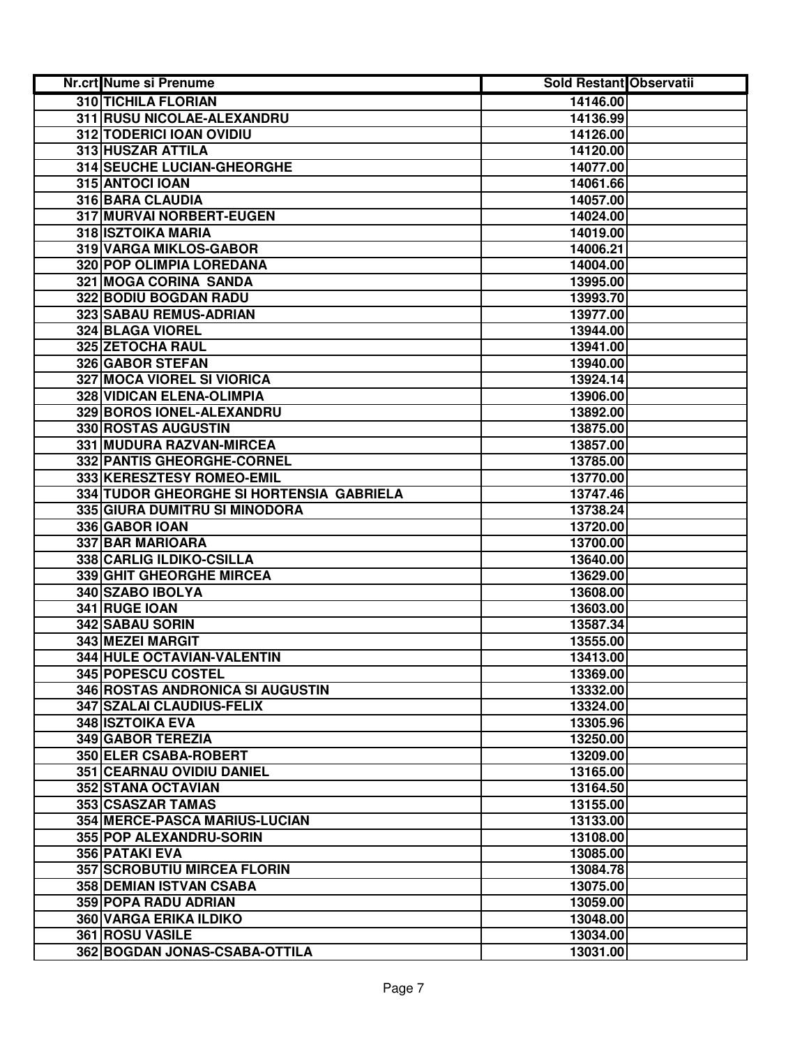| Nr.crt Nume si Prenume                   | <b>Sold Restant Observatii</b> |
|------------------------------------------|--------------------------------|
| <b>310 TICHILA FLORIAN</b>               | 14146.00                       |
| 311 RUSU NICOLAE-ALEXANDRU               | 14136.99                       |
| 312 TODERICI IOAN OVIDIU                 | 14126.00                       |
| 313 HUSZAR ATTILA                        | 14120.00                       |
| 314 SEUCHE LUCIAN-GHEORGHE               | 14077.00                       |
| 315 ANTOCI IOAN                          | 14061.66                       |
| 316 BARA CLAUDIA                         | 14057.00                       |
| 317 MURVAI NORBERT-EUGEN                 | 14024.00                       |
| 318 ISZTOIKA MARIA                       | 14019.00                       |
| 319 VARGA MIKLOS-GABOR                   | 14006.21                       |
| 320 POP OLIMPIA LOREDANA                 | 14004.00                       |
| 321 MOGA CORINA SANDA                    | 13995.00                       |
| 322 BODIU BOGDAN RADU                    | 13993.70                       |
| 323 SABAU REMUS-ADRIAN                   | 13977.00                       |
| 324 BLAGA VIOREL                         | 13944.00                       |
| <b>325 ZETOCHA RAUL</b>                  | 13941.00                       |
| 326 GABOR STEFAN                         | 13940.00                       |
| <b>327 MOCA VIOREL SI VIORICA</b>        | 13924.14                       |
| <b>328 VIDICAN ELENA-OLIMPIA</b>         | 13906.00                       |
| 329 BOROS IONEL-ALEXANDRU                | 13892.00                       |
| 330 ROSTAS AUGUSTIN                      | 13875.00                       |
| 331 MUDURA RAZVAN-MIRCEA                 | 13857.00                       |
| 332 PANTIS GHEORGHE-CORNEL               | 13785.00                       |
| 333 KERESZTESY ROMEO-EMIL                | 13770.00                       |
| 334 TUDOR GHEORGHE SI HORTENSIA GABRIELA | 13747.46                       |
| 335 GIURA DUMITRU SI MINODORA            | 13738.24                       |
| 336 GABOR IOAN                           | 13720.00                       |
| 337 BAR MARIOARA                         | 13700.00                       |
| 338 CARLIG ILDIKO-CSILLA                 | 13640.00                       |
| 339 GHIT GHEORGHE MIRCEA                 | 13629.00                       |
| 340 SZABO IBOLYA                         | 13608.00                       |
| 341 RUGE IOAN                            | 13603.00                       |
| 342 SABAU SORIN                          | 13587.34                       |
| 343 MEZEI MARGIT                         | 13555.00                       |
| 344 HULE OCTAVIAN-VALENTIN               | 13413.00                       |
| 345 POPESCU COSTEL                       | 13369.00                       |
| 346 ROSTAS ANDRONICA SI AUGUSTIN         | 13332.00                       |
| <b>347 SZALAI CLAUDIUS-FELIX</b>         | 13324.00                       |
| 348 ISZTOIKA EVA                         | 13305.96                       |
| <b>349 GABOR TEREZIA</b>                 | 13250.00                       |
| 350 ELER CSABA-ROBERT                    | 13209.00                       |
| 351 CEARNAU OVIDIU DANIEL                | 13165.00                       |
| <b>352 STANA OCTAVIAN</b>                | 13164.50                       |
| 353 CSASZAR TAMAS                        | 13155.00                       |
| 354 MERCE-PASCA MARIUS-LUCIAN            | 13133.00                       |
| 355 POP ALEXANDRU-SORIN                  | 13108.00                       |
| 356 PATAKI EVA                           | 13085.00                       |
| <b>357 SCROBUTIU MIRCEA FLORIN</b>       | 13084.78                       |
| 358 DEMIAN ISTVAN CSABA                  | 13075.00                       |
| 359 POPA RADU ADRIAN                     | 13059.00                       |
| 360 VARGA ERIKA ILDIKO                   | 13048.00                       |
| 361 ROSU VASILE                          | 13034.00                       |
| 362 BOGDAN JONAS-CSABA-OTTILA            | 13031.00                       |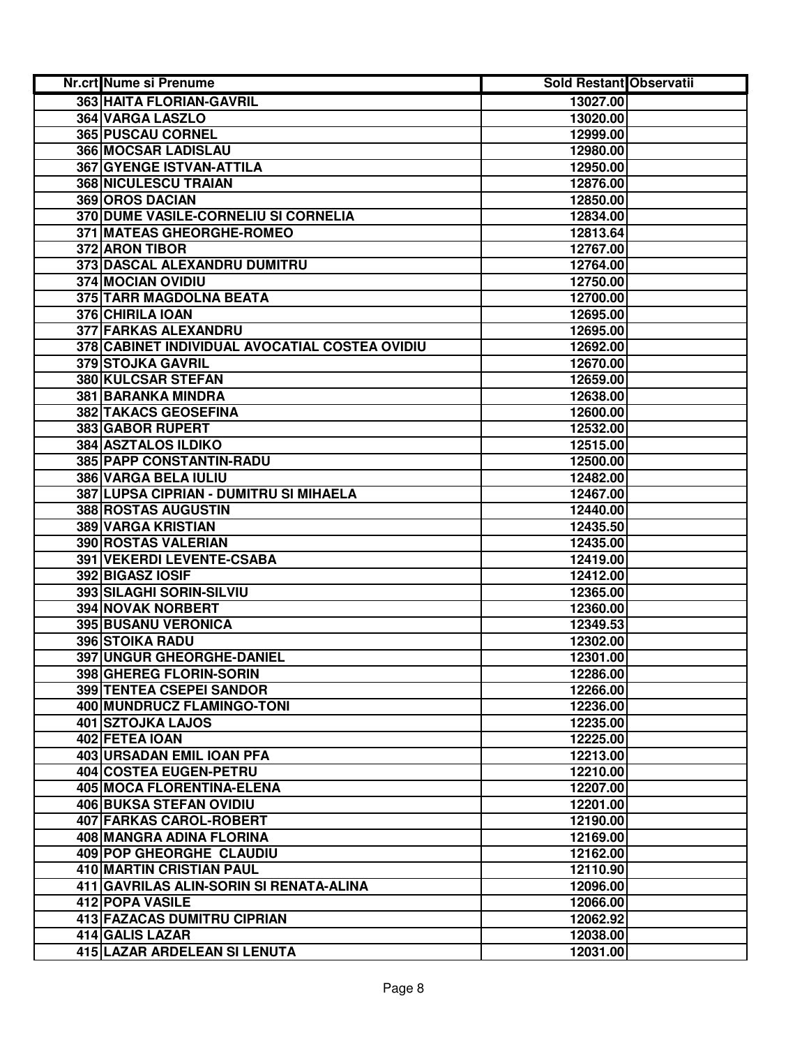| Nr.crt Nume si Prenume                         | <b>Sold Restant Observatii</b> |  |
|------------------------------------------------|--------------------------------|--|
| <b>363 HAITA FLORIAN-GAVRIL</b>                | 13027.00                       |  |
| <b>364 VARGA LASZLO</b>                        | 13020.00                       |  |
| <b>365 PUSCAU CORNEL</b>                       | 12999.00                       |  |
| 366 MOCSAR LADISLAU                            | 12980.00                       |  |
| 367 GYENGE ISTVAN-ATTILA                       | 12950.00                       |  |
| 368 NICULESCU TRAIAN                           | 12876.00                       |  |
| 369 OROS DACIAN                                | 12850.00                       |  |
| 370 DUME VASILE-CORNELIU SI CORNELIA           | 12834.00                       |  |
| 371 MATEAS GHEORGHE-ROMEO                      | 12813.64                       |  |
| 372 ARON TIBOR                                 | 12767.00                       |  |
| 373 DASCAL ALEXANDRU DUMITRU                   | 12764.00                       |  |
| 374 MOCIAN OVIDIU                              | 12750.00                       |  |
| 375 TARR MAGDOLNA BEATA                        | 12700.00                       |  |
| 376 CHIRILA IOAN                               | 12695.00                       |  |
| <b>377 FARKAS ALEXANDRU</b>                    | 12695.00                       |  |
| 378 CABINET INDIVIDUAL AVOCATIAL COSTEA OVIDIU | 12692.00                       |  |
| 379 STOJKA GAVRIL                              | 12670.00                       |  |
| <b>380 KULCSAR STEFAN</b>                      | 12659.00                       |  |
| <b>381 BARANKA MINDRA</b>                      | 12638.00                       |  |
| <b>382 TAKACS GEOSEFINA</b>                    | 12600.00                       |  |
| 383 GABOR RUPERT                               | 12532.00                       |  |
| <b>384 ASZTALOS ILDIKO</b>                     | 12515.00                       |  |
| 385 PAPP CONSTANTIN-RADU                       | 12500.00                       |  |
| 386 VARGA BELA IULIU                           | 12482.00                       |  |
| 387 LUPSA CIPRIAN - DUMITRU SI MIHAELA         | 12467.00                       |  |
| 388 ROSTAS AUGUSTIN                            | 12440.00                       |  |
| 389 VARGA KRISTIAN                             | 12435.50                       |  |
| 390 ROSTAS VALERIAN                            | 12435.00                       |  |
| 391 VEKERDI LEVENTE-CSABA                      | 12419.00                       |  |
| 392 BIGASZ IOSIF                               | 12412.00                       |  |
| 393 SILAGHI SORIN-SILVIU                       | 12365.00                       |  |
| <b>394 NOVAK NORBERT</b>                       | 12360.00                       |  |
| 395 BUSANU VERONICA                            | 12349.53                       |  |
| 396 STOIKA RADU                                | 12302.00                       |  |
| 397 UNGUR GHEORGHE-DANIEL                      | 12301.00                       |  |
| 398 GHEREG FLORIN-SORIN                        | 12286.00                       |  |
| 399 TENTEA CSEPEI SANDOR                       | 12266.00                       |  |
| 400 MUNDRUCZ FLAMINGO-TONI                     | 12236.00                       |  |
| 401 SZTOJKA LAJOS                              | 12235.00                       |  |
| 402 FETEA IOAN                                 | 12225.00                       |  |
| <b>403 URSADAN EMIL IOAN PFA</b>               | 12213.00                       |  |
| <b>404 COSTEA EUGEN-PETRU</b>                  | 12210.00                       |  |
| <b>405 MOCA FLORENTINA-ELENA</b>               | 12207.00                       |  |
| <b>406 BUKSA STEFAN OVIDIU</b>                 | 12201.00                       |  |
| <b>407 FARKAS CAROL-ROBERT</b>                 | 12190.00                       |  |
| 408 MANGRA ADINA FLORINA                       | 12169.00                       |  |
| 409 POP GHEORGHE CLAUDIU                       | 12162.00                       |  |
| 410 MARTIN CRISTIAN PAUL                       | 12110.90                       |  |
| 411 GAVRILAS ALIN-SORIN SI RENATA-ALINA        | 12096.00                       |  |
| 412 POPA VASILE                                | 12066.00                       |  |
| 413 FAZACAS DUMITRU CIPRIAN                    | 12062.92                       |  |
| 414 GALIS LAZAR                                | 12038.00                       |  |
| 415 LAZAR ARDELEAN SI LENUTA                   | 12031.00                       |  |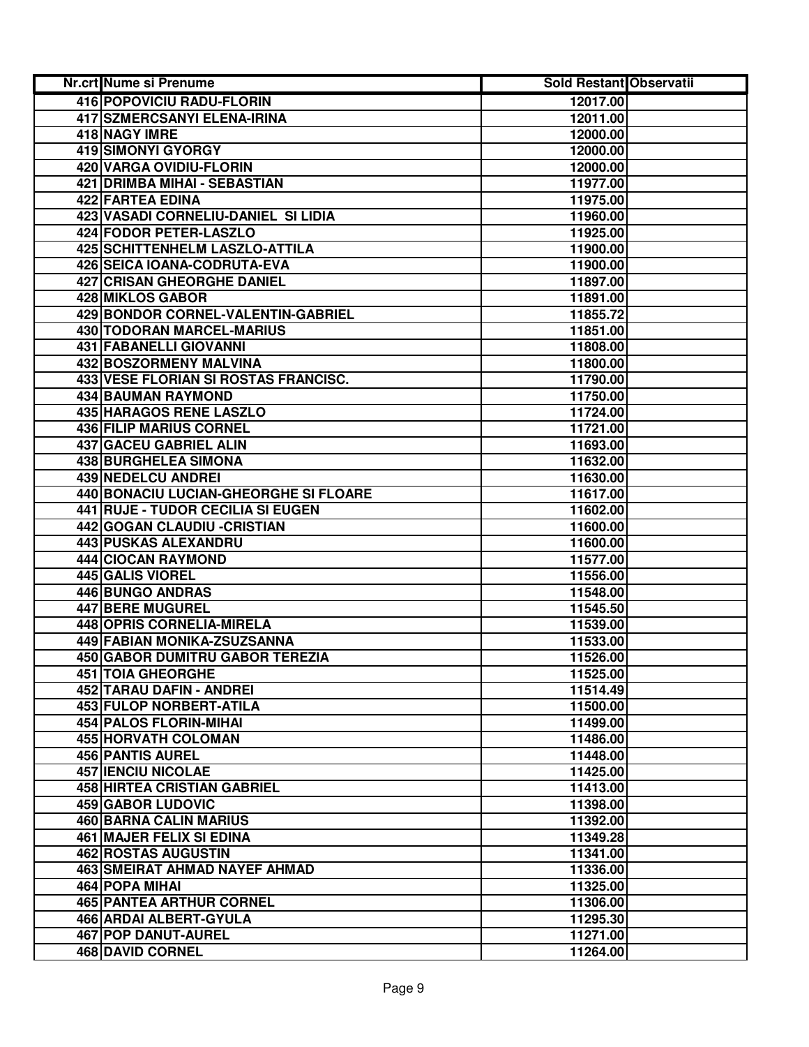| Nr.crt Nume si Prenume                | <b>Sold Restant Observatii</b> |  |
|---------------------------------------|--------------------------------|--|
| 416 POPOVICIU RADU-FLORIN             | 12017.00                       |  |
| <b>417 SZMERCSANYI ELENA-IRINA</b>    | 12011.00                       |  |
| 418 NAGY IMRE                         | 12000.00                       |  |
| 419 SIMONYI GYORGY                    | 12000.00                       |  |
| 420 VARGA OVIDIU-FLORIN               | 12000.00                       |  |
| <b>421 DRIMBA MIHAI - SEBASTIAN</b>   | 11977.00                       |  |
| 422 FARTEA EDINA                      | 11975.00                       |  |
| 423 VASADI CORNELIU-DANIEL SI LIDIA   | 11960.00                       |  |
| 424 FODOR PETER-LASZLO                | 11925.00                       |  |
| 425 SCHITTENHELM LASZLO-ATTILA        | 11900.00                       |  |
| 426 SEICA IOANA-CODRUTA-EVA           | 11900.00                       |  |
| <b>427 CRISAN GHEORGHE DANIEL</b>     | 11897.00                       |  |
| 428 MIKLOS GABOR                      | 11891.00                       |  |
| 429 BONDOR CORNEL-VALENTIN-GABRIEL    | 11855.72                       |  |
| 430 TODORAN MARCEL-MARIUS             | 11851.00                       |  |
| <b>431 FABANELLI GIOVANNI</b>         | 11808.00                       |  |
| 432 BOSZORMENY MALVINA                | 11800.00                       |  |
| 433 VESE FLORIAN SI ROSTAS FRANCISC.  | 11790.00                       |  |
| <b>434 BAUMAN RAYMOND</b>             | 11750.00                       |  |
| <b>435 HARAGOS RENE LASZLO</b>        | 11724.00                       |  |
| 436 FILIP MARIUS CORNEL               | 11721.00                       |  |
| 437 GACEU GABRIEL ALIN                | 11693.00                       |  |
| 438 BURGHELEA SIMONA                  | 11632.00                       |  |
| 439 NEDELCU ANDREI                    | 11630.00                       |  |
| 440 BONACIU LUCIAN-GHEORGHE SI FLOARE | 11617.00                       |  |
| 441 RUJE - TUDOR CECILIA SI EUGEN     | 11602.00                       |  |
| 442 GOGAN CLAUDIU - CRISTIAN          | 11600.00                       |  |
| 443 PUSKAS ALEXANDRU                  | 11600.00                       |  |
| 444 CIOCAN RAYMOND                    | 11577.00                       |  |
| 445 GALIS VIOREL                      | 11556.00                       |  |
| 446 BUNGO ANDRAS                      | 11548.00                       |  |
| 447 BERE MUGUREL                      | 11545.50                       |  |
| 448 OPRIS CORNELIA-MIRELA             | 11539.00                       |  |
| 449 FABIAN MONIKA-ZSUZSANNA           | 11533.00                       |  |
| 450 GABOR DUMITRU GABOR TEREZIA       | 11526.00                       |  |
| <b>451 TOIA GHEORGHE</b>              | 11525.00                       |  |
| 452 TARAU DAFIN - ANDREI              | 11514.49                       |  |
| 453 FULOP NORBERT-ATILA               | 11500.00                       |  |
| <b>454 PALOS FLORIN-MIHAI</b>         | 11499.00                       |  |
| 455 HORVATH COLOMAN                   | 11486.00                       |  |
| <b>456 PANTIS AUREL</b>               | 11448.00                       |  |
| <b>457 IENCIU NICOLAE</b>             | 11425.00                       |  |
| <b>458 HIRTEA CRISTIAN GABRIEL</b>    | 11413.00                       |  |
| <b>459 GABOR LUDOVIC</b>              | 11398.00                       |  |
| <b>460 BARNA CALIN MARIUS</b>         | 11392.00                       |  |
| 461 MAJER FELIX SI EDINA              | 11349.28                       |  |
| 462 ROSTAS AUGUSTIN                   | 11341.00                       |  |
| <b>463 SMEIRAT AHMAD NAYEF AHMAD</b>  | 11336.00                       |  |
| 464 POPA MIHAI                        | 11325.00                       |  |
| <b>465 PANTEA ARTHUR CORNEL</b>       | 11306.00                       |  |
| 466 ARDAI ALBERT-GYULA                | 11295.30                       |  |
| 467 POP DANUT-AUREL                   | 11271.00                       |  |
| 468 DAVID CORNEL                      | 11264.00                       |  |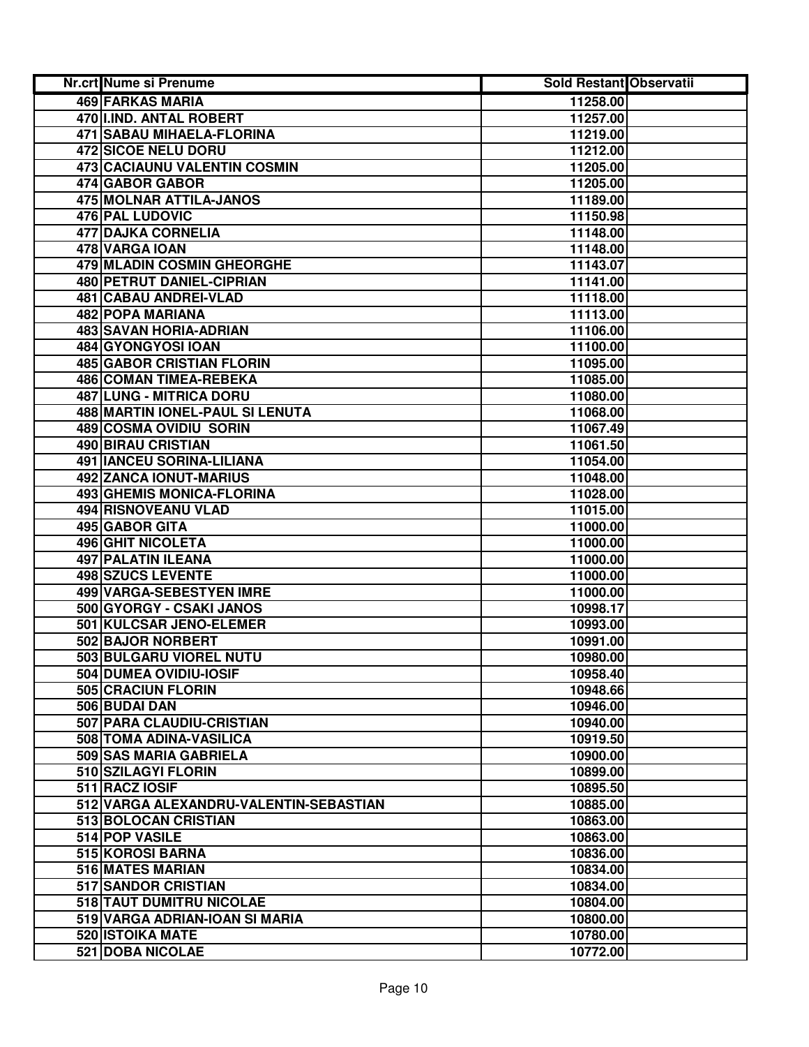| Nr.crt Nume si Prenume                            | <b>Sold Restant Observatii</b> |  |
|---------------------------------------------------|--------------------------------|--|
| <b>469 FARKAS MARIA</b>                           | 11258.00                       |  |
| 470 I.IND. ANTAL ROBERT                           | 11257.00                       |  |
| <b>471 SABAU MIHAELA-FLORINA</b>                  | 11219.00                       |  |
| <b>472 SICOE NELU DORU</b>                        | 11212.00                       |  |
| 473 CACIAUNU VALENTIN COSMIN                      | 11205.00                       |  |
| 474 GABOR GABOR                                   | 11205.00                       |  |
| 475 MOLNAR ATTILA-JANOS                           | 11189.00                       |  |
| 476 PAL LUDOVIC                                   | 11150.98                       |  |
| 477 DAJKA CORNELIA                                | 11148.00                       |  |
| 478 VARGA IOAN                                    | 11148.00                       |  |
| 479 MLADIN COSMIN GHEORGHE                        | 11143.07                       |  |
| 480 PETRUT DANIEL-CIPRIAN                         | 11141.00                       |  |
| 481 CABAU ANDREI-VLAD                             | 11118.00                       |  |
| 482 POPA MARIANA                                  | 11113.00                       |  |
| 483 SAVAN HORIA-ADRIAN                            | 11106.00                       |  |
| 484 GYONGYOSI IOAN                                | 11100.00                       |  |
| <b>485 GABOR CRISTIAN FLORIN</b>                  | 11095.00                       |  |
| <b>486 COMAN TIMEA-REBEKA</b>                     | 11085.00                       |  |
| <b>487 LUNG - MITRICA DORU</b>                    | 11080.00                       |  |
| 488 MARTIN IONEL-PAUL SI LENUTA                   | 11068.00                       |  |
| 489 COSMA OVIDIU SORIN                            | 11067.49                       |  |
| 490 BIRAU CRISTIAN                                | 11061.50                       |  |
| 491 IANCEU SORINA-LILIANA                         | 11054.00                       |  |
| 492 ZANCA IONUT-MARIUS                            | 11048.00                       |  |
| 493 GHEMIS MONICA-FLORINA                         | 11028.00                       |  |
| 494 RISNOVEANU VLAD                               | 11015.00                       |  |
| 495 GABOR GITA                                    | 11000.00                       |  |
| <b>496 GHIT NICOLETA</b>                          | 11000.00                       |  |
| 497 PALATIN ILEANA                                | 11000.00                       |  |
| 498 SZUCS LEVENTE                                 | 11000.00                       |  |
| 499 VARGA-SEBESTYEN IMRE                          | 11000.00                       |  |
| 500 GYORGY - CSAKI JANOS                          | 10998.17                       |  |
| 501 KULCSAR JENO-ELEMER                           | 10993.00                       |  |
| 502 BAJOR NORBERT                                 | 10991.00                       |  |
| 503 BULGARU VIOREL NUTU                           | 10980.00                       |  |
| 504 DUMEA OVIDIU-IOSIF                            | 10958.40                       |  |
| 505 CRACIUN FLORIN                                | 10948.66                       |  |
| 506 BUDAI DAN                                     | 10946.00                       |  |
| 507 PARA CLAUDIU-CRISTIAN                         | 10940.00                       |  |
| 508 TOMA ADINA-VASILICA<br>509 SAS MARIA GABRIELA | 10919.50                       |  |
| 510 SZILAGYI FLORIN                               | 10900.00<br>10899.00           |  |
| 511 RACZ IOSIF                                    | 10895.50                       |  |
| 512 VARGA ALEXANDRU-VALENTIN-SEBASTIAN            | 10885.00                       |  |
| 513 BOLOCAN CRISTIAN                              | 10863.00                       |  |
| 514 POP VASILE                                    | 10863.00                       |  |
| 515 KOROSI BARNA                                  | 10836.00                       |  |
| 516 MATES MARIAN                                  | 10834.00                       |  |
| 517 SANDOR CRISTIAN                               | 10834.00                       |  |
| 518 TAUT DUMITRU NICOLAE                          | 10804.00                       |  |
| 519 VARGA ADRIAN-IOAN SI MARIA                    | 10800.00                       |  |
| 520 ISTOIKA MATE                                  | 10780.00                       |  |
| 521 DOBA NICOLAE                                  | 10772.00                       |  |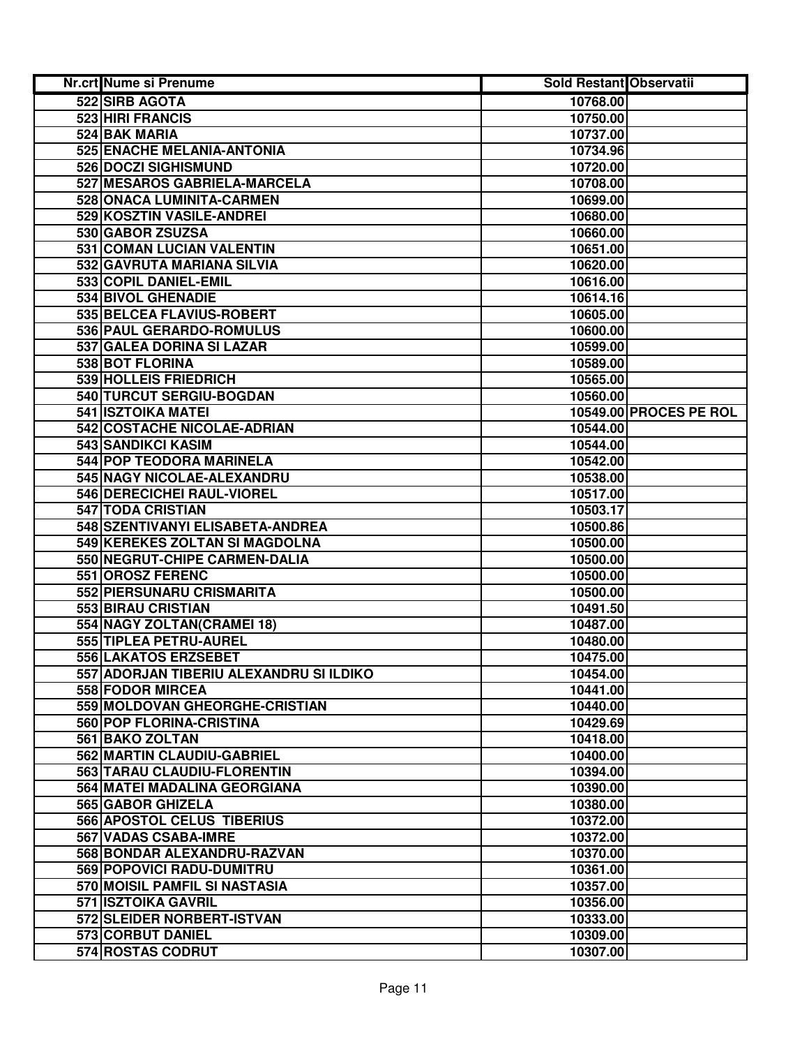| Nr.crt Nume si Prenume                        | Sold Restant Observatii |                        |
|-----------------------------------------------|-------------------------|------------------------|
| 522 SIRB AGOTA                                | 10768.00                |                        |
| 523 HIRI FRANCIS                              | 10750.00                |                        |
| 524 BAK MARIA                                 | 10737.00                |                        |
| 525 ENACHE MELANIA-ANTONIA                    | 10734.96                |                        |
| <b>526 DOCZI SIGHISMUND</b>                   | 10720.00                |                        |
| 527 MESAROS GABRIELA-MARCELA                  | 10708.00                |                        |
| 528 ONACA LUMINITA-CARMEN                     | 10699.00                |                        |
| 529 KOSZTIN VASILE-ANDREI                     | 10680.00                |                        |
| 530 GABOR ZSUZSA                              | 10660.00                |                        |
| 531 COMAN LUCIAN VALENTIN                     | 10651.00                |                        |
| 532 GAVRUTA MARIANA SILVIA                    | 10620.00                |                        |
| 533 COPIL DANIEL-EMIL                         | 10616.00                |                        |
| 534 BIVOL GHENADIE                            | 10614.16                |                        |
| 535 BELCEA FLAVIUS-ROBERT                     | 10605.00                |                        |
| 536 PAUL GERARDO-ROMULUS                      | 10600.00                |                        |
| 537 GALEA DORINA SI LAZAR                     | 10599.00                |                        |
| 538 BOT FLORINA                               | 10589.00                |                        |
| 539 HOLLEIS FRIEDRICH                         | 10565.00                |                        |
| 540 TURCUT SERGIU-BOGDAN                      | 10560.00                |                        |
| 541 ISZTOIKA MATEI                            |                         | 10549.00 PROCES PE ROL |
| 542 COSTACHE NICOLAE-ADRIAN                   | 10544.00                |                        |
| 543 SANDIKCI KASIM                            | 10544.00                |                        |
| 544 POP TEODORA MARINELA                      | 10542.00                |                        |
| 545 NAGY NICOLAE-ALEXANDRU                    | 10538.00                |                        |
| 546 DERECICHEI RAUL-VIOREL                    | 10517.00                |                        |
| 547 TODA CRISTIAN                             | 10503.17                |                        |
| 548 SZENTIVANYI ELISABETA-ANDREA              | 10500.86                |                        |
| 549 KEREKES ZOLTAN SI MAGDOLNA                | 10500.00                |                        |
| 550 NEGRUT-CHIPE CARMEN-DALIA                 | 10500.00                |                        |
| 551 OROSZ FERENC                              | 10500.00                |                        |
| 552 PIERSUNARU CRISMARITA                     | 10500.00                |                        |
| 553 BIRAU CRISTIAN                            | 10491.50                |                        |
| 554 NAGY ZOLTAN(CRAMEI 18)                    | 10487.00                |                        |
| 555 TIPLEA PETRU-AUREL                        | 10480.00                |                        |
| 556 LAKATOS ERZSEBET                          | 10475.00                |                        |
| 557 ADORJAN TIBERIU ALEXANDRU SI ILDIKO       | 10454.00                |                        |
| 558 FODOR MIRCEA                              | 10441.00                |                        |
| 559 MOLDOVAN GHEORGHE-CRISTIAN                | 10440.00                |                        |
| 560 POP FLORINA-CRISTINA                      | 10429.69                |                        |
| 561 BAKO ZOLTAN<br>562 MARTIN CLAUDIU-GABRIEL | 10418.00<br>10400.00    |                        |
| 563 TARAU CLAUDIU-FLORENTIN                   | 10394.00                |                        |
| 564 MATEI MADALINA GEORGIANA                  | 10390.00                |                        |
| <b>565 GABOR GHIZELA</b>                      | 10380.00                |                        |
| <b>566 APOSTOL CELUS TIBERIUS</b>             | 10372.00                |                        |
| 567 VADAS CSABA-IMRE                          | 10372.00                |                        |
| 568 BONDAR ALEXANDRU-RAZVAN                   | 10370.00                |                        |
| 569 POPOVICI RADU-DUMITRU                     | 10361.00                |                        |
| 570 MOISIL PAMFIL SI NASTASIA                 | 10357.00                |                        |
| 571 ISZTOIKA GAVRIL                           | 10356.00                |                        |
| 572 SLEIDER NORBERT-ISTVAN                    | 10333.00                |                        |
| 573 CORBUT DANIEL                             | 10309.00                |                        |
| 574 ROSTAS CODRUT                             | 10307.00                |                        |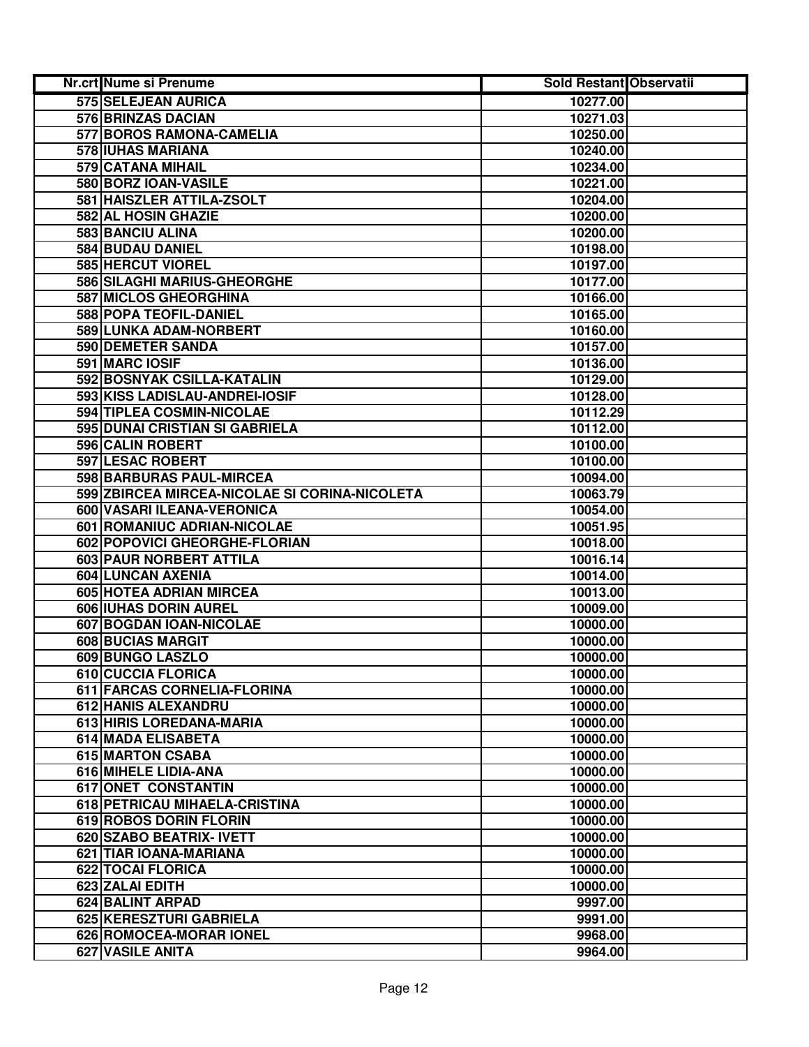| Nr.crt Nume si Prenume                                  | <b>Sold Restant Observatii</b> |  |
|---------------------------------------------------------|--------------------------------|--|
| 575 SELEJEAN AURICA                                     | 10277.00                       |  |
| <b>576 BRINZAS DACIAN</b>                               | 10271.03                       |  |
| 577 BOROS RAMONA-CAMELIA                                | 10250.00                       |  |
| 578 IUHAS MARIANA                                       | 10240.00                       |  |
| 579 CATANA MIHAIL                                       | 10234.00                       |  |
| 580 BORZ IOAN-VASILE                                    | 10221.00                       |  |
| 581 HAISZLER ATTILA-ZSOLT                               | 10204.00                       |  |
| 582 AL HOSIN GHAZIE                                     | 10200.00                       |  |
| <b>583 BANCIU ALINA</b>                                 | 10200.00                       |  |
| 584 BUDAU DANIEL                                        | 10198.00                       |  |
| 585 HERCUT VIOREL                                       | 10197.00                       |  |
| 586 SILAGHI MARIUS-GHEORGHE                             | 10177.00                       |  |
| 587 MICLOS GHEORGHINA                                   | 10166.00                       |  |
| 588 POPA TEOFIL-DANIEL                                  | 10165.00                       |  |
| 589 LUNKA ADAM-NORBERT                                  | 10160.00                       |  |
| 590 DEMETER SANDA                                       | 10157.00                       |  |
| 591 MARC IOSIF                                          | 10136.00                       |  |
| 592 BOSNYAK CSILLA-KATALIN                              | 10129.00                       |  |
| 593 KISS LADISLAU-ANDREI-IOSIF                          | 10128.00                       |  |
| 594 TIPLEA COSMIN-NICOLAE                               | 10112.29                       |  |
| 595 DUNAI CRISTIAN SI GABRIELA                          | 10112.00                       |  |
| 596 CALIN ROBERT                                        | 10100.00                       |  |
| 597 LESAC ROBERT                                        | 10100.00                       |  |
| 598 BARBURAS PAUL-MIRCEA                                | 10094.00                       |  |
| 599 ZBIRCEA MIRCEA-NICOLAE SI CORINA-NICOLETA           | 10063.79                       |  |
| 600 VASARI ILEANA-VERONICA                              | 10054.00                       |  |
| 601 ROMANIUC ADRIAN-NICOLAE                             | 10051.95                       |  |
| 602 POPOVICI GHEORGHE-FLORIAN                           | 10018.00                       |  |
| 603 PAUR NORBERT ATTILA                                 | 10016.14                       |  |
| 604 LUNCAN AXENIA                                       | 10014.00                       |  |
| 605 HOTEA ADRIAN MIRCEA                                 | 10013.00                       |  |
| 606 IUHAS DORIN AUREL                                   | 10009.00                       |  |
| 607 BOGDAN IOAN-NICOLAE                                 | 10000.00                       |  |
| 608 BUCIAS MARGIT                                       | 10000.00                       |  |
| 609 BUNGO LASZLO                                        | 10000.00                       |  |
| 610 CUCCIA FLORICA                                      | 10000.00                       |  |
| 611 FARCAS CORNELIA-FLORINA                             | 10000.00                       |  |
| 612 HANIS ALEXANDRU                                     | 10000.00                       |  |
| 613 HIRIS LOREDANA-MARIA                                | 10000.00                       |  |
| 614 MADA ELISABETA                                      | 10000.00                       |  |
| 615 MARTON CSABA                                        | 10000.00                       |  |
| 616 MIHELE LIDIA-ANA                                    | 10000.00                       |  |
| 617 ONET CONSTANTIN                                     | 10000.00                       |  |
| 618 PETRICAU MIHAELA-CRISTINA<br>619 ROBOS DORIN FLORIN | 10000.00<br>10000.00           |  |
| 620 SZABO BEATRIX- IVETT                                | 10000.00                       |  |
| 621 TIAR IOANA-MARIANA                                  | 10000.00                       |  |
| 622 TOCAI FLORICA                                       | 10000.00                       |  |
| 623 ZALAI EDITH                                         | 10000.00                       |  |
| 624 BALINT ARPAD                                        | 9997.00                        |  |
| 625 KERESZTURI GABRIELA                                 | 9991.00                        |  |
| 626 ROMOCEA-MORAR IONEL                                 | 9968.00                        |  |
| 627 VASILE ANITA                                        | 9964.00                        |  |
|                                                         |                                |  |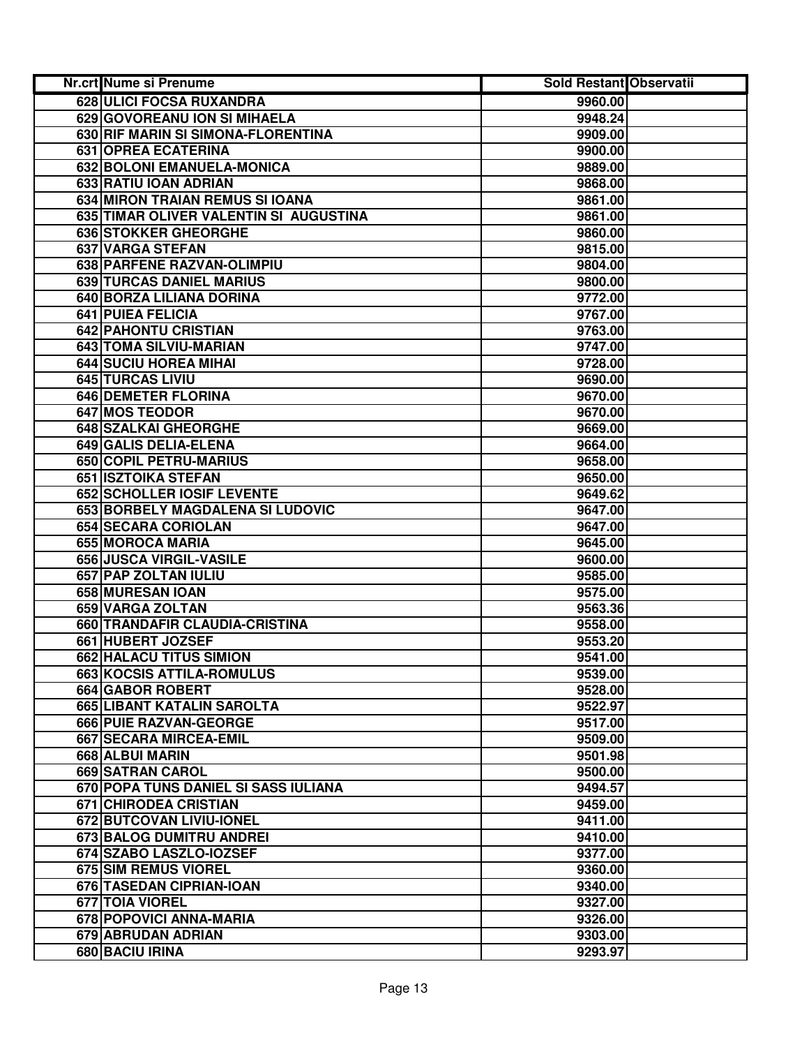| Nr.crt Nume si Prenume                 | Sold Restant Observatii |  |
|----------------------------------------|-------------------------|--|
| 628 ULICI FOCSA RUXANDRA               | 9960.00                 |  |
| 629 GOVOREANU ION SI MIHAELA           | 9948.24                 |  |
| 630 RIF MARIN SI SIMONA-FLORENTINA     | 9909.00                 |  |
| 631 OPREA ECATERINA                    | 9900.00                 |  |
| 632 BOLONI EMANUELA-MONICA             | 9889.00                 |  |
| 633 RATIU IOAN ADRIAN                  | 9868.00                 |  |
| 634 MIRON TRAIAN REMUS SI IOANA        | 9861.00                 |  |
| 635 TIMAR OLIVER VALENTIN SI AUGUSTINA | 9861.00                 |  |
| 636 STOKKER GHEORGHE                   | 9860.00                 |  |
| 637 VARGA STEFAN                       | 9815.00                 |  |
| 638 PARFENE RAZVAN-OLIMPIU             | 9804.00                 |  |
| 639 TURCAS DANIEL MARIUS               | 9800.00                 |  |
| 640 BORZA LILIANA DORINA               | 9772.00                 |  |
| 641 PUIEA FELICIA                      | 9767.00                 |  |
| 642 PAHONTU CRISTIAN                   | 9763.00                 |  |
| 643 TOMA SILVIU-MARIAN                 | 9747.00                 |  |
| 644 SUCIU HOREA MIHAI                  | 9728.00                 |  |
| 645 TURCAS LIVIU                       | 9690.00                 |  |
| <b>646 DEMETER FLORINA</b>             | 9670.00                 |  |
| 647 MOS TEODOR                         | 9670.00                 |  |
| 648 SZALKAI GHEORGHE                   | 9669.00                 |  |
| 649 GALIS DELIA-ELENA                  | 9664.00                 |  |
| 650 COPIL PETRU-MARIUS                 | 9658.00                 |  |
| 651 ISZTOIKA STEFAN                    | 9650.00                 |  |
| 652 SCHOLLER IOSIF LEVENTE             | 9649.62                 |  |
| 653 BORBELY MAGDALENA SI LUDOVIC       | 9647.00                 |  |
| 654 SECARA CORIOLAN                    | 9647.00                 |  |
| 655 MOROCA MARIA                       | 9645.00                 |  |
| 656 JUSCA VIRGIL-VASILE                | 9600.00                 |  |
| 657 PAP ZOLTAN IULIU                   | 9585.00                 |  |
| 658 MURESAN IOAN                       | 9575.00                 |  |
| 659 VARGA ZOLTAN                       | 9563.36                 |  |
| 660 TRANDAFIR CLAUDIA-CRISTINA         | 9558.00                 |  |
| 661 HUBERT JOZSEF                      | 9553.20                 |  |
| 662 HALACU TITUS SIMION                | 9541.00                 |  |
| 663 KOCSIS ATTILA-ROMULUS              | 9539.00                 |  |
| 664 GABOR ROBERT                       | 9528.00                 |  |
| 665 LIBANT KATALIN SAROLTA             | 9522.97                 |  |
| 666 PUIE RAZVAN-GEORGE                 | 9517.00                 |  |
| 667 SECARA MIRCEA-EMIL                 | 9509.00                 |  |
| 668 ALBUI MARIN                        | 9501.98                 |  |
| 669 SATRAN CAROL                       | 9500.00                 |  |
| 670 POPA TUNS DANIEL SI SASS IULIANA   | 9494.57                 |  |
| <b>671 CHIRODEA CRISTIAN</b>           | 9459.00                 |  |
| <b>672 BUTCOVAN LIVIU-IONEL</b>        | 9411.00                 |  |
| 673 BALOG DUMITRU ANDREI               | 9410.00                 |  |
| 674 SZABO LASZLO-IOZSEF                | 9377.00                 |  |
| 675 SIM REMUS VIOREL                   | 9360.00                 |  |
| 676 TASEDAN CIPRIAN-IOAN               | 9340.00                 |  |
| 677 TOIA VIOREL                        | 9327.00                 |  |
| 678 POPOVICI ANNA-MARIA                | 9326.00                 |  |
| 679 ABRUDAN ADRIAN                     | 9303.00                 |  |
| 680 BACIU IRINA                        | 9293.97                 |  |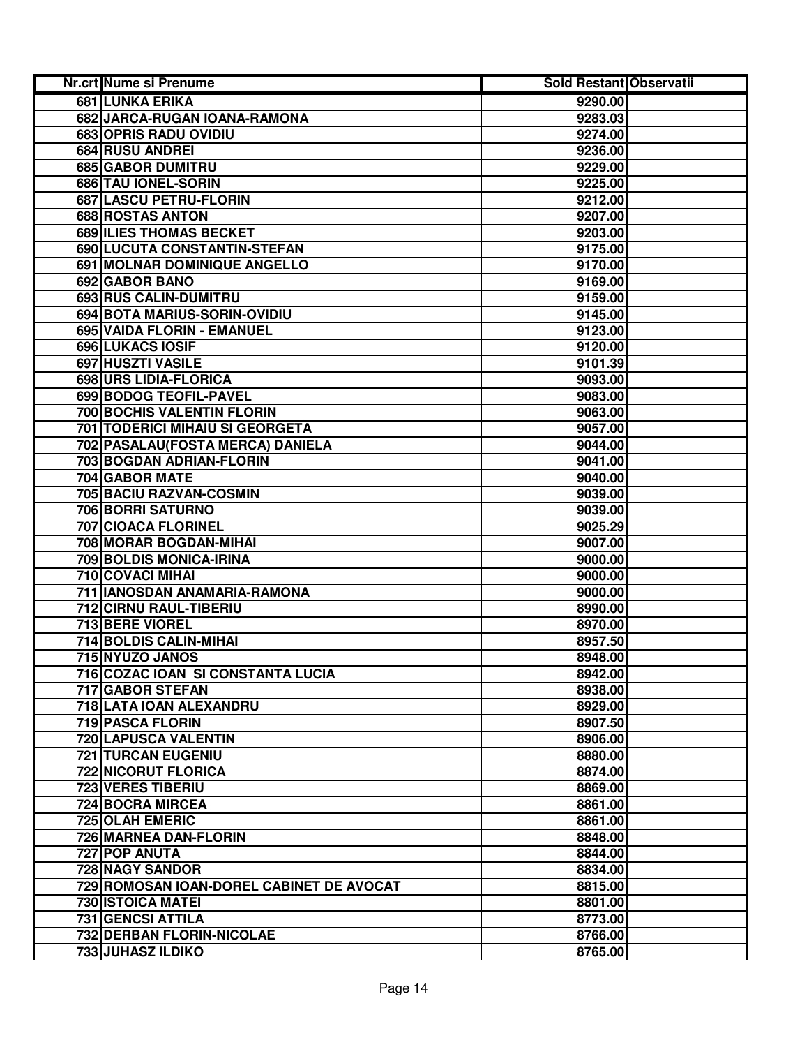| Nr.crt Nume si Prenume                   | <b>Sold Restant Observatii</b> |  |
|------------------------------------------|--------------------------------|--|
| 681 LUNKA ERIKA                          | 9290.00                        |  |
| 682 JARCA-RUGAN IOANA-RAMONA             | 9283.03                        |  |
| 683 OPRIS RADU OVIDIU                    | 9274.00                        |  |
| 684 RUSU ANDREI                          | 9236.00                        |  |
| 685 GABOR DUMITRU                        | 9229.00                        |  |
| 686 TAU IONEL-SORIN                      | 9225.00                        |  |
| 687 LASCU PETRU-FLORIN                   | 9212.00                        |  |
| 688 ROSTAS ANTON                         | 9207.00                        |  |
| 689 ILIES THOMAS BECKET                  | 9203.00                        |  |
| 690 LUCUTA CONSTANTIN-STEFAN             | 9175.00                        |  |
| 691 MOLNAR DOMINIQUE ANGELLO             | 9170.00                        |  |
| 692 GABOR BANO                           | 9169.00                        |  |
| 693 RUS CALIN-DUMITRU                    | 9159.00                        |  |
| 694 BOTA MARIUS-SORIN-OVIDIU             | 9145.00                        |  |
| 695 VAIDA FLORIN - EMANUEL               | 9123.00                        |  |
| <b>696 LUKACS IOSIF</b>                  | 9120.00                        |  |
| 697 HUSZTI VASILE                        | 9101.39                        |  |
| 698 URS LIDIA-FLORICA                    | 9093.00                        |  |
| 699 BODOG TEOFIL-PAVEL                   | 9083.00                        |  |
| <b>700 BOCHIS VALENTIN FLORIN</b>        | 9063.00                        |  |
| <b>701 TODERICI MIHAIU SI GEORGETA</b>   | 9057.00                        |  |
| 702 PASALAU (FOSTA MERCA) DANIELA        | 9044.00                        |  |
| 703 BOGDAN ADRIAN-FLORIN                 | 9041.00                        |  |
| 704 GABOR MATE                           | 9040.00                        |  |
| 705 BACIU RAZVAN-COSMIN                  | 9039.00                        |  |
| 706 BORRI SATURNO                        | 9039.00                        |  |
| 707 CIOACA FLORINEL                      | 9025.29                        |  |
| 708 MORAR BOGDAN-MIHAI                   | 9007.00                        |  |
| 709 BOLDIS MONICA-IRINA                  | 9000.00                        |  |
| 710 COVACI MIHAI                         | 9000.00                        |  |
| 711 IANOSDAN ANAMARIA-RAMONA             | 9000.00                        |  |
| 712 CIRNU RAUL-TIBERIU                   | 8990.00                        |  |
| <b>713 BERE VIOREL</b>                   | 8970.00                        |  |
| <b>714 BOLDIS CALIN-MIHAI</b>            | 8957.50                        |  |
| 715 NYUZO JANOS                          | 8948.00                        |  |
| 716 COZAC IOAN SI CONSTANTA LUCIA        | 8942.00                        |  |
| 717 GABOR STEFAN                         | 8938.00                        |  |
| 718 LATA IOAN ALEXANDRU                  | 8929.00                        |  |
| 719 PASCA FLORIN                         | 8907.50                        |  |
| <b>720 LAPUSCA VALENTIN</b>              | 8906.00                        |  |
| <b>721 TURCAN EUGENIU</b>                | 8880.00                        |  |
| <b>722 NICORUT FLORICA</b>               | 8874.00                        |  |
| <b>723 VERES TIBERIU</b>                 | 8869.00                        |  |
| 724 BOCRA MIRCEA                         | 8861.00                        |  |
| <b>725 OLAH EMERIC</b>                   | 8861.00                        |  |
| 726 MARNEA DAN-FLORIN                    | 8848.00                        |  |
| 727 POP ANUTA                            | 8844.00                        |  |
| 728 NAGY SANDOR                          | 8834.00                        |  |
| 729 ROMOSAN IOAN-DOREL CABINET DE AVOCAT | 8815.00                        |  |
| 730 ISTOICA MATEI                        | 8801.00                        |  |
| 731 GENCSI ATTILA                        | 8773.00                        |  |
| 732 DERBAN FLORIN-NICOLAE                | 8766.00                        |  |
| 733 JUHASZ ILDIKO                        | 8765.00                        |  |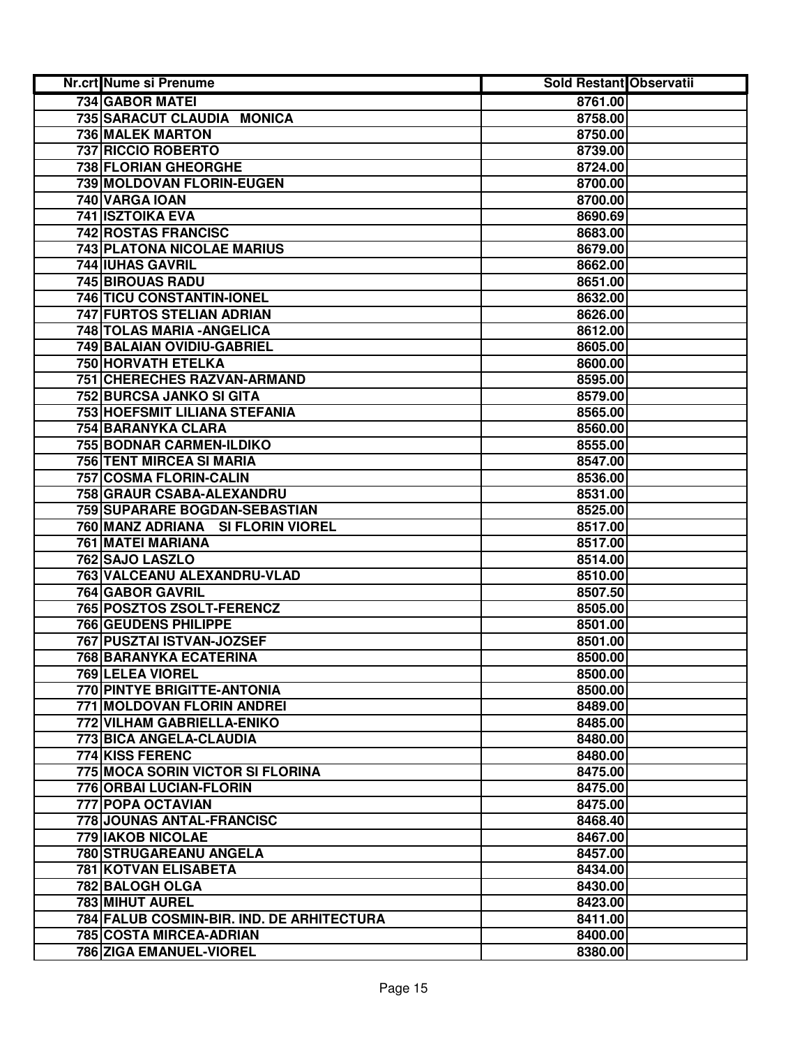| Nr.crt Nume si Prenume                                             | <b>Sold Restant Observatii</b> |  |
|--------------------------------------------------------------------|--------------------------------|--|
| 734 GABOR MATEI                                                    | 8761.00                        |  |
| 735 SARACUT CLAUDIA MONICA                                         | 8758.00                        |  |
| 736 MALEK MARTON                                                   | 8750.00                        |  |
| 737 RICCIO ROBERTO                                                 | 8739.00                        |  |
| 738 FLORIAN GHEORGHE                                               | 8724.00                        |  |
| 739 MOLDOVAN FLORIN-EUGEN                                          | 8700.00                        |  |
| 740 VARGA IOAN                                                     | 8700.00                        |  |
| 741 ISZTOIKA EVA                                                   | 8690.69                        |  |
| 742 ROSTAS FRANCISC                                                | 8683.00                        |  |
| <b>743 PLATONA NICOLAE MARIUS</b>                                  | 8679.00                        |  |
| 744 IUHAS GAVRIL                                                   | 8662.00                        |  |
| <b>745 BIROUAS RADU</b>                                            | 8651.00                        |  |
| 746 TICU CONSTANTIN-IONEL                                          | 8632.00                        |  |
| 747 FURTOS STELIAN ADRIAN                                          | 8626.00                        |  |
| 748 TOLAS MARIA - ANGELICA                                         | 8612.00                        |  |
| 749 BALAIAN OVIDIU-GABRIEL                                         | 8605.00                        |  |
| <b>750 HORVATH ETELKA</b>                                          | 8600.00                        |  |
| 751 CHERECHES RAZVAN-ARMAND                                        | 8595.00                        |  |
| <b>752 BURCSA JANKO SI GITA</b>                                    | 8579.00                        |  |
| <b>753 HOEFSMIT LILIANA STEFANIA</b>                               | 8565.00                        |  |
| 754 BARANYKA CLARA                                                 | 8560.00                        |  |
| 755 BODNAR CARMEN-ILDIKO                                           | 8555.00                        |  |
| 756 TENT MIRCEA SI MARIA                                           | 8547.00                        |  |
| 757 COSMA FLORIN-CALIN                                             | 8536.00                        |  |
| 758 GRAUR CSABA-ALEXANDRU                                          | 8531.00                        |  |
| 759 SUPARARE BOGDAN-SEBASTIAN                                      | 8525.00                        |  |
| 760 MANZ ADRIANA SI FLORIN VIOREL                                  | 8517.00                        |  |
| 761 MATEI MARIANA                                                  | 8517.00                        |  |
| 762 SAJO LASZLO                                                    | 8514.00                        |  |
| 763 VALCEANU ALEXANDRU-VLAD                                        | 8510.00                        |  |
| 764 GABOR GAVRIL                                                   | 8507.50                        |  |
| 765 POSZTOS ZSOLT-FERENCZ                                          | 8505.00                        |  |
| <b>766 GEUDENS PHILIPPE</b>                                        | 8501.00                        |  |
| 767 PUSZTAI ISTVAN-JOZSEF                                          | 8501.00                        |  |
| 768 BARANYKA ECATERINA                                             | 8500.00                        |  |
| 769 LELEA VIOREL                                                   | 8500.00                        |  |
| 770 PINTYE BRIGITTE-ANTONIA                                        | 8500.00                        |  |
| 771 MOLDOVAN FLORIN ANDREI                                         | 8489.00                        |  |
| 772 VILHAM GABRIELLA-ENIKO                                         | 8485.00                        |  |
| 773 BICA ANGELA-CLAUDIA                                            | 8480.00                        |  |
| 774 KISS FERENC                                                    | 8480.00                        |  |
| 775 MOCA SORIN VICTOR SI FLORINA<br><b>776 ORBAI LUCIAN-FLORIN</b> | 8475.00                        |  |
| 777 POPA OCTAVIAN                                                  | 8475.00                        |  |
| 778 JOUNAS ANTAL-FRANCISC                                          | 8475.00                        |  |
| 779 IAKOB NICOLAE                                                  | 8468.40<br>8467.00             |  |
| 780 STRUGAREANU ANGELA                                             | 8457.00                        |  |
| 781 KOTVAN ELISABETA                                               | 8434.00                        |  |
| 782 BALOGH OLGA                                                    | 8430.00                        |  |
| 783 MIHUT AUREL                                                    | 8423.00                        |  |
| 784 FALUB COSMIN-BIR. IND. DE ARHITECTURA                          | 8411.00                        |  |
| 785 COSTA MIRCEA-ADRIAN                                            | 8400.00                        |  |
| 786 ZIGA EMANUEL-VIOREL                                            | 8380.00                        |  |
|                                                                    |                                |  |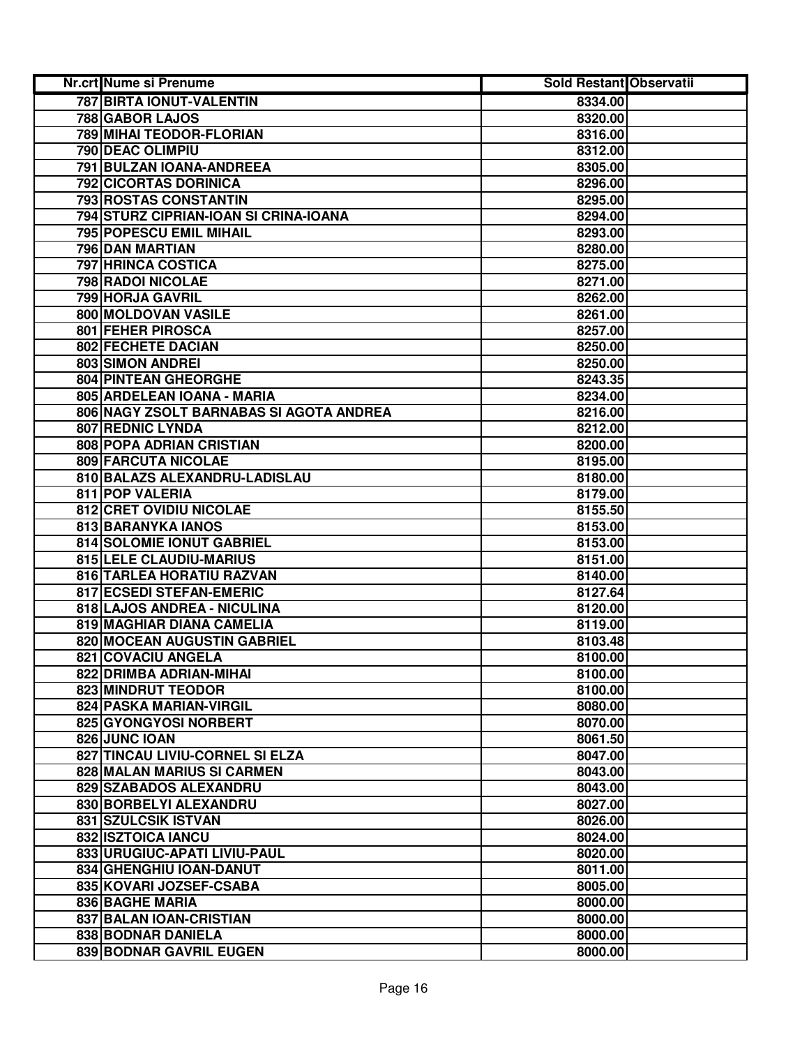| Nr.crt Nume si Prenume                  | <b>Sold Restant Observatii</b> |  |
|-----------------------------------------|--------------------------------|--|
| 787 BIRTA IONUT-VALENTIN                | 8334.00                        |  |
| 788 GABOR LAJOS                         | 8320.00                        |  |
| 789 MIHAI TEODOR-FLORIAN                | 8316.00                        |  |
| 790 DEAC OLIMPIU                        | 8312.00                        |  |
| 791 BULZAN IOANA-ANDREEA                | 8305.00                        |  |
| 792 CICORTAS DORINICA                   | 8296.00                        |  |
| 793 ROSTAS CONSTANTIN                   | 8295.00                        |  |
| 794 STURZ CIPRIAN-IOAN SI CRINA-IOANA   | 8294.00                        |  |
| 795 POPESCU EMIL MIHAIL                 | 8293.00                        |  |
| 796 DAN MARTIAN                         | 8280.00                        |  |
| 797 HRINCA COSTICA                      | 8275.00                        |  |
| 798 RADOI NICOLAE                       | 8271.00                        |  |
| 799 HORJA GAVRIL                        | 8262.00                        |  |
| 800 MOLDOVAN VASILE                     | 8261.00                        |  |
| 801 FEHER PIROSCA                       | 8257.00                        |  |
| <b>802 FECHETE DACIAN</b>               | 8250.00                        |  |
| <b>803 SIMON ANDREI</b>                 | 8250.00                        |  |
| <b>804 PINTEAN GHEORGHE</b>             | 8243.35                        |  |
| 805 ARDELEAN IOANA - MARIA              | 8234.00                        |  |
| 806 NAGY ZSOLT BARNABAS SI AGOTA ANDREA | 8216.00                        |  |
| 807 REDNIC LYNDA                        | 8212.00                        |  |
| 808 POPA ADRIAN CRISTIAN                | 8200.00                        |  |
| 809 FARCUTA NICOLAE                     | 8195.00                        |  |
| 810 BALAZS ALEXANDRU-LADISLAU           | 8180.00                        |  |
| 811 POP VALERIA                         | 8179.00                        |  |
| 812 CRET OVIDIU NICOLAE                 | 8155.50                        |  |
| 813 BARANYKA IANOS                      | 8153.00                        |  |
| 814 SOLOMIE IONUT GABRIEL               | 8153.00                        |  |
| 815 LELE CLAUDIU-MARIUS                 | 8151.00                        |  |
| 816 TARLEA HORATIU RAZVAN               | 8140.00                        |  |
| 817 ECSEDI STEFAN-EMERIC                | 8127.64                        |  |
| 818 LAJOS ANDREA - NICULINA             | 8120.00                        |  |
| 819 MAGHIAR DIANA CAMELIA               | 8119.00                        |  |
| 820 MOCEAN AUGUSTIN GABRIEL             | 8103.48                        |  |
| 821 COVACIU ANGELA                      | 8100.00                        |  |
| 822 DRIMBA ADRIAN-MIHAI                 | 8100.00                        |  |
| 823 MINDRUT TEODOR                      | 8100.00                        |  |
| 824 PASKA MARIAN-VIRGIL                 | 8080.00                        |  |
| 825 GYONGYOSI NORBERT                   | 8070.00                        |  |
| 826 JUNC IOAN                           | 8061.50                        |  |
| 827 TINCAU LIVIU-CORNEL SI ELZA         | 8047.00                        |  |
| <b>828 MALAN MARIUS SI CARMEN</b>       | 8043.00                        |  |
| 829 SZABADOS ALEXANDRU                  | 8043.00                        |  |
| 830 BORBELYI ALEXANDRU                  | 8027.00                        |  |
| 831 SZULCSIK ISTVAN                     | 8026.00                        |  |
| 832 ISZTOICA IANCU                      | 8024.00                        |  |
| 833 URUGIUC-APATI LIVIU-PAUL            | 8020.00                        |  |
| 834 GHENGHIU IOAN-DANUT                 | 8011.00                        |  |
| 835 KOVARI JOZSEF-CSABA                 | 8005.00                        |  |
| 836 BAGHE MARIA                         | 8000.00                        |  |
| 837 BALAN IOAN-CRISTIAN                 | 8000.00                        |  |
| 838 BODNAR DANIELA                      | 8000.00                        |  |
| 839 BODNAR GAVRIL EUGEN                 | 8000.00                        |  |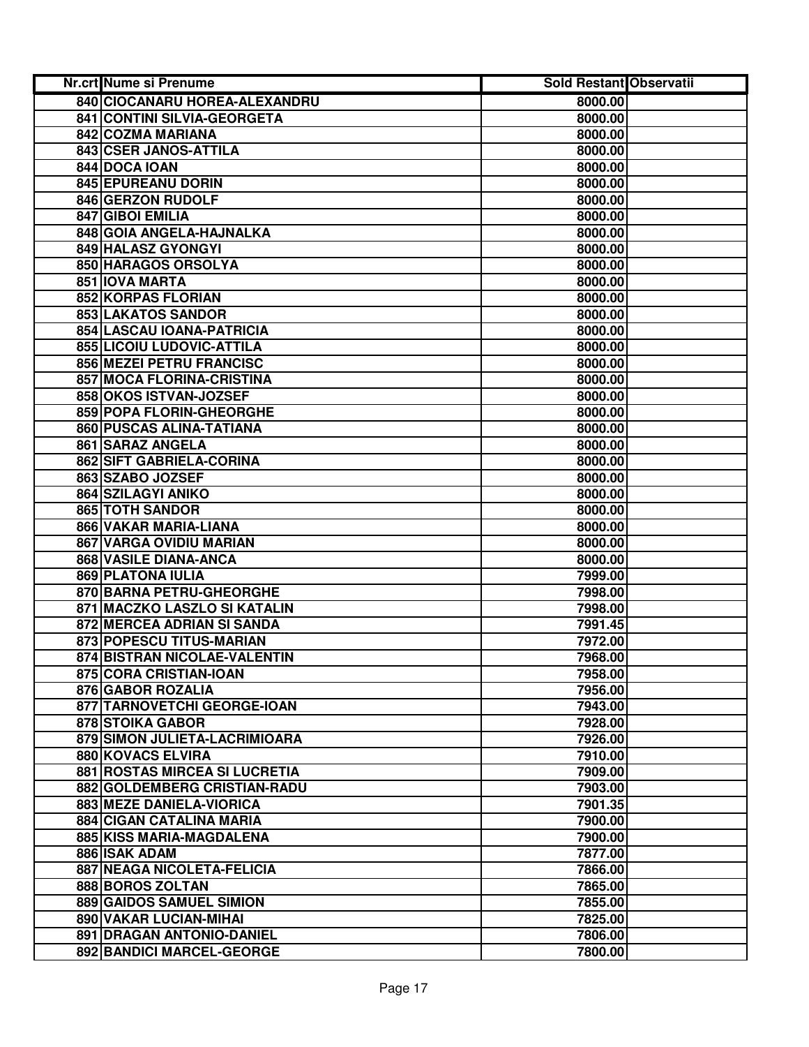| Nr.crt Nume si Prenume               | <b>Sold Restant Observatii</b> |  |
|--------------------------------------|--------------------------------|--|
| 840 CIOCANARU HOREA-ALEXANDRU        | 8000.00                        |  |
| 841 CONTINI SILVIA-GEORGETA          | 8000.00                        |  |
| 842 COZMA MARIANA                    | 8000.00                        |  |
| 843 CSER JANOS-ATTILA                | 8000.00                        |  |
| 844 DOCA IOAN                        | 8000.00                        |  |
| 845 EPUREANU DORIN                   | 8000.00                        |  |
| 846 GERZON RUDOLF                    | 8000.00                        |  |
| 847 GIBOI EMILIA                     | 8000.00                        |  |
| 848 GOIA ANGELA-HAJNALKA             | 8000.00                        |  |
| 849 HALASZ GYONGYI                   | 8000.00                        |  |
| 850 HARAGOS ORSOLYA                  | 8000.00                        |  |
| 851 IOVA MARTA                       | 8000.00                        |  |
| 852 KORPAS FLORIAN                   | 8000.00                        |  |
| 853 LAKATOS SANDOR                   | 8000.00                        |  |
| 854 LASCAU IOANA-PATRICIA            | 8000.00                        |  |
| 855 LICOIU LUDOVIC-ATTILA            | 8000.00                        |  |
| <b>856 MEZEI PETRU FRANCISC</b>      | 8000.00                        |  |
| 857 MOCA FLORINA-CRISTINA            | 8000.00                        |  |
| 858 OKOS ISTVAN-JOZSEF               | 8000.00                        |  |
| 859 POPA FLORIN-GHEORGHE             | 8000.00                        |  |
| 860 PUSCAS ALINA-TATIANA             | 8000.00                        |  |
| 861 SARAZ ANGELA                     | 8000.00                        |  |
| 862 SIFT GABRIELA-CORINA             | 8000.00                        |  |
| 863 SZABO JOZSEF                     | 8000.00                        |  |
| 864 SZILAGYI ANIKO                   | 8000.00                        |  |
| 865 TOTH SANDOR                      | 8000.00                        |  |
| 866 VAKAR MARIA-LIANA                | 8000.00                        |  |
| 867 VARGA OVIDIU MARIAN              | 8000.00                        |  |
| 868 VASILE DIANA-ANCA                | 8000.00                        |  |
| 869 PLATONA IULIA                    | 7999.00                        |  |
| 870 BARNA PETRU-GHEORGHE             | 7998.00                        |  |
| 871 MACZKO LASZLO SI KATALIN         | 7998.00                        |  |
| 872 MERCEA ADRIAN SI SANDA           | 7991.45                        |  |
| 873 POPESCU TITUS-MARIAN             | 7972.00                        |  |
| 874 BISTRAN NICOLAE-VALENTIN         | 7968.00                        |  |
| 875 CORA CRISTIAN-IOAN               | 7958.00                        |  |
| 876 GABOR ROZALIA                    | 7956.00                        |  |
| 877 TARNOVETCHI GEORGE-IOAN          | 7943.00                        |  |
| 878 STOIKA GABOR                     | 7928.00                        |  |
| 879 SIMON JULIETA-LACRIMIOARA        | 7926.00                        |  |
| <b>880 KOVACS ELVIRA</b>             | 7910.00                        |  |
| <b>881 ROSTAS MIRCEA SI LUCRETIA</b> | 7909.00                        |  |
| 882 GOLDEMBERG CRISTIAN-RADU         | 7903.00                        |  |
| 883 MEZE DANIELA-VIORICA             | 7901.35                        |  |
| 884 CIGAN CATALINA MARIA             | 7900.00                        |  |
| 885 KISS MARIA-MAGDALENA             | 7900.00                        |  |
| 886 ISAK ADAM                        | 7877.00                        |  |
| 887 NEAGA NICOLETA-FELICIA           | 7866.00                        |  |
| 888 BOROS ZOLTAN                     | 7865.00                        |  |
| 889 GAIDOS SAMUEL SIMION             | 7855.00                        |  |
| 890 VAKAR LUCIAN-MIHAI               | 7825.00                        |  |
| 891 DRAGAN ANTONIO-DANIEL            | 7806.00                        |  |
| 892 BANDICI MARCEL-GEORGE            | 7800.00                        |  |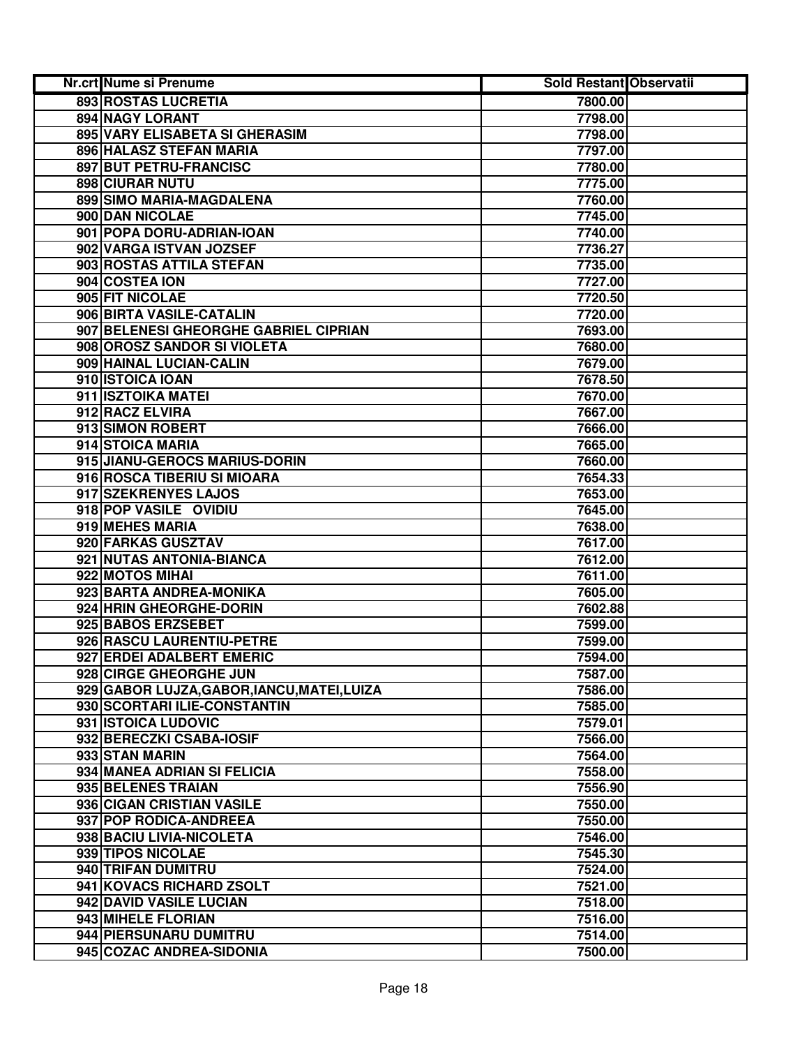| Nr.crt Nume si Prenume                      | <b>Sold Restant Observatii</b> |  |
|---------------------------------------------|--------------------------------|--|
| 893 ROSTAS LUCRETIA                         | 7800.00                        |  |
| 894 NAGY LORANT                             | 7798.00                        |  |
| 895 VARY ELISABETA SI GHERASIM              | 7798.00                        |  |
| 896 HALASZ STEFAN MARIA                     | 7797.00                        |  |
| 897 BUT PETRU-FRANCISC                      | 7780.00                        |  |
| 898 CIURAR NUTU                             | 7775.00                        |  |
| 899 SIMO MARIA-MAGDALENA                    | 7760.00                        |  |
| 900 DAN NICOLAE                             | 7745.00                        |  |
| 901 POPA DORU-ADRIAN-IOAN                   | 7740.00                        |  |
| 902 VARGA ISTVAN JOZSEF                     | 7736.27                        |  |
| 903 ROSTAS ATTILA STEFAN                    | 7735.00                        |  |
| 904 COSTEA ION                              | 7727.00                        |  |
| 905 FIT NICOLAE                             | 7720.50                        |  |
| 906 BIRTA VASILE-CATALIN                    | 7720.00                        |  |
| 907 BELENESI GHEORGHE GABRIEL CIPRIAN       | 7693.00                        |  |
| 908 OROSZ SANDOR SI VIOLETA                 | 7680.00                        |  |
| 909 HAINAL LUCIAN-CALIN                     | 7679.00                        |  |
| 910 ISTOICA IOAN                            | 7678.50                        |  |
| 911 ISZTOIKA MATEI                          | 7670.00                        |  |
| 912 RACZ ELVIRA                             | 7667.00                        |  |
| 913 SIMON ROBERT                            | 7666.00                        |  |
| 914 STOICA MARIA                            | 7665.00                        |  |
| 915 JIANU-GEROCS MARIUS-DORIN               | 7660.00                        |  |
| 916 ROSCA TIBERIU SI MIOARA                 | 7654.33                        |  |
| 917 SZEKRENYES LAJOS                        | 7653.00                        |  |
| 918 POP VASILE OVIDIU                       | 7645.00                        |  |
| 919 MEHES MARIA                             | 7638.00                        |  |
| 920 FARKAS GUSZTAV                          | 7617.00                        |  |
| 921 NUTAS ANTONIA-BIANCA                    | 7612.00                        |  |
| 922 MOTOS MIHAI                             | 7611.00                        |  |
| 923 BARTA ANDREA-MONIKA                     | 7605.00                        |  |
| 924 HRIN GHEORGHE-DORIN                     | 7602.88                        |  |
| 925 BABOS ERZSEBET                          | 7599.00                        |  |
| 926 RASCU LAURENTIU-PETRE                   | 7599.00                        |  |
| 927 ERDEI ADALBERT EMERIC                   | 7594.00                        |  |
| 928 CIRGE GHEORGHE JUN                      | 7587.00                        |  |
| 929 GABOR LUJZA, GABOR, IANCU, MATEI, LUIZA | 7586.00                        |  |
| 930 SCORTARI ILIE-CONSTANTIN                | 7585.00                        |  |
| 931 ISTOICA LUDOVIC                         | 7579.01                        |  |
| 932 BERECZKI CSABA-IOSIF                    | 7566.00                        |  |
| 933 STAN MARIN                              | 7564.00                        |  |
| 934 MANEA ADRIAN SI FELICIA                 | 7558.00                        |  |
| 935 BELENES TRAIAN                          | 7556.90                        |  |
| 936 CIGAN CRISTIAN VASILE                   | 7550.00                        |  |
| 937 POP RODICA-ANDREEA                      | 7550.00                        |  |
| 938 BACIU LIVIA-NICOLETA                    | 7546.00                        |  |
| 939 TIPOS NICOLAE                           | 7545.30                        |  |
| 940 TRIFAN DUMITRU                          | 7524.00                        |  |
| 941 KOVACS RICHARD ZSOLT                    | 7521.00                        |  |
| 942 DAVID VASILE LUCIAN                     | 7518.00                        |  |
| 943 MIHELE FLORIAN                          | 7516.00                        |  |
| 944 PIERSUNARU DUMITRU                      | 7514.00                        |  |
| 945 COZAC ANDREA-SIDONIA                    | 7500.00                        |  |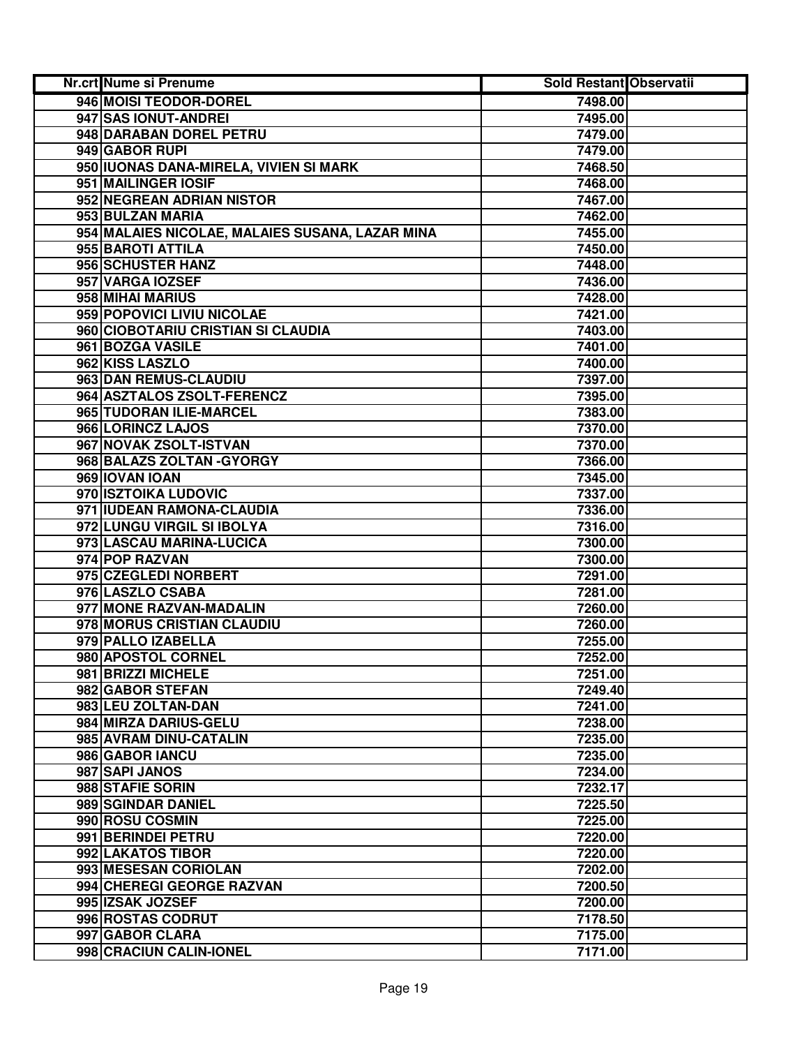| Nr.crt Nume si Prenume                          | Sold Restant Observatii |  |
|-------------------------------------------------|-------------------------|--|
| 946 MOISI TEODOR-DOREL                          | 7498.00                 |  |
| 947 SAS IONUT-ANDREI                            | 7495.00                 |  |
| 948 DARABAN DOREL PETRU                         | 7479.00                 |  |
| 949 GABOR RUPI                                  | 7479.00                 |  |
| 950 IUONAS DANA-MIRELA, VIVIEN SI MARK          | 7468.50                 |  |
| 951 MAILINGER IOSIF                             | 7468.00                 |  |
| 952 NEGREAN ADRIAN NISTOR                       | 7467.00                 |  |
| 953 BULZAN MARIA                                | 7462.00                 |  |
| 954 MALAIES NICOLAE, MALAIES SUSANA, LAZAR MINA | 7455.00                 |  |
| 955 BAROTI ATTILA                               | 7450.00                 |  |
| 956 SCHUSTER HANZ                               | 7448.00                 |  |
| 957 VARGA IOZSEF                                | 7436.00                 |  |
| 958 MIHAI MARIUS                                | 7428.00                 |  |
| 959 POPOVICI LIVIU NICOLAE                      | 7421.00                 |  |
| 960 CIOBOTARIU CRISTIAN SI CLAUDIA              | 7403.00                 |  |
| 961 BOZGA VASILE                                | 7401.00                 |  |
| 962 KISS LASZLO                                 | 7400.00                 |  |
| 963 DAN REMUS-CLAUDIU                           | 7397.00                 |  |
| 964 ASZTALOS ZSOLT-FERENCZ                      | 7395.00                 |  |
| 965 TUDORAN ILIE-MARCEL                         | 7383.00                 |  |
| 966 LORINCZ LAJOS                               | 7370.00                 |  |
| 967 NOVAK ZSOLT-ISTVAN                          | 7370.00                 |  |
| 968 BALAZS ZOLTAN - GYORGY                      | 7366.00                 |  |
| 969 IOVAN IOAN                                  | 7345.00                 |  |
| 970 ISZTOIKA LUDOVIC                            | 7337.00                 |  |
| 971 IUDEAN RAMONA-CLAUDIA                       | 7336.00                 |  |
| 972 LUNGU VIRGIL SI IBOLYA                      | 7316.00                 |  |
| 973 LASCAU MARINA-LUCICA                        | 7300.00                 |  |
| 974 POP RAZVAN                                  | 7300.00                 |  |
| 975 CZEGLEDI NORBERT                            | 7291.00                 |  |
| 976 LASZLO CSABA                                | 7281.00                 |  |
| 977 MONE RAZVAN-MADALIN                         | 7260.00                 |  |
| 978 MORUS CRISTIAN CLAUDIU                      | 7260.00                 |  |
| 979 PALLO IZABELLA                              | 7255.00                 |  |
| 980 APOSTOL CORNEL                              | 7252.00                 |  |
| 981 BRIZZI MICHELE                              | 7251.00                 |  |
| 982 GABOR STEFAN                                | 7249.40                 |  |
| 983 LEU ZOLTAN-DAN                              | 7241.00                 |  |
| 984 MIRZA DARIUS-GELU                           | 7238.00                 |  |
| 985 AVRAM DINU-CATALIN                          | 7235.00                 |  |
| 986 GABOR IANCU                                 | 7235.00                 |  |
| 987 SAPI JANOS                                  | 7234.00                 |  |
| 988 STAFIE SORIN                                | 7232.17                 |  |
| 989 SGINDAR DANIEL                              | 7225.50                 |  |
| 990 ROSU COSMIN                                 | 7225.00                 |  |
| 991 BERINDEI PETRU                              | 7220.00                 |  |
| 992 LAKATOS TIBOR                               | 7220.00                 |  |
| 993 MESESAN CORIOLAN                            | 7202.00                 |  |
| 994 CHEREGI GEORGE RAZVAN                       | 7200.50                 |  |
| 995 IZSAK JOZSEF                                | 7200.00                 |  |
| 996 ROSTAS CODRUT                               | 7178.50                 |  |
| 997 GABOR CLARA                                 | 7175.00                 |  |
| 998 CRACIUN CALIN-IONEL                         | 7171.00                 |  |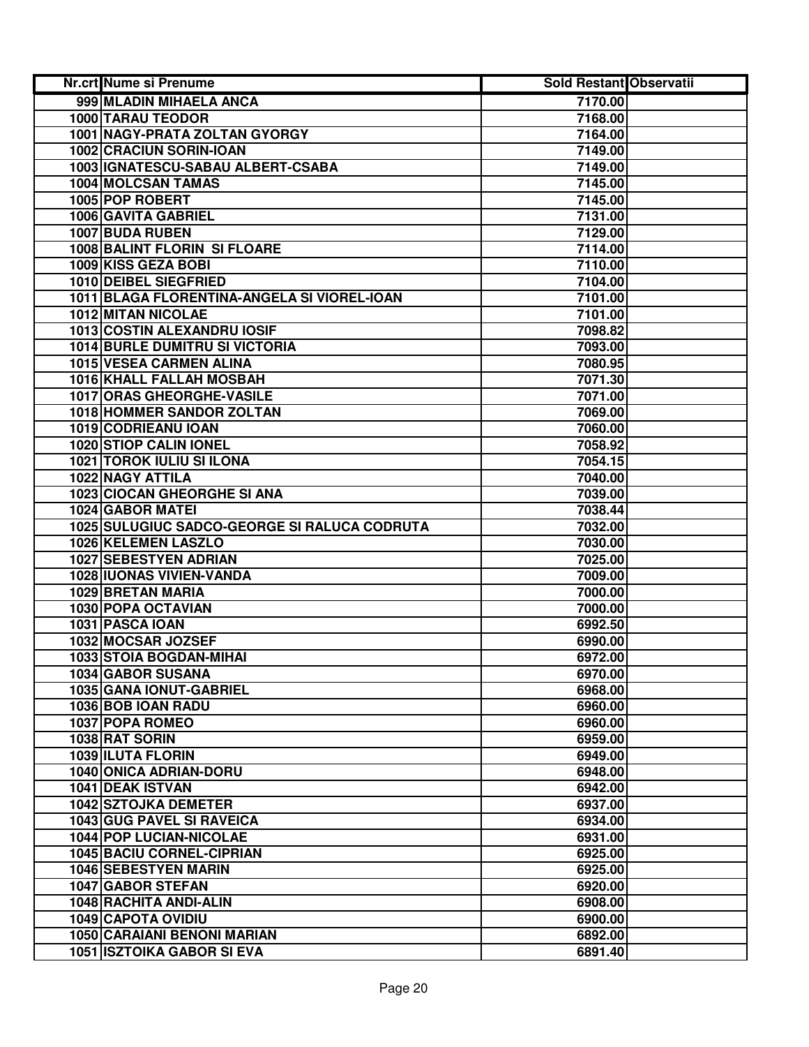| Nr.crt Nume si Prenume                       | Sold Restant Observatii |  |
|----------------------------------------------|-------------------------|--|
| 999 MLADIN MIHAELA ANCA                      | 7170.00                 |  |
| <b>1000 TARAU TEODOR</b>                     | 7168.00                 |  |
| 1001 NAGY-PRATA ZOLTAN GYORGY                | 7164.00                 |  |
| 1002 CRACIUN SORIN-IOAN                      | 7149.00                 |  |
| 1003 IGNATESCU-SABAU ALBERT-CSABA            | 7149.00                 |  |
| 1004 MOLCSAN TAMAS                           | 7145.00                 |  |
| 1005 POP ROBERT                              | 7145.00                 |  |
| 1006 GAVITA GABRIEL                          | 7131.00                 |  |
| 1007 BUDA RUBEN                              | 7129.00                 |  |
| 1008 BALINT FLORIN SI FLOARE                 | 7114.00                 |  |
| 1009 KISS GEZA BOBI                          | 7110.00                 |  |
| 1010 DEIBEL SIEGFRIED                        | 7104.00                 |  |
| 1011 BLAGA FLORENTINA-ANGELA SI VIOREL-IOAN  | 7101.00                 |  |
| 1012 MITAN NICOLAE                           | 7101.00                 |  |
| 1013 COSTIN ALEXANDRU IOSIF                  | 7098.82                 |  |
| <b>1014 BURLE DUMITRU SI VICTORIA</b>        | 7093.00                 |  |
| <b>1015 VESEA CARMEN ALINA</b>               | 7080.95                 |  |
| <b>1016 KHALL FALLAH MOSBAH</b>              | 7071.30                 |  |
| <b>1017 ORAS GHEORGHE-VASILE</b>             | 7071.00                 |  |
| <b>1018 HOMMER SANDOR ZOLTAN</b>             | 7069.00                 |  |
| 1019 CODRIEANU IOAN                          | 7060.00                 |  |
| 1020 STIOP CALIN IONEL                       | 7058.92                 |  |
| <b>1021 TOROK IULIU SI ILONA</b>             | 7054.15                 |  |
| 1022 NAGY ATTILA                             | 7040.00                 |  |
| 1023 CIOCAN GHEORGHE SI ANA                  | 7039.00                 |  |
| 1024 GABOR MATEI                             | 7038.44                 |  |
| 1025 SULUGIUC SADCO-GEORGE SI RALUCA CODRUTA | 7032.00                 |  |
| 1026 KELEMEN LASZLO                          | 7030.00                 |  |
| 1027 SEBESTYEN ADRIAN                        | 7025.00                 |  |
| 1028 IUONAS VIVIEN-VANDA                     | 7009.00                 |  |
| 1029 BRETAN MARIA                            | 7000.00                 |  |
| 1030 POPA OCTAVIAN                           | 7000.00                 |  |
| 1031 PASCA IOAN                              | 6992.50                 |  |
| 1032 MOCSAR JOZSEF                           | 6990.00                 |  |
| 1033 STOIA BOGDAN-MIHAI                      | 6972.00                 |  |
| 1034 GABOR SUSANA                            | 6970.00                 |  |
| 1035 GANA IONUT-GABRIEL                      | 6968.00                 |  |
| 1036 BOB IOAN RADU                           | 6960.00                 |  |
| 1037 POPA ROMEO                              | 6960.00                 |  |
| 1038 RAT SORIN                               | 6959.00                 |  |
| <b>1039 ILUTA FLORIN</b>                     | 6949.00                 |  |
| 1040 ONICA ADRIAN-DORU                       | 6948.00                 |  |
| <b>1041 DEAK ISTVAN</b>                      | 6942.00                 |  |
| <b>1042 SZTOJKA DEMETER</b>                  | 6937.00                 |  |
| <b>1043 GUG PAVEL SI RAVEICA</b>             | 6934.00                 |  |
| 1044 POP LUCIAN-NICOLAE                      | 6931.00                 |  |
| <b>1045 BACIU CORNEL-CIPRIAN</b>             | 6925.00                 |  |
| 1046 SEBESTYEN MARIN                         | 6925.00                 |  |
| 1047 GABOR STEFAN                            | 6920.00                 |  |
| 1048 RACHITA ANDI-ALIN                       | 6908.00                 |  |
| <b>1049 CAPOTA OVIDIU</b>                    | 6900.00                 |  |
| 1050 CARAIANI BENONI MARIAN                  | 6892.00                 |  |
| <b>1051 ISZTOIKA GABOR SI EVA</b>            | 6891.40                 |  |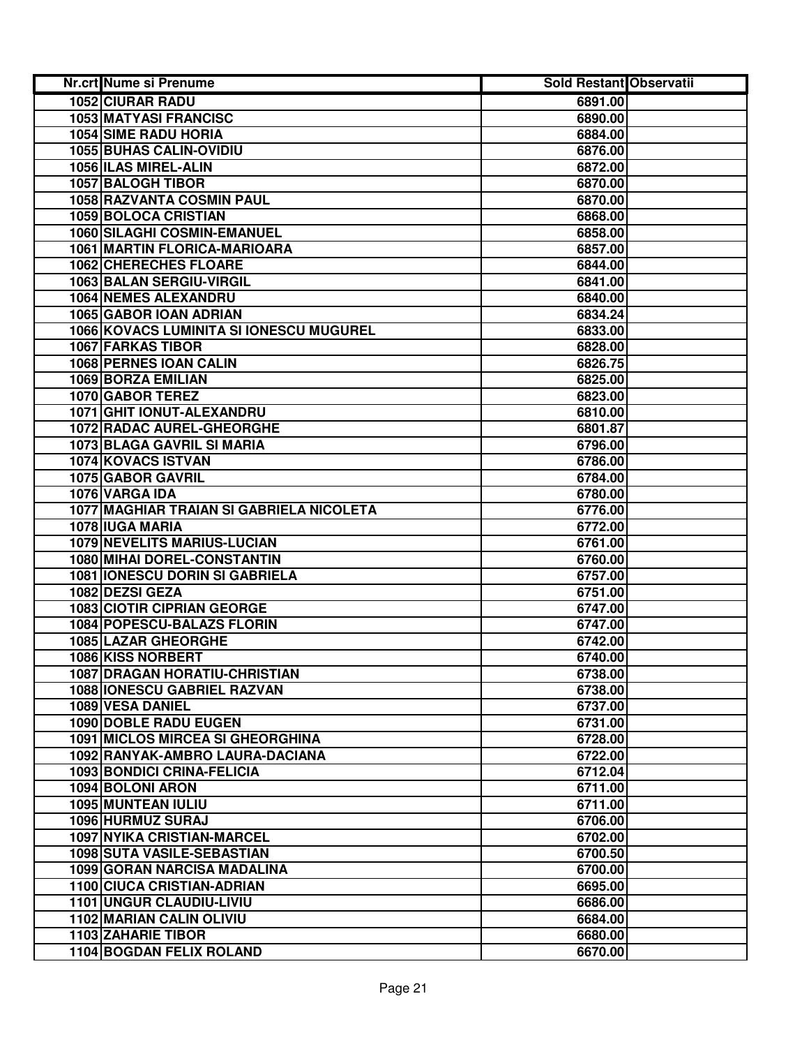| Nr.crt Nume si Prenume                   | Sold Restant Observatii |  |
|------------------------------------------|-------------------------|--|
| <b>1052 CIURAR RADU</b>                  | 6891.00                 |  |
| <b>1053 MATYASI FRANCISC</b>             | 6890.00                 |  |
| <b>1054 SIME RADU HORIA</b>              | 6884.00                 |  |
| 1055 BUHAS CALIN-OVIDIU                  | 6876.00                 |  |
| 1056 ILAS MIREL-ALIN                     | 6872.00                 |  |
| 1057 BALOGH TIBOR                        | 6870.00                 |  |
| 1058 RAZVANTA COSMIN PAUL                | 6870.00                 |  |
| 1059 BOLOCA CRISTIAN                     | 6868.00                 |  |
| 1060 SILAGHI COSMIN-EMANUEL              | 6858.00                 |  |
| 1061 MARTIN FLORICA-MARIOARA             | 6857.00                 |  |
| 1062 CHERECHES FLOARE                    | 6844.00                 |  |
| 1063 BALAN SERGIU-VIRGIL                 | 6841.00                 |  |
| 1064 NEMES ALEXANDRU                     | 6840.00                 |  |
| 1065 GABOR IOAN ADRIAN                   | 6834.24                 |  |
| 1066 KOVACS LUMINITA SI IONESCU MUGUREL  | 6833.00                 |  |
| <b>1067 FARKAS TIBOR</b>                 | 6828.00                 |  |
| <b>1068 PERNES IOAN CALIN</b>            | 6826.75                 |  |
| 1069 BORZA EMILIAN                       | 6825.00                 |  |
| 1070 GABOR TEREZ                         | 6823.00                 |  |
| 1071 GHIT IONUT-ALEXANDRU                | 6810.00                 |  |
| 1072 RADAC AUREL-GHEORGHE                | 6801.87                 |  |
| 1073 BLAGA GAVRIL SI MARIA               | 6796.00                 |  |
| 1074 KOVACS ISTVAN                       | 6786.00                 |  |
| 1075 GABOR GAVRIL                        | 6784.00                 |  |
| 1076 VARGA IDA                           | 6780.00                 |  |
| 1077 MAGHIAR TRAIAN SI GABRIELA NICOLETA | 6776.00                 |  |
| 1078 IUGA MARIA                          | 6772.00                 |  |
| <b>1079 NEVELITS MARIUS-LUCIAN</b>       | 6761.00                 |  |
| 1080 MIHAI DOREL-CONSTANTIN              | 6760.00                 |  |
| <b>1081 IONESCU DORIN SI GABRIELA</b>    | 6757.00                 |  |
| 1082 DEZSI GEZA                          | 6751.00                 |  |
| <b>1083 CIOTIR CIPRIAN GEORGE</b>        | 6747.00                 |  |
| 1084 POPESCU-BALAZS FLORIN               | 6747.00                 |  |
| 1085 LAZAR GHEORGHE                      | 6742.00                 |  |
| 1086 KISS NORBERT                        | 6740.00                 |  |
| <b>1087 DRAGAN HORATIU-CHRISTIAN</b>     | 6738.00                 |  |
| <b>1088 IONESCU GABRIEL RAZVAN</b>       | 6738.00                 |  |
| 1089 VESA DANIEL                         | 6737.00                 |  |
| 1090 DOBLE RADU EUGEN                    | 6731.00                 |  |
| <b>1091 MICLOS MIRCEA SI GHEORGHINA</b>  | 6728.00                 |  |
| 1092 RANYAK-AMBRO LAURA-DACIANA          | 6722.00                 |  |
| 1093 BONDICI CRINA-FELICIA               | 6712.04                 |  |
| <b>1094 BOLONI ARON</b>                  | 6711.00                 |  |
| <b>1095 MUNTEAN IULIU</b>                | 6711.00                 |  |
| 1096 HURMUZ SURAJ                        | 6706.00                 |  |
| 1097 NYIKA CRISTIAN-MARCEL               | 6702.00                 |  |
| 1098 SUTA VASILE-SEBASTIAN               | 6700.50                 |  |
| 1099 GORAN NARCISA MADALINA              | 6700.00                 |  |
| 1100 CIUCA CRISTIAN-ADRIAN               | 6695.00                 |  |
| 1101 UNGUR CLAUDIU-LIVIU                 | 6686.00                 |  |
| 1102 MARIAN CALIN OLIVIU                 | 6684.00                 |  |
| 1103 ZAHARIE TIBOR                       | 6680.00                 |  |
| <b>1104 BOGDAN FELIX ROLAND</b>          | 6670.00                 |  |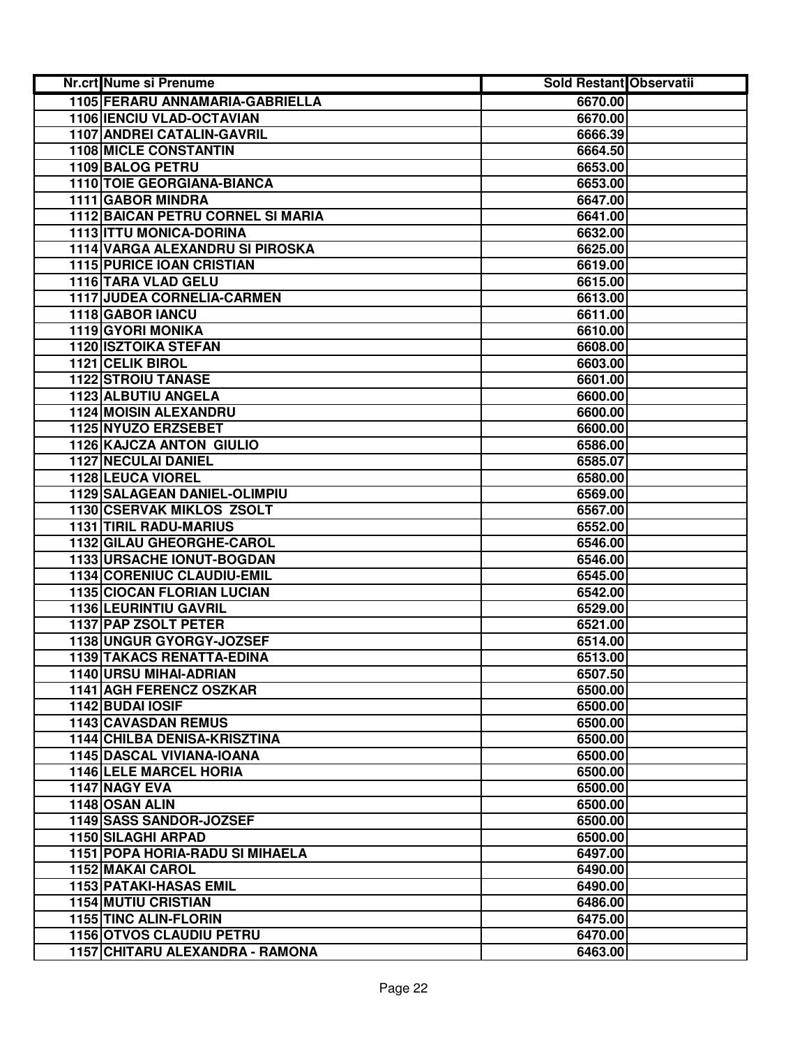| Nr.crt Nume si Prenume                   | Sold Restant Observatii |  |
|------------------------------------------|-------------------------|--|
| 1105 FERARU ANNAMARIA-GABRIELLA          | 6670.00                 |  |
| 1106 IENCIU VLAD-OCTAVIAN                | 6670.00                 |  |
| 1107 ANDREI CATALIN-GAVRIL               | 6666.39                 |  |
| <b>1108 MICLE CONSTANTIN</b>             | 6664.50                 |  |
| 1109 BALOG PETRU                         | 6653.00                 |  |
| 1110 TOIE GEORGIANA-BIANCA               | 6653.00                 |  |
| 1111 GABOR MINDRA                        | 6647.00                 |  |
| <b>1112 BAICAN PETRU CORNEL SI MARIA</b> | 6641.00                 |  |
| 1113 ITTU MONICA-DORINA                  | 6632.00                 |  |
| 1114 VARGA ALEXANDRU SI PIROSKA          | 6625.00                 |  |
| <b>1115 PURICE IOAN CRISTIAN</b>         | 6619.00                 |  |
| 1116 TARA VLAD GELU                      | 6615.00                 |  |
| 1117 JUDEA CORNELIA-CARMEN               | 6613.00                 |  |
| 1118 GABOR IANCU                         | 6611.00                 |  |
| 1119 GYORI MONIKA                        | 6610.00                 |  |
| <b>1120 ISZTOIKA STEFAN</b>              | 6608.00                 |  |
| 1121 CELIK BIROL                         | 6603.00                 |  |
| <b>1122 STROIU TANASE</b>                | 6601.00                 |  |
| 1123 ALBUTIU ANGELA                      | 6600.00                 |  |
| <b>1124 MOISIN ALEXANDRU</b>             | 6600.00                 |  |
| 1125 NYUZO ERZSEBET                      | 6600.00                 |  |
| <b>1126 KAJCZA ANTON GIULIO</b>          | 6586.00                 |  |
| 1127 NECULAI DANIEL                      | 6585.07                 |  |
| <b>1128 LEUCA VIOREL</b>                 | 6580.00                 |  |
| 1129 SALAGEAN DANIEL-OLIMPIU             | 6569.00                 |  |
| 1130 CSERVAK MIKLOS ZSOLT                | 6567.00                 |  |
| 1131 TIRIL RADU-MARIUS                   | 6552.00                 |  |
| 1132 GILAU GHEORGHE-CAROL                | 6546.00                 |  |
| 1133 URSACHE IONUT-BOGDAN                | 6546.00                 |  |
| 1134 CORENIUC CLAUDIU-EMIL               | 6545.00                 |  |
| <b>1135 CIOCAN FLORIAN LUCIAN</b>        | 6542.00                 |  |
| 1136 LEURINTIU GAVRIL                    | 6529.00                 |  |
| 1137 PAP ZSOLT PETER                     | 6521.00                 |  |
| 1138 UNGUR GYORGY-JOZSEF                 | 6514.00                 |  |
| <b>1139 TAKACS RENATTA-EDINA</b>         | 6513.00                 |  |
| 1140 URSU MIHAI-ADRIAN                   | 6507.50                 |  |
| 1141 AGH FERENCZ OSZKAR                  | 6500.00                 |  |
| 1142 BUDAI IOSIF                         | 6500.00                 |  |
| <b>1143 CAVASDAN REMUS</b>               | 6500.00                 |  |
| <b>1144 CHILBA DENISA-KRISZTINA</b>      | 6500.00                 |  |
| <b>1145 DASCAL VIVIANA-IOANA</b>         | 6500.00                 |  |
| <b>1146 LELE MARCEL HORIA</b>            | 6500.00                 |  |
| 1147 NAGY EVA                            | 6500.00                 |  |
| 1148 OSAN ALIN                           | 6500.00                 |  |
| 1149 SASS SANDOR-JOZSEF                  | 6500.00                 |  |
| 1150 SILAGHI ARPAD                       | 6500.00                 |  |
| 1151 POPA HORIA-RADU SI MIHAELA          | 6497.00                 |  |
| 1152 MAKAI CAROL                         | 6490.00                 |  |
| 1153 PATAKI-HASAS EMIL                   | 6490.00                 |  |
| <b>1154 MUTIU CRISTIAN</b>               | 6486.00                 |  |
| 1155 TINC ALIN-FLORIN                    | 6475.00                 |  |
| <b>1156 OTVOS CLAUDIU PETRU</b>          | 6470.00                 |  |
| 1157 CHITARU ALEXANDRA - RAMONA          | 6463.00                 |  |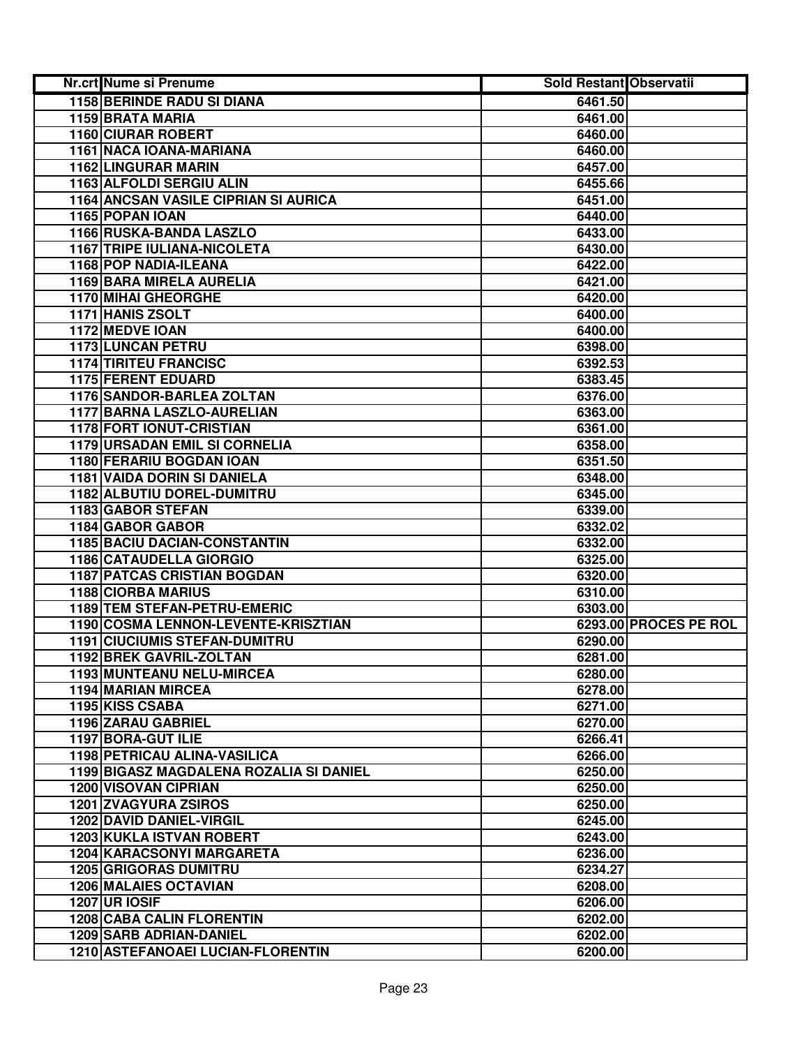| Nr.crt Nume si Prenume                  | Sold Restant Observatii |                       |
|-----------------------------------------|-------------------------|-----------------------|
| <b>1158 BERINDE RADU SI DIANA</b>       | 6461.50                 |                       |
| 1159 BRATA MARIA                        | 6461.00                 |                       |
| <b>1160 CIURAR ROBERT</b>               | 6460.00                 |                       |
| 1161 NACA IOANA-MARIANA                 | 6460.00                 |                       |
| 1162 LINGURAR MARIN                     | 6457.00                 |                       |
| 1163 ALFOLDI SERGIU ALIN                | 6455.66                 |                       |
| 1164 ANCSAN VASILE CIPRIAN SI AURICA    | 6451.00                 |                       |
| 1165 POPAN IOAN                         | 6440.00                 |                       |
| 1166 RUSKA-BANDA LASZLO                 | 6433.00                 |                       |
| <b>1167 TRIPE IULIANA-NICOLETA</b>      | 6430.00                 |                       |
| 1168 POP NADIA-ILEANA                   | 6422.00                 |                       |
| 1169 BARA MIRELA AURELIA                | 6421.00                 |                       |
| <b>1170 MIHAI GHEORGHE</b>              | 6420.00                 |                       |
| 1171 HANIS ZSOLT                        | 6400.00                 |                       |
| 1172 MEDVE IOAN                         | 6400.00                 |                       |
| 1173 LUNCAN PETRU                       | 6398.00                 |                       |
| <b>1174 TIRITEU FRANCISC</b>            | 6392.53                 |                       |
| <b>1175 FERENT EDUARD</b>               | 6383.45                 |                       |
| <b>1176 SANDOR-BARLEA ZOLTAN</b>        | 6376.00                 |                       |
| <b>1177 BARNA LASZLO-AURELIAN</b>       | 6363.00                 |                       |
| <b>1178 FORT IONUT-CRISTIAN</b>         | 6361.00                 |                       |
| 1179 URSADAN EMIL SI CORNELIA           | 6358.00                 |                       |
| 1180 FERARIU BOGDAN IOAN                | 6351.50                 |                       |
| 1181 VAIDA DORIN SI DANIELA             | 6348.00                 |                       |
| 1182 ALBUTIU DOREL-DUMITRU              | 6345.00                 |                       |
| 1183 GABOR STEFAN                       | 6339.00                 |                       |
| 1184 GABOR GABOR                        | 6332.02                 |                       |
| 1185 BACIU DACIAN-CONSTANTIN            | 6332.00                 |                       |
| 1186 CATAUDELLA GIORGIO                 | 6325.00                 |                       |
| <b>1187 PATCAS CRISTIAN BOGDAN</b>      | 6320.00                 |                       |
| <b>1188 CIORBA MARIUS</b>               | 6310.00                 |                       |
| 1189 TEM STEFAN-PETRU-EMERIC            | 6303.00                 |                       |
| 1190 COSMA LENNON-LEVENTE-KRISZTIAN     |                         | 6293.00 PROCES PE ROL |
| <b>1191 CIUCIUMIS STEFAN-DUMITRU</b>    | 6290.00                 |                       |
| 1192 BREK GAVRIL-ZOLTAN                 | 6281.00                 |                       |
| 1193 MUNTEANU NELU-MIRCEA               | 6280.00                 |                       |
| 1194 MARIAN MIRCEA                      | 6278.00                 |                       |
| 1195 KISS CSABA                         | 6271.00                 |                       |
| 1196 ZARAU GABRIEL                      | 6270.00                 |                       |
| 1197 BORA-GUT ILIE                      | 6266.41                 |                       |
| <b>1198 PETRICAU ALINA-VASILICA</b>     | 6266.00                 |                       |
| 1199 BIGASZ MAGDALENA ROZALIA SI DANIEL | 6250.00                 |                       |
| <b>1200 VISOVAN CIPRIAN</b>             | 6250.00                 |                       |
| <b>1201 ZVAGYURA ZSIROS</b>             | 6250.00                 |                       |
| <b>1202 DAVID DANIEL-VIRGIL</b>         | 6245.00                 |                       |
| <b>1203 KUKLA ISTVAN ROBERT</b>         | 6243.00                 |                       |
| 1204 KARACSONYI MARGARETA               | 6236.00                 |                       |
| <b>1205 GRIGORAS DUMITRU</b>            | 6234.27                 |                       |
| <b>1206 MALAIES OCTAVIAN</b>            | 6208.00                 |                       |
| <b>1207 UR IOSIF</b>                    | 6206.00                 |                       |
| <b>1208 CABA CALIN FLORENTIN</b>        | 6202.00                 |                       |
| <b>1209 SARB ADRIAN-DANIEL</b>          | 6202.00                 |                       |
| 1210 ASTEFANOAEI LUCIAN-FLORENTIN       | 6200.00                 |                       |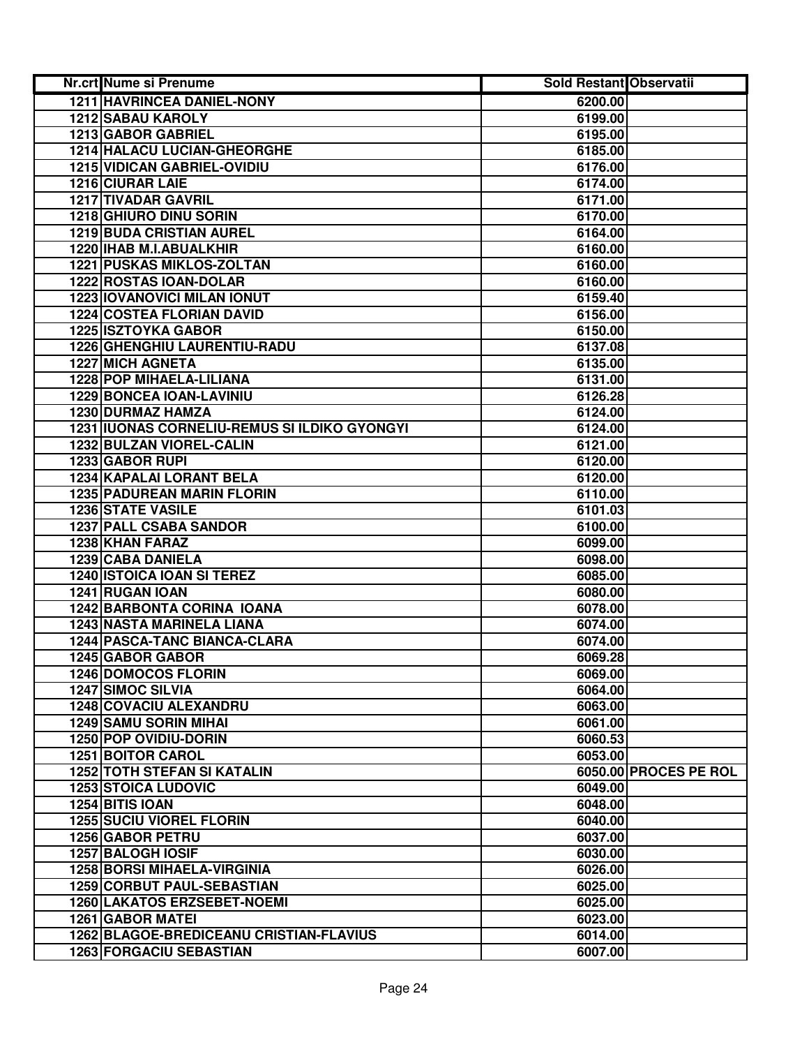| Nr.crt Nume si Prenume                       | <b>Sold Restant Observatii</b> |                       |
|----------------------------------------------|--------------------------------|-----------------------|
| 1211 HAVRINCEA DANIEL-NONY                   | 6200.00                        |                       |
| 1212 SABAU KAROLY                            | 6199.00                        |                       |
| 1213 GABOR GABRIEL                           | 6195.00                        |                       |
| 1214 HALACU LUCIAN-GHEORGHE                  | 6185.00                        |                       |
| 1215 VIDICAN GABRIEL-OVIDIU                  | 6176.00                        |                       |
| 1216 CIURAR LAIE                             | 6174.00                        |                       |
| 1217 TIVADAR GAVRIL                          | 6171.00                        |                       |
| 1218 GHIURO DINU SORIN                       | 6170.00                        |                       |
| <b>1219 BUDA CRISTIAN AUREL</b>              | 6164.00                        |                       |
| 1220 IHAB M.I.ABUALKHIR                      | 6160.00                        |                       |
| <b>1221 PUSKAS MIKLOS-ZOLTAN</b>             | 6160.00                        |                       |
| 1222 ROSTAS IOAN-DOLAR                       | 6160.00                        |                       |
| <b>1223 IOVANOVICI MILAN IONUT</b>           | 6159.40                        |                       |
| <b>1224 COSTEA FLORIAN DAVID</b>             | 6156.00                        |                       |
| <b>1225 ISZTOYKA GABOR</b>                   | 6150.00                        |                       |
| 1226 GHENGHIU LAURENTIU-RADU                 | 6137.08                        |                       |
| <b>1227 MICH AGNETA</b>                      | 6135.00                        |                       |
| <b>1228 POP MIHAELA-LILIANA</b>              | 6131.00                        |                       |
| <b>1229 BONCEA IOAN-LAVINIU</b>              | 6126.28                        |                       |
| 1230 DURMAZ HAMZA                            | 6124.00                        |                       |
| 1231 IUONAS CORNELIU-REMUS SI ILDIKO GYONGYI | 6124.00                        |                       |
| 1232 BULZAN VIOREL-CALIN                     | 6121.00                        |                       |
| 1233 GABOR RUPI                              | 6120.00                        |                       |
| 1234 KAPALAI LORANT BELA                     | 6120.00                        |                       |
| <b>1235 PADUREAN MARIN FLORIN</b>            | 6110.00                        |                       |
| <b>1236 STATE VASILE</b>                     | 6101.03                        |                       |
| <b>1237 PALL CSABA SANDOR</b>                | 6100.00                        |                       |
| 1238 KHAN FARAZ                              | 6099.00                        |                       |
| 1239 CABA DANIELA                            | 6098.00                        |                       |
| <b>1240 ISTOICA IOAN SI TEREZ</b>            | 6085.00                        |                       |
| 1241 RUGAN IOAN                              | 6080.00                        |                       |
| <b>1242 BARBONTA CORINA IOANA</b>            | 6078.00                        |                       |
| 1243 NASTA MARINELA LIANA                    | 6074.00                        |                       |
| 1244 PASCA-TANC BIANCA-CLARA                 | 6074.00                        |                       |
| 1245 GABOR GABOR                             | 6069.28                        |                       |
| <b>1246 DOMOCOS FLORIN</b>                   | 6069.00                        |                       |
| <b>1247 SIMOC SILVIA</b>                     | 6064.00                        |                       |
| 1248 COVACIU ALEXANDRU                       | 6063.00                        |                       |
| <b>1249 SAMU SORIN MIHAI</b>                 | 6061.00                        |                       |
| 1250 POP OVIDIU-DORIN                        | 6060.53                        |                       |
| <b>1251 BOITOR CAROL</b>                     | 6053.00                        |                       |
| <b>1252 TOTH STEFAN SI KATALIN</b>           |                                | 6050.00 PROCES PE ROL |
| <b>1253 STOICA LUDOVIC</b>                   | 6049.00                        |                       |
| 1254 BITIS IOAN                              | 6048.00                        |                       |
| <b>1255 SUCIU VIOREL FLORIN</b>              | 6040.00                        |                       |
| 1256 GABOR PETRU                             | 6037.00                        |                       |
| 1257 BALOGH IOSIF                            | 6030.00                        |                       |
| <b>1258 BORSI MIHAELA-VIRGINIA</b>           | 6026.00                        |                       |
| 1259 CORBUT PAUL-SEBASTIAN                   | 6025.00                        |                       |
| <b>1260 LAKATOS ERZSEBET-NOEMI</b>           | 6025.00                        |                       |
| <b>1261 GABOR MATEI</b>                      | 6023.00                        |                       |
| 1262 BLAGOE-BREDICEANU CRISTIAN-FLAVIUS      | 6014.00                        |                       |
| <b>1263 FORGACIU SEBASTIAN</b>               | 6007.00                        |                       |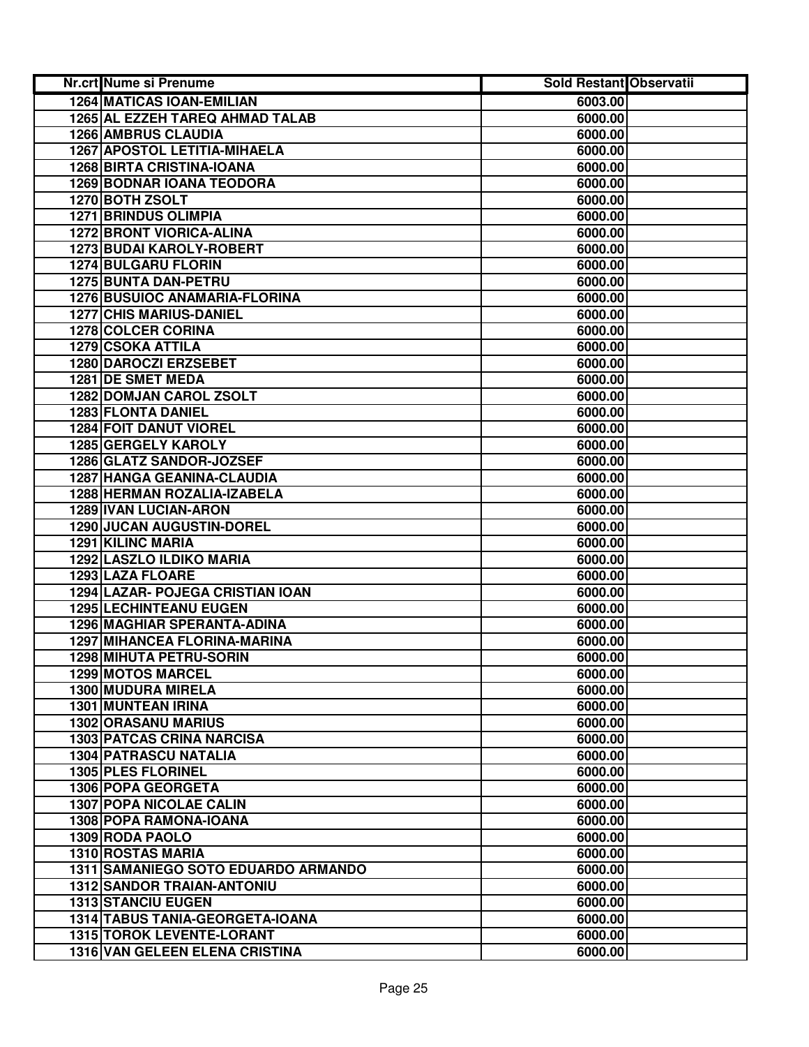| Nr.crt Nume si Prenume               | <b>Sold Restant Observatii</b> |  |
|--------------------------------------|--------------------------------|--|
| <b>1264 MATICAS IOAN-EMILIAN</b>     | 6003.00                        |  |
| 1265 AL EZZEH TAREQ AHMAD TALAB      | 6000.00                        |  |
| <b>1266 AMBRUS CLAUDIA</b>           | 6000.00                        |  |
| 1267 APOSTOL LETITIA-MIHAELA         | 6000.00                        |  |
| <b>1268 BIRTA CRISTINA-IOANA</b>     | 6000.00                        |  |
| <b>1269 BODNAR IOANA TEODORA</b>     | 6000.00                        |  |
| 1270 BOTH ZSOLT                      | 6000.00                        |  |
| <b>1271 BRINDUS OLIMPIA</b>          | 6000.00                        |  |
| <b>1272 BRONT VIORICA-ALINA</b>      | 6000.00                        |  |
| 1273 BUDAI KAROLY-ROBERT             | 6000.00                        |  |
| <b>1274 BULGARU FLORIN</b>           | 6000.00                        |  |
| 1275 BUNTA DAN-PETRU                 | 6000.00                        |  |
| <b>1276 BUSUIOC ANAMARIA-FLORINA</b> | 6000.00                        |  |
| <b>1277 CHIS MARIUS-DANIEL</b>       | 6000.00                        |  |
| <b>1278 COLCER CORINA</b>            | 6000.00                        |  |
| <b>1279 CSOKA ATTILA</b>             | 6000.00                        |  |
| <b>1280 DAROCZI ERZSEBET</b>         | 6000.00                        |  |
| 1281 DE SMET MEDA                    | 6000.00                        |  |
| <b>1282 DOMJAN CAROL ZSOLT</b>       | 6000.00                        |  |
| <b>1283 FLONTA DANIEL</b>            | 6000.00                        |  |
| 1284 FOIT DANUT VIOREL               | 6000.00                        |  |
| 1285 GERGELY KAROLY                  | 6000.00                        |  |
| 1286 GLATZ SANDOR-JOZSEF             | 6000.00                        |  |
| 1287 HANGA GEANINA-CLAUDIA           | 6000.00                        |  |
| 1288 HERMAN ROZALIA-IZABELA          | 6000.00                        |  |
| 1289 IVAN LUCIAN-ARON                | 6000.00                        |  |
| 1290 JUCAN AUGUSTIN-DOREL            | 6000.00                        |  |
| 1291 KILINC MARIA                    | 6000.00                        |  |
| 1292 LASZLO ILDIKO MARIA             | 6000.00                        |  |
| 1293 LAZA FLOARE                     | 6000.00                        |  |
| 1294 LAZAR- POJEGA CRISTIAN IOAN     | 6000.00                        |  |
| 1295 LECHINTEANU EUGEN               | 6000.00                        |  |
| 1296 MAGHIAR SPERANTA-ADINA          | 6000.00                        |  |
| 1297 MIHANCEA FLORINA-MARINA         | 6000.00                        |  |
| 1298 MIHUTA PETRU-SORIN              | 6000.00                        |  |
| 1299 MOTOS MARCEL                    | 6000.00                        |  |
| 1300 MUDURA MIRELA                   | 6000.00                        |  |
| 1301 MUNTEAN IRINA                   | 6000.00                        |  |
| <b>1302 ORASANU MARIUS</b>           | 6000.00                        |  |
| <b>1303 PATCAS CRINA NARCISA</b>     | 6000.00                        |  |
| <b>1304 PATRASCU NATALIA</b>         | 6000.00                        |  |
| <b>1305 PLES FLORINEL</b>            | 6000.00                        |  |
| 1306 POPA GEORGETA                   | 6000.00                        |  |
| <b>1307 POPA NICOLAE CALIN</b>       | 6000.00                        |  |
| 1308 POPA RAMONA-IOANA               | 6000.00                        |  |
| 1309 RODA PAOLO                      | 6000.00                        |  |
| 1310 ROSTAS MARIA                    | 6000.00                        |  |
| 1311 SAMANIEGO SOTO EDUARDO ARMANDO  | 6000.00                        |  |
| <b>1312 SANDOR TRAIAN-ANTONIU</b>    | 6000.00                        |  |
| <b>1313 STANCIU EUGEN</b>            | 6000.00                        |  |
| 1314 TABUS TANIA-GEORGETA-IOANA      | 6000.00                        |  |
| 1315 TOROK LEVENTE-LORANT            | 6000.00                        |  |
| 1316 VAN GELEEN ELENA CRISTINA       | 6000.00                        |  |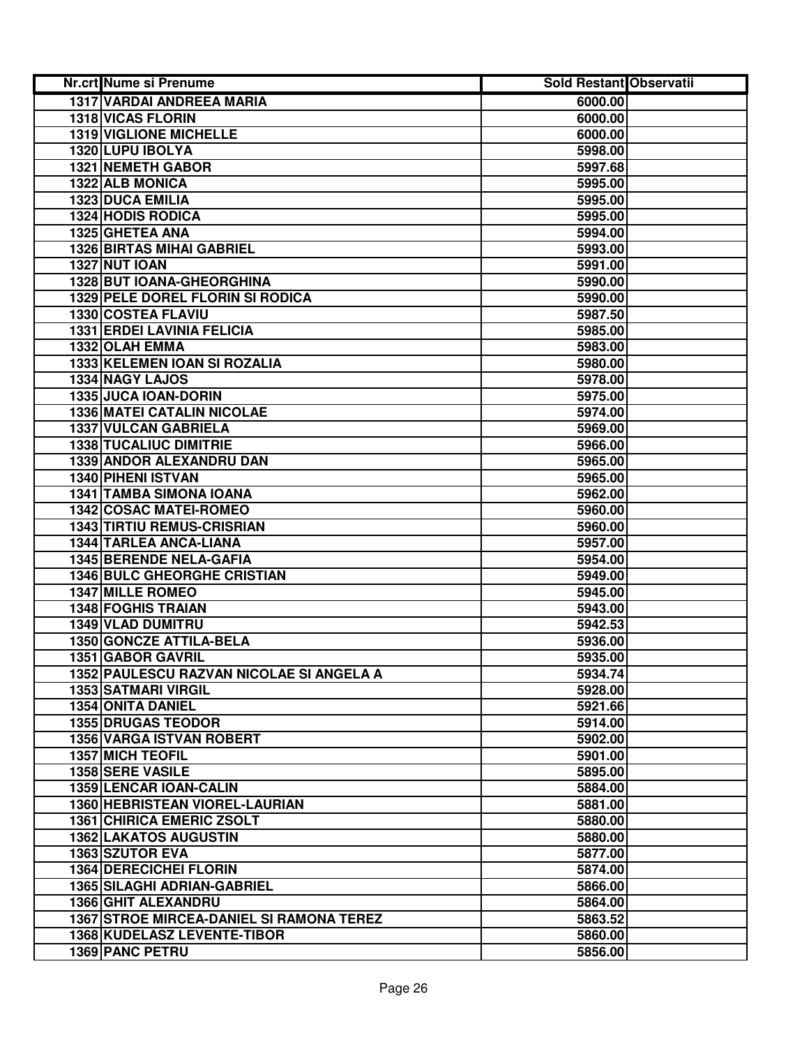| Nr.crt Nume si Prenume                          | Sold Restant Observatii |  |
|-------------------------------------------------|-------------------------|--|
| <b>1317 VARDAI ANDREEA MARIA</b>                | 6000.00                 |  |
| <b>1318 VICAS FLORIN</b>                        | 6000.00                 |  |
| <b>1319 VIGLIONE MICHELLE</b>                   | 6000.00                 |  |
| 1320 LUPU IBOLYA                                | 5998.00                 |  |
| 1321 NEMETH GABOR                               | 5997.68                 |  |
| 1322 ALB MONICA                                 | 5995.00                 |  |
| 1323 DUCA EMILIA                                | 5995.00                 |  |
| <b>1324 HODIS RODICA</b>                        | 5995.00                 |  |
| 1325 GHETEA ANA                                 | 5994.00                 |  |
| <b>1326 BIRTAS MIHAI GABRIEL</b>                | 5993.00                 |  |
| <b>1327 NUT IOAN</b>                            | 5991.00                 |  |
| 1328 BUT IOANA-GHEORGHINA                       | 5990.00                 |  |
| 1329 PELE DOREL FLORIN SI RODICA                | 5990.00                 |  |
| 1330 COSTEA FLAVIU                              | 5987.50                 |  |
| <b>1331 ERDEI LAVINIA FELICIA</b>               | 5985.00                 |  |
| 1332 OLAH EMMA                                  | 5983.00                 |  |
| 1333 KELEMEN IOAN SI ROZALIA                    | 5980.00                 |  |
| <b>1334 NAGY LAJOS</b>                          | 5978.00                 |  |
| 1335 JUCA IOAN-DORIN                            | 5975.00                 |  |
| <b>1336 MATEI CATALIN NICOLAE</b>               | 5974.00                 |  |
| 1337 VULCAN GABRIELA                            | 5969.00                 |  |
| 1338 TUCALIUC DIMITRIE                          | 5966.00                 |  |
| 1339 ANDOR ALEXANDRU DAN                        | 5965.00                 |  |
| 1340 PIHENI ISTVAN                              | 5965.00                 |  |
| 1341 TAMBA SIMONA IOANA                         | 5962.00                 |  |
| 1342 COSAC MATEI-ROMEO                          | 5960.00                 |  |
| <b>1343 TIRTIU REMUS-CRISRIAN</b>               | 5960.00                 |  |
| 1344 TARLEA ANCA-LIANA                          | 5957.00                 |  |
| 1345 BERENDE NELA-GAFIA                         | 5954.00                 |  |
| <b>1346 BULC GHEORGHE CRISTIAN</b>              | 5949.00                 |  |
| <b>1347 MILLE ROMEO</b>                         | 5945.00                 |  |
| <b>1348 FOGHIS TRAIAN</b>                       | 5943.00                 |  |
| 1349 VLAD DUMITRU                               | 5942.53                 |  |
| 1350 GONCZE ATTILA-BELA                         | 5936.00                 |  |
| 1351 GABOR GAVRIL                               | 5935.00                 |  |
| 1352 PAULESCU RAZVAN NICOLAE SI ANGELA A        | 5934.74                 |  |
| <b>1353 SATMARI VIRGIL</b>                      | 5928.00                 |  |
| <b>1354 ONITA DANIEL</b>                        | 5921.66                 |  |
| <b>1355 DRUGAS TEODOR</b>                       | 5914.00                 |  |
| 1356 VARGA ISTVAN ROBERT                        | 5902.00                 |  |
| <b>1357 MICH TEOFIL</b>                         | 5901.00                 |  |
| <b>1358 SERE VASILE</b>                         | 5895.00                 |  |
| <b>1359 LENCAR IOAN-CALIN</b>                   | 5884.00                 |  |
| 1360 HEBRISTEAN VIOREL-LAURIAN                  | 5881.00                 |  |
| 1361 CHIRICA EMERIC ZSOLT                       | 5880.00                 |  |
| <b>1362 LAKATOS AUGUSTIN</b>                    | 5880.00                 |  |
| 1363 SZUTOR EVA                                 | 5877.00                 |  |
| <b>1364 DERECICHEI FLORIN</b>                   | 5874.00                 |  |
| 1365 SILAGHI ADRIAN-GABRIEL                     | 5866.00                 |  |
| 1366 GHIT ALEXANDRU                             | 5864.00                 |  |
| <b>1367 STROE MIRCEA-DANIEL SI RAMONA TEREZ</b> | 5863.52                 |  |
| 1368 KUDELASZ LEVENTE-TIBOR                     | 5860.00                 |  |
| 1369 PANC PETRU                                 | 5856.00                 |  |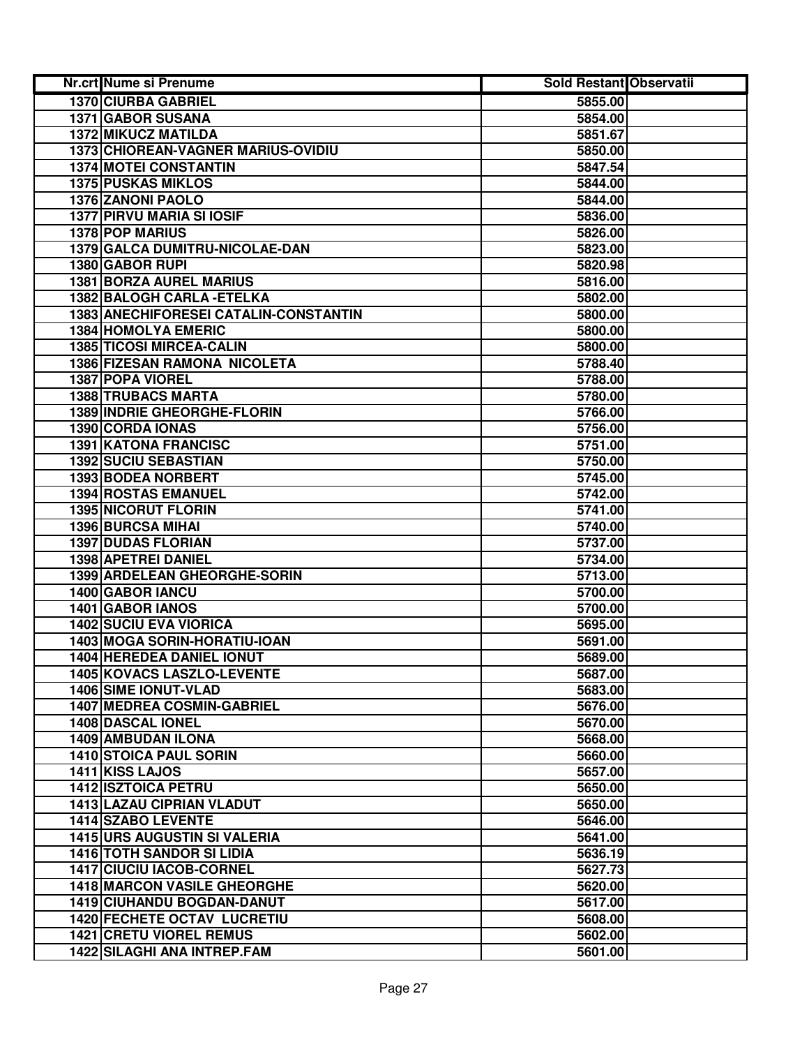| Nr.crt Nume si Prenume                | Sold Restant Observatii |  |
|---------------------------------------|-------------------------|--|
| 1370 CIURBA GABRIEL                   | 5855.00                 |  |
| 1371 GABOR SUSANA                     | 5854.00                 |  |
| 1372 MIKUCZ MATILDA                   | 5851.67                 |  |
| 1373 CHIOREAN-VAGNER MARIUS-OVIDIU    | 5850.00                 |  |
| <b>1374 MOTEI CONSTANTIN</b>          | 5847.54                 |  |
| <b>1375 PUSKAS MIKLOS</b>             | 5844.00                 |  |
| 1376 ZANONI PAOLO                     | 5844.00                 |  |
| <b>1377 PIRVU MARIA SI IOSIF</b>      | 5836.00                 |  |
| 1378 POP MARIUS                       | 5826.00                 |  |
| 1379 GALCA DUMITRU-NICOLAE-DAN        | 5823.00                 |  |
| 1380 GABOR RUPI                       | 5820.98                 |  |
| <b>1381 BORZA AUREL MARIUS</b>        | 5816.00                 |  |
| 1382 BALOGH CARLA - ETELKA            | 5802.00                 |  |
| 1383 ANECHIFORESEI CATALIN-CONSTANTIN | 5800.00                 |  |
| <b>1384 HOMOLYA EMERIC</b>            | 5800.00                 |  |
| <b>1385 TICOSI MIRCEA-CALIN</b>       | 5800.00                 |  |
| 1386 FIZESAN RAMONA NICOLETA          | 5788.40                 |  |
| 1387 POPA VIOREL                      | 5788.00                 |  |
| <b>1388 TRUBACS MARTA</b>             | 5780.00                 |  |
| 1389 INDRIE GHEORGHE-FLORIN           | 5766.00                 |  |
| <b>1390 CORDA IONAS</b>               | 5756.00                 |  |
| 1391 KATONA FRANCISC                  | 5751.00                 |  |
| 1392 SUCIU SEBASTIAN                  | 5750.00                 |  |
| 1393 BODEA NORBERT                    | 5745.00                 |  |
| 1394 ROSTAS EMANUEL                   | 5742.00                 |  |
| <b>1395 NICORUT FLORIN</b>            | 5741.00                 |  |
| 1396 BURCSA MIHAI                     | 5740.00                 |  |
| <b>1397 DUDAS FLORIAN</b>             | 5737.00                 |  |
| 1398 APETREI DANIEL                   | 5734.00                 |  |
| 1399 ARDELEAN GHEORGHE-SORIN          | 5713.00                 |  |
| 1400 GABOR IANCU                      | 5700.00                 |  |
| 1401 GABOR IANOS                      | 5700.00                 |  |
| <b>1402 SUCIU EVA VIORICA</b>         | 5695.00                 |  |
| 1403 MOGA SORIN-HORATIU-IOAN          | 5691.00                 |  |
| 1404 HEREDEA DANIEL IONUT             | 5689.00                 |  |
| 1405 KOVACS LASZLO-LEVENTE            | 5687.00                 |  |
| 1406 SIME IONUT-VLAD                  | 5683.00                 |  |
| 1407 MEDREA COSMIN-GABRIEL            | 5676.00                 |  |
| <b>1408 DASCAL IONEL</b>              | 5670.00                 |  |
| 1409 AMBUDAN ILONA                    | 5668.00                 |  |
| <b>1410 STOICA PAUL SORIN</b>         | 5660.00                 |  |
| 1411 KISS LAJOS                       | 5657.00                 |  |
| <b>1412 ISZTOICA PETRU</b>            | 5650.00                 |  |
| <b>1413 LAZAU CIPRIAN VLADUT</b>      | 5650.00                 |  |
| <b>1414 SZABO LEVENTE</b>             | 5646.00                 |  |
| <b>1415 URS AUGUSTIN SI VALERIA</b>   | 5641.00                 |  |
| <b>1416 TOTH SANDOR SI LIDIA</b>      | 5636.19                 |  |
| 1417 CIUCIU IACOB-CORNEL              | 5627.73                 |  |
| <b>1418 MARCON VASILE GHEORGHE</b>    | 5620.00                 |  |
| 1419 CIUHANDU BOGDAN-DANUT            | 5617.00                 |  |
| <b>1420 FECHETE OCTAV LUCRETIU</b>    | 5608.00                 |  |
| <b>1421 CRETU VIOREL REMUS</b>        | 5602.00                 |  |
| 1422 SILAGHI ANA INTREP.FAM           | 5601.00                 |  |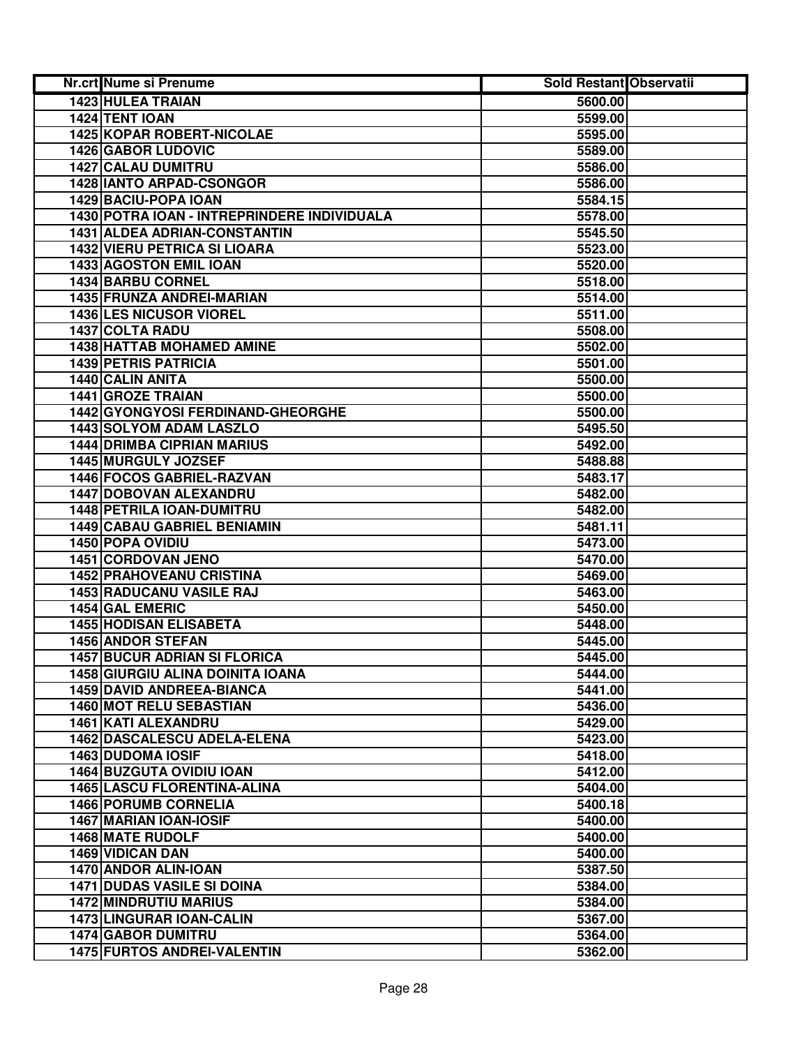| Nr.crt Nume si Prenume                      | Sold Restant Observatii |  |
|---------------------------------------------|-------------------------|--|
| 1423 HULEA TRAIAN                           | 5600.00                 |  |
| 1424 TENT IOAN                              | 5599.00                 |  |
| 1425 KOPAR ROBERT-NICOLAE                   | 5595.00                 |  |
| <b>1426 GABOR LUDOVIC</b>                   | 5589.00                 |  |
| 1427 CALAU DUMITRU                          | 5586.00                 |  |
| 1428 IANTO ARPAD-CSONGOR                    | 5586.00                 |  |
| 1429 BACIU-POPA IOAN                        | 5584.15                 |  |
| 1430 POTRA IOAN - INTREPRINDERE INDIVIDUALA | 5578.00                 |  |
| 1431 ALDEA ADRIAN-CONSTANTIN                | 5545.50                 |  |
| <b>1432 VIERU PETRICA SI LIOARA</b>         | 5523.00                 |  |
| 1433 AGOSTON EMIL IOAN                      | 5520.00                 |  |
| 1434 BARBU CORNEL                           | 5518.00                 |  |
| 1435 FRUNZA ANDREI-MARIAN                   | 5514.00                 |  |
| <b>1436 LES NICUSOR VIOREL</b>              | 5511.00                 |  |
| 1437 COLTA RADU                             | 5508.00                 |  |
| 1438 HATTAB MOHAMED AMINE                   | 5502.00                 |  |
| <b>1439 PETRIS PATRICIA</b>                 | 5501.00                 |  |
| 1440 CALIN ANITA                            | 5500.00                 |  |
| <b>1441 GROZE TRAIAN</b>                    | 5500.00                 |  |
| 1442 GYONGYOSI FERDINAND-GHEORGHE           | 5500.00                 |  |
| 1443 SOLYOM ADAM LASZLO                     | 5495.50                 |  |
| <b>1444 DRIMBA CIPRIAN MARIUS</b>           | 5492.00                 |  |
| 1445 MURGULY JOZSEF                         | 5488.88                 |  |
| 1446 FOCOS GABRIEL-RAZVAN                   | 5483.17                 |  |
| 1447 DOBOVAN ALEXANDRU                      | 5482.00                 |  |
| 1448 PETRILA IOAN-DUMITRU                   | 5482.00                 |  |
| <b>1449 CABAU GABRIEL BENIAMIN</b>          | 5481.11                 |  |
| 1450 POPA OVIDIU                            | 5473.00                 |  |
| 1451 CORDOVAN JENO                          | 5470.00                 |  |
| <b>1452 PRAHOVEANU CRISTINA</b>             | 5469.00                 |  |
| 1453 RADUCANU VASILE RAJ                    | 5463.00                 |  |
| 1454 GAL EMERIC                             | 5450.00                 |  |
| <b>1455 HODISAN ELISABETA</b>               | 5448.00                 |  |
| <b>1456 ANDOR STEFAN</b>                    | 5445.00                 |  |
| <b>1457 BUCUR ADRIAN SI FLORICA</b>         | 5445.00                 |  |
| <b>1458 GIURGIU ALINA DOINITA IOANA</b>     | 5444.00                 |  |
| 1459 DAVID ANDREEA-BIANCA                   | 5441.00                 |  |
| 1460 MOT RELU SEBASTIAN                     | 5436.00                 |  |
| 1461 KATI ALEXANDRU                         | 5429.00                 |  |
| 1462 DASCALESCU ADELA-ELENA                 | 5423.00                 |  |
| <b>1463 DUDOMA IOSIF</b>                    | 5418.00                 |  |
| <b>1464 BUZGUTA OVIDIU IOAN</b>             | 5412.00                 |  |
| <b>1465 LASCU FLORENTINA-ALINA</b>          | 5404.00                 |  |
| <b>1466 PORUMB CORNELIA</b>                 | 5400.18                 |  |
| 1467 MARIAN IOAN-IOSIF                      | 5400.00                 |  |
| <b>1468 MATE RUDOLF</b>                     | 5400.00                 |  |
| 1469 VIDICAN DAN                            | 5400.00                 |  |
| 1470 ANDOR ALIN-IOAN                        | 5387.50                 |  |
| <b>1471 DUDAS VASILE SI DOINA</b>           | 5384.00                 |  |
| <b>1472 MINDRUTIU MARIUS</b>                | 5384.00                 |  |
| 1473 LINGURAR IOAN-CALIN                    | 5367.00                 |  |
| <b>1474 GABOR DUMITRU</b>                   | 5364.00                 |  |
| 1475 FURTOS ANDREI-VALENTIN                 | 5362.00                 |  |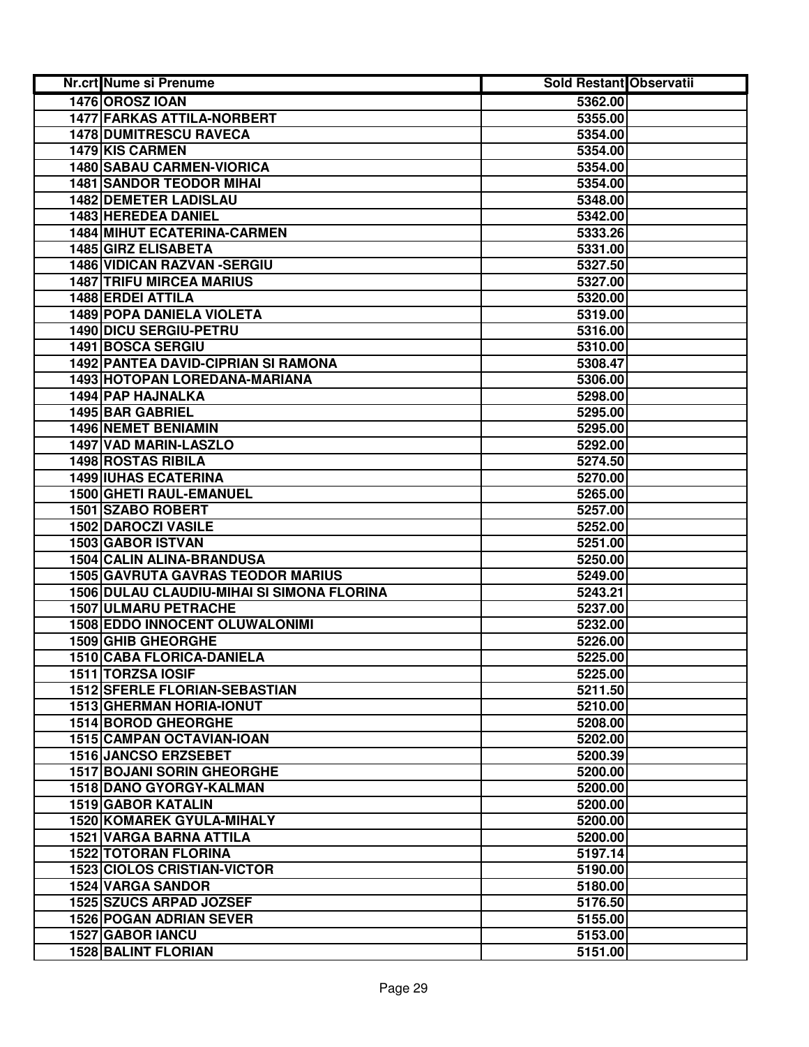| Nr.crt Nume si Prenume                     | <b>Sold Restant Observatii</b> |  |
|--------------------------------------------|--------------------------------|--|
| 1476 OROSZ IOAN                            | 5362.00                        |  |
| <b>1477 FARKAS ATTILA-NORBERT</b>          | 5355.00                        |  |
| <b>1478 DUMITRESCU RAVECA</b>              | 5354.00                        |  |
| 1479 KIS CARMEN                            | 5354.00                        |  |
| <b>1480 SABAU CARMEN-VIORICA</b>           | 5354.00                        |  |
| <b>1481 SANDOR TEODOR MIHAI</b>            | 5354.00                        |  |
| <b>1482 DEMETER LADISLAU</b>               | 5348.00                        |  |
| 1483 HEREDEA DANIEL                        | 5342.00                        |  |
| <b>1484 MIHUT ECATERINA-CARMEN</b>         | 5333.26                        |  |
| <b>1485 GIRZ ELISABETA</b>                 | 5331.00                        |  |
| 1486 VIDICAN RAZVAN - SERGIU               | 5327.50                        |  |
| <b>1487 TRIFU MIRCEA MARIUS</b>            | 5327.00                        |  |
| 1488 ERDEI ATTILA                          | 5320.00                        |  |
| 1489 POPA DANIELA VIOLETA                  | 5319.00                        |  |
| <b>1490 DICU SERGIU-PETRU</b>              | 5316.00                        |  |
| 1491 BOSCA SERGIU                          | 5310.00                        |  |
| <b>1492 PANTEA DAVID-CIPRIAN SI RAMONA</b> | 5308.47                        |  |
| 1493 HOTOPAN LOREDANA-MARIANA              | 5306.00                        |  |
| <b>1494 PAP HAJNALKA</b>                   | 5298.00                        |  |
| 1495 BAR GABRIEL                           | 5295.00                        |  |
| <b>1496 NEMET BENIAMIN</b>                 | 5295.00                        |  |
| 1497 VAD MARIN-LASZLO                      | 5292.00                        |  |
| 1498 ROSTAS RIBILA                         | 5274.50                        |  |
| <b>1499 IUHAS ECATERINA</b>                | 5270.00                        |  |
| 1500 GHETI RAUL-EMANUEL                    | 5265.00                        |  |
| 1501 SZABO ROBERT                          | 5257.00                        |  |
| 1502 DAROCZI VASILE                        | 5252.00                        |  |
| 1503 GABOR ISTVAN                          | 5251.00                        |  |
| 1504 CALIN ALINA-BRANDUSA                  | 5250.00                        |  |
| <b>1505 GAVRUTA GAVRAS TEODOR MARIUS</b>   | 5249.00                        |  |
| 1506 DULAU CLAUDIU-MIHAI SI SIMONA FLORINA | 5243.21                        |  |
| 1507 ULMARU PETRACHE                       | 5237.00                        |  |
| <b>1508 EDDO INNOCENT OLUWALONIMI</b>      | 5232.00                        |  |
| <b>1509 GHIB GHEORGHE</b>                  | 5226.00                        |  |
| 1510 CABA FLORICA-DANIELA                  | 5225.00                        |  |
| 1511 TORZSA IOSIF                          | 5225.00                        |  |
| <b>1512 SFERLE FLORIAN-SEBASTIAN</b>       | 5211.50                        |  |
| <b>1513 GHERMAN HORIA-IONUT</b>            | 5210.00                        |  |
| 1514 BOROD GHEORGHE                        | 5208.00                        |  |
| 1515 CAMPAN OCTAVIAN-IOAN                  | 5202.00                        |  |
| <b>1516 JANCSO ERZSEBET</b>                | 5200.39                        |  |
| <b>1517 BOJANI SORIN GHEORGHE</b>          | 5200.00                        |  |
| 1518 DANO GYORGY-KALMAN                    | 5200.00                        |  |
| <b>1519 GABOR KATALIN</b>                  | 5200.00                        |  |
| 1520 KOMAREK GYULA-MIHALY                  | 5200.00                        |  |
| 1521 VARGA BARNA ATTILA                    | 5200.00                        |  |
| <b>1522 TOTORAN FLORINA</b>                | 5197.14                        |  |
| <b>1523 CIOLOS CRISTIAN-VICTOR</b>         | 5190.00                        |  |
| <b>1524 VARGA SANDOR</b>                   | 5180.00                        |  |
| 1525 SZUCS ARPAD JOZSEF                    | 5176.50                        |  |
| <b>1526 POGAN ADRIAN SEVER</b>             | 5155.00                        |  |
| 1527 GABOR IANCU                           | 5153.00                        |  |
| <b>1528 BALINT FLORIAN</b>                 | 5151.00                        |  |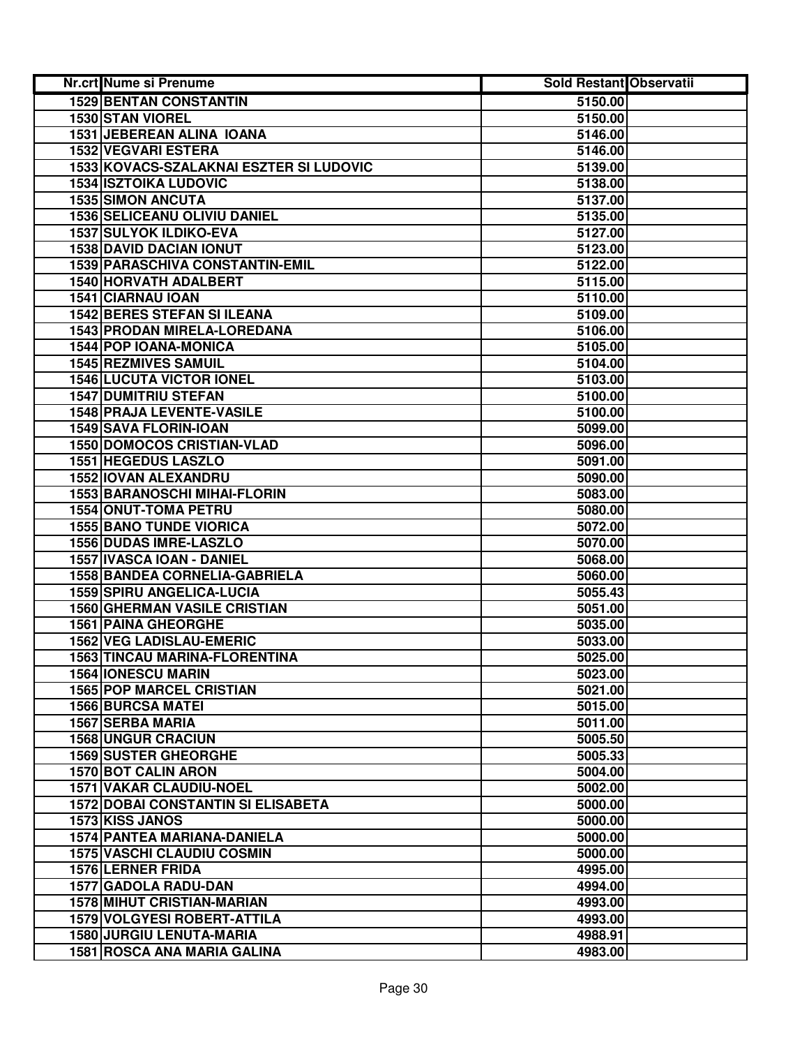| Nr.crt Nume si Prenume                                 | Sold Restant Observatii |  |
|--------------------------------------------------------|-------------------------|--|
| <b>1529 BENTAN CONSTANTIN</b>                          | 5150.00                 |  |
| 1530 STAN VIOREL                                       | 5150.00                 |  |
| 1531 JEBEREAN ALINA IOANA                              | 5146.00                 |  |
| 1532 VEGVARI ESTERA                                    | 5146.00                 |  |
| 1533 KOVACS-SZALAKNAI ESZTER SI LUDOVIC                | 5139.00                 |  |
| <b>1534 ISZTOIKA LUDOVIC</b>                           | 5138.00                 |  |
| <b>1535 SIMON ANCUTA</b>                               | 5137.00                 |  |
| <b>1536 SELICEANU OLIVIU DANIEL</b>                    | 5135.00                 |  |
| 1537 SULYOK ILDIKO-EVA                                 | 5127.00                 |  |
| <b>1538 DAVID DACIAN IONUT</b>                         | 5123.00                 |  |
| 1539 PARASCHIVA CONSTANTIN-EMIL                        | 5122.00                 |  |
| 1540 HORVATH ADALBERT                                  | 5115.00                 |  |
| 1541 CIARNAU IOAN                                      | 5110.00                 |  |
| <b>1542 BERES STEFAN SI ILEANA</b>                     | 5109.00                 |  |
| 1543 PRODAN MIRELA-LOREDANA                            | 5106.00                 |  |
| 1544 POP IOANA-MONICA                                  | 5105.00                 |  |
| <b>1545 REZMIVES SAMUIL</b>                            | 5104.00                 |  |
| <b>1546 LUCUTA VICTOR IONEL</b>                        | 5103.00                 |  |
| <b>1547 DUMITRIU STEFAN</b>                            | 5100.00                 |  |
| <b>1548 PRAJA LEVENTE-VASILE</b>                       | 5100.00                 |  |
| 1549 SAVA FLORIN-IOAN                                  | 5099.00                 |  |
| <b>1550 DOMOCOS CRISTIAN-VLAD</b>                      | 5096.00                 |  |
| 1551 HEGEDUS LASZLO                                    | 5091.00                 |  |
| 1552 IOVAN ALEXANDRU                                   | 5090.00                 |  |
| 1553 BARANOSCHI MIHAI-FLORIN                           | 5083.00                 |  |
| 1554 ONUT-TOMA PETRU                                   | 5080.00                 |  |
| <b>1555 BANO TUNDE VIORICA</b>                         | 5072.00                 |  |
| 1556 DUDAS IMRE-LASZLO                                 | 5070.00                 |  |
| 1557 IVASCA IOAN - DANIEL                              | 5068.00                 |  |
| 1558 BANDEA CORNELIA-GABRIELA                          | 5060.00                 |  |
| <b>1559 SPIRU ANGELICA-LUCIA</b>                       | 5055.43                 |  |
| <b>1560 GHERMAN VASILE CRISTIAN</b>                    | 5051.00                 |  |
| <b>1561 PAINA GHEORGHE</b><br>1562 VEG LADISLAU-EMERIC | 5035.00                 |  |
| 1563 TINCAU MARINA-FLORENTINA                          | 5033.00<br>5025.00      |  |
| <b>1564 IONESCU MARIN</b>                              | 5023.00                 |  |
| <b>1565 POP MARCEL CRISTIAN</b>                        | 5021.00                 |  |
| <b>1566 BURCSA MATEI</b>                               | 5015.00                 |  |
| 1567 SERBA MARIA                                       | 5011.00                 |  |
| <b>1568 UNGUR CRACIUN</b>                              | 5005.50                 |  |
| <b>1569 SUSTER GHEORGHE</b>                            | 5005.33                 |  |
| <b>1570 BOT CALIN ARON</b>                             | 5004.00                 |  |
| <b>1571 VAKAR CLAUDIU-NOEL</b>                         | 5002.00                 |  |
| <b>1572 DOBAI CONSTANTIN SI ELISABETA</b>              | 5000.00                 |  |
| 1573 KISS JANOS                                        | 5000.00                 |  |
| <b>1574 PANTEA MARIANA-DANIELA</b>                     | 5000.00                 |  |
| <b>1575 VASCHI CLAUDIU COSMIN</b>                      | 5000.00                 |  |
| 1576 LERNER FRIDA                                      | 4995.00                 |  |
| 1577 GADOLA RADU-DAN                                   | 4994.00                 |  |
| 1578 MIHUT CRISTIAN-MARIAN                             | 4993.00                 |  |
| <b>1579 VOLGYESI ROBERT-ATTILA</b>                     | 4993.00                 |  |
| <b>1580 JURGIU LENUTA-MARIA</b>                        | 4988.91                 |  |
| 1581 ROSCA ANA MARIA GALINA                            | 4983.00                 |  |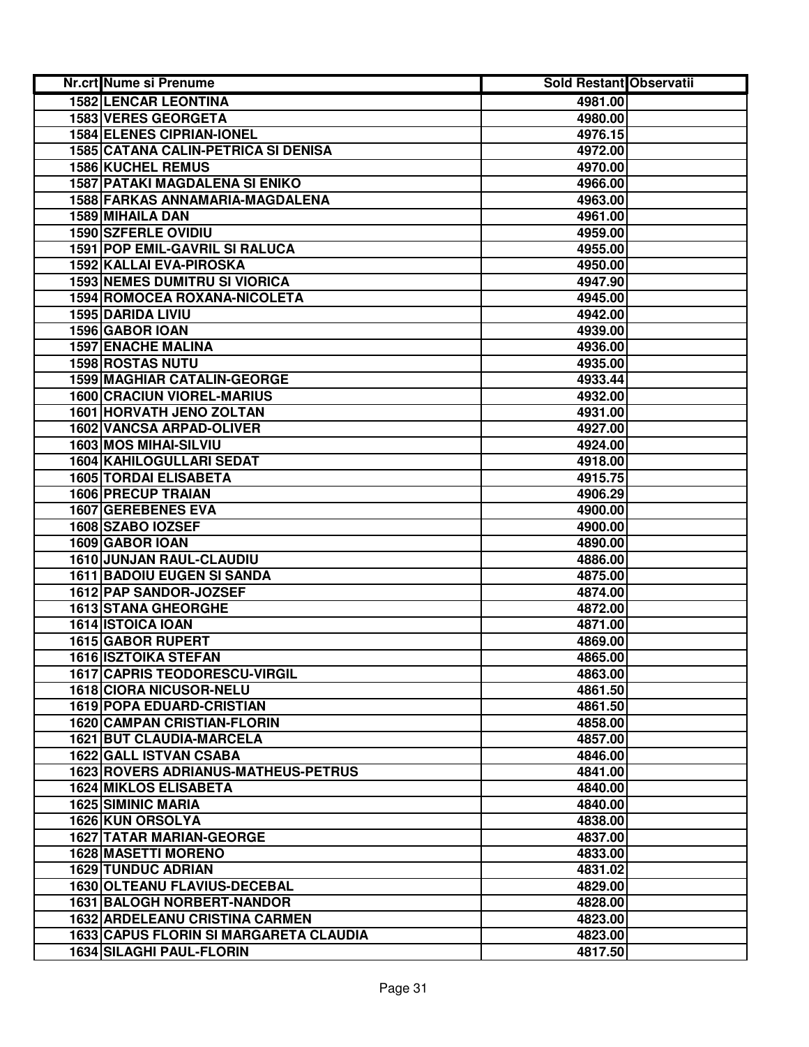| Nr.crt Nume si Prenume                        | Sold Restant Observatii |  |
|-----------------------------------------------|-------------------------|--|
| <b>1582 LENCAR LEONTINA</b>                   | 4981.00                 |  |
| 1583 VERES GEORGETA                           | 4980.00                 |  |
| 1584 ELENES CIPRIAN-IONEL                     | 4976.15                 |  |
| 1585 CATANA CALIN-PETRICA SI DENISA           | 4972.00                 |  |
| <b>1586 KUCHEL REMUS</b>                      | 4970.00                 |  |
| <b>1587 PATAKI MAGDALENA SI ENIKO</b>         | 4966.00                 |  |
| 1588 FARKAS ANNAMARIA-MAGDALENA               | 4963.00                 |  |
| 1589 MIHAILA DAN                              | 4961.00                 |  |
| 1590 SZFERLE OVIDIU                           | 4959.00                 |  |
| <b>1591 POP EMIL-GAVRIL SI RALUCA</b>         | 4955.00                 |  |
| 1592 KALLAI EVA-PIROSKA                       | 4950.00                 |  |
| <b>1593 NEMES DUMITRU SI VIORICA</b>          | 4947.90                 |  |
| 1594 ROMOCEA ROXANA-NICOLETA                  | 4945.00                 |  |
| 1595 DARIDA LIVIU                             | 4942.00                 |  |
| 1596 GABOR IOAN                               | 4939.00                 |  |
| <b>1597 ENACHE MALINA</b>                     | 4936.00                 |  |
| <b>1598 ROSTAS NUTU</b>                       | 4935.00                 |  |
| <b>1599 MAGHIAR CATALIN-GEORGE</b>            | 4933.44                 |  |
| <b>1600 CRACIUN VIOREL-MARIUS</b>             | 4932.00                 |  |
| <b>1601 HORVATH JENO ZOLTAN</b>               | 4931.00                 |  |
| <b>1602 VANCSA ARPAD-OLIVER</b>               | 4927.00                 |  |
| 1603 MOS MIHAI-SILVIU                         | 4924.00                 |  |
| 1604 KAHILOGULLARI SEDAT                      | 4918.00                 |  |
| 1605 TORDAI ELISABETA                         | 4915.75                 |  |
| <b>1606 PRECUP TRAIAN</b>                     | 4906.29                 |  |
| 1607 GEREBENES EVA                            | 4900.00                 |  |
| 1608 SZABO IOZSEF                             | 4900.00                 |  |
| 1609 GABOR IOAN                               | 4890.00                 |  |
| 1610 JUNJAN RAUL-CLAUDIU                      | 4886.00                 |  |
| <b>1611 BADOIU EUGEN SI SANDA</b>             | 4875.00                 |  |
| 1612 PAP SANDOR-JOZSEF                        | 4874.00                 |  |
| <b>1613 STANA GHEORGHE</b>                    | 4872.00                 |  |
| 1614 ISTOICA IOAN                             | 4871.00                 |  |
| <b>1615 GABOR RUPERT</b>                      | 4869.00                 |  |
| <b>1616 ISZTOIKA STEFAN</b>                   | 4865.00                 |  |
| <b>1617 CAPRIS TEODORESCU-VIRGIL</b>          | 4863.00                 |  |
| 1618 CIORA NICUSOR-NELU                       | 4861.50                 |  |
| <b>1619 POPA EDUARD-CRISTIAN</b>              | 4861.50                 |  |
| <b>1620 CAMPAN CRISTIAN-FLORIN</b>            | 4858.00                 |  |
| <b>1621 BUT CLAUDIA-MARCELA</b>               | 4857.00                 |  |
| 1622 GALL ISTVAN CSABA                        | 4846.00                 |  |
| <b>1623 ROVERS ADRIANUS-MATHEUS-PETRUS</b>    | 4841.00                 |  |
| <b>1624 MIKLOS ELISABETA</b>                  | 4840.00                 |  |
| <b>1625 SIMINIC MARIA</b>                     | 4840.00                 |  |
| <b>1626 KUN ORSOLYA</b>                       | 4838.00                 |  |
| <b>1627 TATAR MARIAN-GEORGE</b>               | 4837.00                 |  |
| <b>1628 MASETTI MORENO</b>                    | 4833.00                 |  |
| <b>1629 TUNDUC ADRIAN</b>                     | 4831.02                 |  |
| 1630 OLTEANU FLAVIUS-DECEBAL                  | 4829.00                 |  |
| <b>1631 BALOGH NORBERT-NANDOR</b>             | 4828.00                 |  |
| <b>1632 ARDELEANU CRISTINA CARMEN</b>         | 4823.00                 |  |
| <b>1633 CAPUS FLORIN SI MARGARETA CLAUDIA</b> | 4823.00                 |  |
| 1634 SILAGHI PAUL-FLORIN                      | 4817.50                 |  |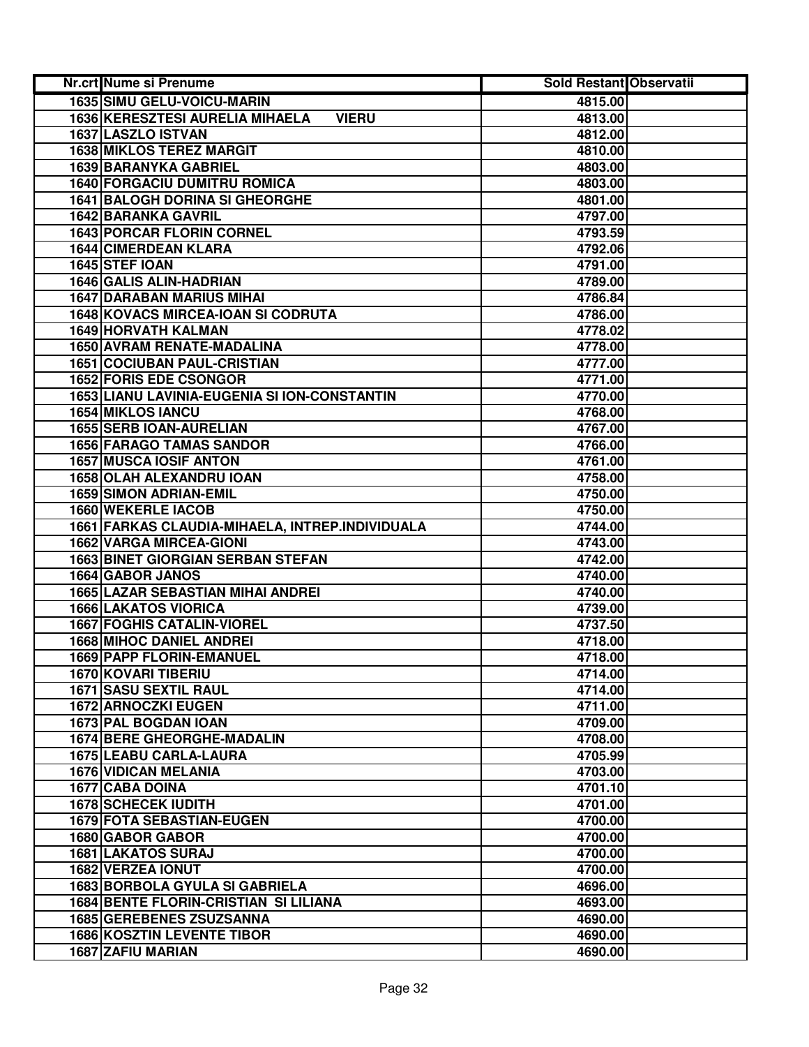| <b>Nr.crt Nume si Prenume</b>                          | Sold Restant Observatii |  |
|--------------------------------------------------------|-------------------------|--|
| 1635 SIMU GELU-VOICU-MARIN                             | 4815.00                 |  |
| <b>1636 KERESZTESI AURELIA MIHAELA</b><br><b>VIERU</b> | 4813.00                 |  |
| 1637 LASZLO ISTVAN                                     | 4812.00                 |  |
| <b>1638 MIKLOS TEREZ MARGIT</b>                        | 4810.00                 |  |
| 1639 BARANYKA GABRIEL                                  | 4803.00                 |  |
| <b>1640 FORGACIU DUMITRU ROMICA</b>                    | 4803.00                 |  |
| <b>1641 BALOGH DORINA SI GHEORGHE</b>                  | 4801.00                 |  |
| <b>1642 BARANKA GAVRIL</b>                             | 4797.00                 |  |
| <b>1643 PORCAR FLORIN CORNEL</b>                       | 4793.59                 |  |
| <b>1644 CIMERDEAN KLARA</b>                            | 4792.06                 |  |
| 1645 STEF IOAN                                         | 4791.00                 |  |
| 1646 GALIS ALIN-HADRIAN                                | 4789.00                 |  |
| <b>1647 DARABAN MARIUS MIHAI</b>                       | 4786.84                 |  |
| 1648 KOVACS MIRCEA-IOAN SI CODRUTA                     | 4786.00                 |  |
| 1649 HORVATH KALMAN                                    | 4778.02                 |  |
| 1650 AVRAM RENATE-MADALINA                             | 4778.00                 |  |
| <b>1651 COCIUBAN PAUL-CRISTIAN</b>                     | 4777.00                 |  |
| <b>1652 FORIS EDE CSONGOR</b>                          | 4771.00                 |  |
| <b>1653 LIANU LAVINIA-EUGENIA SI ION-CONSTANTIN</b>    | 4770.00                 |  |
| <b>1654 MIKLOS IANCU</b>                               | 4768.00                 |  |
| <b>1655 SERB IOAN-AURELIAN</b>                         | 4767.00                 |  |
| <b>1656 FARAGO TAMAS SANDOR</b>                        | 4766.00                 |  |
| <b>1657 MUSCA IOSIF ANTON</b>                          | 4761.00                 |  |
| 1658 OLAH ALEXANDRU IOAN                               | 4758.00                 |  |
| <b>1659 SIMON ADRIAN-EMIL</b>                          | 4750.00                 |  |
| 1660 WEKERLE IACOB                                     | 4750.00                 |  |
| 1661 FARKAS CLAUDIA-MIHAELA, INTREP.INDIVIDUALA        | 4744.00                 |  |
| <b>1662 VARGA MIRCEA-GIONI</b>                         | 4743.00                 |  |
| <b>1663 BINET GIORGIAN SERBAN STEFAN</b>               | 4742.00                 |  |
| 1664 GABOR JANOS                                       | 4740.00                 |  |
| <b>1665 LAZAR SEBASTIAN MIHAI ANDREI</b>               | 4740.00                 |  |
| <b>1666 LAKATOS VIORICA</b>                            | 4739.00                 |  |
| <b>1667 FOGHIS CATALIN-VIOREL</b>                      | 4737.50                 |  |
| <b>1668 MIHOC DANIEL ANDREI</b>                        | 4718.00                 |  |
| 1669 PAPP FLORIN-EMANUEL                               | 4718.00                 |  |
| 1670 KOVARI TIBERIU                                    | 4714.00                 |  |
| 1671 SASU SEXTIL RAUL                                  | 4714.00                 |  |
| 1672 ARNOCZKI EUGEN                                    | 4711.00                 |  |
| 1673 PAL BOGDAN IOAN                                   | 4709.00                 |  |
| <b>1674 BERE GHEORGHE-MADALIN</b>                      | 4708.00                 |  |
| 1675 LEABU CARLA-LAURA                                 | 4705.99                 |  |
| <b>1676 VIDICAN MELANIA</b>                            | 4703.00                 |  |
| <b>1677 CABA DOINA</b>                                 | 4701.10                 |  |
| <b>1678 SCHECEK IUDITH</b>                             | 4701.00                 |  |
| 1679 FOTA SEBASTIAN-EUGEN                              | 4700.00                 |  |
| 1680 GABOR GABOR                                       | 4700.00                 |  |
| 1681 LAKATOS SURAJ                                     | 4700.00                 |  |
| 1682 VERZEA IONUT                                      | 4700.00                 |  |
| <b>1683 BORBOLA GYULA SI GABRIELA</b>                  | 4696.00                 |  |
| 1684 BENTE FLORIN-CRISTIAN SI LILIANA                  | 4693.00                 |  |
| <b>1685 GEREBENES ZSUZSANNA</b>                        | 4690.00                 |  |
| <b>1686 KOSZTIN LEVENTE TIBOR</b>                      | 4690.00                 |  |
| 1687 ZAFIU MARIAN                                      | 4690.00                 |  |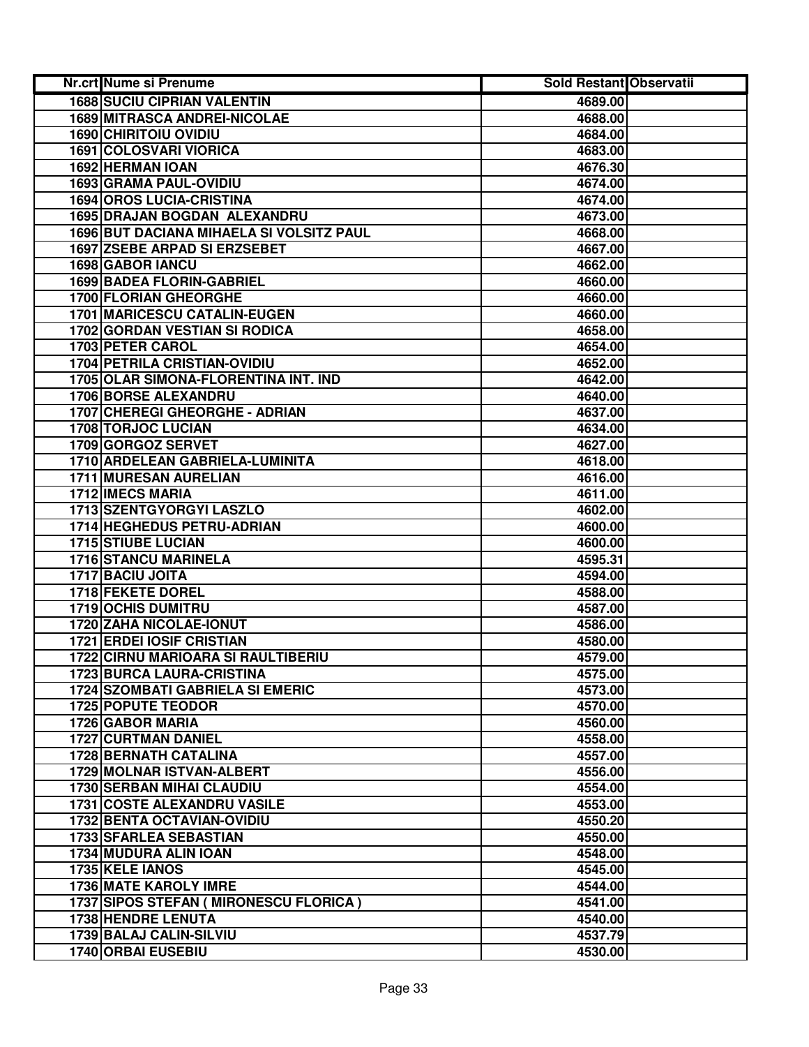| <b>1688 SUCIU CIPRIAN VALENTIN</b><br>4689.00<br><b>1689 MITRASCA ANDREI-NICOLAE</b><br>4688.00<br><b>1690 CHIRITOIU OVIDIU</b><br>4684.00<br>1691 COLOSVARI VIORICA<br>4683.00<br>1692 HERMAN IOAN<br>4676.30<br>1693 GRAMA PAUL-OVIDIU<br>4674.00<br><b>1694 OROS LUCIA-CRISTINA</b><br>4674.00<br>1695 DRAJAN BOGDAN ALEXANDRU<br>4673.00<br>1696 BUT DACIANA MIHAELA SI VOLSITZ PAUL<br>4668.00<br>1697 ZSEBE ARPAD SI ERZSEBET<br>4667.00<br>1698 GABOR IANCU<br>4662.00<br><b>1699 BADEA FLORIN-GABRIEL</b><br>4660.00<br>1700 FLORIAN GHEORGHE<br>4660.00 |  |
|------------------------------------------------------------------------------------------------------------------------------------------------------------------------------------------------------------------------------------------------------------------------------------------------------------------------------------------------------------------------------------------------------------------------------------------------------------------------------------------------------------------------------------------------------------------|--|
|                                                                                                                                                                                                                                                                                                                                                                                                                                                                                                                                                                  |  |
|                                                                                                                                                                                                                                                                                                                                                                                                                                                                                                                                                                  |  |
|                                                                                                                                                                                                                                                                                                                                                                                                                                                                                                                                                                  |  |
|                                                                                                                                                                                                                                                                                                                                                                                                                                                                                                                                                                  |  |
|                                                                                                                                                                                                                                                                                                                                                                                                                                                                                                                                                                  |  |
|                                                                                                                                                                                                                                                                                                                                                                                                                                                                                                                                                                  |  |
|                                                                                                                                                                                                                                                                                                                                                                                                                                                                                                                                                                  |  |
|                                                                                                                                                                                                                                                                                                                                                                                                                                                                                                                                                                  |  |
|                                                                                                                                                                                                                                                                                                                                                                                                                                                                                                                                                                  |  |
|                                                                                                                                                                                                                                                                                                                                                                                                                                                                                                                                                                  |  |
|                                                                                                                                                                                                                                                                                                                                                                                                                                                                                                                                                                  |  |
|                                                                                                                                                                                                                                                                                                                                                                                                                                                                                                                                                                  |  |
|                                                                                                                                                                                                                                                                                                                                                                                                                                                                                                                                                                  |  |
| <b>1701 MARICESCU CATALIN-EUGEN</b><br>4660.00                                                                                                                                                                                                                                                                                                                                                                                                                                                                                                                   |  |
| <b>1702 GORDAN VESTIAN SI RODICA</b><br>4658.00                                                                                                                                                                                                                                                                                                                                                                                                                                                                                                                  |  |
| 1703 PETER CAROL<br>4654.00                                                                                                                                                                                                                                                                                                                                                                                                                                                                                                                                      |  |
| <b>1704 PETRILA CRISTIAN-OVIDIU</b><br>4652.00                                                                                                                                                                                                                                                                                                                                                                                                                                                                                                                   |  |
| 1705 OLAR SIMONA-FLORENTINA INT. IND<br>4642.00                                                                                                                                                                                                                                                                                                                                                                                                                                                                                                                  |  |
| <b>1706 BORSE ALEXANDRU</b><br>4640.00                                                                                                                                                                                                                                                                                                                                                                                                                                                                                                                           |  |
| 1707 CHEREGI GHEORGHE - ADRIAN<br>4637.00                                                                                                                                                                                                                                                                                                                                                                                                                                                                                                                        |  |
| <b>1708 TORJOC LUCIAN</b><br>4634.00                                                                                                                                                                                                                                                                                                                                                                                                                                                                                                                             |  |
| 1709 GORGOZ SERVET<br>4627.00                                                                                                                                                                                                                                                                                                                                                                                                                                                                                                                                    |  |
| 1710 ARDELEAN GABRIELA-LUMINITA<br>4618.00                                                                                                                                                                                                                                                                                                                                                                                                                                                                                                                       |  |
| 1711 MURESAN AURELIAN<br>4616.00                                                                                                                                                                                                                                                                                                                                                                                                                                                                                                                                 |  |
| 1712 IMECS MARIA<br>4611.00                                                                                                                                                                                                                                                                                                                                                                                                                                                                                                                                      |  |
| 1713 SZENTGYORGYI LASZLO<br>4602.00                                                                                                                                                                                                                                                                                                                                                                                                                                                                                                                              |  |
| 1714 HEGHEDUS PETRU-ADRIAN<br>4600.00                                                                                                                                                                                                                                                                                                                                                                                                                                                                                                                            |  |
| <b>1715 STIUBE LUCIAN</b><br>4600.00                                                                                                                                                                                                                                                                                                                                                                                                                                                                                                                             |  |
| 1716 STANCU MARINELA<br>4595.31                                                                                                                                                                                                                                                                                                                                                                                                                                                                                                                                  |  |
| 1717 BACIU JOITA<br>4594.00                                                                                                                                                                                                                                                                                                                                                                                                                                                                                                                                      |  |
| 1718 FEKETE DOREL<br>4588.00                                                                                                                                                                                                                                                                                                                                                                                                                                                                                                                                     |  |
| <b>1719 OCHIS DUMITRU</b><br>4587.00                                                                                                                                                                                                                                                                                                                                                                                                                                                                                                                             |  |
| 1720 ZAHA NICOLAE-IONUT<br>4586.00                                                                                                                                                                                                                                                                                                                                                                                                                                                                                                                               |  |
| <b>1721 ERDEI IOSIF CRISTIAN</b><br>4580.00                                                                                                                                                                                                                                                                                                                                                                                                                                                                                                                      |  |
| <b>1722 CIRNU MARIOARA SI RAULTIBERIU</b><br>4579.00                                                                                                                                                                                                                                                                                                                                                                                                                                                                                                             |  |
| <b>1723 BURCA LAURA-CRISTINA</b><br>4575.00                                                                                                                                                                                                                                                                                                                                                                                                                                                                                                                      |  |
| <b>1724 SZOMBATI GABRIELA SI EMERIC</b><br>4573.00                                                                                                                                                                                                                                                                                                                                                                                                                                                                                                               |  |
| 1725 POPUTE TEODOR<br>4570.00                                                                                                                                                                                                                                                                                                                                                                                                                                                                                                                                    |  |
| 1726 GABOR MARIA<br>4560.00<br><b>1727 CURTMAN DANIEL</b><br>4558.00                                                                                                                                                                                                                                                                                                                                                                                                                                                                                             |  |
| <b>1728 BERNATH CATALINA</b><br>4557.00                                                                                                                                                                                                                                                                                                                                                                                                                                                                                                                          |  |
| <b>1729 MOLNAR ISTVAN-ALBERT</b><br>4556.00                                                                                                                                                                                                                                                                                                                                                                                                                                                                                                                      |  |
| <b>1730 SERBAN MIHAI CLAUDIU</b><br>4554.00                                                                                                                                                                                                                                                                                                                                                                                                                                                                                                                      |  |
| <b>1731 COSTE ALEXANDRU VASILE</b><br>4553.00                                                                                                                                                                                                                                                                                                                                                                                                                                                                                                                    |  |
| 1732 BENTA OCTAVIAN-OVIDIU<br>4550.20                                                                                                                                                                                                                                                                                                                                                                                                                                                                                                                            |  |
| 1733 SFARLEA SEBASTIAN<br>4550.00                                                                                                                                                                                                                                                                                                                                                                                                                                                                                                                                |  |
| 1734 MUDURA ALIN IOAN<br>4548.00                                                                                                                                                                                                                                                                                                                                                                                                                                                                                                                                 |  |
| 1735 KELE IANOS<br>4545.00                                                                                                                                                                                                                                                                                                                                                                                                                                                                                                                                       |  |
| 1736 MATE KAROLY IMRE<br>4544.00                                                                                                                                                                                                                                                                                                                                                                                                                                                                                                                                 |  |
| 1737 SIPOS STEFAN ( MIRONESCU FLORICA )<br>4541.00                                                                                                                                                                                                                                                                                                                                                                                                                                                                                                               |  |
| <b>1738 HENDRE LENUTA</b><br>4540.00                                                                                                                                                                                                                                                                                                                                                                                                                                                                                                                             |  |
| 1739 BALAJ CALIN-SILVIU<br>4537.79                                                                                                                                                                                                                                                                                                                                                                                                                                                                                                                               |  |
| 1740 ORBAI EUSEBIU<br>4530.00                                                                                                                                                                                                                                                                                                                                                                                                                                                                                                                                    |  |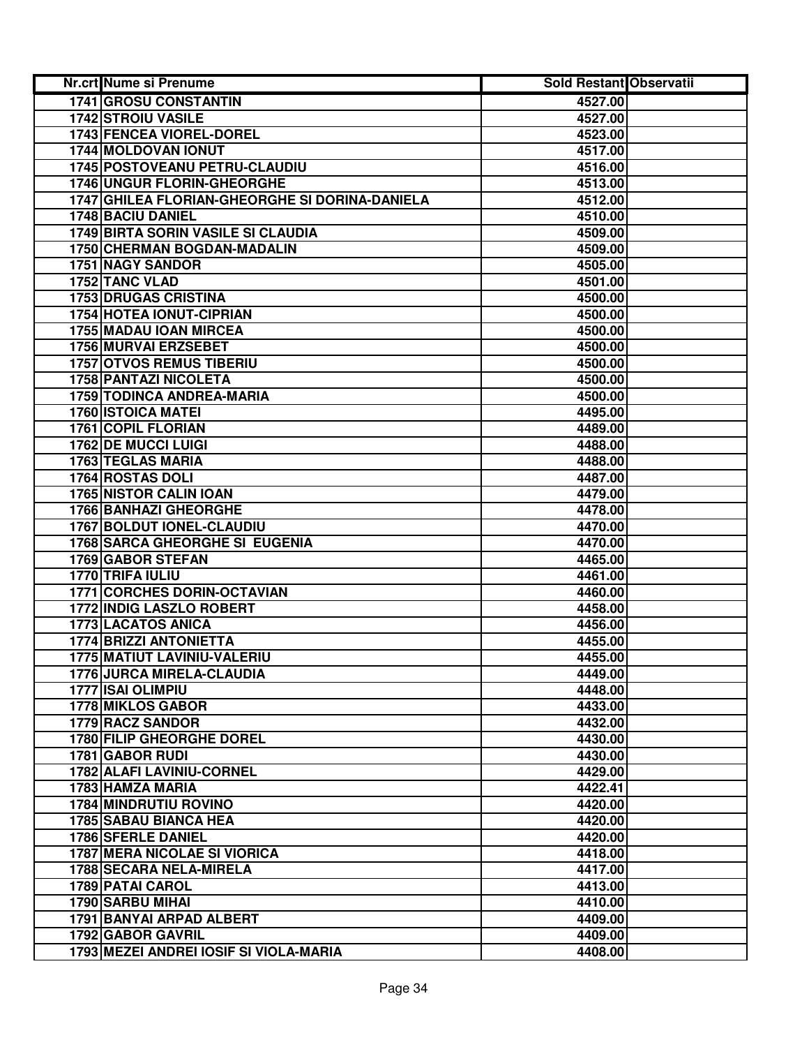| Nr.crt Nume si Prenume                         | <b>Sold Restant Observatii</b> |  |
|------------------------------------------------|--------------------------------|--|
| 1741 GROSU CONSTANTIN                          | 4527.00                        |  |
| <b>1742 STROIU VASILE</b>                      | 4527.00                        |  |
| <b>1743 FENCEA VIOREL-DOREL</b>                | 4523.00                        |  |
| 1744 MOLDOVAN IONUT                            | 4517.00                        |  |
| 1745 POSTOVEANU PETRU-CLAUDIU                  | 4516.00                        |  |
| 1746 UNGUR FLORIN-GHEORGHE                     | 4513.00                        |  |
| 1747 GHILEA FLORIAN-GHEORGHE SI DORINA-DANIELA | 4512.00                        |  |
| 1748 BACIU DANIEL                              | 4510.00                        |  |
| <b>1749 BIRTA SORIN VASILE SI CLAUDIA</b>      | 4509.00                        |  |
| 1750 CHERMAN BOGDAN-MADALIN                    | 4509.00                        |  |
| 1751 NAGY SANDOR                               | 4505.00                        |  |
| 1752 TANC VLAD                                 | 4501.00                        |  |
| <b>1753 DRUGAS CRISTINA</b>                    | 4500.00                        |  |
| 1754 HOTEA IONUT-CIPRIAN                       | 4500.00                        |  |
| 1755 MADAU IOAN MIRCEA                         | 4500.00                        |  |
| <b>1756 MURVAI ERZSEBET</b>                    | 4500.00                        |  |
| <b>1757 OTVOS REMUS TIBERIU</b>                | 4500.00                        |  |
| <b>1758 PANTAZI NICOLETA</b>                   | 4500.00                        |  |
| <b>1759 TODINCA ANDREA-MARIA</b>               | 4500.00                        |  |
| <b>1760 ISTOICA MATEI</b>                      | 4495.00                        |  |
| 1761 COPIL FLORIAN                             | 4489.00                        |  |
| 1762 DE MUCCI LUIGI                            | 4488.00                        |  |
| 1763 TEGLAS MARIA                              | 4488.00                        |  |
| 1764 ROSTAS DOLI                               | 4487.00                        |  |
| <b>1765 NISTOR CALIN IOAN</b>                  | 4479.00                        |  |
| <b>1766 BANHAZI GHEORGHE</b>                   | 4478.00                        |  |
| 1767 BOLDUT IONEL-CLAUDIU                      | 4470.00                        |  |
| <b>1768 SARCA GHEORGHE SI EUGENIA</b>          | 4470.00                        |  |
| 1769 GABOR STEFAN                              | 4465.00                        |  |
| 1770 TRIFA IULIU                               | 4461.00                        |  |
| <b>1771 CORCHES DORIN-OCTAVIAN</b>             | 4460.00                        |  |
| 1772 INDIG LASZLO ROBERT                       | 4458.00                        |  |
| <b>1773 LACATOS ANICA</b>                      | 4456.00                        |  |
| 1774 BRIZZI ANTONIETTA                         | 4455.00                        |  |
| 1775 MATIUT LAVINIU-VALERIU                    | 4455.00                        |  |
| 1776 JURCA MIRELA-CLAUDIA                      | 4449.00                        |  |
| 1777 ISAI OLIMPIU                              | 4448.00                        |  |
| 1778 MIKLOS GABOR                              | 4433.00                        |  |
| <b>1779 RACZ SANDOR</b>                        | 4432.00                        |  |
| <b>1780 FILIP GHEORGHE DOREL</b>               | 4430.00                        |  |
| <b>1781 GABOR RUDI</b>                         | 4430.00                        |  |
| <b>1782 ALAFI LAVINIU-CORNEL</b>               | 4429.00                        |  |
| <b>1783 HAMZA MARIA</b>                        | 4422.41                        |  |
| <b>1784 MINDRUTIU ROVINO</b>                   | 4420.00                        |  |
| <b>1785 SABAU BIANCA HEA</b>                   | 4420.00                        |  |
| <b>1786 SFERLE DANIEL</b>                      | 4420.00                        |  |
| <b>1787 MERA NICOLAE SI VIORICA</b>            | 4418.00                        |  |
| 1788 SECARA NELA-MIRELA                        | 4417.00                        |  |
| 1789 PATAI CAROL                               | 4413.00                        |  |
| 1790 SARBU MIHAI                               | 4410.00                        |  |
| 1791 BANYAI ARPAD ALBERT                       | 4409.00                        |  |
| 1792 GABOR GAVRIL                              | 4409.00                        |  |
| 1793 MEZEI ANDREI IOSIF SI VIOLA-MARIA         | 4408.00                        |  |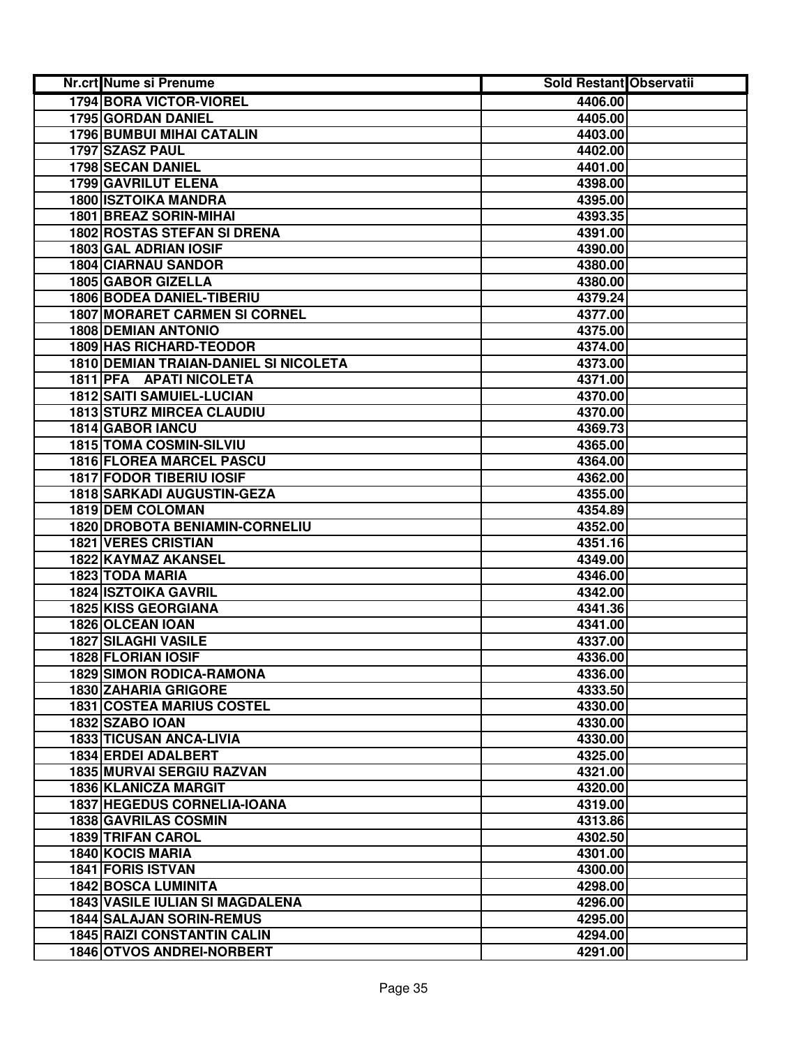| Nr.crt Nume si Prenume                       | <b>Sold Restant Observatii</b> |  |
|----------------------------------------------|--------------------------------|--|
| 1794 BORA VICTOR-VIOREL                      | 4406.00                        |  |
| 1795 GORDAN DANIEL                           | 4405.00                        |  |
| <b>1796 BUMBUI MIHAI CATALIN</b>             | 4403.00                        |  |
| 1797 SZASZ PAUL                              | 4402.00                        |  |
| 1798 SECAN DANIEL                            | 4401.00                        |  |
| 1799 GAVRILUT ELENA                          | 4398.00                        |  |
| <b>1800 ISZTOIKA MANDRA</b>                  | 4395.00                        |  |
| 1801 BREAZ SORIN-MIHAI                       | 4393.35                        |  |
| <b>1802 ROSTAS STEFAN SI DRENA</b>           | 4391.00                        |  |
| 1803 GAL ADRIAN IOSIF                        | 4390.00                        |  |
| <b>1804 CIARNAU SANDOR</b>                   | 4380.00                        |  |
| 1805 GABOR GIZELLA                           | 4380.00                        |  |
| <b>1806 BODEA DANIEL-TIBERIU</b>             | 4379.24                        |  |
| <b>1807 MORARET CARMEN SI CORNEL</b>         | 4377.00                        |  |
| <b>1808 DEMIAN ANTONIO</b>                   | 4375.00                        |  |
| <b>1809 HAS RICHARD-TEODOR</b>               | 4374.00                        |  |
| <b>1810 DEMIAN TRAIAN-DANIEL SI NICOLETA</b> | 4373.00                        |  |
| 1811 PFA APATI NICOLETA                      | 4371.00                        |  |
| <b>1812 SAITI SAMUIEL-LUCIAN</b>             | 4370.00                        |  |
| <b>1813 STURZ MIRCEA CLAUDIU</b>             | 4370.00                        |  |
| 1814 GABOR IANCU                             | 4369.73                        |  |
| 1815 TOMA COSMIN-SILVIU                      | 4365.00                        |  |
| <b>1816 FLOREA MARCEL PASCU</b>              | 4364.00                        |  |
| <b>1817 FODOR TIBERIU IOSIF</b>              | 4362.00                        |  |
| <b>1818 SARKADI AUGUSTIN-GEZA</b>            | 4355.00                        |  |
| 1819 DEM COLOMAN                             | 4354.89                        |  |
| 1820 DROBOTA BENIAMIN-CORNELIU               | 4352.00                        |  |
| <b>1821 VERES CRISTIAN</b>                   | 4351.16                        |  |
| 1822 KAYMAZ AKANSEL                          | 4349.00                        |  |
| 1823 TODA MARIA                              | 4346.00                        |  |
| <b>1824 ISZTOIKA GAVRIL</b>                  | 4342.00                        |  |
| 1825 KISS GEORGIANA                          | 4341.36                        |  |
| 1826 OLCEAN IOAN                             | 4341.00                        |  |
| <b>1827 SILAGHI VASILE</b>                   | 4337.00                        |  |
| 1828 FLORIAN IOSIF                           | 4336.00                        |  |
| <b>1829 SIMON RODICA-RAMONA</b>              | 4336.00                        |  |
| <b>1830 ZAHARIA GRIGORE</b>                  | 4333.50                        |  |
| <b>1831 COSTEA MARIUS COSTEL</b>             | 4330.00                        |  |
| 1832 SZABO IOAN                              | 4330.00                        |  |
| <b>1833 TICUSAN ANCA-LIVIA</b>               | 4330.00                        |  |
| 1834 ERDEI ADALBERT                          | 4325.00                        |  |
| <b>1835 MURVAI SERGIU RAZVAN</b>             | 4321.00                        |  |
| <b>1836 KLANICZA MARGIT</b>                  | 4320.00                        |  |
| <b>1837 HEGEDUS CORNELIA-IOANA</b>           | 4319.00                        |  |
| 1838 GAVRILAS COSMIN                         | 4313.86                        |  |
| 1839 TRIFAN CAROL                            | 4302.50                        |  |
| 1840 KOCIS MARIA                             | 4301.00                        |  |
| 1841 FORIS ISTVAN                            | 4300.00                        |  |
| <b>1842 BOSCA LUMINITA</b>                   | 4298.00                        |  |
| <b>1843 VASILE IULIAN SI MAGDALENA</b>       | 4296.00                        |  |
| <b>1844 SALAJAN SORIN-REMUS</b>              | 4295.00                        |  |
| <b>1845 RAIZI CONSTANTIN CALIN</b>           | 4294.00                        |  |
| 1846 OTVOS ANDREI-NORBERT                    | 4291.00                        |  |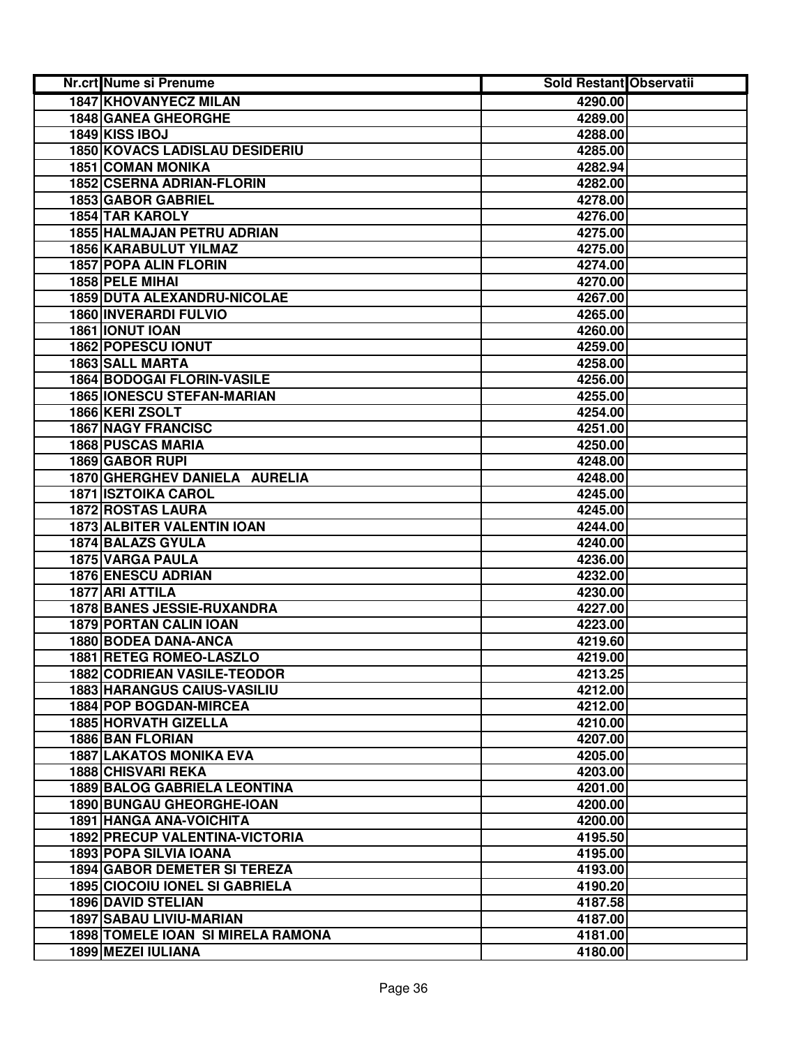| <b>Nr.crt Nume si Prenume</b>            | Sold Restant Observatii |  |
|------------------------------------------|-------------------------|--|
| 1847 KHOVANYECZ MILAN                    | 4290.00                 |  |
| 1848 GANEA GHEORGHE                      | 4289.00                 |  |
| 1849 KISS IBOJ                           | 4288.00                 |  |
| <b>1850 KOVACS LADISLAU DESIDERIU</b>    | 4285.00                 |  |
| <b>1851 COMAN MONIKA</b>                 | 4282.94                 |  |
| 1852 CSERNA ADRIAN-FLORIN                | 4282.00                 |  |
| 1853 GABOR GABRIEL                       | 4278.00                 |  |
| 1854 TAR KAROLY                          | 4276.00                 |  |
| <b>1855 HALMAJAN PETRU ADRIAN</b>        | 4275.00                 |  |
| 1856 KARABULUT YILMAZ                    | 4275.00                 |  |
| 1857 POPA ALIN FLORIN                    | 4274.00                 |  |
| 1858 PELE MIHAI                          | 4270.00                 |  |
| 1859 DUTA ALEXANDRU-NICOLAE              | 4267.00                 |  |
| 1860 INVERARDI FULVIO                    | 4265.00                 |  |
| 1861 IONUT IOAN                          | 4260.00                 |  |
| <b>1862 POPESCU IONUT</b>                | 4259.00                 |  |
| 1863 SALL MARTA                          | 4258.00                 |  |
| <b>1864 BODOGAI FLORIN-VASILE</b>        | 4256.00                 |  |
| <b>1865 IONESCU STEFAN-MARIAN</b>        | 4255.00                 |  |
| 1866 KERI ZSOLT                          | 4254.00                 |  |
| <b>1867 NAGY FRANCISC</b>                | 4251.00                 |  |
| <b>1868 PUSCAS MARIA</b>                 | 4250.00                 |  |
| 1869 GABOR RUPI                          | 4248.00                 |  |
| 1870 GHERGHEV DANIELA AURELIA            | 4248.00                 |  |
| <b>1871 ISZTOIKA CAROL</b>               | 4245.00                 |  |
| <b>1872 ROSTAS LAURA</b>                 | 4245.00                 |  |
| 1873 ALBITER VALENTIN IOAN               | 4244.00                 |  |
| 1874 BALAZS GYULA                        | 4240.00                 |  |
| 1875 VARGA PAULA                         | 4236.00                 |  |
| <b>1876 ENESCU ADRIAN</b>                | 4232.00                 |  |
| 1877 ARI ATTILA                          | 4230.00                 |  |
| 1878 BANES JESSIE-RUXANDRA               | 4227.00                 |  |
| <b>1879 PORTAN CALIN IOAN</b>            | 4223.00                 |  |
| <b>1880 BODEA DANA-ANCA</b>              | 4219.60                 |  |
| 1881 RETEG ROMEO-LASZLO                  | 4219.00                 |  |
| <b>1882 CODRIEAN VASILE-TEODOR</b>       | 4213.25                 |  |
| <b>1883 HARANGUS CAIUS-VASILIU</b>       | 4212.00                 |  |
| 1884 POP BOGDAN-MIRCEA                   | 4212.00                 |  |
| 1885 HORVATH GIZELLA                     | 4210.00                 |  |
| <b>1886 BAN FLORIAN</b>                  | 4207.00                 |  |
| <b>1887 LAKATOS MONIKA EVA</b>           | 4205.00                 |  |
| <b>1888 CHISVARI REKA</b>                | 4203.00                 |  |
| <b>1889 BALOG GABRIELA LEONTINA</b>      | 4201.00                 |  |
| <b>1890 BUNGAU GHEORGHE-IOAN</b>         | 4200.00                 |  |
| <b>1891 HANGA ANA-VOICHITA</b>           | 4200.00                 |  |
| <b>1892 PRECUP VALENTINA-VICTORIA</b>    | 4195.50                 |  |
| 1893 POPA SILVIA IOANA                   | 4195.00                 |  |
| <b>1894 GABOR DEMETER SI TEREZA</b>      | 4193.00                 |  |
| <b>1895 CIOCOIU IONEL SI GABRIELA</b>    | 4190.20                 |  |
| <b>1896 DAVID STELIAN</b>                | 4187.58                 |  |
| 1897 SABAU LIVIU-MARIAN                  | 4187.00                 |  |
| <b>1898 TOMELE IOAN SI MIRELA RAMONA</b> | 4181.00                 |  |
| 1899 MEZEI IULIANA                       | 4180.00                 |  |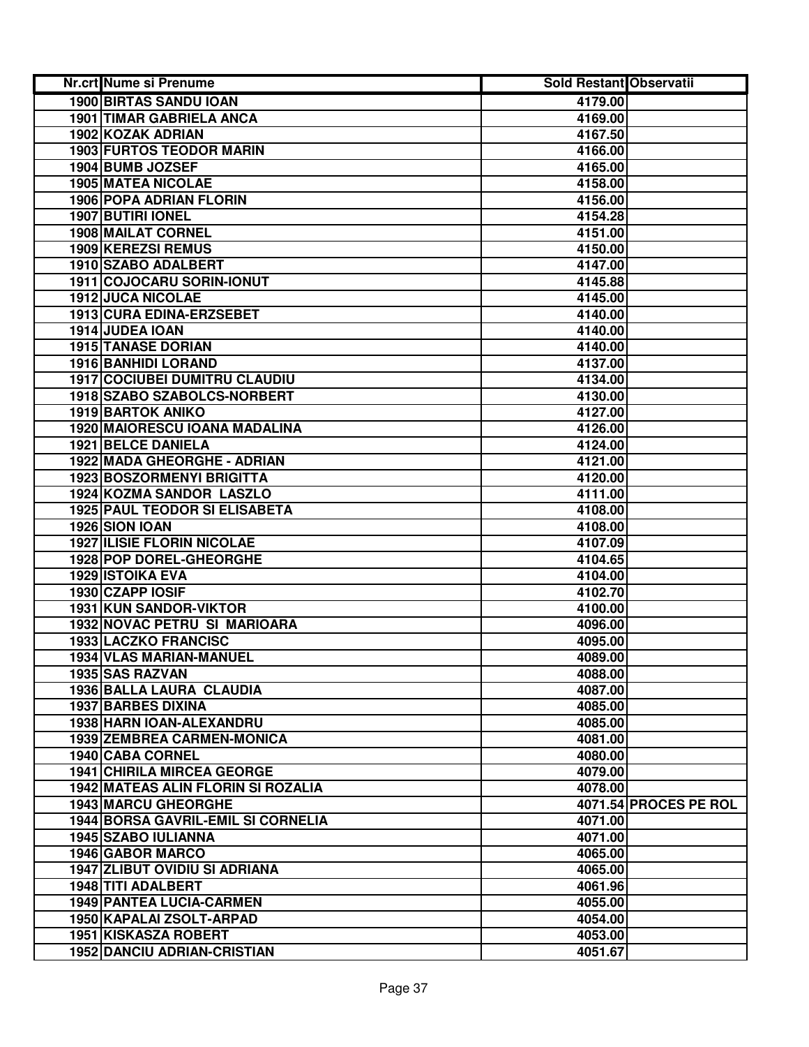| Nr.crt Nume si Prenume                    | <b>Sold Restant Observatii</b> |                       |
|-------------------------------------------|--------------------------------|-----------------------|
| <b>1900 BIRTAS SANDU IOAN</b>             | 4179.00                        |                       |
| <b>1901 TIMAR GABRIELA ANCA</b>           | 4169.00                        |                       |
| 1902 KOZAK ADRIAN                         | 4167.50                        |                       |
| <b>1903 FURTOS TEODOR MARIN</b>           | 4166.00                        |                       |
| 1904 BUMB JOZSEF                          | 4165.00                        |                       |
| <b>1905 MATEA NICOLAE</b>                 | 4158.00                        |                       |
| <b>1906 POPA ADRIAN FLORIN</b>            | 4156.00                        |                       |
| <b>1907 BUTIRI IONEL</b>                  | 4154.28                        |                       |
| 1908 MAILAT CORNEL                        | 4151.00                        |                       |
| 1909 KEREZSI REMUS                        | 4150.00                        |                       |
| 1910 SZABO ADALBERT                       | 4147.00                        |                       |
| 1911 COJOCARU SORIN-IONUT                 | 4145.88                        |                       |
| <b>1912 JUCA NICOLAE</b>                  | 4145.00                        |                       |
| 1913 CURA EDINA-ERZSEBET                  | 4140.00                        |                       |
| 1914 JUDEA IOAN                           | 4140.00                        |                       |
| <b>1915 TANASE DORIAN</b>                 | 4140.00                        |                       |
| <b>1916 BANHIDI LORAND</b>                | 4137.00                        |                       |
| <b>1917 COCIUBEI DUMITRU CLAUDIU</b>      | 4134.00                        |                       |
| 1918 SZABO SZABOLCS-NORBERT               | 4130.00                        |                       |
| <b>1919 BARTOK ANIKO</b>                  | 4127.00                        |                       |
| 1920 MAIORESCU IOANA MADALINA             | 4126.00                        |                       |
| <b>1921 BELCE DANIELA</b>                 | 4124.00                        |                       |
| 1922 MADA GHEORGHE - ADRIAN               | 4121.00                        |                       |
| 1923 BOSZORMENYI BRIGITTA                 | 4120.00                        |                       |
| 1924 KOZMA SANDOR LASZLO                  | 4111.00                        |                       |
| 1925 PAUL TEODOR SI ELISABETA             | 4108.00                        |                       |
| 1926 SION IOAN                            | 4108.00                        |                       |
| <b>1927 ILISIE FLORIN NICOLAE</b>         | 4107.09                        |                       |
| 1928 POP DOREL-GHEORGHE                   | 4104.65                        |                       |
| <b>1929 ISTOIKA EVA</b>                   | 4104.00                        |                       |
| 1930 CZAPP IOSIF                          | 4102.70                        |                       |
| 1931 KUN SANDOR-VIKTOR                    | 4100.00                        |                       |
| 1932 NOVAC PETRU SI MARIOARA              | 4096.00                        |                       |
| <b>1933 LACZKO FRANCISC</b>               | 4095.00                        |                       |
| 1934 VLAS MARIAN-MANUEL                   | 4089.00                        |                       |
| 1935 SAS RAZVAN                           | 4088.00                        |                       |
| 1936 BALLA LAURA CLAUDIA                  | 4087.00                        |                       |
| <b>1937 BARBES DIXINA</b>                 | 4085.00                        |                       |
| 1938 HARN IOAN-ALEXANDRU                  | 4085.00                        |                       |
| <b>1939 ZEMBREA CARMEN-MONICA</b>         | 4081.00                        |                       |
| 1940 CABA CORNEL                          | 4080.00                        |                       |
| <b>1941 CHIRILA MIRCEA GEORGE</b>         | 4079.00                        |                       |
| 1942 MATEAS ALIN FLORIN SI ROZALIA        | 4078.00                        |                       |
| <b>1943 MARCU GHEORGHE</b>                |                                | 4071.54 PROCES PE ROL |
| <b>1944 BORSA GAVRIL-EMIL SI CORNELIA</b> | 4071.00                        |                       |
| 1945 SZABO IULIANNA                       | 4071.00                        |                       |
| 1946 GABOR MARCO                          | 4065.00                        |                       |
| <b>1947 ZLIBUT OVIDIU SI ADRIANA</b>      | 4065.00                        |                       |
| 1948 TITI ADALBERT                        | 4061.96                        |                       |
| <b>1949 PANTEA LUCIA-CARMEN</b>           | 4055.00                        |                       |
| 1950 KAPALAI ZSOLT-ARPAD                  | 4054.00                        |                       |
| 1951 KISKASZA ROBERT                      | 4053.00                        |                       |
| <b>1952 DANCIU ADRIAN-CRISTIAN</b>        | 4051.67                        |                       |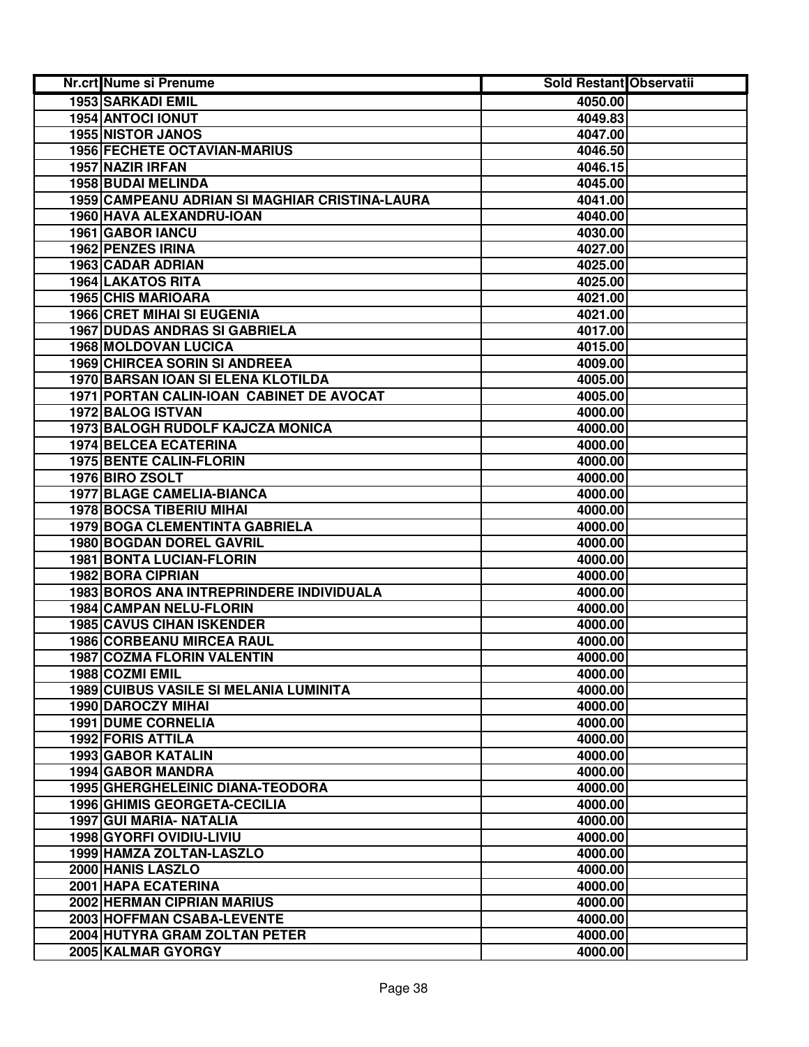| Nr.crt Nume si Prenume                         | Sold Restant Observatii |  |
|------------------------------------------------|-------------------------|--|
| <b>1953 SARKADI EMIL</b>                       | 4050.00                 |  |
| 1954 ANTOCI IONUT                              | 4049.83                 |  |
| <b>1955 NISTOR JANOS</b>                       | 4047.00                 |  |
| 1956 FECHETE OCTAVIAN-MARIUS                   | 4046.50                 |  |
| 1957 NAZIR IRFAN                               | 4046.15                 |  |
| 1958 BUDAI MELINDA                             | 4045.00                 |  |
| 1959 CAMPEANU ADRIAN SI MAGHIAR CRISTINA-LAURA | 4041.00                 |  |
| 1960 HAVA ALEXANDRU-IOAN                       | 4040.00                 |  |
| 1961 GABOR IANCU                               | 4030.00                 |  |
| 1962 PENZES IRINA                              | 4027.00                 |  |
| 1963 CADAR ADRIAN                              | 4025.00                 |  |
| <b>1964 LAKATOS RITA</b>                       | 4025.00                 |  |
| <b>1965 CHIS MARIOARA</b>                      | 4021.00                 |  |
| <b>1966 CRET MIHAI SI EUGENIA</b>              | 4021.00                 |  |
| <b>1967 DUDAS ANDRAS SI GABRIELA</b>           | 4017.00                 |  |
| <b>1968 MOLDOVAN LUCICA</b>                    | 4015.00                 |  |
| <b>1969 CHIRCEA SORIN SI ANDREEA</b>           | 4009.00                 |  |
| 1970 BARSAN IOAN SI ELENA KLOTILDA             | 4005.00                 |  |
| 1971 PORTAN CALIN-IOAN CABINET DE AVOCAT       | 4005.00                 |  |
| <b>1972 BALOG ISTVAN</b>                       | 4000.00                 |  |
| 1973 BALOGH RUDOLF KAJCZA MONICA               | 4000.00                 |  |
| <b>1974 BELCEA ECATERINA</b>                   | 4000.00                 |  |
| <b>1975 BENTE CALIN-FLORIN</b>                 | 4000.00                 |  |
| 1976 BIRO ZSOLT                                | 4000.00                 |  |
| 1977 BLAGE CAMELIA-BIANCA                      | 4000.00                 |  |
| 1978 BOCSA TIBERIU MIHAI                       | 4000.00                 |  |
| 1979 BOGA CLEMENTINTA GABRIELA                 | 4000.00                 |  |
| 1980 BOGDAN DOREL GAVRIL                       | 4000.00                 |  |
| 1981 BONTA LUCIAN-FLORIN                       | 4000.00                 |  |
| 1982 BORA CIPRIAN                              | 4000.00                 |  |
| 1983 BOROS ANA INTREPRINDERE INDIVIDUALA       | 4000.00                 |  |
| 1984 CAMPAN NELU-FLORIN                        | 4000.00                 |  |
| <b>1985 CAVUS CIHAN ISKENDER</b>               | 4000.00                 |  |
| <b>1986 CORBEANU MIRCEA RAUL</b>               | 4000.00                 |  |
| <b>1987 COZMA FLORIN VALENTIN</b>              | 4000.00                 |  |
| 1988 COZMI EMIL                                | 4000.00                 |  |
| <b>1989 CUIBUS VASILE SI MELANIA LUMINITA</b>  | 4000.00                 |  |
| 1990 DAROCZY MIHAI                             | 4000.00                 |  |
| <b>1991 DUME CORNELIA</b>                      | 4000.00                 |  |
| 1992 FORIS ATTILA                              | 4000.00                 |  |
| <b>1993 GABOR KATALIN</b>                      | 4000.00                 |  |
| <b>1994 GABOR MANDRA</b>                       | 4000.00                 |  |
| <b>1995 GHERGHELEINIC DIANA-TEODORA</b>        | 4000.00                 |  |
| <b>1996 GHIMIS GEORGETA-CECILIA</b>            | 4000.00                 |  |
| 1997 GUI MARIA- NATALIA                        | 4000.00                 |  |
| 1998 GYORFI OVIDIU-LIVIU                       | 4000.00                 |  |
| 1999 HAMZA ZOLTAN-LASZLO                       | 4000.00                 |  |
| 2000 HANIS LASZLO                              | 4000.00                 |  |
| 2001 HAPA ECATERINA                            | 4000.00                 |  |
| 2002 HERMAN CIPRIAN MARIUS                     | 4000.00                 |  |
| 2003 HOFFMAN CSABA-LEVENTE                     | 4000.00                 |  |
| 2004 HUTYRA GRAM ZOLTAN PETER                  | 4000.00                 |  |
| 2005 KALMAR GYORGY                             | 4000.00                 |  |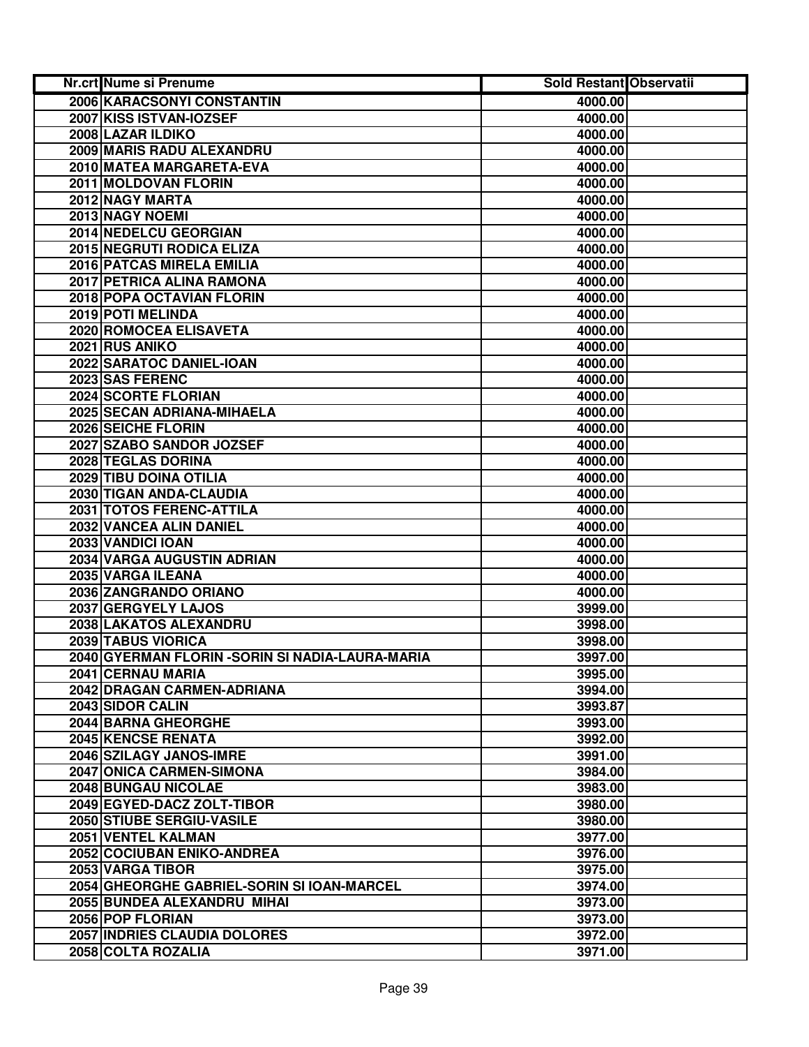| Nr.crt Nume si Prenume                           | <b>Sold Restant Observatii</b> |  |
|--------------------------------------------------|--------------------------------|--|
| 2006 KARACSONYI CONSTANTIN                       | 4000.00                        |  |
| 2007 KISS ISTVAN-IOZSEF                          | 4000.00                        |  |
| 2008 LAZAR ILDIKO                                | 4000.00                        |  |
| 2009 MARIS RADU ALEXANDRU                        | 4000.00                        |  |
| 2010 MATEA MARGARETA-EVA                         | 4000.00                        |  |
| 2011 MOLDOVAN FLORIN                             | 4000.00                        |  |
| 2012 NAGY MARTA                                  | 4000.00                        |  |
| 2013 NAGY NOEMI                                  | 4000.00                        |  |
| 2014 NEDELCU GEORGIAN                            | 4000.00                        |  |
| 2015 NEGRUTI RODICA ELIZA                        | 4000.00                        |  |
| 2016 PATCAS MIRELA EMILIA                        | 4000.00                        |  |
| 2017 PETRICA ALINA RAMONA                        | 4000.00                        |  |
| 2018 POPA OCTAVIAN FLORIN                        | 4000.00                        |  |
| 2019 POTI MELINDA                                | 4000.00                        |  |
| 2020 ROMOCEA ELISAVETA                           | 4000.00                        |  |
| 2021 RUS ANIKO                                   | 4000.00                        |  |
| 2022 SARATOC DANIEL-IOAN                         | 4000.00                        |  |
| 2023 SAS FERENC                                  | 4000.00                        |  |
| 2024 SCORTE FLORIAN                              | 4000.00                        |  |
| 2025 SECAN ADRIANA-MIHAELA                       | 4000.00                        |  |
| 2026 SEICHE FLORIN                               | 4000.00                        |  |
| 2027 SZABO SANDOR JOZSEF                         | 4000.00                        |  |
| 2028 TEGLAS DORINA                               | 4000.00                        |  |
| 2029 TIBU DOINA OTILIA                           | 4000.00                        |  |
| 2030 TIGAN ANDA-CLAUDIA                          | 4000.00                        |  |
| 2031 TOTOS FERENC-ATTILA                         | 4000.00                        |  |
| 2032 VANCEA ALIN DANIEL                          | 4000.00                        |  |
| 2033 VANDICI IOAN                                | 4000.00                        |  |
| 2034 VARGA AUGUSTIN ADRIAN                       | 4000.00                        |  |
| 2035 VARGA ILEANA                                | 4000.00                        |  |
| 2036 ZANGRANDO ORIANO                            | 4000.00                        |  |
| 2037 GERGYELY LAJOS                              | 3999.00                        |  |
| 2038 LAKATOS ALEXANDRU                           | 3998.00                        |  |
| 2039 TABUS VIORICA                               | 3998.00                        |  |
| 2040 GYERMAN FLORIN - SORIN SI NADIA-LAURA-MARIA | 3997.00                        |  |
| 2041 CERNAU MARIA                                | 3995.00                        |  |
| 2042 DRAGAN CARMEN-ADRIANA                       | 3994.00                        |  |
| 2043 SIDOR CALIN                                 | 3993.87                        |  |
| 2044 BARNA GHEORGHE                              | 3993.00                        |  |
| <b>2045 KENCSE RENATA</b>                        | 3992.00                        |  |
| 2046 SZILAGY JANOS-IMRE                          | 3991.00                        |  |
| 2047 ONICA CARMEN-SIMONA                         | 3984.00                        |  |
| <b>2048 BUNGAU NICOLAE</b>                       | 3983.00                        |  |
| 2049 EGYED-DACZ ZOLT-TIBOR                       | 3980.00                        |  |
| 2050 STIUBE SERGIU-VASILE                        | 3980.00                        |  |
| 2051 VENTEL KALMAN                               | 3977.00                        |  |
| 2052 COCIUBAN ENIKO-ANDREA                       | 3976.00                        |  |
| 2053 VARGA TIBOR                                 | 3975.00                        |  |
| 2054 GHEORGHE GABRIEL-SORIN SI IOAN-MARCEL       | 3974.00                        |  |
| 2055 BUNDEA ALEXANDRU MIHAI                      | 3973.00                        |  |
| 2056 POP FLORIAN                                 | 3973.00                        |  |
| 2057 INDRIES CLAUDIA DOLORES                     | 3972.00                        |  |
| 2058 COLTA ROZALIA                               | 3971.00                        |  |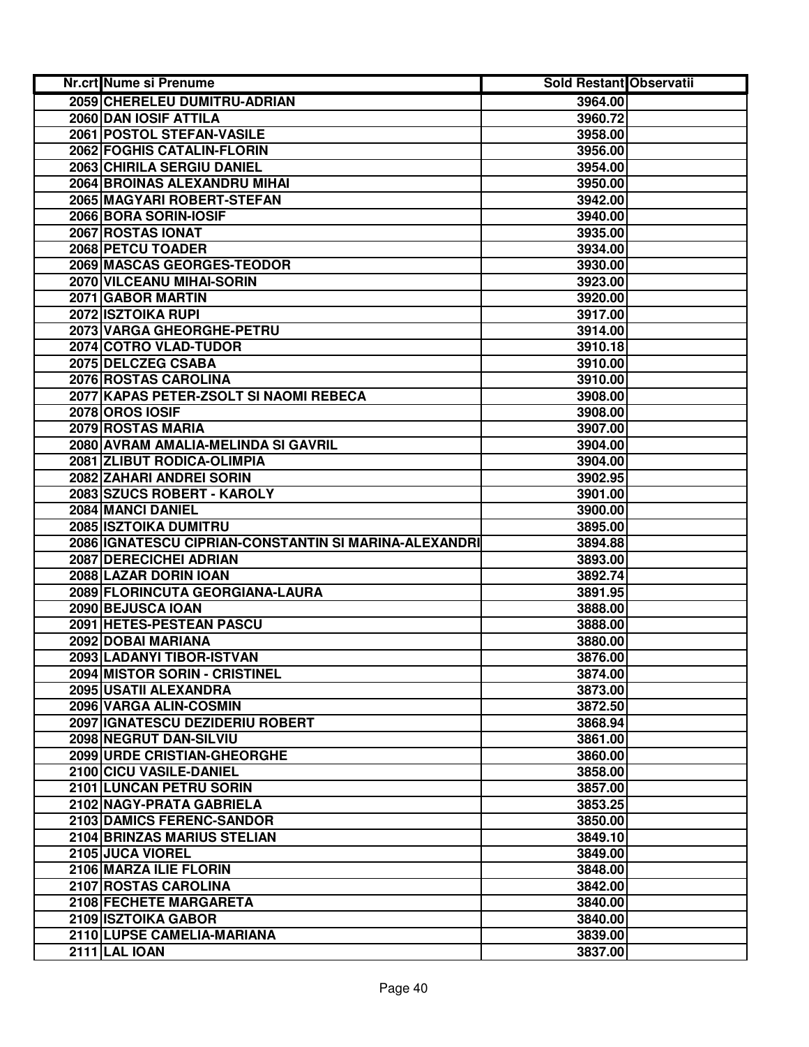| Nr.crt Nume si Prenume                                | Sold Restant Observatii |  |
|-------------------------------------------------------|-------------------------|--|
| 2059 CHERELEU DUMITRU-ADRIAN                          | 3964.00                 |  |
| 2060 DAN IOSIF ATTILA                                 | 3960.72                 |  |
| 2061 POSTOL STEFAN-VASILE                             | 3958.00                 |  |
| 2062 FOGHIS CATALIN-FLORIN                            | 3956.00                 |  |
| 2063 CHIRILA SERGIU DANIEL                            | 3954.00                 |  |
| 2064 BROINAS ALEXANDRU MIHAI                          | 3950.00                 |  |
| 2065 MAGYARI ROBERT-STEFAN                            | 3942.00                 |  |
| 2066 BORA SORIN-IOSIF                                 | 3940.00                 |  |
| 2067 ROSTAS IONAT                                     | 3935.00                 |  |
| 2068 PETCU TOADER                                     | 3934.00                 |  |
| 2069 MASCAS GEORGES-TEODOR                            | 3930.00                 |  |
| 2070 VILCEANU MIHAI-SORIN                             | 3923.00                 |  |
| 2071 GABOR MARTIN                                     | 3920.00                 |  |
| 2072 ISZTOIKA RUPI                                    | 3917.00                 |  |
| 2073 VARGA GHEORGHE-PETRU                             | 3914.00                 |  |
| 2074 COTRO VLAD-TUDOR                                 | 3910.18                 |  |
| 2075 DELCZEG CSABA                                    | 3910.00                 |  |
| 2076 ROSTAS CAROLINA                                  | 3910.00                 |  |
| 2077 KAPAS PETER-ZSOLT SI NAOMI REBECA                | 3908.00                 |  |
| 2078 OROS IOSIF                                       | 3908.00                 |  |
| 2079 ROSTAS MARIA                                     | 3907.00                 |  |
| 2080 AVRAM AMALIA-MELINDA SI GAVRIL                   | 3904.00                 |  |
| 2081 ZLIBUT RODICA-OLIMPIA                            | 3904.00                 |  |
| 2082 ZAHARI ANDREI SORIN                              | 3902.95                 |  |
| 2083 SZUCS ROBERT - KAROLY                            | 3901.00                 |  |
| 2084 MANCI DANIEL                                     | 3900.00                 |  |
| 2085 ISZTOIKA DUMITRU                                 | 3895.00                 |  |
| 2086 IGNATESCU CIPRIAN-CONSTANTIN SI MARINA-ALEXANDRI | 3894.88                 |  |
| 2087 DERECICHEI ADRIAN                                | 3893.00                 |  |
| 2088 LAZAR DORIN IOAN                                 | 3892.74                 |  |
| 2089 FLORINCUTA GEORGIANA-LAURA                       | 3891.95                 |  |
| 2090 BEJUSCA IOAN                                     | 3888.00                 |  |
| 2091 HETES-PESTEAN PASCU                              | 3888.00                 |  |
| 2092 DOBAI MARIANA                                    | 3880.00                 |  |
| 2093 LADANYI TIBOR-ISTVAN                             | 3876.00                 |  |
| 2094 MISTOR SORIN - CRISTINEL                         | 3874.00                 |  |
| 2095 USATII ALEXANDRA                                 | 3873.00                 |  |
| 2096 VARGA ALIN-COSMIN                                | 3872.50                 |  |
| 2097 IGNATESCU DEZIDERIU ROBERT                       | 3868.94                 |  |
| 2098 NEGRUT DAN-SILVIU                                | 3861.00                 |  |
| <b>2099 URDE CRISTIAN-GHEORGHE</b>                    | 3860.00                 |  |
| 2100 CICU VASILE-DANIEL                               | 3858.00                 |  |
| 2101 LUNCAN PETRU SORIN                               | 3857.00                 |  |
| 2102 NAGY-PRATA GABRIELA                              | 3853.25                 |  |
| <b>2103 DAMICS FERENC-SANDOR</b>                      | 3850.00                 |  |
| 2104 BRINZAS MARIUS STELIAN                           | 3849.10                 |  |
| 2105 JUCA VIOREL                                      | 3849.00                 |  |
| 2106 MARZA ILIE FLORIN                                | 3848.00                 |  |
| 2107 ROSTAS CAROLINA                                  | 3842.00                 |  |
| 2108 FECHETE MARGARETA                                | 3840.00                 |  |
| 2109 ISZTOIKA GABOR                                   | 3840.00                 |  |
| 2110 LUPSE CAMELIA-MARIANA                            | 3839.00                 |  |
| <b>2111 LAL IOAN</b>                                  | 3837.00                 |  |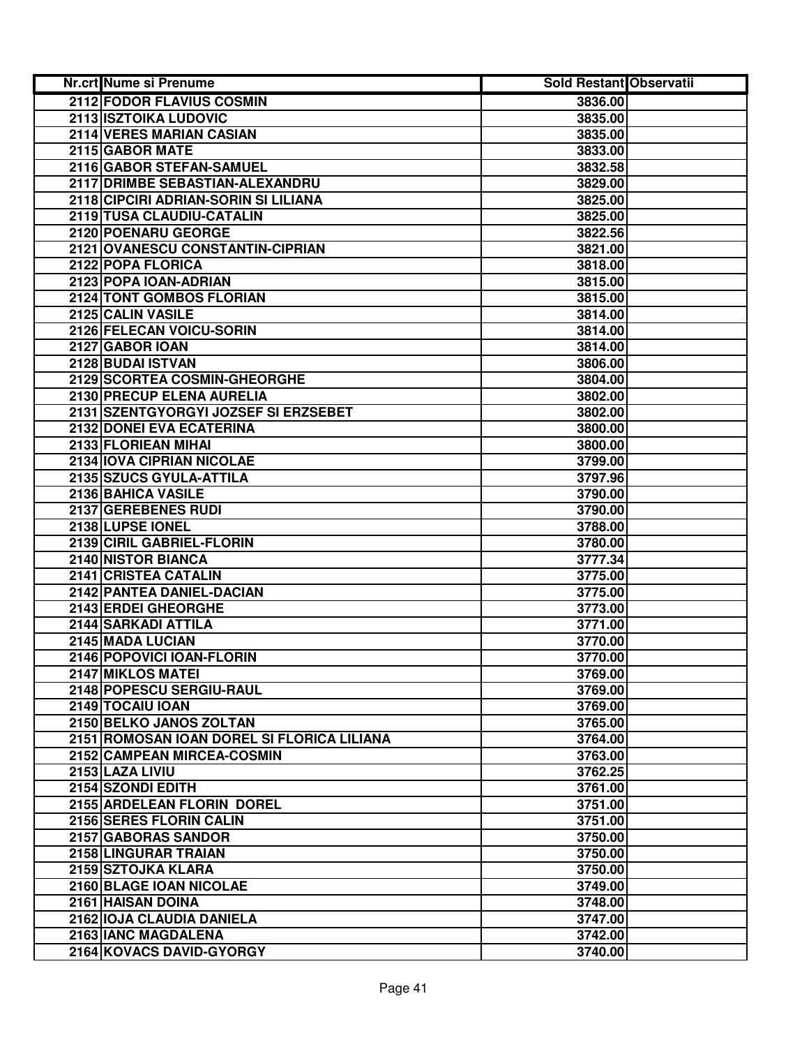| <b>Nr.crt Nume si Prenume</b>              | Sold Restant Observatii |  |
|--------------------------------------------|-------------------------|--|
| 2112 FODOR FLAVIUS COSMIN                  | 3836.00                 |  |
| 2113 ISZTOIKA LUDOVIC                      | 3835.00                 |  |
| 2114 VERES MARIAN CASIAN                   | 3835.00                 |  |
| 2115 GABOR MATE                            | 3833.00                 |  |
| 2116 GABOR STEFAN-SAMUEL                   | 3832.58                 |  |
| 2117 DRIMBE SEBASTIAN-ALEXANDRU            | 3829.00                 |  |
| 2118 CIPCIRI ADRIAN-SORIN SI LILIANA       | 3825.00                 |  |
| 2119 TUSA CLAUDIU-CATALIN                  | 3825.00                 |  |
| 2120 POENARU GEORGE                        | 3822.56                 |  |
| 2121 OVANESCU CONSTANTIN-CIPRIAN           | 3821.00                 |  |
| 2122 POPA FLORICA                          | 3818.00                 |  |
| 2123 POPA IOAN-ADRIAN                      | 3815.00                 |  |
| 2124 TONT GOMBOS FLORIAN                   | 3815.00                 |  |
| 2125 CALIN VASILE                          | 3814.00                 |  |
| 2126 FELECAN VOICU-SORIN                   | 3814.00                 |  |
| 2127 GABOR IOAN                            | 3814.00                 |  |
| 2128 BUDAI ISTVAN                          | 3806.00                 |  |
| 2129 SCORTEA COSMIN-GHEORGHE               | 3804.00                 |  |
| 2130 PRECUP ELENA AURELIA                  | 3802.00                 |  |
| 2131 SZENTGYORGYI JOZSEF SI ERZSEBET       | 3802.00                 |  |
| 2132 DONEI EVA ECATERINA                   | 3800.00                 |  |
| 2133 FLORIEAN MIHAI                        | 3800.00                 |  |
| 2134 IOVA CIPRIAN NICOLAE                  | 3799.00                 |  |
| 2135 SZUCS GYULA-ATTILA                    | 3797.96                 |  |
| 2136 BAHICA VASILE                         | 3790.00                 |  |
| 2137 GEREBENES RUDI                        | 3790.00                 |  |
| 2138 LUPSE IONEL                           | 3788.00                 |  |
| 2139 CIRIL GABRIEL-FLORIN                  | 3780.00                 |  |
| 2140 NISTOR BIANCA                         | 3777.34                 |  |
| 2141 CRISTEA CATALIN                       | 3775.00                 |  |
| 2142 PANTEA DANIEL-DACIAN                  | 3775.00                 |  |
| 2143 ERDEI GHEORGHE                        | 3773.00                 |  |
| 2144 SARKADI ATTILA                        | 3771.00                 |  |
| 2145 MADA LUCIAN                           | 3770.00                 |  |
| 2146 POPOVICI IOAN-FLORIN                  | 3770.00                 |  |
| 2147 MIKLOS MATEI                          | 3769.00                 |  |
| 2148 POPESCU SERGIU-RAUL                   | 3769.00                 |  |
| 2149 TOCAIU IOAN                           | 3769.00                 |  |
| 2150 BELKO JANOS ZOLTAN                    | 3765.00                 |  |
| 2151 ROMOSAN IOAN DOREL SI FLORICA LILIANA | 3764.00                 |  |
| 2152 CAMPEAN MIRCEA-COSMIN                 | 3763.00                 |  |
| 2153 LAZA LIVIU                            | 3762.25                 |  |
| 2154 SZONDI EDITH                          | 3761.00                 |  |
| 2155 ARDELEAN FLORIN DOREL                 | 3751.00                 |  |
| 2156 SERES FLORIN CALIN                    | 3751.00                 |  |
| 2157 GABORAS SANDOR                        | 3750.00                 |  |
| 2158 LINGURAR TRAIAN                       | 3750.00                 |  |
| 2159 SZTOJKA KLARA                         | 3750.00                 |  |
| 2160 BLAGE IOAN NICOLAE                    | 3749.00                 |  |
| 2161 HAISAN DOINA                          | 3748.00                 |  |
| 2162 IOJA CLAUDIA DANIELA                  | 3747.00                 |  |
| 2163 IANC MAGDALENA                        | 3742.00                 |  |
| 2164 KOVACS DAVID-GYORGY                   | 3740.00                 |  |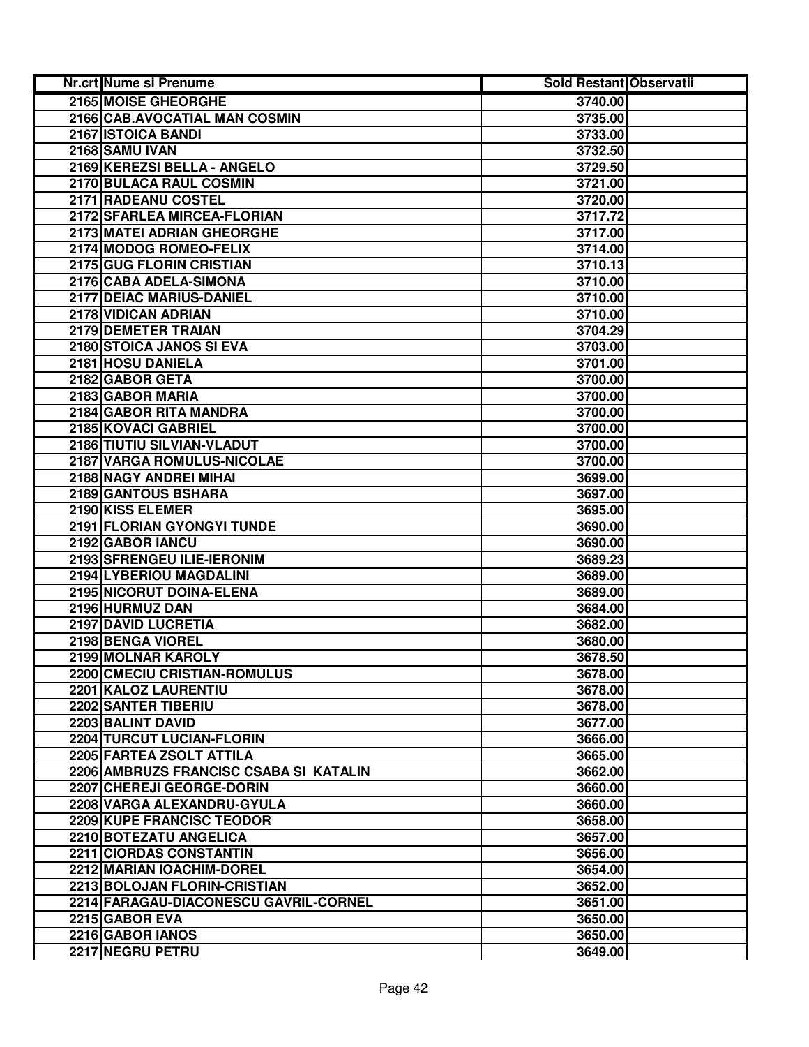| Nr.crt Nume si Prenume                 | <b>Sold Restant Observatii</b> |  |
|----------------------------------------|--------------------------------|--|
| 2165 MOISE GHEORGHE                    | 3740.00                        |  |
| 2166 CAB.AVOCATIAL MAN COSMIN          | 3735.00                        |  |
| 2167 ISTOICA BANDI                     | 3733.00                        |  |
| 2168 SAMU IVAN                         | 3732.50                        |  |
| 2169 KEREZSI BELLA - ANGELO            | 3729.50                        |  |
| 2170 BULACA RAUL COSMIN                | 3721.00                        |  |
| 2171 RADEANU COSTEL                    | 3720.00                        |  |
| 2172 SFARLEA MIRCEA-FLORIAN            | 3717.72                        |  |
| 2173 MATEI ADRIAN GHEORGHE             | 3717.00                        |  |
| 2174 MODOG ROMEO-FELIX                 | 3714.00                        |  |
| 2175 GUG FLORIN CRISTIAN               | 3710.13                        |  |
| 2176 CABA ADELA-SIMONA                 | 3710.00                        |  |
| 2177 DEIAC MARIUS-DANIEL               | 3710.00                        |  |
| 2178 VIDICAN ADRIAN                    | 3710.00                        |  |
| 2179 DEMETER TRAIAN                    | 3704.29                        |  |
| 2180 STOICA JANOS SI EVA               | 3703.00                        |  |
| 2181 HOSU DANIELA                      | 3701.00                        |  |
| 2182 GABOR GETA                        | 3700.00                        |  |
| 2183 GABOR MARIA                       | 3700.00                        |  |
| 2184 GABOR RITA MANDRA                 | 3700.00                        |  |
| 2185 KOVACI GABRIEL                    | 3700.00                        |  |
| 2186 TIUTIU SILVIAN-VLADUT             | 3700.00                        |  |
| 2187 VARGA ROMULUS-NICOLAE             | 3700.00                        |  |
| 2188 NAGY ANDREI MIHAI                 | 3699.00                        |  |
| 2189 GANTOUS BSHARA                    | 3697.00                        |  |
| 2190 KISS ELEMER                       | 3695.00                        |  |
| 2191 FLORIAN GYONGYI TUNDE             | 3690.00                        |  |
| 2192 GABOR IANCU                       | 3690.00                        |  |
| 2193 SFRENGEU ILIE-IERONIM             | 3689.23                        |  |
| 2194 LYBERIOU MAGDALINI                | 3689.00                        |  |
| 2195 NICORUT DOINA-ELENA               | 3689.00                        |  |
| 2196 HURMUZ DAN                        | 3684.00                        |  |
| 2197 DAVID LUCRETIA                    | 3682.00                        |  |
| 2198 BENGA VIOREL                      | 3680.00                        |  |
| 2199 MOLNAR KAROLY                     | 3678.50                        |  |
| 2200 CMECIU CRISTIAN-ROMULUS           | 3678.00                        |  |
| 2201 KALOZ LAURENTIU                   | 3678.00                        |  |
| 2202 SANTER TIBERIU                    | 3678.00                        |  |
| 2203 BALINT DAVID                      | 3677.00                        |  |
| <b>2204 TURCUT LUCIAN-FLORIN</b>       | 3666.00                        |  |
| 2205 FARTEA ZSOLT ATTILA               | 3665.00                        |  |
| 2206 AMBRUZS FRANCISC CSABA SI KATALIN | 3662.00                        |  |
| 2207 CHEREJI GEORGE-DORIN              | 3660.00                        |  |
| 2208 VARGA ALEXANDRU-GYULA             | 3660.00                        |  |
| 2209 KUPE FRANCISC TEODOR              | 3658.00                        |  |
| 2210 BOTEZATU ANGELICA                 | 3657.00                        |  |
| 2211 CIORDAS CONSTANTIN                | 3656.00                        |  |
| 2212 MARIAN IOACHIM-DOREL              | 3654.00                        |  |
| 2213 BOLOJAN FLORIN-CRISTIAN           | 3652.00                        |  |
| 2214 FARAGAU-DIACONESCU GAVRIL-CORNEL  | 3651.00                        |  |
| 2215 GABOR EVA                         | 3650.00                        |  |
| 2216 GABOR IANOS                       | 3650.00                        |  |
| 2217 NEGRU PETRU                       | 3649.00                        |  |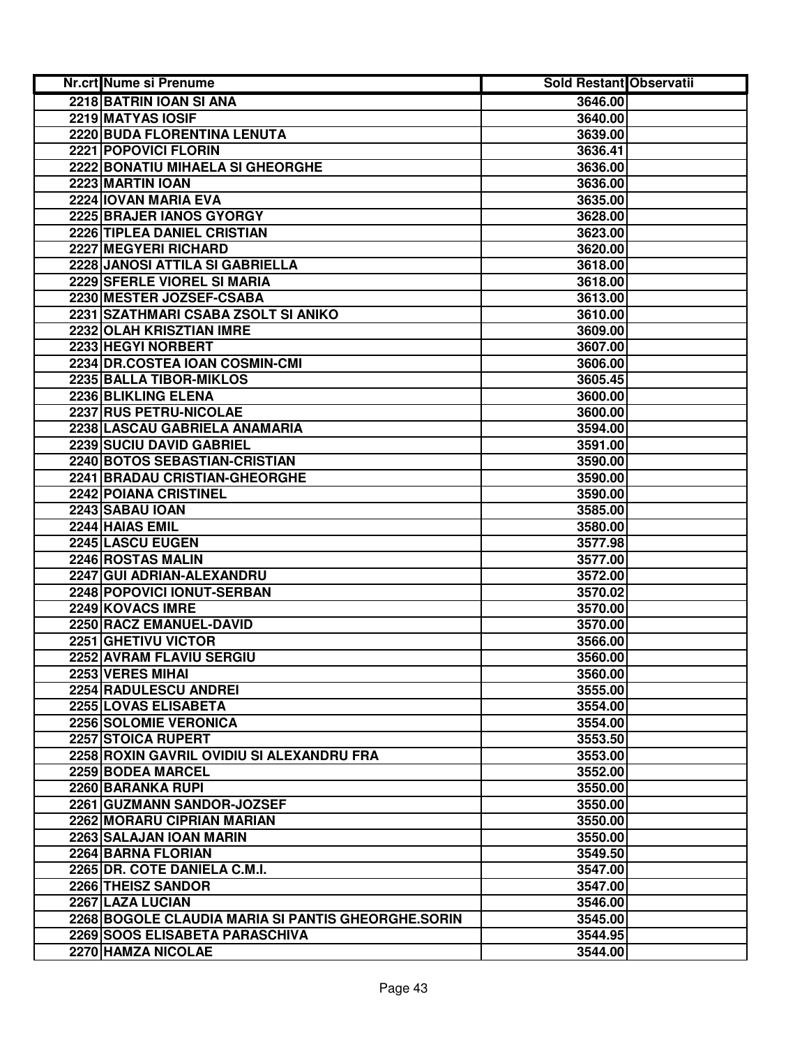| Nr.crt Nume si Prenume                             | Sold Restant Observatii |  |
|----------------------------------------------------|-------------------------|--|
| 2218 BATRIN JOAN SI ANA                            | 3646.00                 |  |
| 2219 MATYAS IOSIF                                  | 3640.00                 |  |
| 2220 BUDA FLORENTINA LENUTA                        | 3639.00                 |  |
| 2221 POPOVICI FLORIN                               | 3636.41                 |  |
| 2222 BONATIU MIHAELA SI GHEORGHE                   | 3636.00                 |  |
| 2223 MARTIN IOAN                                   | 3636.00                 |  |
| 2224 IOVAN MARIA EVA                               | 3635.00                 |  |
| 2225 BRAJER IANOS GYORGY                           | 3628.00                 |  |
| 2226 TIPLEA DANIEL CRISTIAN                        | 3623.00                 |  |
| 2227 MEGYERI RICHARD                               | 3620.00                 |  |
| 2228 JANOSI ATTILA SI GABRIELLA                    | 3618.00                 |  |
| 2229 SFERLE VIOREL SI MARIA                        | 3618.00                 |  |
| 2230 MESTER JOZSEF-CSABA                           | 3613.00                 |  |
| 2231 SZATHMARI CSABA ZSOLT SI ANIKO                | 3610.00                 |  |
| 2232 OLAH KRISZTIAN IMRE                           | 3609.00                 |  |
| 2233 HEGYI NORBERT                                 | 3607.00                 |  |
| 2234 DR.COSTEA IOAN COSMIN-CMI                     | 3606.00                 |  |
| 2235 BALLA TIBOR-MIKLOS                            | 3605.45                 |  |
| 2236 BLIKLING ELENA                                | 3600.00                 |  |
| 2237 RUS PETRU-NICOLAE                             | 3600.00                 |  |
| 2238 LASCAU GABRIELA ANAMARIA                      | 3594.00                 |  |
| 2239 SUCIU DAVID GABRIEL                           | 3591.00                 |  |
| 2240 BOTOS SEBASTIAN-CRISTIAN                      | 3590.00                 |  |
| 2241 BRADAU CRISTIAN-GHEORGHE                      | 3590.00                 |  |
| 2242 POIANA CRISTINEL                              | 3590.00                 |  |
| 2243 SABAU IOAN                                    | 3585.00                 |  |
| 2244 HAIAS EMIL                                    | 3580.00                 |  |
| 2245 LASCU EUGEN                                   | 3577.98                 |  |
| 2246 ROSTAS MALIN                                  | 3577.00                 |  |
| 2247 GUI ADRIAN-ALEXANDRU                          | 3572.00                 |  |
| 2248 POPOVICI IONUT-SERBAN                         | 3570.02                 |  |
| 2249 KOVACS IMRE                                   | 3570.00                 |  |
| 2250 RACZ EMANUEL-DAVID                            | 3570.00                 |  |
| 2251 GHETIVU VICTOR                                | 3566.00                 |  |
| 2252 AVRAM FLAVIU SERGIU                           | 3560.00                 |  |
| 2253 VERES MIHAI                                   | 3560.00                 |  |
| 2254 RADULESCU ANDREI                              | 3555.00                 |  |
| 2255 LOVAS ELISABETA                               | 3554.00                 |  |
| 2256 SOLOMIE VERONICA                              | 3554.00                 |  |
| 2257 STOICA RUPERT                                 | 3553.50                 |  |
| 2258 ROXIN GAVRIL OVIDIU SI ALEXANDRU FRA          | 3553.00                 |  |
| 2259 BODEA MARCEL                                  | 3552.00                 |  |
| 2260 BARANKA RUPI                                  | 3550.00                 |  |
| 2261 GUZMANN SANDOR-JOZSEF                         | 3550.00                 |  |
| 2262 MORARU CIPRIAN MARIAN                         | 3550.00                 |  |
| 2263 SALAJAN JOAN MARIN                            | 3550.00                 |  |
| 2264 BARNA FLORIAN                                 | 3549.50                 |  |
| 2265 DR. COTE DANIELA C.M.I.                       | 3547.00                 |  |
| 2266 THEISZ SANDOR                                 | 3547.00                 |  |
| 2267 LAZA LUCIAN                                   | 3546.00                 |  |
| 2268 BOGOLE CLAUDIA MARIA SI PANTIS GHEORGHE.SORIN | 3545.00                 |  |
| 2269 SOOS ELISABETA PARASCHIVA                     | 3544.95                 |  |
| 2270 HAMZA NICOLAE                                 | 3544.00                 |  |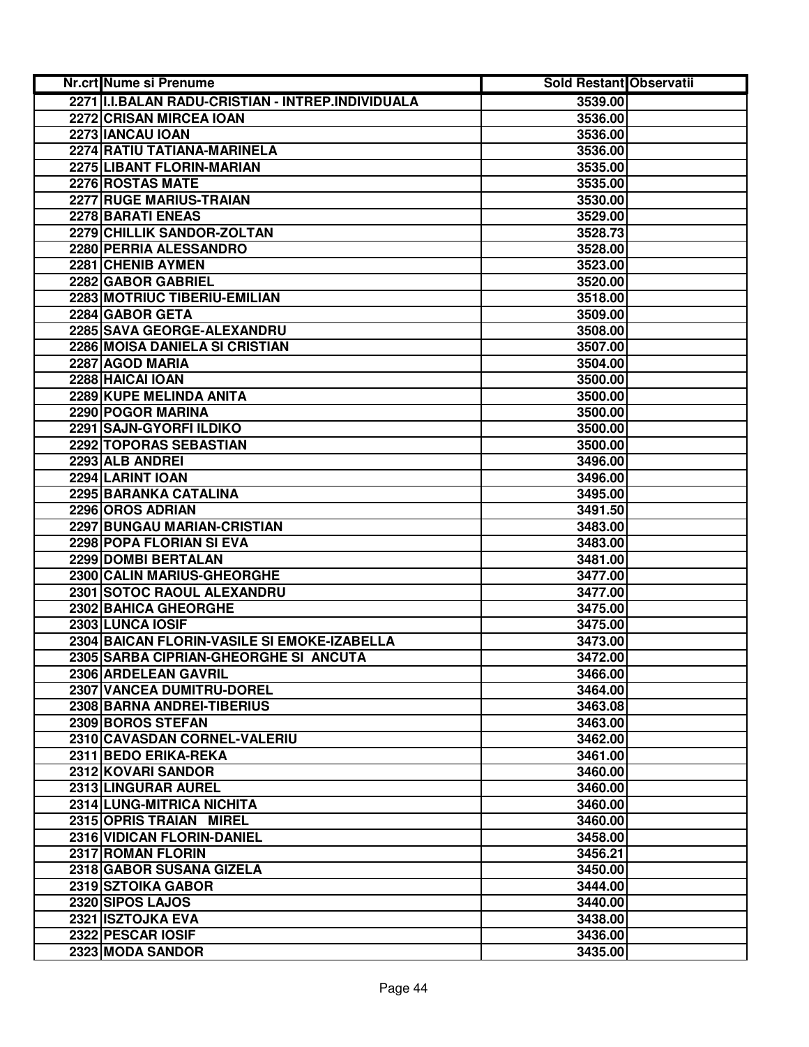| Nr.crt Nume si Prenume                                | Sold Restant Observatii |  |
|-------------------------------------------------------|-------------------------|--|
| 2271 II.I.BALAN RADU-CRISTIAN - INTREP.INDIVIDUALA    | 3539.00                 |  |
| 2272 CRISAN MIRCEA IOAN                               | 3536.00                 |  |
| 2273 IANCAU IOAN                                      | 3536.00                 |  |
| 2274 RATIU TATIANA-MARINELA                           | 3536.00                 |  |
| 2275 LIBANT FLORIN-MARIAN                             | 3535.00                 |  |
| 2276 ROSTAS MATE                                      | 3535.00                 |  |
| 2277 RUGE MARIUS-TRAIAN                               | 3530.00                 |  |
| 2278 BARATI ENEAS                                     | 3529.00                 |  |
| 2279 CHILLIK SANDOR-ZOLTAN                            | 3528.73                 |  |
| 2280 PERRIA ALESSANDRO                                | 3528.00                 |  |
| 2281 CHENIB AYMEN                                     | 3523.00                 |  |
| 2282 GABOR GABRIEL                                    | 3520.00                 |  |
| 2283 MOTRIUC TIBERIU-EMILIAN                          | 3518.00                 |  |
| 2284 GABOR GETA                                       | 3509.00                 |  |
| 2285 SAVA GEORGE-ALEXANDRU                            | 3508.00                 |  |
| 2286 MOISA DANIELA SI CRISTIAN                        | 3507.00                 |  |
| 2287 AGOD MARIA                                       | 3504.00                 |  |
| 2288 HAICAI IOAN                                      | 3500.00                 |  |
| 2289 KUPE MELINDA ANITA                               | 3500.00                 |  |
| <b>2290 POGOR MARINA</b>                              | 3500.00                 |  |
| 2291 SAJN-GYORFI ILDIKO                               | 3500.00                 |  |
| 2292 TOPORAS SEBASTIAN                                | 3500.00                 |  |
| 2293 ALB ANDREI                                       | 3496.00                 |  |
| 2294 LARINT IOAN                                      | 3496.00                 |  |
| 2295 BARANKA CATALINA                                 | 3495.00                 |  |
| 2296 OROS ADRIAN                                      | 3491.50                 |  |
| 2297 BUNGAU MARIAN-CRISTIAN                           | 3483.00                 |  |
| 2298 POPA FLORIAN SI EVA                              | 3483.00                 |  |
| 2299 DOMBI BERTALAN                                   | 3481.00                 |  |
| 2300 CALIN MARIUS-GHEORGHE                            | 3477.00                 |  |
| 2301 SOTOC RAOUL ALEXANDRU                            | 3477.00                 |  |
| 2302 BAHICA GHEORGHE                                  | 3475.00                 |  |
| 2303 LUNCA IOSIF                                      | 3475.00                 |  |
| 2304 BAICAN FLORIN-VASILE SI EMOKE-IZABELLA           | 3473.00                 |  |
| 2305 SARBA CIPRIAN-GHEORGHE SI ANCUTA                 | 3472.00                 |  |
| 2306 ARDELEAN GAVRIL                                  | 3466.00                 |  |
| 2307 VANCEA DUMITRU-DOREL                             | 3464.00                 |  |
| 2308 BARNA ANDREI-TIBERIUS                            | 3463.08                 |  |
| 2309 BOROS STEFAN                                     | 3463.00                 |  |
| 2310 CAVASDAN CORNEL-VALERIU                          | 3462.00                 |  |
| 2311 BEDO ERIKA-REKA                                  | 3461.00                 |  |
| 2312 KOVARI SANDOR                                    | 3460.00                 |  |
| 2313 LINGURAR AUREL                                   | 3460.00                 |  |
| 2314 LUNG-MITRICA NICHITA                             | 3460.00                 |  |
| 2315 OPRIS TRAIAN MIREL<br>2316 VIDICAN FLORIN-DANIEL | 3460.00                 |  |
| 2317 ROMAN FLORIN                                     | 3458.00<br>3456.21      |  |
| 2318 GABOR SUSANA GIZELA                              | 3450.00                 |  |
| 2319 SZTOIKA GABOR                                    | 3444.00                 |  |
| 2320 SIPOS LAJOS                                      | 3440.00                 |  |
| 2321 ISZTOJKA EVA                                     | 3438.00                 |  |
| 2322 PESCAR IOSIF                                     | 3436.00                 |  |
| 2323 MODA SANDOR                                      | 3435.00                 |  |
|                                                       |                         |  |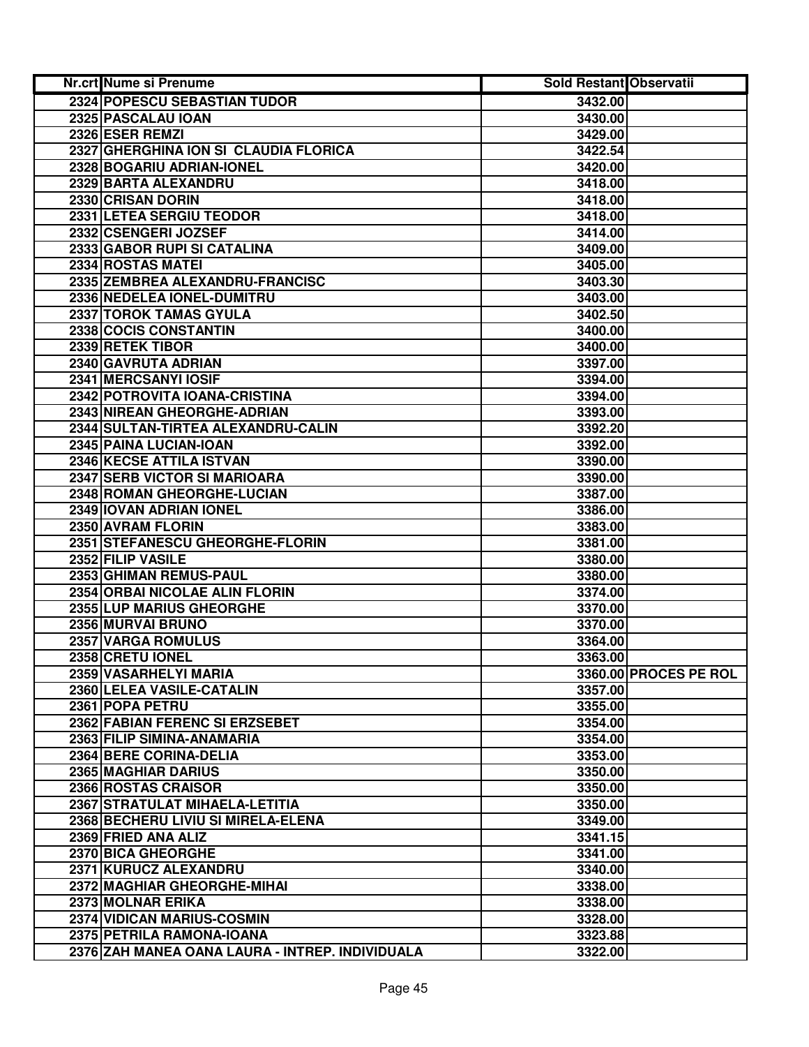| <b>Nr.crt Nume si Prenume</b>                   | <b>Sold Restant Observatii</b> |                       |
|-------------------------------------------------|--------------------------------|-----------------------|
| 2324 POPESCU SEBASTIAN TUDOR                    | 3432.00                        |                       |
| 2325 PASCALAU IOAN                              | 3430.00                        |                       |
| 2326 ESER REMZI                                 | 3429.00                        |                       |
| 2327 GHERGHINA ION SI CLAUDIA FLORICA           | 3422.54                        |                       |
| 2328 BOGARIU ADRIAN-IONEL                       | 3420.00                        |                       |
| 2329 BARTA ALEXANDRU                            | 3418.00                        |                       |
| 2330 CRISAN DORIN                               | 3418.00                        |                       |
| 2331 LETEA SERGIU TEODOR                        | 3418.00                        |                       |
| 2332 CSENGERI JOZSEF                            | 3414.00                        |                       |
| 2333 GABOR RUPI SI CATALINA                     | 3409.00                        |                       |
| 2334 ROSTAS MATEI                               | 3405.00                        |                       |
| 2335 ZEMBREA ALEXANDRU-FRANCISC                 | 3403.30                        |                       |
| 2336 NEDELEA IONEL-DUMITRU                      | 3403.00                        |                       |
| 2337 TOROK TAMAS GYULA                          | 3402.50                        |                       |
| 2338 COCIS CONSTANTIN                           | 3400.00                        |                       |
| 2339 RETEK TIBOR                                | 3400.00                        |                       |
| 2340 GAVRUTA ADRIAN                             | 3397.00                        |                       |
| 2341 MERCSANYI IOSIF                            | 3394.00                        |                       |
| 2342 POTROVITA IOANA-CRISTINA                   | 3394.00                        |                       |
| 2343 NIREAN GHEORGHE-ADRIAN                     | 3393.00                        |                       |
| 2344 SULTAN-TIRTEA ALEXANDRU-CALIN              | 3392.20                        |                       |
| 2345 PAINA LUCIAN-IOAN                          | 3392.00                        |                       |
| 2346 KECSE ATTILA ISTVAN                        | 3390.00                        |                       |
| 2347 SERB VICTOR SI MARIOARA                    | 3390.00                        |                       |
| 2348 ROMAN GHEORGHE-LUCIAN                      | 3387.00                        |                       |
| 2349 IOVAN ADRIAN IONEL                         | 3386.00                        |                       |
| 2350 AVRAM FLORIN                               | 3383.00                        |                       |
| 2351 STEFANESCU GHEORGHE-FLORIN                 | 3381.00                        |                       |
| 2352 FILIP VASILE                               | 3380.00                        |                       |
| 2353 GHIMAN REMUS-PAUL                          | 3380.00                        |                       |
| 2354 ORBAI NICOLAE ALIN FLORIN                  | 3374.00                        |                       |
| 2355 LUP MARIUS GHEORGHE                        | 3370.00                        |                       |
| 2356 MURVAI BRUNO                               | 3370.00                        |                       |
| 2357 VARGA ROMULUS                              | 3364.00                        |                       |
| 2358 CRETU IONEL                                | 3363.00                        |                       |
| 2359 VASARHELYI MARIA                           |                                | 3360.00 PROCES PE ROL |
| 2360 LELEA VASILE-CATALIN                       | 3357.00                        |                       |
| 2361 POPA PETRU                                 | 3355.00                        |                       |
| 2362 FABIAN FERENC SI ERZSEBET                  | 3354.00                        |                       |
| 2363 FILIP SIMINA-ANAMARIA                      | 3354.00                        |                       |
| 2364 BERE CORINA-DELIA                          | 3353.00                        |                       |
| <b>2365 MAGHIAR DARIUS</b>                      | 3350.00                        |                       |
| 2366 ROSTAS CRAISOR                             | 3350.00                        |                       |
| 2367 STRATULAT MIHAELA-LETITIA                  | 3350.00                        |                       |
| 2368 BECHERU LIVIU SI MIRELA-ELENA              | 3349.00                        |                       |
| 2369 FRIED ANA ALIZ                             | 3341.15                        |                       |
| 2370 BICA GHEORGHE                              | 3341.00                        |                       |
| 2371 KURUCZ ALEXANDRU                           | 3340.00                        |                       |
| 2372 MAGHIAR GHEORGHE-MIHAI                     | 3338.00                        |                       |
| 2373 MOLNAR ERIKA                               | 3338.00                        |                       |
| 2374 VIDICAN MARIUS-COSMIN                      | 3328.00                        |                       |
| 2375 PETRILA RAMONA-IOANA                       | 3323.88                        |                       |
| 2376 ZAH MANEA OANA LAURA - INTREP. INDIVIDUALA | 3322.00                        |                       |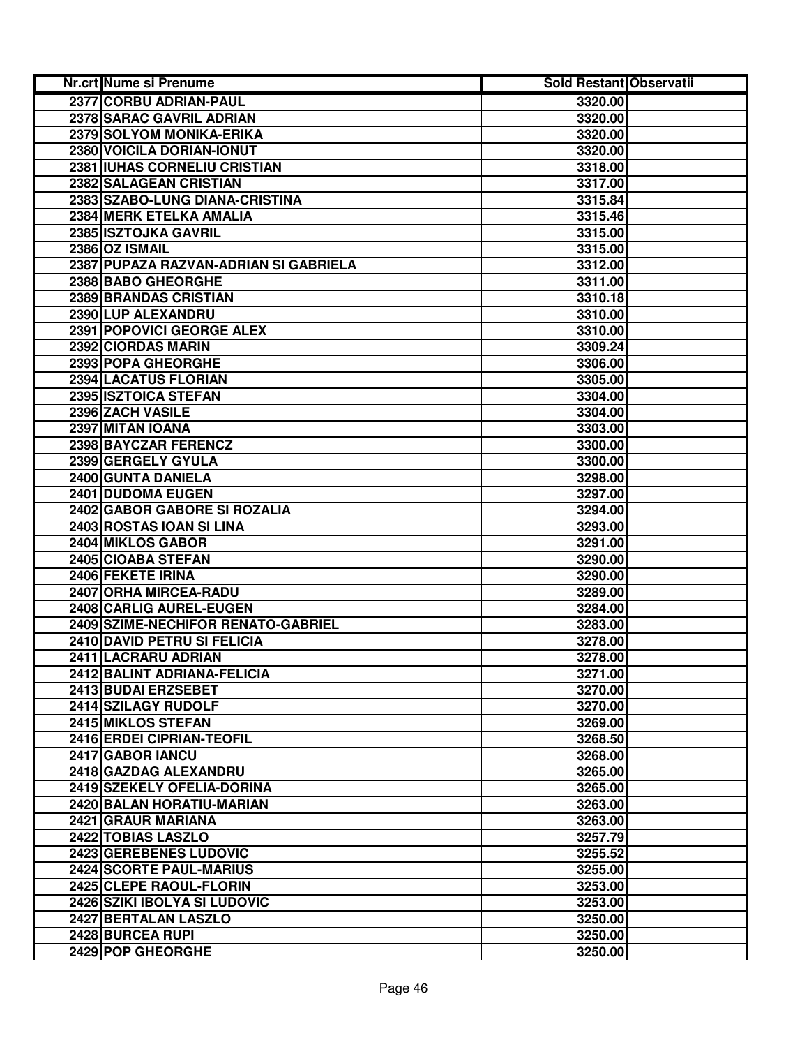| <b>Nr.crt Nume si Prenume</b>         | Sold Restant Observatii |  |
|---------------------------------------|-------------------------|--|
| 2377 CORBU ADRIAN-PAUL                | 3320.00                 |  |
| 2378 SARAC GAVRIL ADRIAN              | 3320.00                 |  |
| 2379 SOLYOM MONIKA-ERIKA              | 3320.00                 |  |
| 2380 VOICILA DORIAN-IONUT             | 3320.00                 |  |
| 2381 IUHAS CORNELIU CRISTIAN          | 3318.00                 |  |
| 2382 SALAGEAN CRISTIAN                | 3317.00                 |  |
| 2383 SZABO-LUNG DIANA-CRISTINA        | 3315.84                 |  |
| 2384 MERK ETELKA AMALIA               | 3315.46                 |  |
| 2385 ISZTOJKA GAVRIL                  | 3315.00                 |  |
| 2386 OZ ISMAIL                        | 3315.00                 |  |
| 2387 PUPAZA RAZVAN-ADRIAN SI GABRIELA | 3312.00                 |  |
| 2388 BABO GHEORGHE                    | 3311.00                 |  |
| 2389 BRANDAS CRISTIAN                 | 3310.18                 |  |
| 2390 LUP ALEXANDRU                    | 3310.00                 |  |
| 2391 POPOVICI GEORGE ALEX             | 3310.00                 |  |
| 2392 CIORDAS MARIN                    | 3309.24                 |  |
| 2393 POPA GHEORGHE                    | 3306.00                 |  |
| 2394 LACATUS FLORIAN                  | 3305.00                 |  |
| 2395 ISZTOICA STEFAN                  | 3304.00                 |  |
| 2396 ZACH VASILE                      | 3304.00                 |  |
| 2397 MITAN IOANA                      | 3303.00                 |  |
| 2398 BAYCZAR FERENCZ                  | 3300.00                 |  |
| 2399 GERGELY GYULA                    | 3300.00                 |  |
| 2400 GUNTA DANIELA                    | 3298.00                 |  |
| 2401 DUDOMA EUGEN                     | 3297.00                 |  |
| 2402 GABOR GABORE SI ROZALIA          | 3294.00                 |  |
| 2403 ROSTAS IOAN SI LINA              | 3293.00                 |  |
| 2404 MIKLOS GABOR                     | 3291.00                 |  |
| 2405 CIOABA STEFAN                    | 3290.00                 |  |
| 2406 FEKETE IRINA                     | 3290.00                 |  |
| 2407 ORHA MIRCEA-RADU                 | 3289.00                 |  |
| 2408 CARLIG AUREL-EUGEN               | 3284.00                 |  |
| 2409 SZIME-NECHIFOR RENATO-GABRIEL    | 3283.00                 |  |
| 2410 DAVID PETRU SI FELICIA           | 3278.00                 |  |
| 2411 LACRARU ADRIAN                   | 3278.00                 |  |
| 2412 BALINT ADRIANA-FELICIA           | 3271.00                 |  |
| 2413 BUDAI ERZSEBET                   | 3270.00                 |  |
| 2414 SZILAGY RUDOLF                   | 3270.00                 |  |
| 2415 MIKLOS STEFAN                    | 3269.00                 |  |
| 2416 ERDEI CIPRIAN-TEOFIL             | 3268.50                 |  |
| 2417 GABOR IANCU                      | 3268.00                 |  |
| 2418 GAZDAG ALEXANDRU                 | 3265.00                 |  |
| 2419 SZEKELY OFELIA-DORINA            | 3265.00                 |  |
| 2420 BALAN HORATIU-MARIAN             | 3263.00                 |  |
| 2421 GRAUR MARIANA                    | 3263.00                 |  |
| 2422 TOBIAS LASZLO                    | 3257.79                 |  |
| 2423 GEREBENES LUDOVIC                | 3255.52                 |  |
| 2424 SCORTE PAUL-MARIUS               | 3255.00                 |  |
| 2425 CLEPE RAOUL-FLORIN               | 3253.00                 |  |
| 2426 SZIKI IBOLYA SI LUDOVIC          | 3253.00                 |  |
| 2427 BERTALAN LASZLO                  | 3250.00                 |  |
| 2428 BURCEA RUPI                      | 3250.00                 |  |
| 2429 POP GHEORGHE                     | 3250.00                 |  |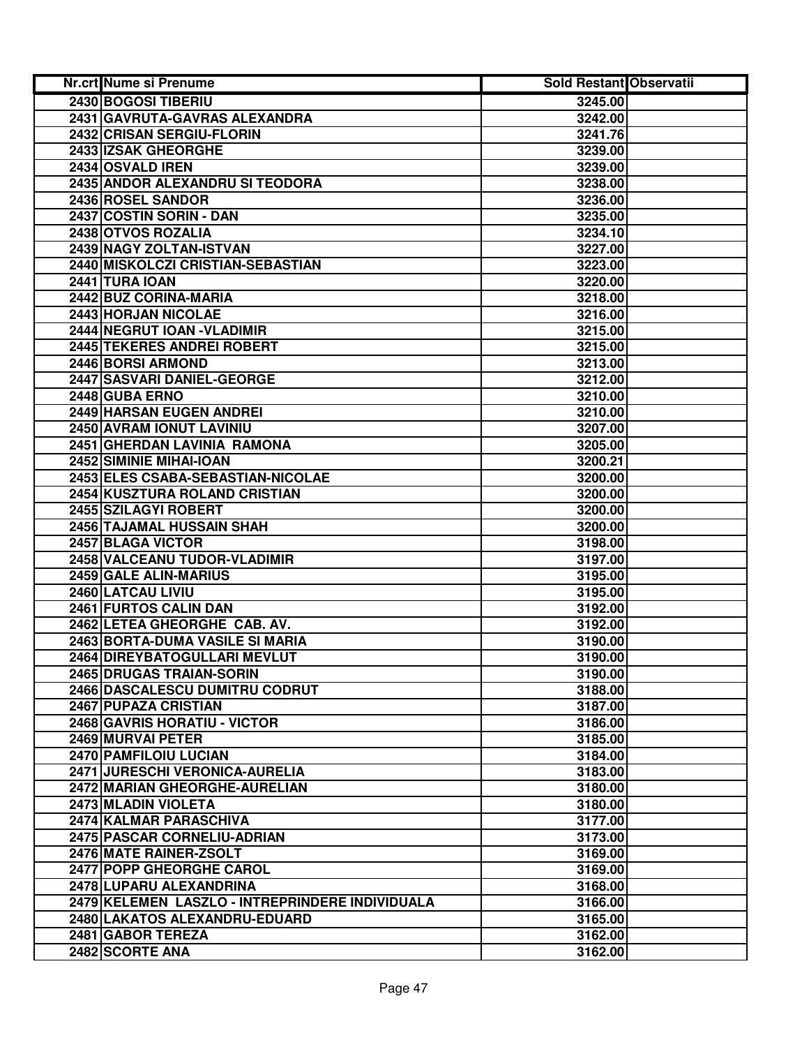| Nr.crt Nume si Prenume                          | <b>Sold Restant Observatii</b> |  |
|-------------------------------------------------|--------------------------------|--|
| 2430 BOGOSI TIBERIU                             | 3245.00                        |  |
| 2431 GAVRUTA-GAVRAS ALEXANDRA                   | 3242.00                        |  |
| 2432 CRISAN SERGIU-FLORIN                       | 3241.76                        |  |
| 2433 IZSAK GHEORGHE                             | 3239.00                        |  |
| 2434 OSVALD IREN                                | 3239.00                        |  |
| 2435 ANDOR ALEXANDRU SI TEODORA                 | 3238.00                        |  |
| 2436 ROSEL SANDOR                               | 3236.00                        |  |
| 2437 COSTIN SORIN - DAN                         | 3235.00                        |  |
| 2438 OTVOS ROZALIA                              | 3234.10                        |  |
| 2439 NAGY ZOLTAN-ISTVAN                         | 3227.00                        |  |
| 2440 MISKOLCZI CRISTIAN-SEBASTIAN               | 3223.00                        |  |
| <b>2441 TURA IOAN</b>                           | 3220.00                        |  |
| 2442 BUZ CORINA-MARIA                           | 3218.00                        |  |
| 2443 HORJAN NICOLAE                             | 3216.00                        |  |
| 2444 NEGRUT IOAN - VLADIMIR                     | 3215.00                        |  |
| 2445 TEKERES ANDREI ROBERT                      | 3215.00                        |  |
| 2446 BORSI ARMOND                               | 3213.00                        |  |
| 2447 SASVARI DANIEL-GEORGE                      | 3212.00                        |  |
| 2448 GUBA ERNO                                  | 3210.00                        |  |
| <b>2449 HARSAN EUGEN ANDREI</b>                 | 3210.00                        |  |
| 2450 AVRAM IONUT LAVINIU                        | 3207.00                        |  |
| 2451 GHERDAN LAVINIA RAMONA                     | 3205.00                        |  |
| 2452 SIMINIE MIHAI-IOAN                         | 3200.21                        |  |
| 2453 ELES CSABA-SEBASTIAN-NICOLAE               | 3200.00                        |  |
| 2454 KUSZTURA ROLAND CRISTIAN                   | 3200.00                        |  |
| 2455 SZILAGYI ROBERT                            | 3200.00                        |  |
| 2456 TAJAMAL HUSSAIN SHAH                       | 3200.00                        |  |
| 2457 BLAGA VICTOR                               | 3198.00                        |  |
| 2458 VALCEANU TUDOR-VLADIMIR                    | 3197.00                        |  |
| 2459 GALE ALIN-MARIUS                           | 3195.00                        |  |
| 2460 LATCAU LIVIU                               | 3195.00                        |  |
| 2461 FURTOS CALIN DAN                           | 3192.00                        |  |
| 2462 LETEA GHEORGHE CAB. AV.                    | 3192.00                        |  |
| 2463 BORTA-DUMA VASILE SI MARIA                 | 3190.00                        |  |
| 2464 DIREYBATOGULLARI MEVLUT                    | 3190.00                        |  |
| 2465 DRUGAS TRAIAN-SORIN                        | 3190.00                        |  |
| 2466 DASCALESCU DUMITRU CODRUT                  | 3188.00                        |  |
| 2467 PUPAZA CRISTIAN                            | 3187.00                        |  |
| 2468 GAVRIS HORATIU - VICTOR                    | 3186.00                        |  |
| 2469 MURVAI PETER                               | 3185.00                        |  |
| 2470 PAMFILOIU LUCIAN                           | 3184.00                        |  |
| 2471 JURESCHI VERONICA-AURELIA                  | 3183.00                        |  |
| 2472 MARIAN GHEORGHE-AURELIAN                   | 3180.00                        |  |
| 2473 MLADIN VIOLETA                             | 3180.00                        |  |
| <b>2474 KALMAR PARASCHIVA</b>                   | 3177.00                        |  |
| 2475 PASCAR CORNELIU-ADRIAN                     | 3173.00                        |  |
| 2476 MATE RAINER-ZSOLT                          | 3169.00                        |  |
| 2477 POPP GHEORGHE CAROL                        | 3169.00                        |  |
| 2478 LUPARU ALEXANDRINA                         | 3168.00                        |  |
| 2479 KELEMEN LASZLO - INTREPRINDERE INDIVIDUALA | 3166.00                        |  |
| 2480 LAKATOS ALEXANDRU-EDUARD                   | 3165.00                        |  |
| 2481 GABOR TEREZA                               | 3162.00                        |  |
| 2482 SCORTE ANA                                 | 3162.00                        |  |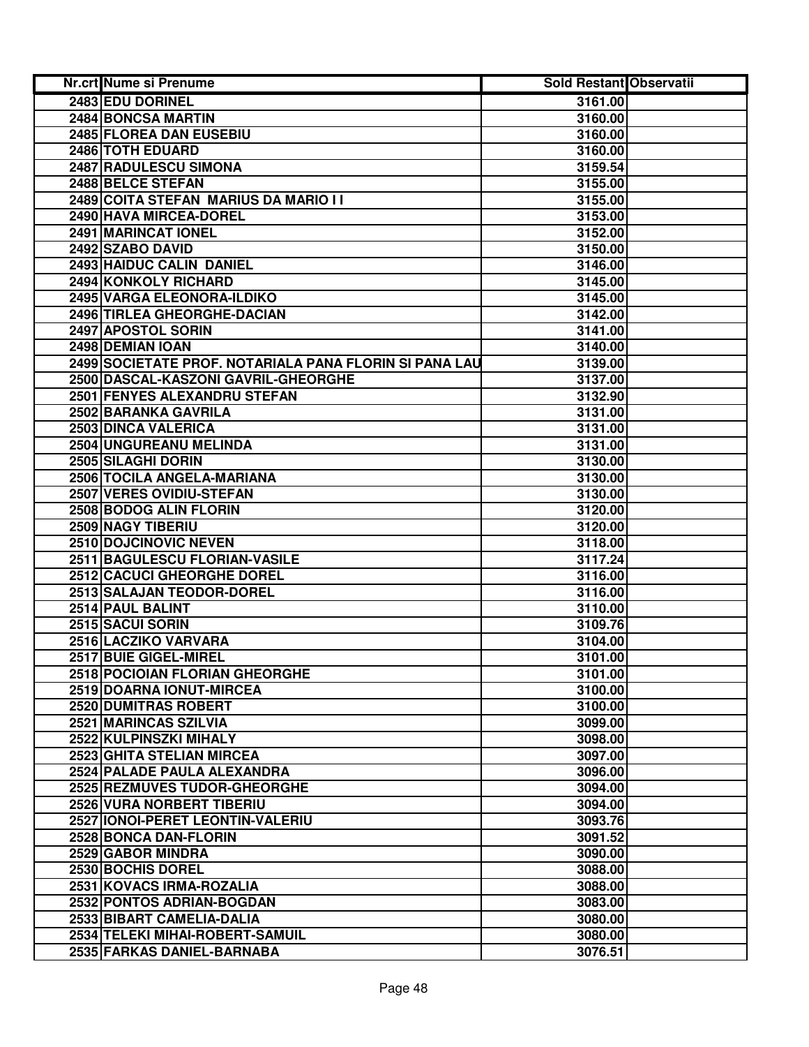| Nr.crt Nume si Prenume                                 | Sold Restant Observatii |  |
|--------------------------------------------------------|-------------------------|--|
| 2483 EDU DORINEL                                       | 3161.00                 |  |
| 2484 BONCSA MARTIN                                     | 3160.00                 |  |
| 2485 FLOREA DAN EUSEBIU                                | 3160.00                 |  |
| 2486 TOTH EDUARD                                       | 3160.00                 |  |
| 2487 RADULESCU SIMONA                                  | 3159.54                 |  |
| 2488 BELCE STEFAN                                      | 3155.00                 |  |
| 2489 COITA STEFAN MARIUS DA MARIO I I                  | 3155.00                 |  |
| 2490 HAVA MIRCEA-DOREL                                 | 3153.00                 |  |
| 2491 MARINCAT IONEL                                    | 3152.00                 |  |
| 2492 SZABO DAVID                                       | 3150.00                 |  |
| 2493 HAIDUC CALIN DANIEL                               | 3146.00                 |  |
| 2494 KONKOLY RICHARD                                   | 3145.00                 |  |
| 2495 VARGA ELEONORA-ILDIKO                             | 3145.00                 |  |
| 2496 TIRLEA GHEORGHE-DACIAN                            | 3142.00                 |  |
| 2497 APOSTOL SORIN                                     | 3141.00                 |  |
| 2498 DEMIAN IOAN                                       | 3140.00                 |  |
| 2499 SOCIETATE PROF. NOTARIALA PANA FLORIN SI PANA LAU | 3139.00                 |  |
| 2500 DASCAL-KASZONI GAVRIL-GHEORGHE                    | 3137.00                 |  |
| 2501 FENYES ALEXANDRU STEFAN                           | 3132.90                 |  |
| 2502 BARANKA GAVRILA                                   | 3131.00                 |  |
| 2503 DINCA VALERICA                                    | 3131.00                 |  |
| 2504 UNGUREANU MELINDA                                 | 3131.00                 |  |
| 2505 SILAGHI DORIN                                     | 3130.00                 |  |
| 2506 TOCILA ANGELA-MARIANA                             | 3130.00                 |  |
| 2507 VERES OVIDIU-STEFAN                               | 3130.00                 |  |
| 2508 BODOG ALIN FLORIN                                 | 3120.00                 |  |
| 2509 NAGY TIBERIU                                      | 3120.00                 |  |
| 2510 DOJCINOVIC NEVEN                                  | 3118.00                 |  |
| 2511 BAGULESCU FLORIAN-VASILE                          | 3117.24                 |  |
| 2512 CACUCI GHEORGHE DOREL                             | 3116.00                 |  |
| 2513 SALAJAN TEODOR-DOREL                              | 3116.00                 |  |
| 2514 PAUL BALINT                                       | 3110.00                 |  |
| 2515 SACUI SORIN                                       | 3109.76                 |  |
| 2516 LACZIKO VARVARA                                   | 3104.00                 |  |
| 2517 BUIE GIGEL-MIREL                                  | 3101.00                 |  |
| 2518 POCIOIAN FLORIAN GHEORGHE                         | 3101.00                 |  |
| 2519 DOARNA IONUT-MIRCEA                               | 3100.00                 |  |
| 2520 DUMITRAS ROBERT                                   | 3100.00                 |  |
| 2521 MARINCAS SZILVIA                                  | 3099.00                 |  |
| 2522 KULPINSZKI MIHALY                                 | 3098.00                 |  |
| 2523 GHITA STELIAN MIRCEA                              | 3097.00                 |  |
| 2524 PALADE PAULA ALEXANDRA                            | 3096.00                 |  |
| 2525 REZMUVES TUDOR-GHEORGHE                           | 3094.00                 |  |
| 2526 VURA NORBERT TIBERIU                              | 3094.00                 |  |
| 2527 IONOI-PERET LEONTIN-VALERIU                       | 3093.76                 |  |
| 2528 BONCA DAN-FLORIN                                  | 3091.52                 |  |
| 2529 GABOR MINDRA                                      | 3090.00                 |  |
| 2530 BOCHIS DOREL                                      | 3088.00                 |  |
| 2531 KOVACS IRMA-ROZALIA                               | 3088.00                 |  |
| 2532 PONTOS ADRIAN-BOGDAN                              | 3083.00                 |  |
| 2533 BIBART CAMELIA-DALIA                              | 3080.00                 |  |
| 2534 TELEKI MIHAI-ROBERT-SAMUIL                        | 3080.00                 |  |
| 2535 FARKAS DANIEL-BARNABA                             | 3076.51                 |  |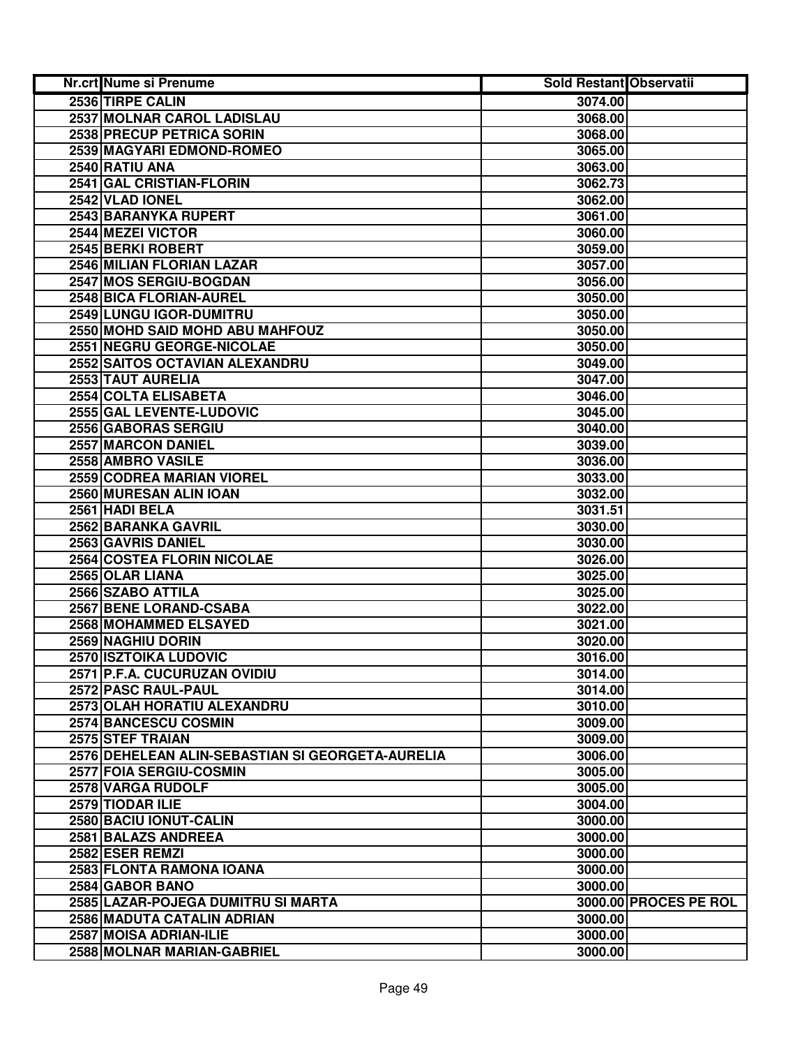| Nr.crt Nume si Prenume                           | <b>Sold Restant Observatii</b> |                       |
|--------------------------------------------------|--------------------------------|-----------------------|
| 2536 TIRPE CALIN                                 | 3074.00                        |                       |
| 2537 MOLNAR CAROL LADISLAU                       | 3068.00                        |                       |
| <b>2538 PRECUP PETRICA SORIN</b>                 | 3068.00                        |                       |
| 2539 MAGYARI EDMOND-ROMEO                        | 3065.00                        |                       |
| 2540 RATIU ANA                                   | 3063.00                        |                       |
| 2541 GAL CRISTIAN-FLORIN                         | 3062.73                        |                       |
| 2542 VLAD IONEL                                  | 3062.00                        |                       |
| 2543 BARANYKA RUPERT                             | 3061.00                        |                       |
| 2544 MEZEI VICTOR                                | 3060.00                        |                       |
| 2545 BERKI ROBERT                                | 3059.00                        |                       |
| 2546 MILIAN FLORIAN LAZAR                        | 3057.00                        |                       |
| 2547 MOS SERGIU-BOGDAN                           | 3056.00                        |                       |
| 2548 BICA FLORIAN-AUREL                          | 3050.00                        |                       |
| 2549 LUNGU IGOR-DUMITRU                          | 3050.00                        |                       |
| 2550 MOHD SAID MOHD ABU MAHFOUZ                  | 3050.00                        |                       |
| 2551 NEGRU GEORGE-NICOLAE                        | 3050.00                        |                       |
| 2552 SAITOS OCTAVIAN ALEXANDRU                   | 3049.00                        |                       |
| 2553 TAUT AURELIA                                | 3047.00                        |                       |
| 2554 COLTA ELISABETA                             | 3046.00                        |                       |
| 2555 GAL LEVENTE-LUDOVIC                         | 3045.00                        |                       |
| 2556 GABORAS SERGIU                              | 3040.00                        |                       |
| 2557 MARCON DANIEL                               | 3039.00                        |                       |
| 2558 AMBRO VASILE                                | 3036.00                        |                       |
| 2559 CODREA MARIAN VIOREL                        | 3033.00                        |                       |
| 2560 MURESAN ALIN IOAN                           | 3032.00                        |                       |
| 2561 HADI BELA                                   | 3031.51                        |                       |
| 2562 BARANKA GAVRIL                              | 3030.00                        |                       |
| 2563 GAVRIS DANIEL                               | 3030.00                        |                       |
| 2564 COSTEA FLORIN NICOLAE                       | 3026.00                        |                       |
| 2565 OLAR LIANA                                  | 3025.00                        |                       |
| 2566 SZABO ATTILA                                | 3025.00                        |                       |
| 2567 BENE LORAND-CSABA                           | 3022.00                        |                       |
| 2568 MOHAMMED ELSAYED                            | 3021.00                        |                       |
| 2569 NAGHIU DORIN                                | 3020.00                        |                       |
| 2570 ISZTOIKA LUDOVIC                            | 3016.00                        |                       |
| 2571 P.F.A. CUCURUZAN OVIDIU                     | 3014.00                        |                       |
| 2572 PASC RAUL-PAUL                              | 3014.00                        |                       |
| 2573 OLAH HORATIU ALEXANDRU                      | 3010.00                        |                       |
| 2574 BANCESCU COSMIN                             | 3009.00                        |                       |
| 2575 STEF TRAIAN                                 | 3009.00                        |                       |
| 2576 DEHELEAN ALIN-SEBASTIAN SI GEORGETA-AURELIA | 3006.00                        |                       |
| 2577 FOIA SERGIU-COSMIN                          | 3005.00                        |                       |
| 2578 VARGA RUDOLF                                | 3005.00                        |                       |
| 2579 TIODAR ILIE                                 | 3004.00                        |                       |
| 2580 BACIU IONUT-CALIN                           | 3000.00                        |                       |
| 2581 BALAZS ANDREEA                              | 3000.00                        |                       |
| 2582 ESER REMZI                                  | 3000.00                        |                       |
| 2583 FLONTA RAMONA IOANA                         | 3000.00                        |                       |
|                                                  |                                |                       |
| 2584 GABOR BANO                                  | 3000.00                        |                       |
| 2585 LAZAR-POJEGA DUMITRU SI MARTA               |                                | 3000.00 PROCES PE ROL |
| 2586 MADUTA CATALIN ADRIAN                       | 3000.00                        |                       |
| 2587 MOISA ADRIAN-ILIE                           | 3000.00                        |                       |
| 2588 MOLNAR MARIAN-GABRIEL                       | 3000.00                        |                       |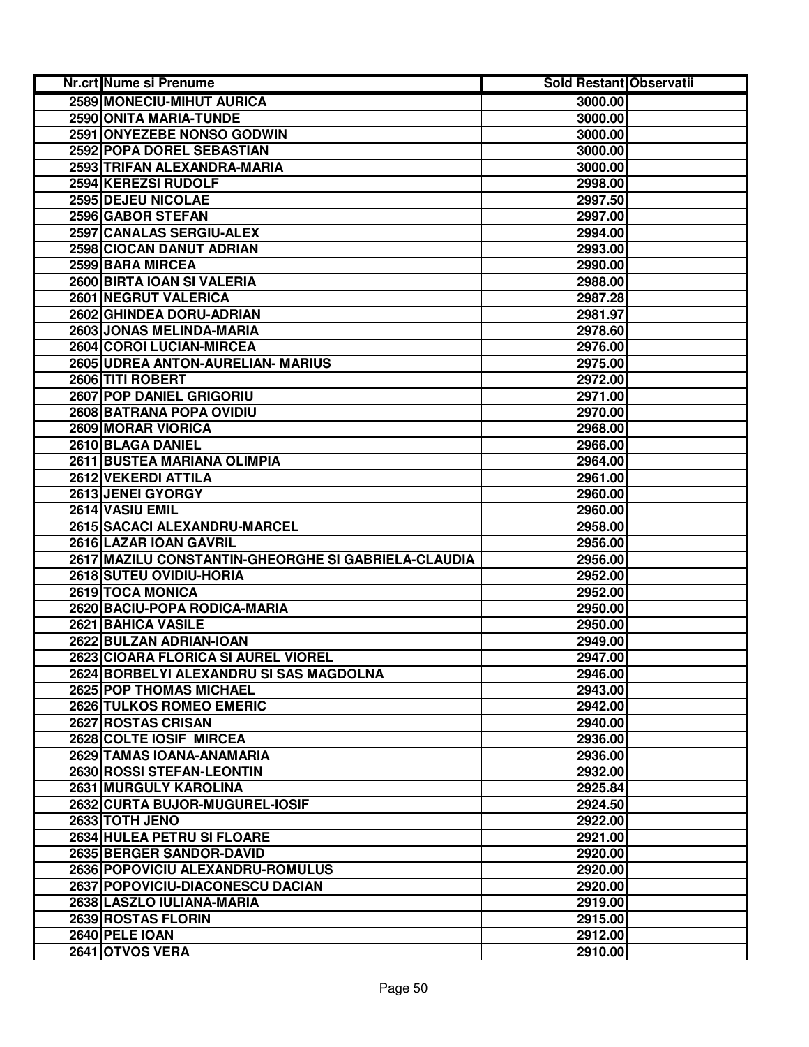| Nr.crt Nume si Prenume                              | <b>Sold Restant Observatii</b> |  |
|-----------------------------------------------------|--------------------------------|--|
| <b>2589 MONECIU-MIHUT AURICA</b>                    | 3000.00                        |  |
| 2590 ONITA MARIA-TUNDE                              | 3000.00                        |  |
| 2591 ONYEZEBE NONSO GODWIN                          | 3000.00                        |  |
| 2592 POPA DOREL SEBASTIAN                           | 3000.00                        |  |
| 2593 TRIFAN ALEXANDRA-MARIA                         | 3000.00                        |  |
| 2594 KEREZSI RUDOLF                                 | 2998.00                        |  |
| 2595 DEJEU NICOLAE                                  | 2997.50                        |  |
| 2596 GABOR STEFAN                                   | 2997.00                        |  |
| 2597 CANALAS SERGIU-ALEX                            | 2994.00                        |  |
| 2598 CIOCAN DANUT ADRIAN                            | 2993.00                        |  |
| 2599 BARA MIRCEA                                    | 2990.00                        |  |
| 2600 BIRTA IOAN SI VALERIA                          | 2988.00                        |  |
| 2601 NEGRUT VALERICA                                | 2987.28                        |  |
| 2602 GHINDEA DORU-ADRIAN                            | 2981.97                        |  |
| 2603 JONAS MELINDA-MARIA                            | 2978.60                        |  |
| 2604 COROI LUCIAN-MIRCEA                            | 2976.00                        |  |
| 2605 UDREA ANTON-AURELIAN- MARIUS                   | 2975.00                        |  |
| 2606 TITI ROBERT                                    | 2972.00                        |  |
| <b>2607 POP DANIEL GRIGORIU</b>                     | 2971.00                        |  |
| 2608 BATRANA POPA OVIDIU                            | 2970.00                        |  |
| 2609 MORAR VIORICA                                  | 2968.00                        |  |
| 2610 BLAGA DANIEL                                   | 2966.00                        |  |
| 2611 BUSTEA MARIANA OLIMPIA                         | 2964.00                        |  |
| 2612 VEKERDI ATTILA                                 | 2961.00                        |  |
| 2613 JENEI GYORGY                                   | 2960.00                        |  |
| 2614 VASIU EMIL                                     | 2960.00                        |  |
| 2615 SACACI ALEXANDRU-MARCEL                        | 2958.00                        |  |
| 2616 LAZAR IOAN GAVRIL                              | 2956.00                        |  |
| 2617 MAZILU CONSTANTIN-GHEORGHE SI GABRIELA-CLAUDIA | 2956.00                        |  |
| 2618 SUTEU OVIDIU-HORIA                             | 2952.00                        |  |
| 2619 TOCA MONICA                                    | 2952.00                        |  |
| 2620 BACIU-POPA RODICA-MARIA                        | 2950.00                        |  |
| 2621 BAHICA VASILE                                  | 2950.00                        |  |
| 2622 BULZAN ADRIAN-IOAN                             | 2949.00                        |  |
| 2623 CIOARA FLORICA SI AUREL VIOREL                 | 2947.00                        |  |
| 2624 BORBELYI ALEXANDRU SI SAS MAGDOLNA             | 2946.00                        |  |
| 2625 POP THOMAS MICHAEL                             | 2943.00                        |  |
| 2626 TULKOS ROMEO EMERIC                            | 2942.00                        |  |
| 2627 ROSTAS CRISAN                                  | 2940.00                        |  |
| 2628 COLTE IOSIF MIRCEA                             | 2936.00                        |  |
| 2629 TAMAS IOANA-ANAMARIA                           | 2936.00                        |  |
| 2630 ROSSI STEFAN-LEONTIN                           | 2932.00                        |  |
| 2631 MURGULY KAROLINA                               | 2925.84                        |  |
| 2632 CURTA BUJOR-MUGUREL-IOSIF                      | 2924.50                        |  |
| 2633 TOTH JENO                                      | 2922.00                        |  |
| 2634 HULEA PETRU SI FLOARE                          | 2921.00                        |  |
| 2635 BERGER SANDOR-DAVID                            | 2920.00                        |  |
| 2636 POPOVICIU ALEXANDRU-ROMULUS                    | 2920.00                        |  |
| 2637 POPOVICIU-DIACONESCU DACIAN                    | 2920.00                        |  |
| 2638 LASZLO IULIANA-MARIA                           | 2919.00                        |  |
| 2639 ROSTAS FLORIN                                  | 2915.00                        |  |
| 2640 PELE IOAN                                      | 2912.00                        |  |
| 2641 OTVOS VERA                                     | 2910.00                        |  |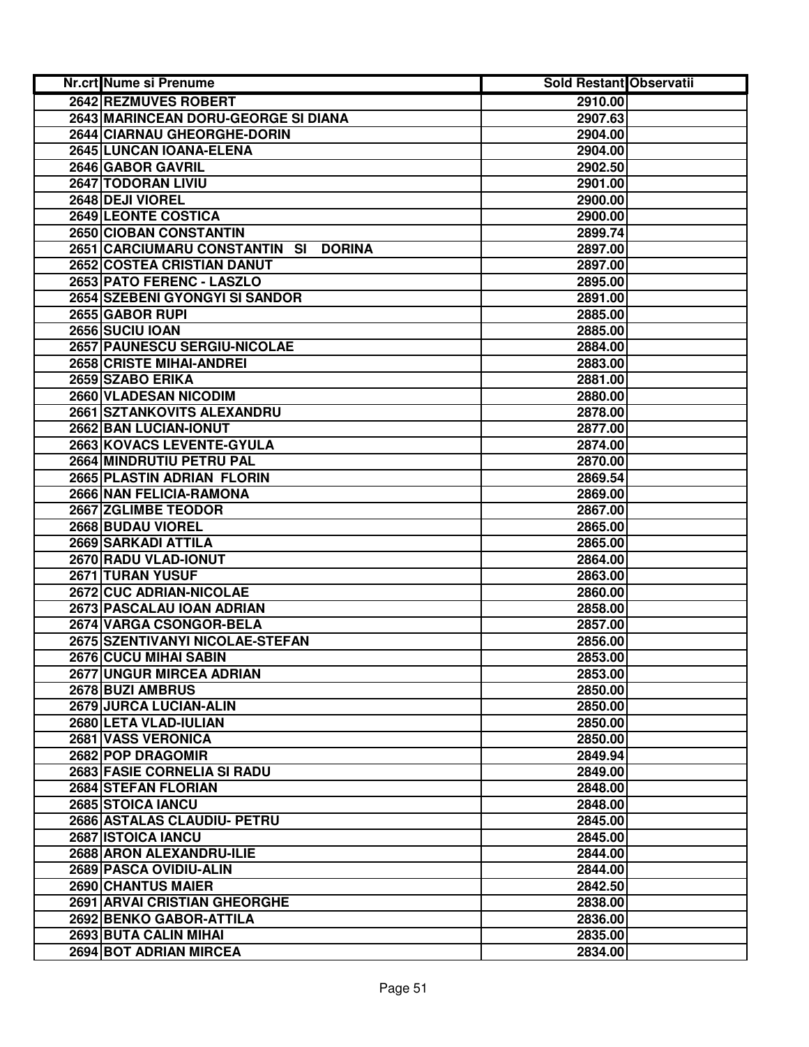| <b>Nr.crt Nume si Prenume</b>                  | <b>Sold Restant Observatii</b> |  |
|------------------------------------------------|--------------------------------|--|
| <b>2642 REZMUVES ROBERT</b>                    | 2910.00                        |  |
| 2643 MARINCEAN DORU-GEORGE SI DIANA            | 2907.63                        |  |
| 2644 CIARNAU GHEORGHE-DORIN                    | 2904.00                        |  |
| 2645 LUNCAN IOANA-ELENA                        | 2904.00                        |  |
| 2646 GABOR GAVRIL                              | 2902.50                        |  |
| 2647 TODORAN LIVIU                             | 2901.00                        |  |
| 2648 DEJI VIOREL                               | 2900.00                        |  |
| <b>2649 LEONTE COSTICA</b>                     | 2900.00                        |  |
| 2650 CIOBAN CONSTANTIN                         | 2899.74                        |  |
| 2651 CARCIUMARU CONSTANTIN SI<br><b>DORINA</b> | 2897.00                        |  |
| 2652 COSTEA CRISTIAN DANUT                     | 2897.00                        |  |
| 2653 PATO FERENC - LASZLO                      | 2895.00                        |  |
| 2654 SZEBENI GYONGYI SI SANDOR                 | 2891.00                        |  |
| 2655 GABOR RUPI                                | 2885.00                        |  |
| 2656 SUCIU IOAN                                | 2885.00                        |  |
| 2657 PAUNESCU SERGIU-NICOLAE                   | 2884.00                        |  |
| 2658 CRISTE MIHAI-ANDREI                       | 2883.00                        |  |
| 2659 SZABO ERIKA                               | 2881.00                        |  |
| <b>2660 VLADESAN NICODIM</b>                   | 2880.00                        |  |
| 2661 SZTANKOVITS ALEXANDRU                     | 2878.00                        |  |
| 2662 BAN LUCIAN-IONUT                          | 2877.00                        |  |
| 2663 KOVACS LEVENTE-GYULA                      | 2874.00                        |  |
| 2664 MINDRUTIU PETRU PAL                       | 2870.00                        |  |
| 2665 PLASTIN ADRIAN FLORIN                     | 2869.54                        |  |
| 2666 NAN FELICIA-RAMONA                        | 2869.00                        |  |
| 2667 ZGLIMBE TEODOR                            | 2867.00                        |  |
| 2668 BUDAU VIOREL                              | 2865.00                        |  |
| 2669 SARKADI ATTILA                            | 2865.00                        |  |
| 2670 RADU VLAD-IONUT                           | 2864.00                        |  |
| 2671 TURAN YUSUF                               | 2863.00                        |  |
| 2672 CUC ADRIAN-NICOLAE                        | 2860.00                        |  |
| 2673 PASCALAU IOAN ADRIAN                      | 2858.00                        |  |
| 2674 VARGA CSONGOR-BELA                        | 2857.00                        |  |
| 2675 SZENTIVANYI NICOLAE-STEFAN                | 2856.00                        |  |
| 2676 CUCU MIHAI SABIN                          | 2853.00                        |  |
| 2677 UNGUR MIRCEA ADRIAN                       | 2853.00                        |  |
| 2678 BUZI AMBRUS                               | 2850.00                        |  |
| 2679 JURCA LUCIAN-ALIN                         | 2850.00                        |  |
| 2680 LETA VLAD-IULIAN<br>2681 VASS VERONICA    | 2850.00<br>2850.00             |  |
| 2682 POP DRAGOMIR                              |                                |  |
| <b>2683 FASIE CORNELIA SI RADU</b>             | 2849.94<br>2849.00             |  |
| 2684 STEFAN FLORIAN                            | 2848.00                        |  |
| 2685 STOICA IANCU                              | 2848.00                        |  |
| 2686 ASTALAS CLAUDIU- PETRU                    | 2845.00                        |  |
| 2687 ISTOICA IANCU                             | 2845.00                        |  |
| 2688 ARON ALEXANDRU-ILIE                       | 2844.00                        |  |
| 2689 PASCA OVIDIU-ALIN                         | 2844.00                        |  |
| 2690 CHANTUS MAIER                             | 2842.50                        |  |
| 2691 ARVAI CRISTIAN GHEORGHE                   | 2838.00                        |  |
| 2692 BENKO GABOR-ATTILA                        | 2836.00                        |  |
| 2693 BUTA CALIN MIHAI                          | 2835.00                        |  |
| 2694 BOT ADRIAN MIRCEA                         | 2834.00                        |  |
|                                                |                                |  |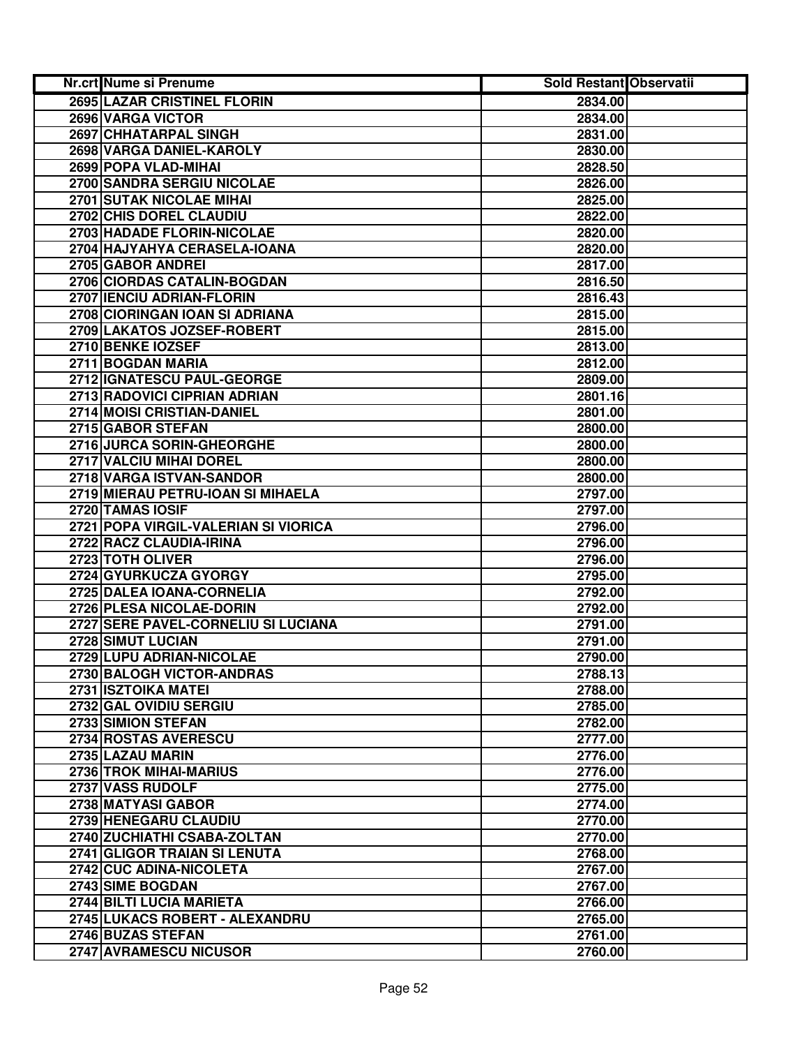| Nr.crt Nume si Prenume               | <b>Sold Restant Observatii</b> |  |
|--------------------------------------|--------------------------------|--|
| <b>2695 LAZAR CRISTINEL FLORIN</b>   | 2834.00                        |  |
| 2696 VARGA VICTOR                    | 2834.00                        |  |
| 2697 CHHATARPAL SINGH                | 2831.00                        |  |
| 2698 VARGA DANIEL-KAROLY             | 2830.00                        |  |
| 2699 POPA VLAD-MIHAI                 | 2828.50                        |  |
| 2700 SANDRA SERGIU NICOLAE           | 2826.00                        |  |
| 2701 SUTAK NICOLAE MIHAI             | 2825.00                        |  |
| 2702 CHIS DOREL CLAUDIU              | 2822.00                        |  |
| 2703 HADADE FLORIN-NICOLAE           | 2820.00                        |  |
| 2704 HAJYAHYA CERASELA-IOANA         | 2820.00                        |  |
| 2705 GABOR ANDREI                    | 2817.00                        |  |
| 2706 CIORDAS CATALIN-BOGDAN          | 2816.50                        |  |
| 2707 IENCIU ADRIAN-FLORIN            | 2816.43                        |  |
| 2708 CIORINGAN IOAN SI ADRIANA       | 2815.00                        |  |
| 2709 LAKATOS JOZSEF-ROBERT           | 2815.00                        |  |
| 2710 BENKE IOZSEF                    | 2813.00                        |  |
| 2711 BOGDAN MARIA                    | 2812.00                        |  |
| 2712 IGNATESCU PAUL-GEORGE           | 2809.00                        |  |
| 2713 RADOVICI CIPRIAN ADRIAN         | 2801.16                        |  |
| 2714 MOISI CRISTIAN-DANIEL           | 2801.00                        |  |
| 2715 GABOR STEFAN                    | 2800.00                        |  |
| 2716 JURCA SORIN-GHEORGHE            | 2800.00                        |  |
| 2717 VALCIU MIHAI DOREL              | 2800.00                        |  |
| 2718 VARGA ISTVAN-SANDOR             | 2800.00                        |  |
| 2719 MIERAU PETRU-IOAN SI MIHAELA    | 2797.00                        |  |
| 2720 TAMAS IOSIF                     | 2797.00                        |  |
| 2721 POPA VIRGIL-VALERIAN SI VIORICA | 2796.00                        |  |
| 2722 RACZ CLAUDIA-IRINA              | 2796.00                        |  |
| 2723 TOTH OLIVER                     | 2796.00                        |  |
| 2724 GYURKUCZA GYORGY                | 2795.00                        |  |
| 2725 DALEA IOANA-CORNELIA            | 2792.00                        |  |
| 2726 PLESA NICOLAE-DORIN             | 2792.00                        |  |
| 2727 SERE PAVEL-CORNELIU SI LUCIANA  | 2791.00                        |  |
| 2728 SIMUT LUCIAN                    | 2791.00                        |  |
| 2729 LUPU ADRIAN-NICOLAE             | 2790.00                        |  |
| 2730 BALOGH VICTOR-ANDRAS            | 2788.13                        |  |
| 2731 ISZTOIKA MATEI                  | 2788.00                        |  |
| 2732 GAL OVIDIU SERGIU               | 2785.00                        |  |
| 2733 SIMION STEFAN                   | 2782.00                        |  |
| 2734 ROSTAS AVERESCU                 | 2777.00                        |  |
| 2735 LAZAU MARIN                     | 2776.00                        |  |
| 2736 TROK MIHAI-MARIUS               | 2776.00                        |  |
| 2737 VASS RUDOLF                     | 2775.00                        |  |
| 2738 MATYASI GABOR                   | 2774.00                        |  |
| 2739 HENEGARU CLAUDIU                | 2770.00                        |  |
| 2740 ZUCHIATHI CSABA-ZOLTAN          | 2770.00                        |  |
| 2741 GLIGOR TRAIAN SI LENUTA         | 2768.00                        |  |
| 2742 CUC ADINA-NICOLETA              | 2767.00                        |  |
| 2743 SIME BOGDAN                     | 2767.00                        |  |
| 2744 BILTI LUCIA MARIETA             | 2766.00                        |  |
| 2745 LUKACS ROBERT - ALEXANDRU       | 2765.00                        |  |
| 2746 BUZAS STEFAN                    | 2761.00                        |  |
| 2747 AVRAMESCU NICUSOR               | 2760.00                        |  |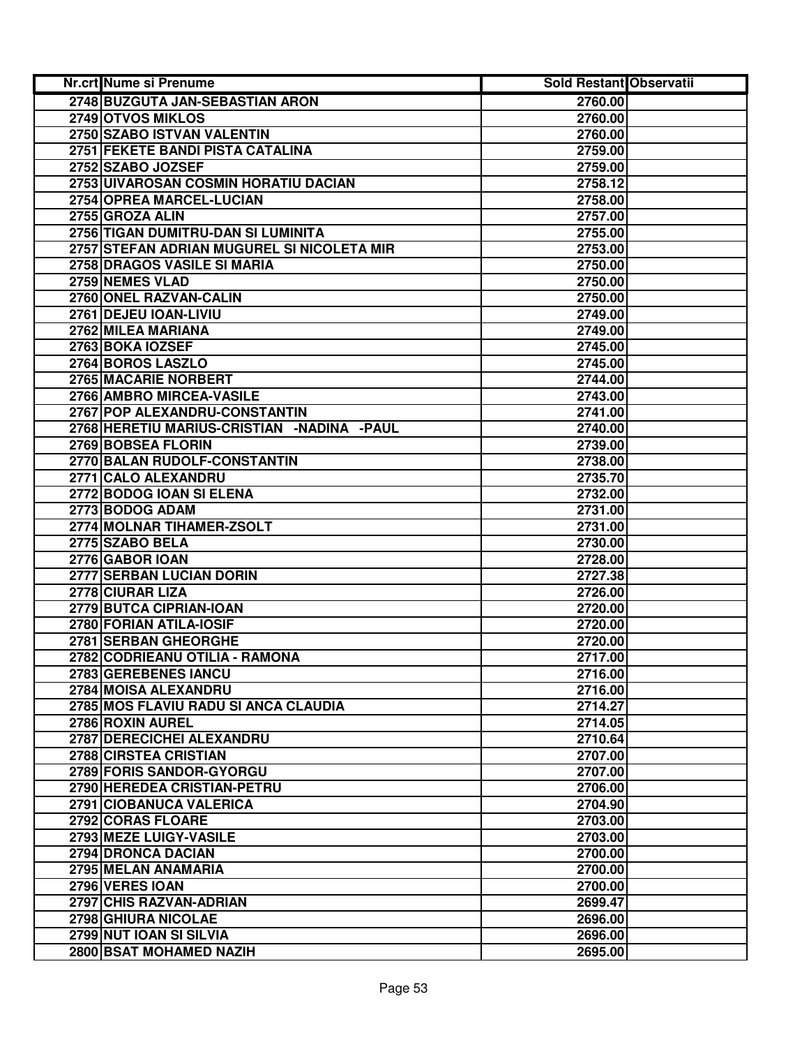| Nr.crt Nume si Prenume                       | Sold Restant Observatii |  |
|----------------------------------------------|-------------------------|--|
| 2748 BUZGUTA JAN-SEBASTIAN ARON              | 2760.00                 |  |
| 2749 OTVOS MIKLOS                            | 2760.00                 |  |
| 2750 SZABO ISTVAN VALENTIN                   | 2760.00                 |  |
| 2751 FEKETE BANDI PISTA CATALINA             | 2759.00                 |  |
| 2752 SZABO JOZSEF                            | 2759.00                 |  |
| 2753 UIVAROSAN COSMIN HORATIU DACIAN         | 2758.12                 |  |
| 2754 OPREA MARCEL-LUCIAN                     | 2758.00                 |  |
| 2755 GROZA ALIN                              | 2757.00                 |  |
| 2756 TIGAN DUMITRU-DAN SI LUMINITA           | 2755.00                 |  |
| 2757 STEFAN ADRIAN MUGUREL SI NICOLETA MIR   | 2753.00                 |  |
| 2758 DRAGOS VASILE SI MARIA                  | 2750.00                 |  |
| 2759 NEMES VLAD                              | 2750.00                 |  |
| 2760 ONEL RAZVAN-CALIN                       | 2750.00                 |  |
| 2761 DEJEU IOAN-LIVIU                        | 2749.00                 |  |
| 2762 MILEA MARIANA                           | 2749.00                 |  |
| 2763 BOKA IOZSEF                             | 2745.00                 |  |
| 2764 BOROS LASZLO                            | 2745.00                 |  |
| 2765 MACARIE NORBERT                         | 2744.00                 |  |
| 2766 AMBRO MIRCEA-VASILE                     | 2743.00                 |  |
| 2767 POP ALEXANDRU-CONSTANTIN                | 2741.00                 |  |
| 2768 HERETIU MARIUS-CRISTIAN - NADINA - PAUL | 2740.00                 |  |
| 2769 BOBSEA FLORIN                           | 2739.00                 |  |
| 2770 BALAN RUDOLF-CONSTANTIN                 | 2738.00                 |  |
| 2771 CALO ALEXANDRU                          | 2735.70                 |  |
| 2772 BODOG IOAN SI ELENA                     | 2732.00                 |  |
| 2773 BODOG ADAM                              | 2731.00                 |  |
| 2774 MOLNAR TIHAMER-ZSOLT                    | 2731.00                 |  |
| 2775 SZABO BELA                              | 2730.00                 |  |
| 2776 GABOR IOAN                              | 2728.00                 |  |
| 2777 SERBAN LUCIAN DORIN                     | 2727.38                 |  |
| 2778 CIURAR LIZA                             | 2726.00                 |  |
| 2779 BUTCA CIPRIAN-IOAN                      | 2720.00                 |  |
| 2780 FORIAN ATILA-IOSIF                      | 2720.00                 |  |
| 2781 SERBAN GHEORGHE                         | 2720.00                 |  |
| 2782 CODRIEANU OTILIA - RAMONA               | 2717.00                 |  |
| 2783 GEREBENES IANCU                         | 2716.00                 |  |
| 2784 MOISA ALEXANDRU                         | 2716.00                 |  |
| 2785 MOS FLAVIU RADU SI ANCA CLAUDIA         | 2714.27                 |  |
| 2786 ROXIN AUREL                             | 2714.05                 |  |
| 2787 DERECICHEI ALEXANDRU                    | 2710.64                 |  |
| 2788 CIRSTEA CRISTIAN                        | 2707.00                 |  |
| 2789 FORIS SANDOR-GYORGU                     | 2707.00                 |  |
| 2790 HEREDEA CRISTIAN-PETRU                  | 2706.00                 |  |
| 2791 CIOBANUCA VALERICA                      | 2704.90                 |  |
| 2792 CORAS FLOARE                            | 2703.00                 |  |
| 2793 MEZE LUIGY-VASILE                       | 2703.00                 |  |
| 2794 DRONCA DACIAN                           | 2700.00                 |  |
| 2795 MELAN ANAMARIA                          | 2700.00                 |  |
| 2796 VERES IOAN                              | 2700.00                 |  |
| 2797 CHIS RAZVAN-ADRIAN                      | 2699.47                 |  |
| 2798 GHIURA NICOLAE                          | 2696.00                 |  |
| 2799 NUT IOAN SI SILVIA                      | 2696.00                 |  |
| 2800 BSAT MOHAMED NAZIH                      | 2695.00                 |  |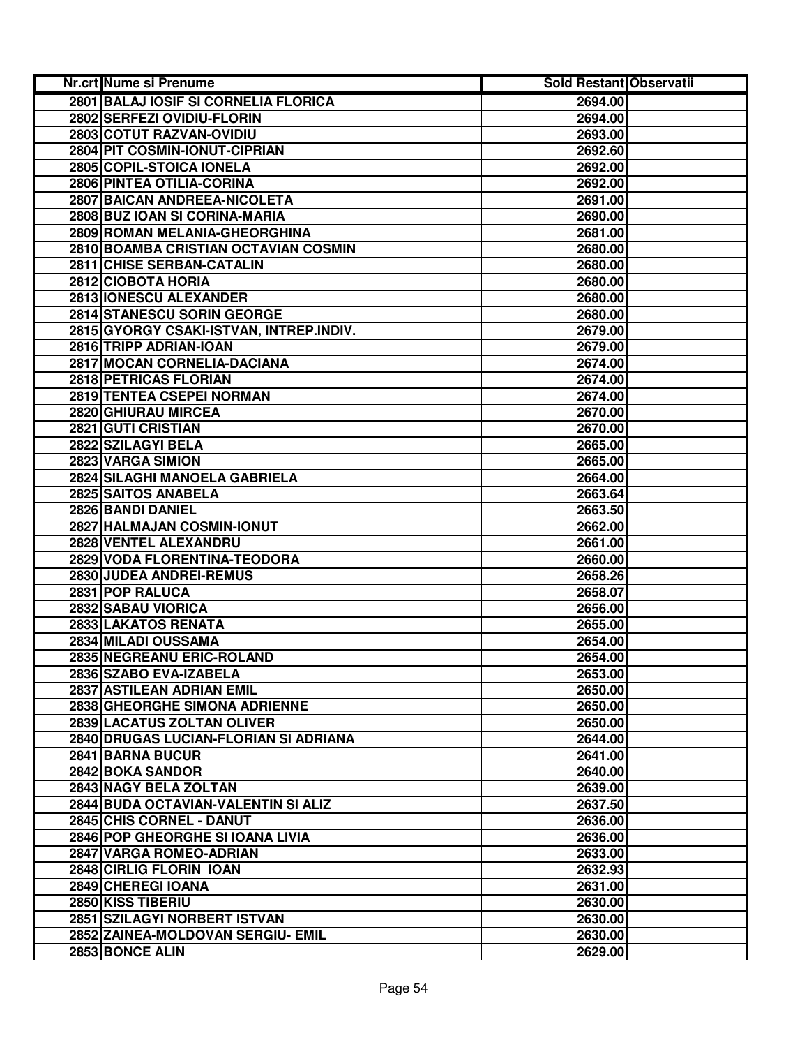| Nr.crt Nume si Prenume                  | Sold Restant Observatii |  |
|-----------------------------------------|-------------------------|--|
| 2801 BALAJ IOSIF SI CORNELIA FLORICA    | 2694.00                 |  |
| 2802 SERFEZI OVIDIU-FLORIN              | 2694.00                 |  |
| 2803 COTUT RAZVAN-OVIDIU                | 2693.00                 |  |
| 2804 PIT COSMIN-IONUT-CIPRIAN           | 2692.60                 |  |
| 2805 COPIL-STOICA IONELA                | 2692.00                 |  |
| 2806 PINTEA OTILIA-CORINA               | 2692.00                 |  |
| 2807 BAICAN ANDREEA-NICOLETA            | 2691.00                 |  |
| 2808 BUZ IOAN SI CORINA-MARIA           | 2690.00                 |  |
| 2809 ROMAN MELANIA-GHEORGHINA           | 2681.00                 |  |
| 2810 BOAMBA CRISTIAN OCTAVIAN COSMIN    | 2680.00                 |  |
| 2811 CHISE SERBAN-CATALIN               | 2680.00                 |  |
| 2812 CIOBOTA HORIA                      | 2680.00                 |  |
| 2813 IONESCU ALEXANDER                  | 2680.00                 |  |
| 2814 STANESCU SORIN GEORGE              | 2680.00                 |  |
| 2815 GYORGY CSAKI-ISTVAN, INTREP.INDIV. | 2679.00                 |  |
| 2816 TRIPP ADRIAN-IOAN                  | 2679.00                 |  |
| 2817 MOCAN CORNELIA-DACIANA             | 2674.00                 |  |
| 2818 PETRICAS FLORIAN                   | 2674.00                 |  |
| 2819 TENTEA CSEPEI NORMAN               | 2674.00                 |  |
| 2820 GHIURAU MIRCEA                     | 2670.00                 |  |
| 2821 GUTI CRISTIAN                      | 2670.00                 |  |
| 2822 SZILAGYI BELA                      | 2665.00                 |  |
| 2823 VARGA SIMION                       | 2665.00                 |  |
| 2824 SILAGHI MANOELA GABRIELA           | 2664.00                 |  |
| 2825 SAITOS ANABELA                     | 2663.64                 |  |
| 2826 BANDI DANIEL                       | 2663.50                 |  |
| 2827 HALMAJAN COSMIN-IONUT              | 2662.00                 |  |
| 2828 VENTEL ALEXANDRU                   | 2661.00                 |  |
| 2829 VODA FLORENTINA-TEODORA            | 2660.00                 |  |
| 2830 JUDEA ANDREI-REMUS                 | 2658.26                 |  |
| 2831 POP RALUCA                         | 2658.07                 |  |
| 2832 SABAU VIORICA                      | 2656.00                 |  |
| 2833 LAKATOS RENATA                     | 2655.00                 |  |
| 2834 MILADI OUSSAMA                     | 2654.00                 |  |
| 2835 NEGREANU ERIC-ROLAND               | 2654.00                 |  |
| 2836 SZABO EVA-IZABELA                  | 2653.00                 |  |
| 2837 ASTILEAN ADRIAN EMIL               | 2650.00                 |  |
| 2838 GHEORGHE SIMONA ADRIENNE           | 2650.00                 |  |
| 2839 LACATUS ZOLTAN OLIVER              | 2650.00                 |  |
| 2840 DRUGAS LUCIAN-FLORIAN SI ADRIANA   | 2644.00                 |  |
| 2841 BARNA BUCUR                        | 2641.00                 |  |
| 2842 BOKA SANDOR                        | 2640.00                 |  |
| 2843 NAGY BELA ZOLTAN                   | 2639.00                 |  |
| 2844 BUDA OCTAVIAN-VALENTIN SI ALIZ     | 2637.50                 |  |
| 2845 CHIS CORNEL - DANUT                | 2636.00                 |  |
| 2846 POP GHEORGHE SI JOANA LIVIA        | 2636.00                 |  |
| 2847 VARGA ROMEO-ADRIAN                 | 2633.00                 |  |
| 2848 CIRLIG FLORIN IOAN                 | 2632.93                 |  |
| 2849 CHEREGI IOANA                      | 2631.00                 |  |
| 2850 KISS TIBERIU                       | 2630.00                 |  |
| 2851 SZILAGYI NORBERT ISTVAN            | 2630.00                 |  |
| 2852 ZAINEA-MOLDOVAN SERGIU- EMIL       | 2630.00                 |  |
| 2853 BONCE ALIN                         | 2629.00                 |  |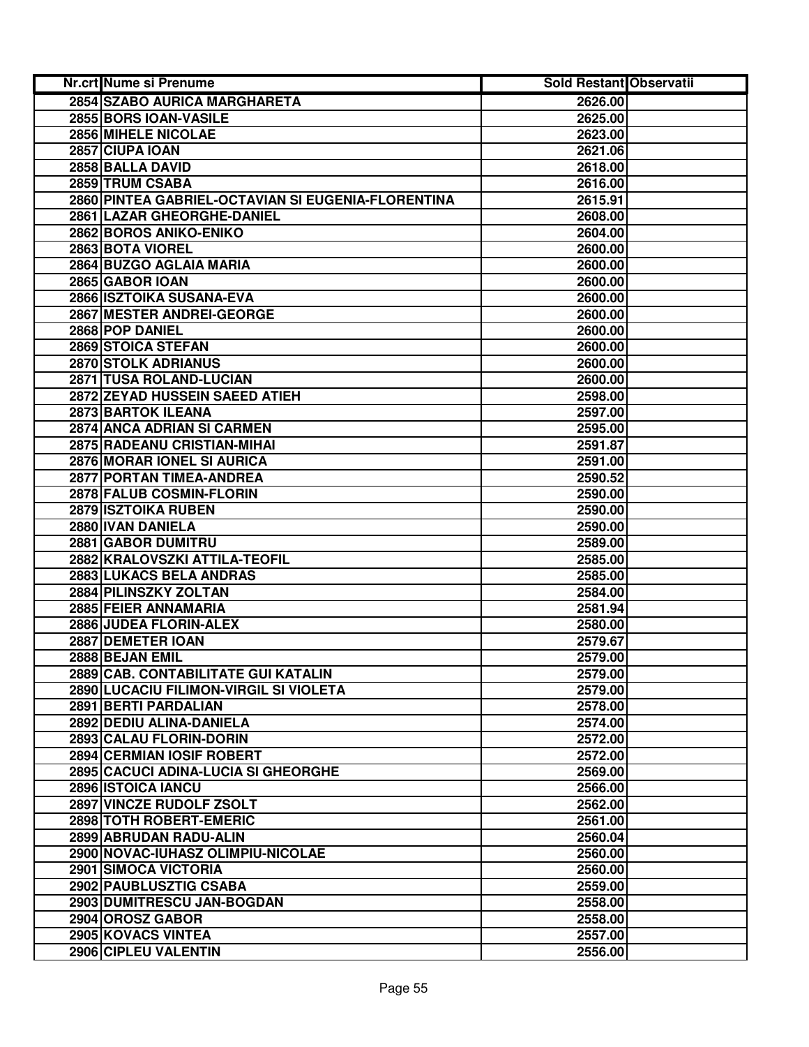| <b>Nr.crt Nume si Prenume</b>                      | Sold Restant Observatii |  |
|----------------------------------------------------|-------------------------|--|
| 2854 SZABO AURICA MARGHARETA                       | 2626.00                 |  |
| 2855 BORS IOAN-VASILE                              | 2625.00                 |  |
| 2856 MIHELE NICOLAE                                | 2623.00                 |  |
| 2857 CIUPA IOAN                                    | 2621.06                 |  |
| 2858 BALLA DAVID                                   | 2618.00                 |  |
| 2859 TRUM CSABA                                    | 2616.00                 |  |
| 2860 PINTEA GABRIEL-OCTAVIAN SI EUGENIA-FLORENTINA | 2615.91                 |  |
| 2861 LAZAR GHEORGHE-DANIEL                         | 2608.00                 |  |
| 2862 BOROS ANIKO-ENIKO                             | 2604.00                 |  |
| 2863 BOTA VIOREL                                   | 2600.00                 |  |
| 2864 BUZGO AGLAIA MARIA                            | 2600.00                 |  |
| 2865 GABOR IOAN                                    | 2600.00                 |  |
| 2866 ISZTOIKA SUSANA-EVA                           | 2600.00                 |  |
| 2867 MESTER ANDREI-GEORGE                          | 2600.00                 |  |
| 2868 POP DANIEL                                    | 2600.00                 |  |
| 2869 STOICA STEFAN                                 | 2600.00                 |  |
| 2870 STOLK ADRIANUS                                | 2600.00                 |  |
| 2871 TUSA ROLAND-LUCIAN                            | 2600.00                 |  |
| 2872 ZEYAD HUSSEIN SAEED ATIEH                     | 2598.00                 |  |
| 2873 BARTOK ILEANA                                 | 2597.00                 |  |
| 2874 ANCA ADRIAN SI CARMEN                         | 2595.00                 |  |
| 2875 RADEANU CRISTIAN-MIHAI                        | 2591.87                 |  |
| 2876 MORAR IONEL SI AURICA                         | 2591.00                 |  |
| 2877 PORTAN TIMEA-ANDREA                           | 2590.52                 |  |
| 2878 FALUB COSMIN-FLORIN                           | 2590.00                 |  |
| 2879 ISZTOIKA RUBEN                                | 2590.00                 |  |
| 2880 IVAN DANIELA                                  | 2590.00                 |  |
| 2881 GABOR DUMITRU                                 | 2589.00                 |  |
| 2882 KRALOVSZKI ATTILA-TEOFIL                      | 2585.00                 |  |
| 2883 LUKACS BELA ANDRAS                            | 2585.00                 |  |
| 2884 PILINSZKY ZOLTAN                              | 2584.00                 |  |
| 2885 FEIER ANNAMARIA                               | 2581.94                 |  |
| 2886 JUDEA FLORIN-ALEX                             | 2580.00                 |  |
| 2887 DEMETER IOAN                                  | 2579.67                 |  |
| 2888 BEJAN EMIL                                    | 2579.00                 |  |
| 2889 CAB. CONTABILITATE GUI KATALIN                | 2579.00                 |  |
| 2890 LUCACIU FILIMON-VIRGIL SI VIOLETA             | 2579.00                 |  |
| 2891 BERTI PARDALIAN                               | 2578.00                 |  |
| 2892 DEDIU ALINA-DANIELA                           | 2574.00                 |  |
| 2893 CALAU FLORIN-DORIN                            | 2572.00                 |  |
| <b>2894 CERMIAN IOSIF ROBERT</b>                   | 2572.00                 |  |
| 2895 CACUCI ADINA-LUCIA SI GHEORGHE                | 2569.00                 |  |
| 2896 ISTOICA IANCU                                 | 2566.00                 |  |
| 2897 VINCZE RUDOLF ZSOLT                           | 2562.00                 |  |
| 2898 TOTH ROBERT-EMERIC                            | 2561.00                 |  |
| 2899 ABRUDAN RADU-ALIN                             | 2560.04                 |  |
| 2900 NOVAC-IUHASZ OLIMPIU-NICOLAE                  | 2560.00                 |  |
| 2901 SIMOCA VICTORIA                               | 2560.00                 |  |
| 2902 PAUBLUSZTIG CSABA                             | 2559.00                 |  |
| 2903 DUMITRESCU JAN-BOGDAN                         | 2558.00                 |  |
| 2904 OROSZ GABOR                                   | 2558.00                 |  |
| 2905 KOVACS VINTEA                                 | 2557.00                 |  |
| 2906 CIPLEU VALENTIN                               | 2556.00                 |  |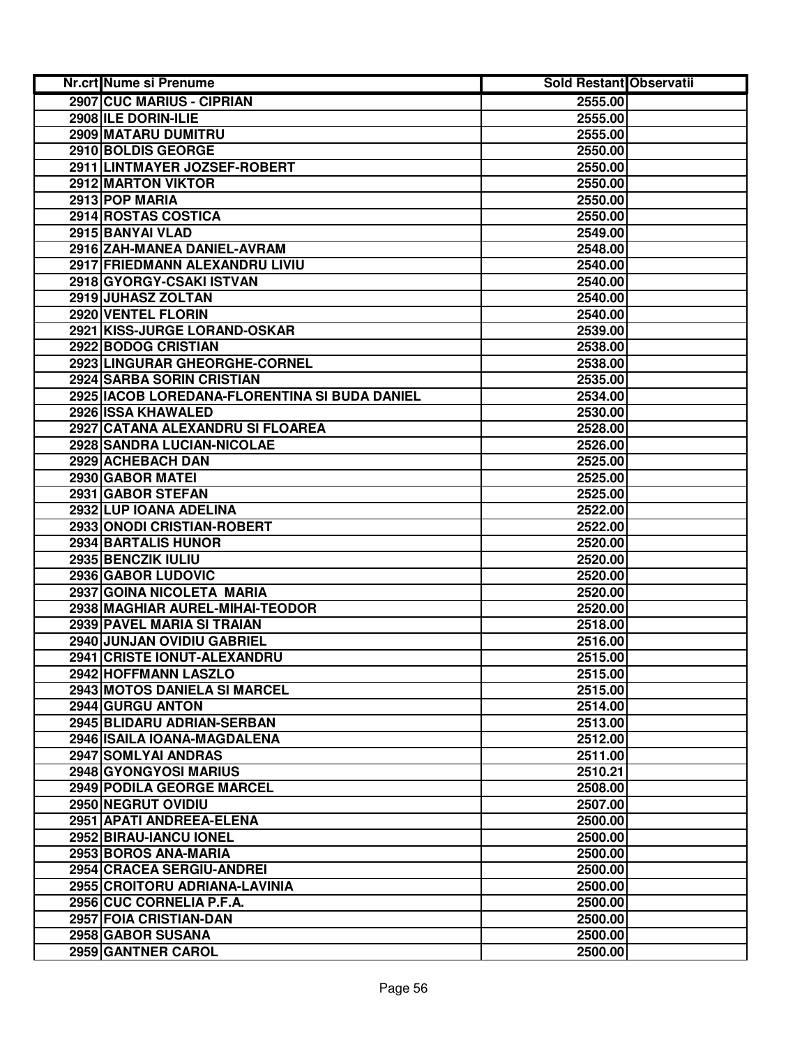| Nr.crt Nume si Prenume                          | <b>Sold Restant Observatii</b> |  |
|-------------------------------------------------|--------------------------------|--|
| 2907 CUC MARIUS - CIPRIAN                       | 2555.00                        |  |
| 2908 ILE DORIN-ILIE                             | 2555.00                        |  |
| 2909 MATARU DUMITRU                             | 2555.00                        |  |
| 2910 BOLDIS GEORGE                              | 2550.00                        |  |
| 2911 LINTMAYER JOZSEF-ROBERT                    | 2550.00                        |  |
| 2912 MARTON VIKTOR                              | 2550.00                        |  |
| 2913 POP MARIA                                  | 2550.00                        |  |
| 2914 ROSTAS COSTICA                             | 2550.00                        |  |
| 2915 BANYAI VLAD                                | 2549.00                        |  |
| 2916 ZAH-MANEA DANIEL-AVRAM                     | 2548.00                        |  |
| 2917 FRIEDMANN ALEXANDRU LIVIU                  | 2540.00                        |  |
| 2918 GYORGY-CSAKI ISTVAN                        | 2540.00                        |  |
| 2919 JUHASZ ZOLTAN                              | 2540.00                        |  |
| 2920 VENTEL FLORIN                              | 2540.00                        |  |
| 2921 KISS-JURGE LORAND-OSKAR                    | 2539.00                        |  |
| 2922 BODOG CRISTIAN                             | 2538.00                        |  |
| 2923 LINGURAR GHEORGHE-CORNEL                   | 2538.00                        |  |
| <b>2924 SARBA SORIN CRISTIAN</b>                | 2535.00                        |  |
| 2925   IACOB LOREDANA-FLORENTINA SI BUDA DANIEL | 2534.00                        |  |
| 2926 ISSA KHAWALED                              | 2530.00                        |  |
| 2927 CATANA ALEXANDRU SI FLOAREA                | 2528.00                        |  |
| 2928 SANDRA LUCIAN-NICOLAE                      | 2526.00                        |  |
| 2929 ACHEBACH DAN                               | 2525.00                        |  |
| 2930 GABOR MATEI                                | 2525.00                        |  |
| 2931 GABOR STEFAN                               | 2525.00                        |  |
| 2932 LUP IOANA ADELINA                          | 2522.00                        |  |
| 2933 ONODI CRISTIAN-ROBERT                      | 2522.00                        |  |
| 2934 BARTALIS HUNOR                             | 2520.00                        |  |
| 2935 BENCZIK IULIU                              | 2520.00                        |  |
| 2936 GABOR LUDOVIC                              | 2520.00                        |  |
| 2937 GOINA NICOLETA MARIA                       | 2520.00                        |  |
| 2938 MAGHIAR AUREL-MIHAI-TEODOR                 | 2520.00                        |  |
| 2939 PAVEL MARIA SI TRAIAN                      | 2518.00                        |  |
| 2940 JUNJAN OVIDIU GABRIEL                      | 2516.00                        |  |
| 2941 CRISTE IONUT-ALEXANDRU                     | 2515.00                        |  |
| 2942 HOFFMANN LASZLO                            | 2515.00                        |  |
| 2943 MOTOS DANIELA SI MARCEL                    | 2515.00                        |  |
| 2944 GURGU ANTON                                | 2514.00                        |  |
| 2945 BLIDARU ADRIAN-SERBAN                      | 2513.00                        |  |
| 2946 ISAILA IOANA-MAGDALENA                     | 2512.00                        |  |
| 2947 SOMLYAI ANDRAS                             | 2511.00                        |  |
| 2948 GYONGYOSI MARIUS                           | 2510.21                        |  |
| <b>2949 PODILA GEORGE MARCEL</b>                | 2508.00                        |  |
| 2950 NEGRUT OVIDIU                              | 2507.00                        |  |
| 2951 APATI ANDREEA-ELENA                        | 2500.00                        |  |
| 2952 BIRAU-IANCU IONEL                          | 2500.00                        |  |
| 2953 BOROS ANA-MARIA                            | 2500.00                        |  |
| 2954 CRACEA SERGIU-ANDREI                       | 2500.00                        |  |
| 2955 CROITORU ADRIANA-LAVINIA                   | 2500.00                        |  |
| 2956 CUC CORNELIA P.F.A.                        | 2500.00                        |  |
| 2957 FOIA CRISTIAN-DAN                          | 2500.00                        |  |
| 2958 GABOR SUSANA                               | 2500.00                        |  |
| 2959 GANTNER CAROL                              | 2500.00                        |  |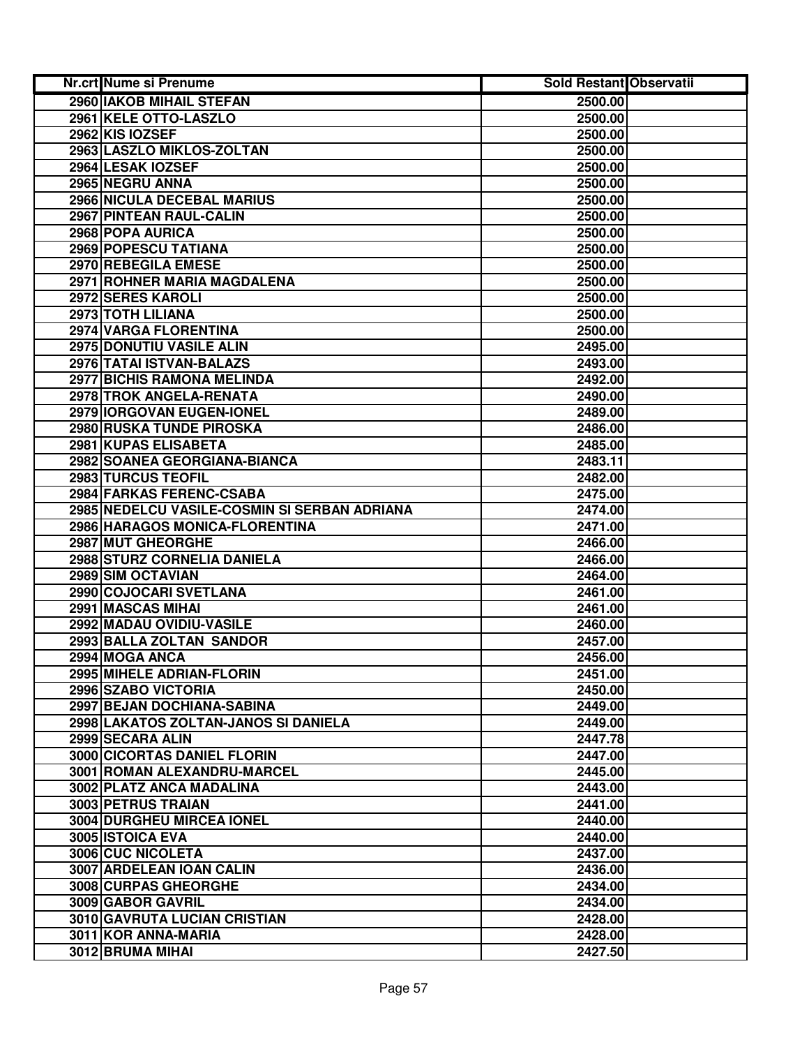| Nr.crt Nume si Prenume                       | <b>Sold Restant Observatii</b> |  |
|----------------------------------------------|--------------------------------|--|
| <b>2960 IAKOB MIHAIL STEFAN</b>              | 2500.00                        |  |
| 2961 KELE OTTO-LASZLO                        | 2500.00                        |  |
| 2962 KIS IOZSEF                              | 2500.00                        |  |
| 2963 LASZLO MIKLOS-ZOLTAN                    | 2500.00                        |  |
| 2964 LESAK IOZSEF                            | 2500.00                        |  |
| 2965 NEGRU ANNA                              | 2500.00                        |  |
| 2966 NICULA DECEBAL MARIUS                   | 2500.00                        |  |
| 2967 PINTEAN RAUL-CALIN                      | 2500.00                        |  |
| 2968 POPA AURICA                             | 2500.00                        |  |
| 2969 POPESCU TATIANA                         | 2500.00                        |  |
| 2970 REBEGILA EMESE                          | 2500.00                        |  |
| 2971 ROHNER MARIA MAGDALENA                  | 2500.00                        |  |
| 2972 SERES KAROLI                            | 2500.00                        |  |
| 2973 TOTH LILIANA                            | 2500.00                        |  |
| 2974 VARGA FLORENTINA                        | 2500.00                        |  |
| 2975 DONUTIU VASILE ALIN                     | 2495.00                        |  |
| 2976 TATAI ISTVAN-BALAZS                     | 2493.00                        |  |
| <b>2977 BICHIS RAMONA MELINDA</b>            | 2492.00                        |  |
| 2978 TROK ANGELA-RENATA                      | 2490.00                        |  |
| 2979 IORGOVAN EUGEN-IONEL                    | 2489.00                        |  |
| 2980 RUSKA TUNDE PIROSKA                     | 2486.00                        |  |
| 2981 KUPAS ELISABETA                         | 2485.00                        |  |
| 2982 SOANEA GEORGIANA-BIANCA                 | 2483.11                        |  |
| 2983 TURCUS TEOFIL                           | 2482.00                        |  |
| 2984 FARKAS FERENC-CSABA                     | 2475.00                        |  |
| 2985 NEDELCU VASILE-COSMIN SI SERBAN ADRIANA | 2474.00                        |  |
| 2986 HARAGOS MONICA-FLORENTINA               | 2471.00                        |  |
| 2987 MUT GHEORGHE                            | 2466.00                        |  |
| 2988 STURZ CORNELIA DANIELA                  | 2466.00                        |  |
| 2989 SIM OCTAVIAN                            | 2464.00                        |  |
| 2990 COJOCARI SVETLANA                       | 2461.00                        |  |
| 2991 MASCAS MIHAI                            | 2461.00                        |  |
| 2992 MADAU OVIDIU-VASILE                     | 2460.00                        |  |
| 2993 BALLA ZOLTAN SANDOR                     | 2457.00                        |  |
| 2994 MOGA ANCA                               | 2456.00                        |  |
| 2995 MIHELE ADRIAN-FLORIN                    | 2451.00                        |  |
| 2996 SZABO VICTORIA                          | 2450.00                        |  |
| 2997 BEJAN DOCHIANA-SABINA                   | 2449.00                        |  |
| 2998 LAKATOS ZOLTAN-JANOS SI DANIELA         | 2449.00                        |  |
| 2999 SECARA ALIN                             | 2447.78                        |  |
| <b>3000 CICORTAS DANIEL FLORIN</b>           | 2447.00                        |  |
| 3001 ROMAN ALEXANDRU-MARCEL                  | 2445.00                        |  |
| 3002 PLATZ ANCA MADALINA                     | 2443.00                        |  |
| 3003 PETRUS TRAIAN                           | 2441.00                        |  |
| 3004 DURGHEU MIRCEA IONEL                    | 2440.00                        |  |
| 3005 ISTOICA EVA                             | 2440.00                        |  |
| 3006 CUC NICOLETA                            | 2437.00                        |  |
| 3007 ARDELEAN IOAN CALIN                     | 2436.00                        |  |
| 3008 CURPAS GHEORGHE                         | 2434.00                        |  |
| 3009 GABOR GAVRIL                            | 2434.00                        |  |
| 3010 GAVRUTA LUCIAN CRISTIAN                 | 2428.00                        |  |
| 3011 KOR ANNA-MARIA                          | 2428.00                        |  |
| 3012 BRUMA MIHAI                             | 2427.50                        |  |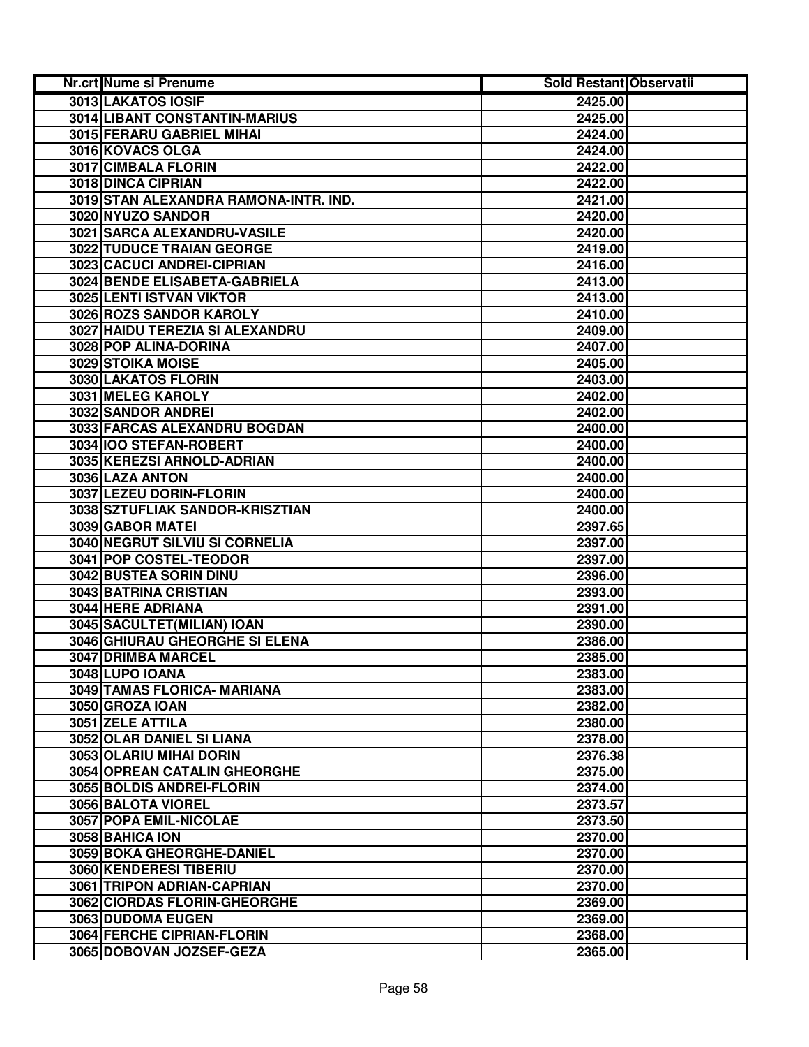| <b>Nr.crt Nume si Prenume</b>         | Sold Restant Observatii |  |
|---------------------------------------|-------------------------|--|
| 3013 LAKATOS IOSIF                    | 2425.00                 |  |
| 3014 LIBANT CONSTANTIN-MARIUS         | 2425.00                 |  |
| 3015 FERARU GABRIEL MIHAI             | 2424.00                 |  |
| 3016 KOVACS OLGA                      | 2424.00                 |  |
| 3017 CIMBALA FLORIN                   | 2422.00                 |  |
| 3018 DINCA CIPRIAN                    | 2422.00                 |  |
| 3019 STAN ALEXANDRA RAMONA-INTR. IND. | 2421.00                 |  |
| 3020 NYUZO SANDOR                     | 2420.00                 |  |
| 3021 SARCA ALEXANDRU-VASILE           | 2420.00                 |  |
| 3022 TUDUCE TRAIAN GEORGE             | 2419.00                 |  |
| 3023 CACUCI ANDREI-CIPRIAN            | 2416.00                 |  |
| 3024 BENDE ELISABETA-GABRIELA         | 2413.00                 |  |
| 3025 LENTI ISTVAN VIKTOR              | 2413.00                 |  |
| 3026 ROZS SANDOR KAROLY               | 2410.00                 |  |
| 3027 HAIDU TEREZIA SI ALEXANDRU       | 2409.00                 |  |
| 3028 POP ALINA-DORINA                 | 2407.00                 |  |
| 3029 STOIKA MOISE                     | 2405.00                 |  |
| 3030 LAKATOS FLORIN                   | 2403.00                 |  |
| 3031 MELEG KAROLY                     | 2402.00                 |  |
| 3032 SANDOR ANDREI                    | 2402.00                 |  |
| 3033 FARCAS ALEXANDRU BOGDAN          | 2400.00                 |  |
| 3034 IOO STEFAN-ROBERT                | 2400.00                 |  |
| 3035 KEREZSI ARNOLD-ADRIAN            | 2400.00                 |  |
| 3036 LAZA ANTON                       | 2400.00                 |  |
| 3037 LEZEU DORIN-FLORIN               | 2400.00                 |  |
| 3038 SZTUFLIAK SANDOR-KRISZTIAN       | 2400.00                 |  |
| 3039 GABOR MATEI                      | 2397.65                 |  |
| 3040 NEGRUT SILVIU SI CORNELIA        | 2397.00                 |  |
| 3041 POP COSTEL-TEODOR                | 2397.00                 |  |
| 3042 BUSTEA SORIN DINU                | 2396.00                 |  |
| 3043 BATRINA CRISTIAN                 | 2393.00                 |  |
| 3044 HERE ADRIANA                     | 2391.00                 |  |
| 3045 SACULTET(MILIAN) IOAN            | 2390.00                 |  |
| <b>3046 GHIURAU GHEORGHE SI ELENA</b> | 2386.00                 |  |
| 3047 DRIMBA MARCEL                    | 2385.00                 |  |
| 3048 LUPO IOANA                       | 2383.00                 |  |
| 3049 TAMAS FLORICA- MARIANA           | 2383.00                 |  |
| 3050 GROZA IOAN                       | 2382.00                 |  |
| 3051 ZELE ATTILA                      | 2380.00                 |  |
| 3052 OLAR DANIEL SI LIANA             | 2378.00                 |  |
| 3053 OLARIU MIHAI DORIN               | 2376.38                 |  |
| <b>3054 OPREAN CATALIN GHEORGHE</b>   | 2375.00                 |  |
| 3055 BOLDIS ANDREI-FLORIN             | 2374.00                 |  |
| 3056 BALOTA VIOREL                    | 2373.57                 |  |
| 3057 POPA EMIL-NICOLAE                | 2373.50                 |  |
| 3058 BAHICA ION                       | 2370.00                 |  |
| 3059 BOKA GHEORGHE-DANIEL             | 2370.00                 |  |
| 3060 KENDERESI TIBERIU                | 2370.00                 |  |
| 3061 TRIPON ADRIAN-CAPRIAN            | 2370.00                 |  |
| 3062 CIORDAS FLORIN-GHEORGHE          | 2369.00                 |  |
| 3063 DUDOMA EUGEN                     | 2369.00                 |  |
| 3064 FERCHE CIPRIAN-FLORIN            | 2368.00                 |  |
| 3065 DOBOVAN JOZSEF-GEZA              | 2365.00                 |  |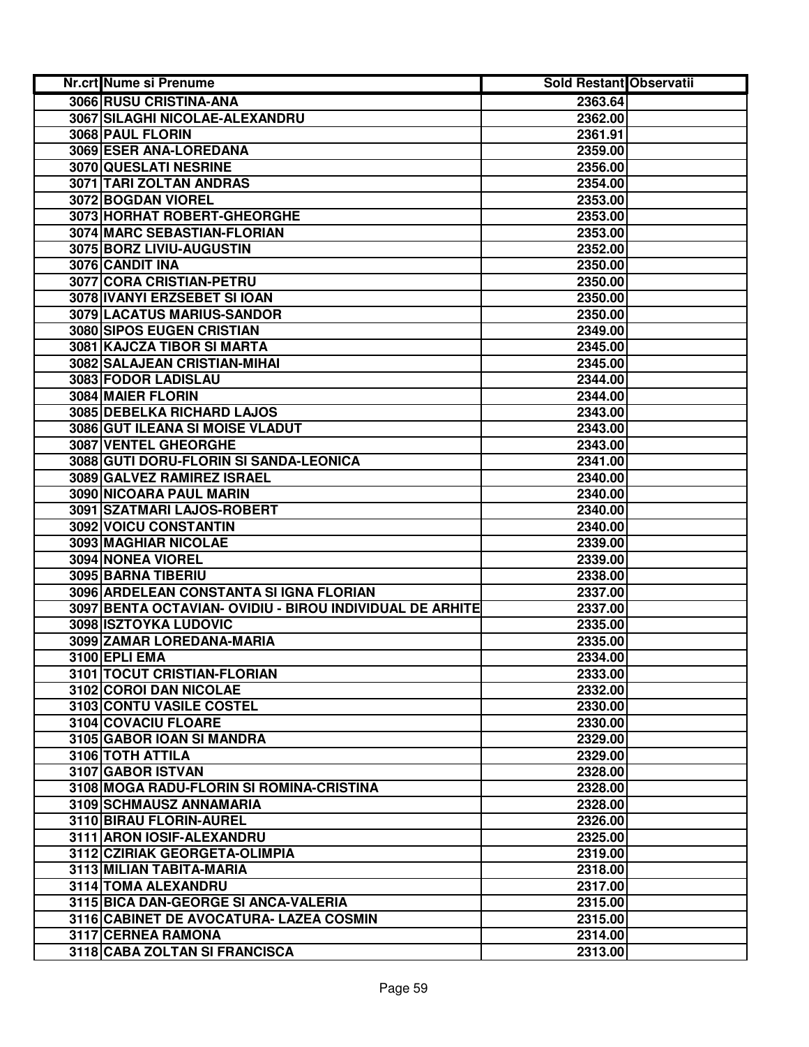| Nr.crt Nume si Prenume                                   | Sold Restant Observatii |  |
|----------------------------------------------------------|-------------------------|--|
| 3066 RUSU CRISTINA-ANA                                   | 2363.64                 |  |
| 3067 SILAGHI NICOLAE-ALEXANDRU                           | 2362.00                 |  |
| 3068 PAUL FLORIN                                         | 2361.91                 |  |
| 3069 ESER ANA-LOREDANA                                   | 2359.00                 |  |
| 3070 QUESLATI NESRINE                                    | 2356.00                 |  |
| 3071 TARI ZOLTAN ANDRAS                                  | 2354.00                 |  |
| 3072 BOGDAN VIOREL                                       | 2353.00                 |  |
| 3073 HORHAT ROBERT-GHEORGHE                              | 2353.00                 |  |
| 3074 MARC SEBASTIAN-FLORIAN                              | 2353.00                 |  |
| 3075 BORZ LIVIU-AUGUSTIN                                 | 2352.00                 |  |
| 3076 CANDIT INA                                          | 2350.00                 |  |
| 3077 CORA CRISTIAN-PETRU                                 | 2350.00                 |  |
| 3078 IVANYI ERZSEBET SI IOAN                             | 2350.00                 |  |
| 3079 LACATUS MARIUS-SANDOR                               | 2350.00                 |  |
| 3080 SIPOS EUGEN CRISTIAN                                | 2349.00                 |  |
| 3081 KAJCZA TIBOR SI MARTA                               | 2345.00                 |  |
| 3082 SALAJEAN CRISTIAN-MIHAI                             | 2345.00                 |  |
| 3083 FODOR LADISLAU                                      | 2344.00                 |  |
| <b>3084 MAIER FLORIN</b>                                 | 2344.00                 |  |
| 3085 DEBELKA RICHARD LAJOS                               | 2343.00                 |  |
| 3086 GUT ILEANA SI MOISE VLADUT                          | 2343.00                 |  |
| 3087 VENTEL GHEORGHE                                     | 2343.00                 |  |
| 3088 GUTI DORU-FLORIN SI SANDA-LEONICA                   | 2341.00                 |  |
| 3089 GALVEZ RAMIREZ ISRAEL                               | 2340.00                 |  |
| 3090 NICOARA PAUL MARIN                                  | 2340.00                 |  |
| 3091 SZATMARI LAJOS-ROBERT                               | 2340.00                 |  |
| 3092 VOICU CONSTANTIN                                    | 2340.00                 |  |
| 3093 MAGHIAR NICOLAE                                     | 2339.00                 |  |
| 3094 NONEA VIOREL                                        | 2339.00                 |  |
| 3095 BARNA TIBERIU                                       | 2338.00                 |  |
| 3096 ARDELEAN CONSTANTA SI IGNA FLORIAN                  | 2337.00                 |  |
| 3097 BENTA OCTAVIAN- OVIDIU - BIROU INDIVIDUAL DE ARHITE | 2337.00                 |  |
| 3098 ISZTOYKA LUDOVIC                                    | 2335.00                 |  |
| 3099 ZAMAR LOREDANA-MARIA                                | 2335.00                 |  |
| 3100 EPLI EMA                                            | 2334.00                 |  |
| 3101 TOCUT CRISTIAN-FLORIAN                              | 2333.00                 |  |
| 3102 COROI DAN NICOLAE                                   | 2332.00                 |  |
| 3103 CONTU VASILE COSTEL                                 | 2330.00                 |  |
| 3104 COVACIU FLOARE                                      | 2330.00                 |  |
| 3105 GABOR IOAN SI MANDRA                                | 2329.00                 |  |
| 3106 TOTH ATTILA                                         | 2329.00                 |  |
| 3107 GABOR ISTVAN                                        | 2328.00                 |  |
| 3108 MOGA RADU-FLORIN SI ROMINA-CRISTINA                 | 2328.00                 |  |
| 3109 SCHMAUSZ ANNAMARIA                                  | 2328.00                 |  |
| 3110 BIRAU FLORIN-AUREL                                  | 2326.00                 |  |
| 3111 ARON IOSIF-ALEXANDRU                                | 2325.00                 |  |
| 3112 CZIRIAK GEORGETA-OLIMPIA                            | 2319.00                 |  |
| 3113 MILIAN TABITA-MARIA                                 | 2318.00                 |  |
| 3114 TOMA ALEXANDRU                                      | 2317.00                 |  |
| 3115 BICA DAN-GEORGE SI ANCA-VALERIA                     | 2315.00                 |  |
| 3116 CABINET DE AVOCATURA- LAZEA COSMIN                  | 2315.00                 |  |
| 3117 CERNEA RAMONA                                       | 2314.00                 |  |
| 3118 CABA ZOLTAN SI FRANCISCA                            | 2313.00                 |  |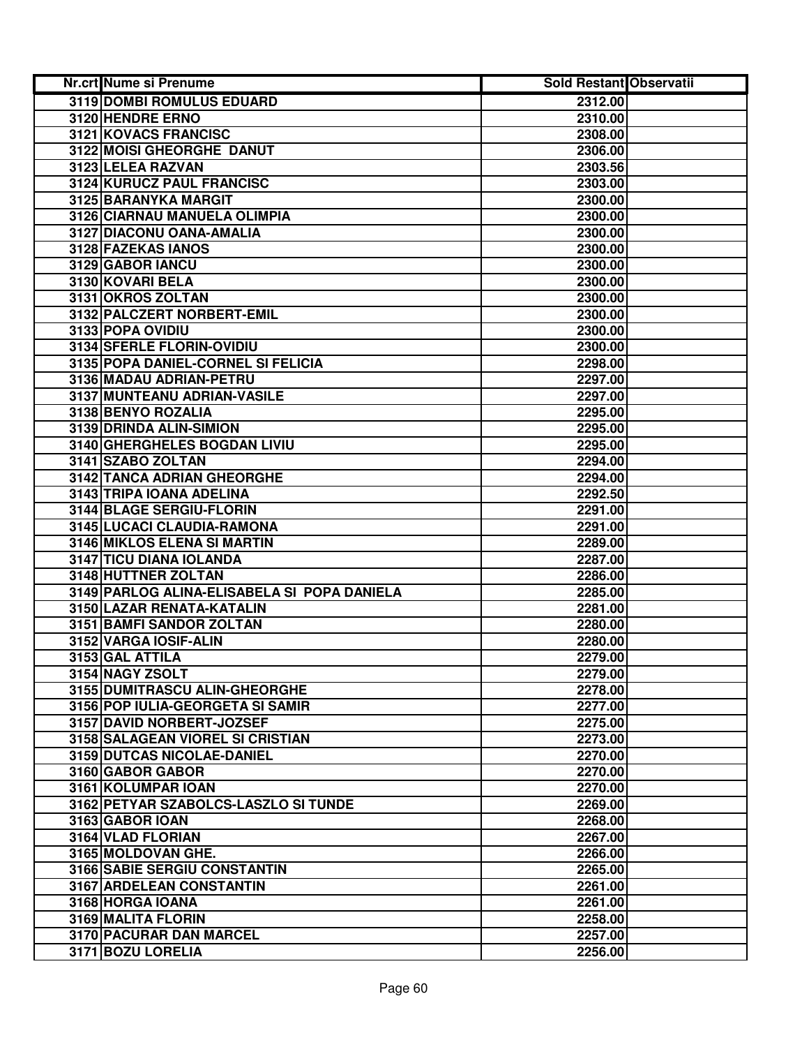| Nr.crt Nume si Prenume                                            | <b>Sold Restant Observatii</b> |
|-------------------------------------------------------------------|--------------------------------|
| <b>3119 DOMBI ROMULUS EDUARD</b>                                  | 2312.00                        |
| 3120 HENDRE ERNO                                                  | 2310.00                        |
| 3121 KOVACS FRANCISC                                              | 2308.00                        |
| 3122 MOISI GHEORGHE DANUT                                         | 2306.00                        |
| 3123 LELEA RAZVAN                                                 | 2303.56                        |
| 3124 KURUCZ PAUL FRANCISC                                         | 2303.00                        |
| 3125 BARANYKA MARGIT                                              | 2300.00                        |
| 3126 CIARNAU MANUELA OLIMPIA                                      | 2300.00                        |
| 3127 DIACONU OANA-AMALIA                                          | 2300.00                        |
| 3128 FAZEKAS IANOS                                                | 2300.00                        |
| 3129 GABOR IANCU                                                  | 2300.00                        |
| 3130 KOVARI BELA                                                  | 2300.00                        |
| 3131 OKROS ZOLTAN                                                 | 2300.00                        |
| 3132 PALCZERT NORBERT-EMIL                                        | 2300.00                        |
| 3133 POPA OVIDIU                                                  | 2300.00                        |
| 3134 SFERLE FLORIN-OVIDIU                                         | 2300.00                        |
| 3135 POPA DANIEL-CORNEL SI FELICIA                                | 2298.00                        |
| 3136 MADAU ADRIAN-PETRU                                           | 2297.00                        |
| 3137 MUNTEANU ADRIAN-VASILE                                       | 2297.00                        |
| 3138 BENYO ROZALIA                                                | 2295.00                        |
| 3139 DRINDA ALIN-SIMION                                           | 2295.00                        |
| 3140 GHERGHELES BOGDAN LIVIU                                      | 2295.00                        |
| 3141 SZABO ZOLTAN                                                 | 2294.00                        |
| 3142 TANCA ADRIAN GHEORGHE                                        | 2294.00                        |
| 3143 TRIPA IOANA ADELINA                                          | 2292.50                        |
| 3144 BLAGE SERGIU-FLORIN                                          | 2291.00                        |
| 3145 LUCACI CLAUDIA-RAMONA                                        | 2291.00                        |
| 3146 MIKLOS ELENA SI MARTIN                                       | 2289.00                        |
| 3147 TICU DIANA IOLANDA                                           | 2287.00                        |
| 3148 HUTTNER ZOLTAN                                               | 2286.00                        |
| 3149 PARLOG ALINA-ELISABELA SI POPA DANIELA                       | 2285.00                        |
| 3150 LAZAR RENATA-KATALIN                                         | 2281.00                        |
| 3151 BAMFI SANDOR ZOLTAN                                          | 2280.00                        |
| 3152 VARGA IOSIF-ALIN                                             | 2280.00                        |
| 3153 GAL ATTILA                                                   | 2279.00                        |
| 3154 NAGY ZSOLT                                                   | 2279.00                        |
| 3155 DUMITRASCU ALIN-GHEORGHE<br>3156 POP IULIA-GEORGETA SI SAMIR | 2278.00                        |
|                                                                   | 2277.00                        |
| 3157 DAVID NORBERT-JOZSEF<br>3158 SALAGEAN VIOREL SI CRISTIAN     | 2275.00<br>2273.00             |
| <b>3159 DUTCAS NICOLAE-DANIEL</b>                                 | 2270.00                        |
| 3160 GABOR GABOR                                                  | 2270.00                        |
| 3161 KOLUMPAR IOAN                                                | 2270.00                        |
| 3162 PETYAR SZABOLCS-LASZLO SI TUNDE                              | 2269.00                        |
| 3163 GABOR IOAN                                                   | 2268.00                        |
| 3164 VLAD FLORIAN                                                 | 2267.00                        |
| 3165 MOLDOVAN GHE.                                                | 2266.00                        |
| 3166 SABIE SERGIU CONSTANTIN                                      | 2265.00                        |
| 3167 ARDELEAN CONSTANTIN                                          | 2261.00                        |
| 3168 HORGA IOANA                                                  | 2261.00                        |
| 3169 MALITA FLORIN                                                | 2258.00                        |
| 3170 PACURAR DAN MARCEL                                           | 2257.00                        |
| 3171 BOZU LORELIA                                                 | 2256.00                        |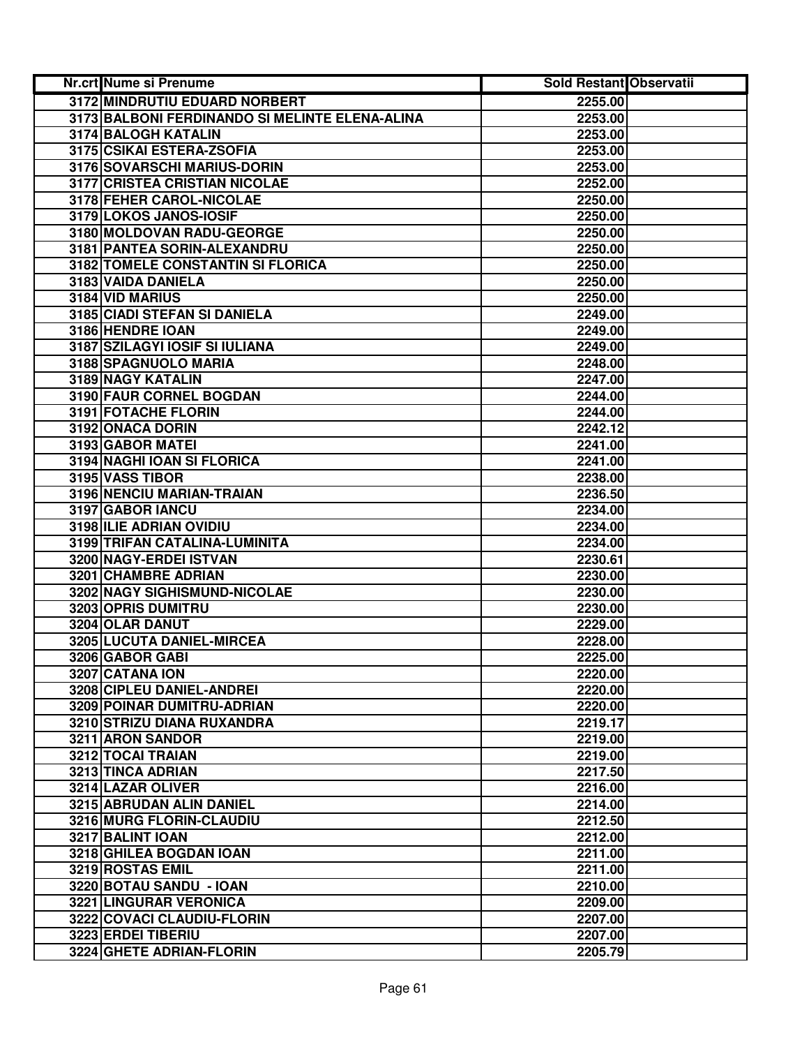| Nr.crt Nume si Prenume                         | <b>Sold Restant Observatii</b> |  |
|------------------------------------------------|--------------------------------|--|
| 3172 MINDRUTIU EDUARD NORBERT                  | 2255.00                        |  |
| 3173 BALBONI FERDINANDO SI MELINTE ELENA-ALINA | 2253.00                        |  |
| 3174 BALOGH KATALIN                            | 2253.00                        |  |
| 3175 CSIKAI ESTERA-ZSOFIA                      | 2253.00                        |  |
| 3176 SOVARSCHI MARIUS-DORIN                    | 2253.00                        |  |
| 3177 CRISTEA CRISTIAN NICOLAE                  | 2252.00                        |  |
| 3178 FEHER CAROL-NICOLAE                       | 2250.00                        |  |
| 3179 LOKOS JANOS-IOSIF                         | 2250.00                        |  |
| 3180 MOLDOVAN RADU-GEORGE                      | 2250.00                        |  |
| 3181 PANTEA SORIN-ALEXANDRU                    | 2250.00                        |  |
| <b>3182 TOMELE CONSTANTIN SI FLORICA</b>       | 2250.00                        |  |
| 3183 VAIDA DANIELA                             | 2250.00                        |  |
| 3184 VID MARIUS                                | 2250.00                        |  |
| 3185 CIADI STEFAN SI DANIELA                   | 2249.00                        |  |
| 3186 HENDRE IOAN                               | 2249.00                        |  |
| 3187 SZILAGYI IOSIF SI IULIANA                 | 2249.00                        |  |
| 3188 SPAGNUOLO MARIA                           | 2248.00                        |  |
| <b>3189 NAGY KATALIN</b>                       | 2247.00                        |  |
| <b>3190 FAUR CORNEL BOGDAN</b>                 | 2244.00                        |  |
| 3191 FOTACHE FLORIN                            | 2244.00                        |  |
| 3192 ONACA DORIN                               | 2242.12                        |  |
| 3193 GABOR MATEI                               | 2241.00                        |  |
| 3194 NAGHI IOAN SI FLORICA                     | 2241.00                        |  |
| 3195 VASS TIBOR                                | 2238.00                        |  |
| 3196 NENCIU MARIAN-TRAIAN                      | 2236.50                        |  |
| 3197 GABOR IANCU                               | 2234.00                        |  |
| 3198 ILIE ADRIAN OVIDIU                        | 2234.00                        |  |
| 3199 TRIFAN CATALINA-LUMINITA                  | 2234.00                        |  |
| 3200 NAGY-ERDEI ISTVAN                         | 2230.61                        |  |
| 3201 CHAMBRE ADRIAN                            | 2230.00                        |  |
| 3202 NAGY SIGHISMUND-NICOLAE                   | 2230.00                        |  |
| 3203 OPRIS DUMITRU                             | 2230.00                        |  |
| 3204 OLAR DANUT                                | 2229.00                        |  |
| 3205 LUCUTA DANIEL-MIRCEA                      | 2228.00                        |  |
| 3206 GABOR GABI                                | 2225.00                        |  |
| 3207 CATANA ION                                | 2220.00                        |  |
| 3208 CIPLEU DANIEL-ANDREI                      | 2220.00                        |  |
| 3209 POINAR DUMITRU-ADRIAN                     | 2220.00                        |  |
| 3210 STRIZU DIANA RUXANDRA                     | 2219.17                        |  |
| 3211 ARON SANDOR                               | 2219.00                        |  |
| 3212 TOCAI TRAIAN                              | 2219.00                        |  |
| <b>3213 TINCA ADRIAN</b>                       | 2217.50                        |  |
| 3214 LAZAR OLIVER                              | 2216.00                        |  |
| 3215 ABRUDAN ALIN DANIEL                       | 2214.00                        |  |
| 3216 MURG FLORIN-CLAUDIU                       | 2212.50                        |  |
| 3217 BALINT IOAN                               | 2212.00                        |  |
| 3218 GHILEA BOGDAN IOAN                        | 2211.00                        |  |
| 3219 ROSTAS EMIL                               | 2211.00                        |  |
| 3220 BOTAU SANDU - IOAN                        | 2210.00                        |  |
| 3221 LINGURAR VERONICA                         | 2209.00                        |  |
| 3222 COVACI CLAUDIU-FLORIN                     | 2207.00                        |  |
| 3223 ERDEI TIBERIU                             | 2207.00                        |  |
| 3224 GHETE ADRIAN-FLORIN                       | 2205.79                        |  |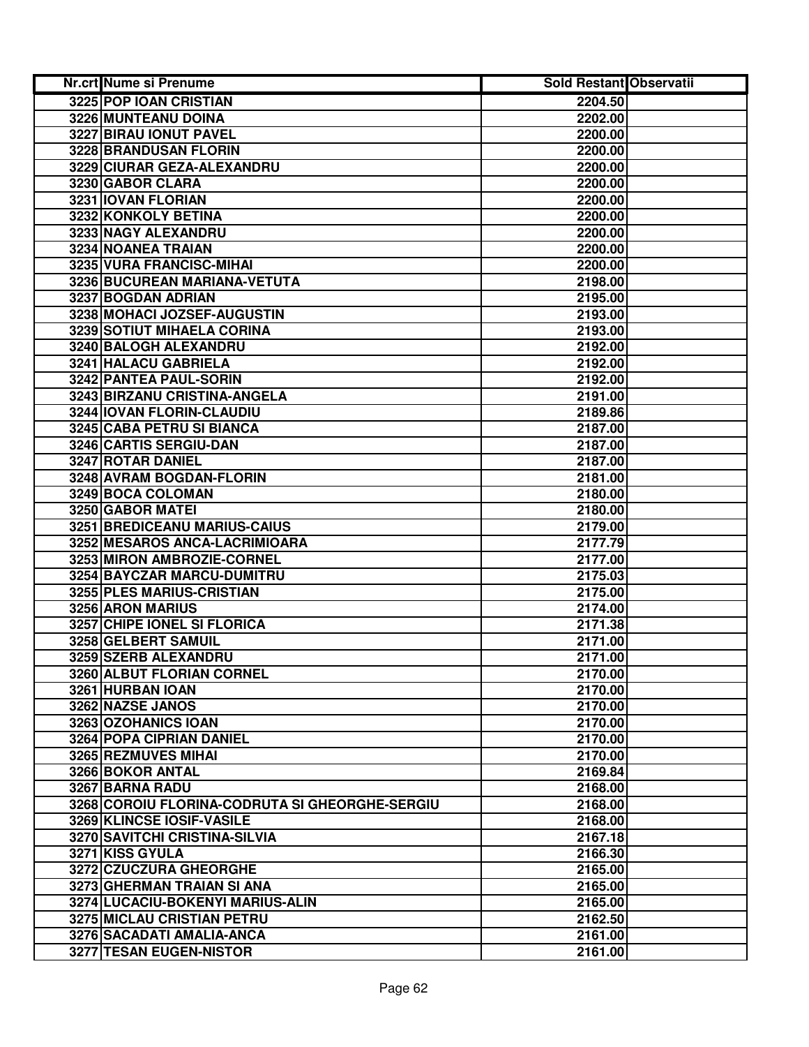| Nr.crt Nume si Prenume                         | <b>Sold Restant Observatii</b> |  |
|------------------------------------------------|--------------------------------|--|
| 3225 POP IOAN CRISTIAN                         | 2204.50                        |  |
| 3226 MUNTEANU DOINA                            | 2202.00                        |  |
| 3227 BIRAU IONUT PAVEL                         | 2200.00                        |  |
| 3228 BRANDUSAN FLORIN                          | 2200.00                        |  |
| 3229 CIURAR GEZA-ALEXANDRU                     | 2200.00                        |  |
| 3230 GABOR CLARA                               | 2200.00                        |  |
| 3231 IOVAN FLORIAN                             | 2200.00                        |  |
| 3232 KONKOLY BETINA                            | 2200.00                        |  |
| 3233 NAGY ALEXANDRU                            | 2200.00                        |  |
| 3234 NOANEA TRAIAN                             | 2200.00                        |  |
| 3235 VURA FRANCISC-MIHAI                       | 2200.00                        |  |
| 3236 BUCUREAN MARIANA-VETUTA                   | 2198.00                        |  |
| 3237 BOGDAN ADRIAN                             | 2195.00                        |  |
| 3238 MOHACI JOZSEF-AUGUSTIN                    | 2193.00                        |  |
| 3239 SOTIUT MIHAELA CORINA                     | 2193.00                        |  |
| 3240 BALOGH ALEXANDRU                          | 2192.00                        |  |
| 3241 HALACU GABRIELA                           | 2192.00                        |  |
| 3242 PANTEA PAUL-SORIN                         | 2192.00                        |  |
| 3243 BIRZANU CRISTINA-ANGELA                   | 2191.00                        |  |
| 3244 IOVAN FLORIN-CLAUDIU                      | 2189.86                        |  |
| 3245 CABA PETRU SI BIANCA                      | 2187.00                        |  |
| 3246 CARTIS SERGIU-DAN                         | 2187.00                        |  |
| 3247 ROTAR DANIEL                              | 2187.00                        |  |
| 3248 AVRAM BOGDAN-FLORIN                       | 2181.00                        |  |
| 3249 BOCA COLOMAN                              | 2180.00                        |  |
| 3250 GABOR MATEI                               | 2180.00                        |  |
| 3251 BREDICEANU MARIUS-CAIUS                   | 2179.00                        |  |
| 3252 MESAROS ANCA-LACRIMIOARA                  | 2177.79                        |  |
| 3253 MIRON AMBROZIE-CORNEL                     | 2177.00                        |  |
| 3254 BAYCZAR MARCU-DUMITRU                     | 2175.03                        |  |
| 3255 PLES MARIUS-CRISTIAN                      | 2175.00                        |  |
| 3256 ARON MARIUS                               | 2174.00                        |  |
| 3257 CHIPE IONEL SI FLORICA                    | 2171.38                        |  |
| 3258 GELBERT SAMUIL                            | 2171.00                        |  |
| 3259 SZERB ALEXANDRU                           | 2171.00                        |  |
| 3260 ALBUT FLORIAN CORNEL                      | 2170.00                        |  |
| 3261 HURBAN IOAN                               | 2170.00                        |  |
| 3262 NAZSE JANOS                               | 2170.00                        |  |
| 3263 OZOHANICS IOAN                            | 2170.00                        |  |
| <b>3264 POPA CIPRIAN DANIEL</b>                | 2170.00                        |  |
| 3265 REZMUVES MIHAI                            | 2170.00                        |  |
| <b>3266 BOKOR ANTAL</b>                        | 2169.84                        |  |
| 3267 BARNA RADU                                | 2168.00                        |  |
| 3268 COROIU FLORINA-CODRUTA SI GHEORGHE-SERGIU | 2168.00                        |  |
| 3269 KLINCSE IOSIF-VASILE                      | 2168.00                        |  |
| 3270 SAVITCHI CRISTINA-SILVIA                  | 2167.18                        |  |
| 3271 KISS GYULA                                | 2166.30                        |  |
| 3272 CZUCZURA GHEORGHE                         | 2165.00                        |  |
| 3273 GHERMAN TRAIAN SI ANA                     | 2165.00                        |  |
| 3274 LUCACIU-BOKENYI MARIUS-ALIN               | 2165.00                        |  |
| 3275 MICLAU CRISTIAN PETRU                     | 2162.50                        |  |
| 3276 SACADATI AMALIA-ANCA                      | 2161.00                        |  |
| 3277 TESAN EUGEN-NISTOR                        | 2161.00                        |  |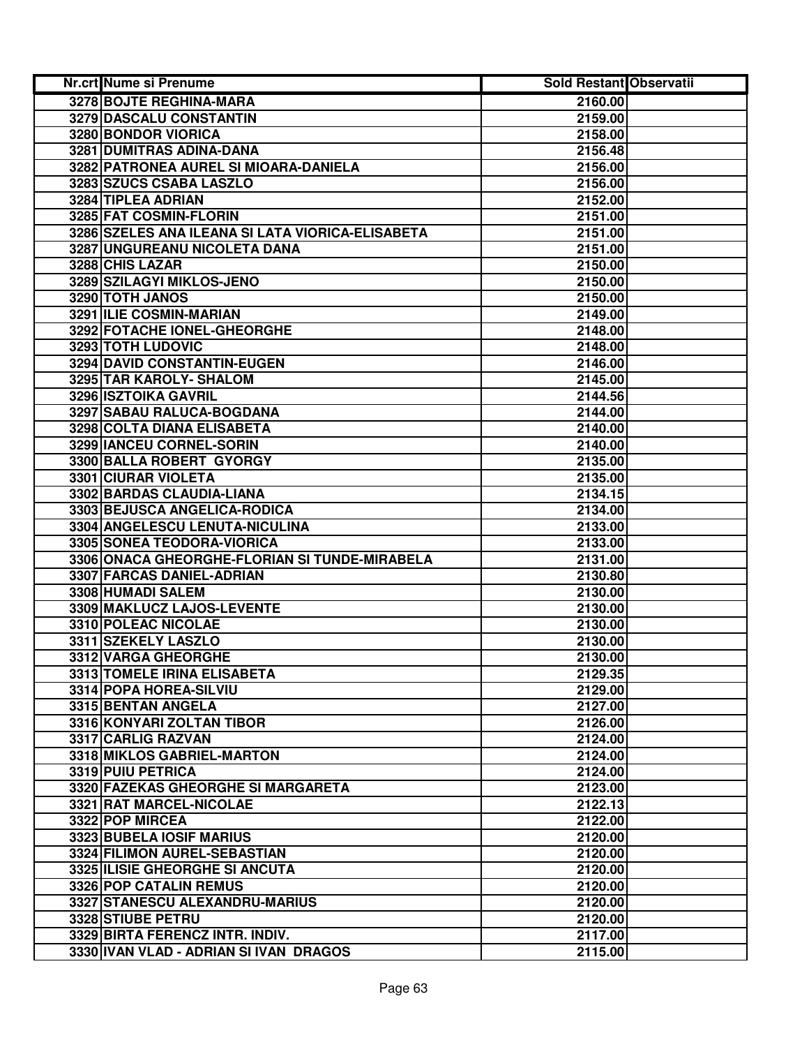| Nr.crt Nume si Prenume                           | Sold Restant Observatii |  |
|--------------------------------------------------|-------------------------|--|
| 3278 BOJTE REGHINA-MARA                          | 2160.00                 |  |
| 3279 DASCALU CONSTANTIN                          | 2159.00                 |  |
| 3280 BONDOR VIORICA                              | 2158.00                 |  |
| 3281 DUMITRAS ADINA-DANA                         | 2156.48                 |  |
| 3282 PATRONEA AUREL SI MIOARA-DANIELA            | 2156.00                 |  |
| 3283 SZUCS CSABA LASZLO                          | 2156.00                 |  |
| 3284 TIPLEA ADRIAN                               | 2152.00                 |  |
| 3285 FAT COSMIN-FLORIN                           | 2151.00                 |  |
| 3286 SZELES ANA ILEANA SI LATA VIORICA-ELISABETA | 2151.00                 |  |
| 3287 UNGUREANU NICOLETA DANA                     | 2151.00                 |  |
| 3288 CHIS LAZAR                                  | 2150.00                 |  |
| 3289 SZILAGYI MIKLOS-JENO                        | 2150.00                 |  |
| 3290 TOTH JANOS                                  | 2150.00                 |  |
| 3291 ILIE COSMIN-MARIAN                          | 2149.00                 |  |
| 3292 FOTACHE IONEL-GHEORGHE                      | 2148.00                 |  |
| 3293 TOTH LUDOVIC                                | 2148.00                 |  |
| 3294 DAVID CONSTANTIN-EUGEN                      | 2146.00                 |  |
| 3295 TAR KAROLY- SHALOM                          | 2145.00                 |  |
| <b>3296 ISZTOIKA GAVRIL</b>                      | 2144.56                 |  |
| 3297 SABAU RALUCA-BOGDANA                        | 2144.00                 |  |
| 3298 COLTA DIANA ELISABETA                       | 2140.00                 |  |
| 3299 IANCEU CORNEL-SORIN                         | 2140.00                 |  |
| 3300 BALLA ROBERT GYORGY                         | 2135.00                 |  |
| 3301 CIURAR VIOLETA                              | 2135.00                 |  |
| 3302 BARDAS CLAUDIA-LIANA                        | 2134.15                 |  |
| 3303 BEJUSCA ANGELICA-RODICA                     | 2134.00                 |  |
| 3304 ANGELESCU LENUTA-NICULINA                   | 2133.00                 |  |
| 3305 SONEA TEODORA-VIORICA                       | 2133.00                 |  |
| 3306 ONACA GHEORGHE-FLORIAN SI TUNDE-MIRABELA    | 2131.00                 |  |
| 3307 FARCAS DANIEL-ADRIAN                        | 2130.80                 |  |
| 3308 HUMADI SALEM                                | 2130.00                 |  |
| 3309 MAKLUCZ LAJOS-LEVENTE                       | 2130.00                 |  |
| 3310 POLEAC NICOLAE                              | 2130.00                 |  |
| 3311 SZEKELY LASZLO                              | 2130.00                 |  |
| 3312 VARGA GHEORGHE                              | 2130.00                 |  |
| 3313 TOMELE IRINA ELISABETA                      | 2129.35                 |  |
| 3314 POPA HOREA-SILVIU                           | 2129.00                 |  |
| 3315 BENTAN ANGELA                               | 2127.00                 |  |
| 3316 KONYARI ZOLTAN TIBOR                        | 2126.00                 |  |
| 3317 CARLIG RAZVAN                               | 2124.00                 |  |
| 3318 MIKLOS GABRIEL-MARTON                       | 2124.00                 |  |
| 3319 PUIU PETRICA                                | 2124.00                 |  |
| 3320 FAZEKAS GHEORGHE SI MARGARETA               | 2123.00                 |  |
| 3321 RAT MARCEL-NICOLAE                          | 2122.13                 |  |
| 3322 POP MIRCEA                                  | 2122.00                 |  |
| 3323 BUBELA IOSIF MARIUS                         | 2120.00                 |  |
| 3324 FILIMON AUREL-SEBASTIAN                     | 2120.00                 |  |
| 3325 ILISIE GHEORGHE SI ANCUTA                   | 2120.00                 |  |
| 3326 POP CATALIN REMUS                           | 2120.00                 |  |
| 3327 STANESCU ALEXANDRU-MARIUS                   | 2120.00                 |  |
| 3328 STIUBE PETRU                                | 2120.00                 |  |
| 3329 BIRTA FERENCZ INTR. INDIV.                  | 2117.00                 |  |
| 3330 IVAN VLAD - ADRIAN SI IVAN DRAGOS           | 2115.00                 |  |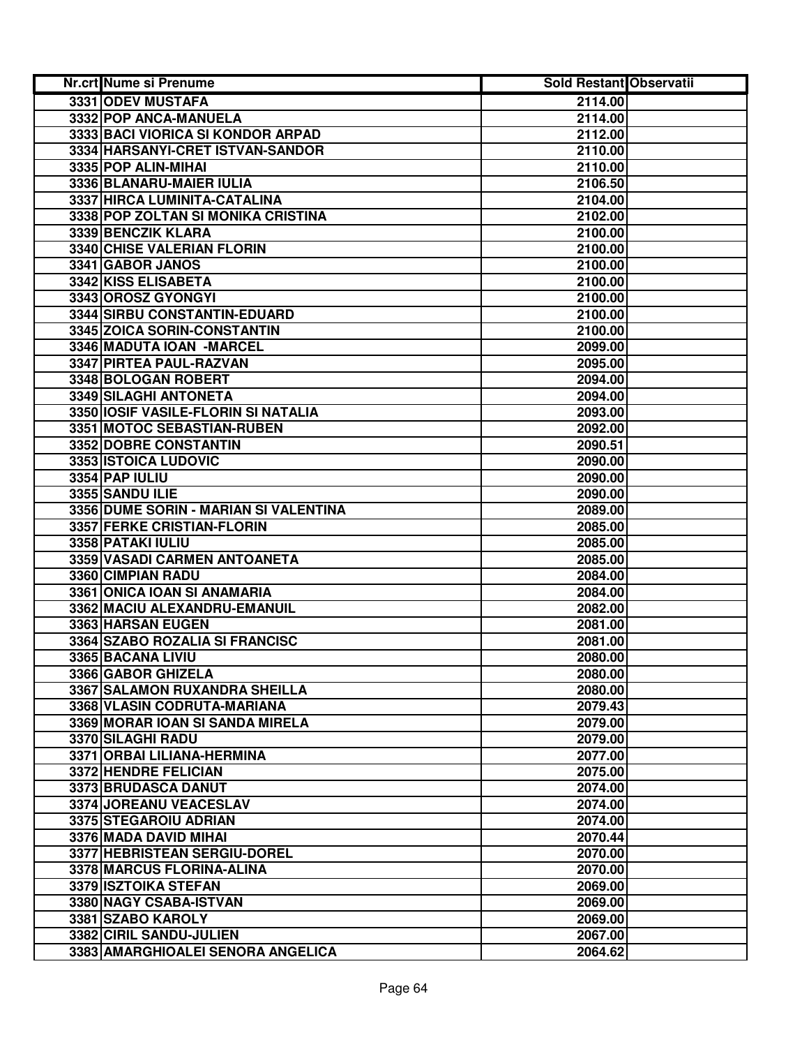| Nr.crt Nume si Prenume                | Sold Restant Observatii |  |
|---------------------------------------|-------------------------|--|
| 3331 ODEV MUSTAFA                     | 2114.00                 |  |
| 3332 POP ANCA-MANUELA                 | 2114.00                 |  |
| 3333 BACI VIORICA SI KONDOR ARPAD     | 2112.00                 |  |
| 3334 HARSANYI-CRET ISTVAN-SANDOR      | 2110.00                 |  |
| 3335 POP ALIN-MIHAI                   | 2110.00                 |  |
| 3336 BLANARU-MAIER IULIA              | 2106.50                 |  |
| 3337 HIRCA LUMINITA-CATALINA          | 2104.00                 |  |
| 3338 POP ZOLTAN SI MONIKA CRISTINA    | 2102.00                 |  |
| 3339 BENCZIK KLARA                    | 2100.00                 |  |
| <b>3340 CHISE VALERIAN FLORIN</b>     | 2100.00                 |  |
| 3341 GABOR JANOS                      | 2100.00                 |  |
| 3342 KISS ELISABETA                   | 2100.00                 |  |
| 3343 OROSZ GYONGYI                    | 2100.00                 |  |
| 3344 SIRBU CONSTANTIN-EDUARD          | 2100.00                 |  |
| 3345 ZOICA SORIN-CONSTANTIN           | 2100.00                 |  |
| 3346 MADUTA IOAN -MARCEL              | 2099.00                 |  |
| 3347 PIRTEA PAUL-RAZVAN               | 2095.00                 |  |
| 3348 BOLOGAN ROBERT                   | 2094.00                 |  |
| 3349 SILAGHI ANTONETA                 | 2094.00                 |  |
| 3350 IOSIF VASILE-FLORIN SI NATALIA   | 2093.00                 |  |
| 3351 MOTOC SEBASTIAN-RUBEN            | 2092.00                 |  |
| 3352 DOBRE CONSTANTIN                 | 2090.51                 |  |
| 3353 ISTOICA LUDOVIC                  | 2090.00                 |  |
| 3354 PAP IULIU                        | 2090.00                 |  |
| 3355 SANDU ILIE                       | 2090.00                 |  |
| 3356 DUME SORIN - MARIAN SI VALENTINA | 2089.00                 |  |
| 3357 FERKE CRISTIAN-FLORIN            | 2085.00                 |  |
| 3358 PATAKI IULIU                     | 2085.00                 |  |
| 3359 VASADI CARMEN ANTOANETA          | 2085.00                 |  |
| 3360 CIMPIAN RADU                     | 2084.00                 |  |
| 3361 ONICA IOAN SI ANAMARIA           | 2084.00                 |  |
| 3362 MACIU ALEXANDRU-EMANUIL          | 2082.00                 |  |
| 3363 HARSAN EUGEN                     | 2081.00                 |  |
| 3364 SZABO ROZALIA SI FRANCISC        | 2081.00                 |  |
| 3365 BACANA LIVIU                     | 2080.00                 |  |
| 3366 GABOR GHIZELA                    | 2080.00                 |  |
| 3367 SALAMON RUXANDRA SHEILLA         | 2080.00                 |  |
| 3368 VLASIN CODRUTA-MARIANA           | 2079.43                 |  |
| 3369 MORAR IOAN SI SANDA MIRELA       | 2079.00                 |  |
| 3370 SILAGHI RADU                     | 2079.00                 |  |
| 3371 ORBAI LILIANA-HERMINA            | 2077.00                 |  |
| 3372 HENDRE FELICIAN                  | 2075.00                 |  |
| 3373 BRUDASCA DANUT                   | 2074.00                 |  |
| 3374 JOREANU VEACESLAV                | 2074.00                 |  |
| 3375 STEGAROIU ADRIAN                 | 2074.00                 |  |
| 3376 MADA DAVID MIHAI                 | 2070.44                 |  |
| 3377 HEBRISTEAN SERGIU-DOREL          | 2070.00                 |  |
| 3378 MARCUS FLORINA-ALINA             | 2070.00                 |  |
| 3379 ISZTOIKA STEFAN                  | 2069.00                 |  |
| 3380 NAGY CSABA-ISTVAN                | 2069.00                 |  |
| 3381 SZABO KAROLY                     | 2069.00                 |  |
| 3382 CIRIL SANDU-JULIEN               | 2067.00                 |  |
| 3383 AMARGHIOALEI SENORA ANGELICA     | 2064.62                 |  |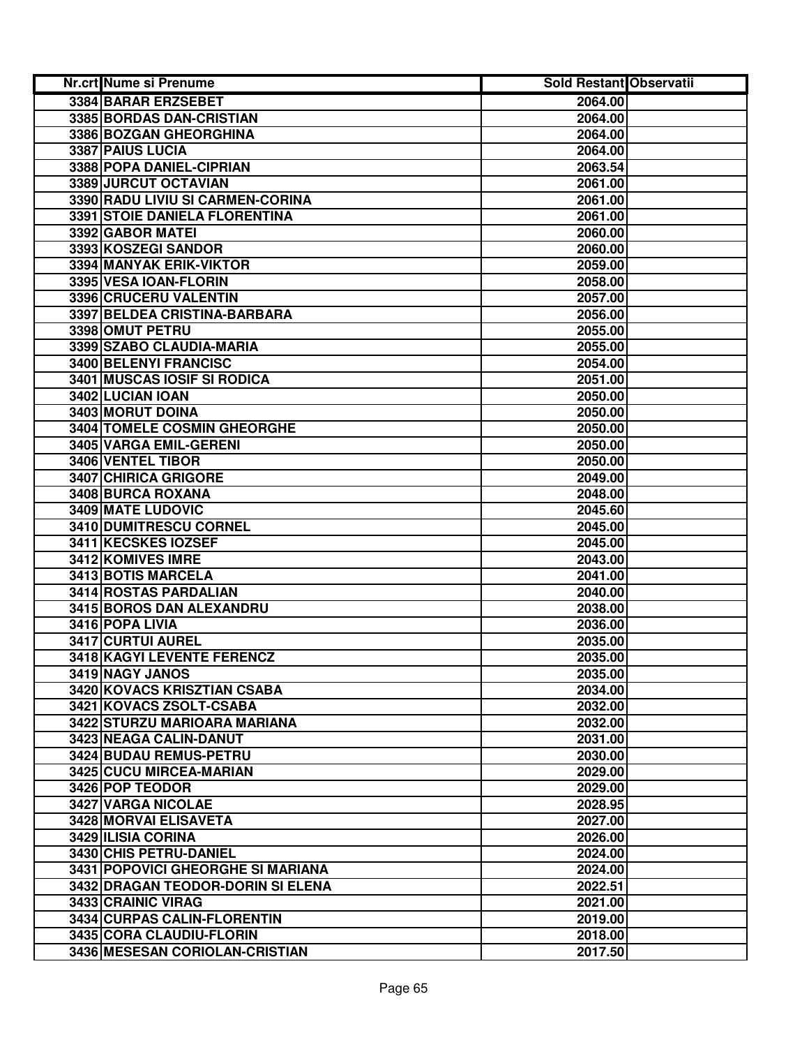| Nr.crt Nume si Prenume            | <b>Sold Restant Observatii</b> |  |
|-----------------------------------|--------------------------------|--|
| 3384 BARAR ERZSEBET               | 2064.00                        |  |
| 3385 BORDAS DAN-CRISTIAN          | 2064.00                        |  |
| 3386 BOZGAN GHEORGHINA            | 2064.00                        |  |
| 3387 PAIUS LUCIA                  | 2064.00                        |  |
| 3388 POPA DANIEL-CIPRIAN          | 2063.54                        |  |
| 3389 JURCUT OCTAVIAN              | 2061.00                        |  |
| 3390 RADU LIVIU SI CARMEN-CORINA  | 2061.00                        |  |
| 3391 STOIE DANIELA FLORENTINA     | 2061.00                        |  |
| 3392 GABOR MATEI                  | 2060.00                        |  |
| 3393 KOSZEGI SANDOR               | 2060.00                        |  |
| 3394 MANYAK ERIK-VIKTOR           | 2059.00                        |  |
| 3395 VESA IOAN-FLORIN             | 2058.00                        |  |
| 3396 CRUCERU VALENTIN             | 2057.00                        |  |
| 3397 BELDEA CRISTINA-BARBARA      | 2056.00                        |  |
| 3398 OMUT PETRU                   | 2055.00                        |  |
| 3399 SZABO CLAUDIA-MARIA          | 2055.00                        |  |
| 3400 BELENYI FRANCISC             | 2054.00                        |  |
| 3401 MUSCAS IOSIF SI RODICA       | 2051.00                        |  |
| 3402 LUCIAN IOAN                  | 2050.00                        |  |
| 3403 MORUT DOINA                  | 2050.00                        |  |
| 3404 TOMELE COSMIN GHEORGHE       | 2050.00                        |  |
| 3405 VARGA EMIL-GERENI            | 2050.00                        |  |
| 3406 VENTEL TIBOR                 | 2050.00                        |  |
| 3407 CHIRICA GRIGORE              | 2049.00                        |  |
| 3408 BURCA ROXANA                 | 2048.00                        |  |
| 3409 MATE LUDOVIC                 | 2045.60                        |  |
| 3410 DUMITRESCU CORNEL            | 2045.00                        |  |
| 3411 KECSKES IOZSEF               | 2045.00                        |  |
| 3412 KOMIVES IMRE                 | 2043.00                        |  |
| 3413 BOTIS MARCELA                | 2041.00                        |  |
| 3414 ROSTAS PARDALIAN             | 2040.00                        |  |
| 3415 BOROS DAN ALEXANDRU          | 2038.00                        |  |
| 3416 POPA LIVIA                   | 2036.00                        |  |
| 3417 CURTUI AUREL                 | 2035.00                        |  |
| 3418 KAGYI LEVENTE FERENCZ        | 2035.00                        |  |
| 3419 NAGY JANOS                   | 2035.00                        |  |
| 3420 KOVACS KRISZTIAN CSABA       | 2034.00                        |  |
| 3421 KOVACS ZSOLT-CSABA           | 2032.00                        |  |
| 3422 STURZU MARIOARA MARIANA      | 2032.00                        |  |
| 3423 NEAGA CALIN-DANUT            | 2031.00                        |  |
| 3424 BUDAU REMUS-PETRU            | 2030.00                        |  |
| 3425 CUCU MIRCEA-MARIAN           | 2029.00                        |  |
| 3426 POP TEODOR                   | 2029.00                        |  |
| <b>3427 VARGA NICOLAE</b>         | 2028.95                        |  |
| 3428 MORVAI ELISAVETA             | 2027.00                        |  |
| 3429 ILISIA CORINA                | 2026.00                        |  |
| 3430 CHIS PETRU-DANIEL            | 2024.00                        |  |
| 3431 POPOVICI GHEORGHE SI MARIANA | 2024.00                        |  |
| 3432 DRAGAN TEODOR-DORIN SI ELENA | 2022.51                        |  |
| 3433 CRAINIC VIRAG                | 2021.00                        |  |
| 3434 CURPAS CALIN-FLORENTIN       | 2019.00                        |  |
| 3435 CORA CLAUDIU-FLORIN          | 2018.00                        |  |
| 3436 MESESAN CORIOLAN-CRISTIAN    | 2017.50                        |  |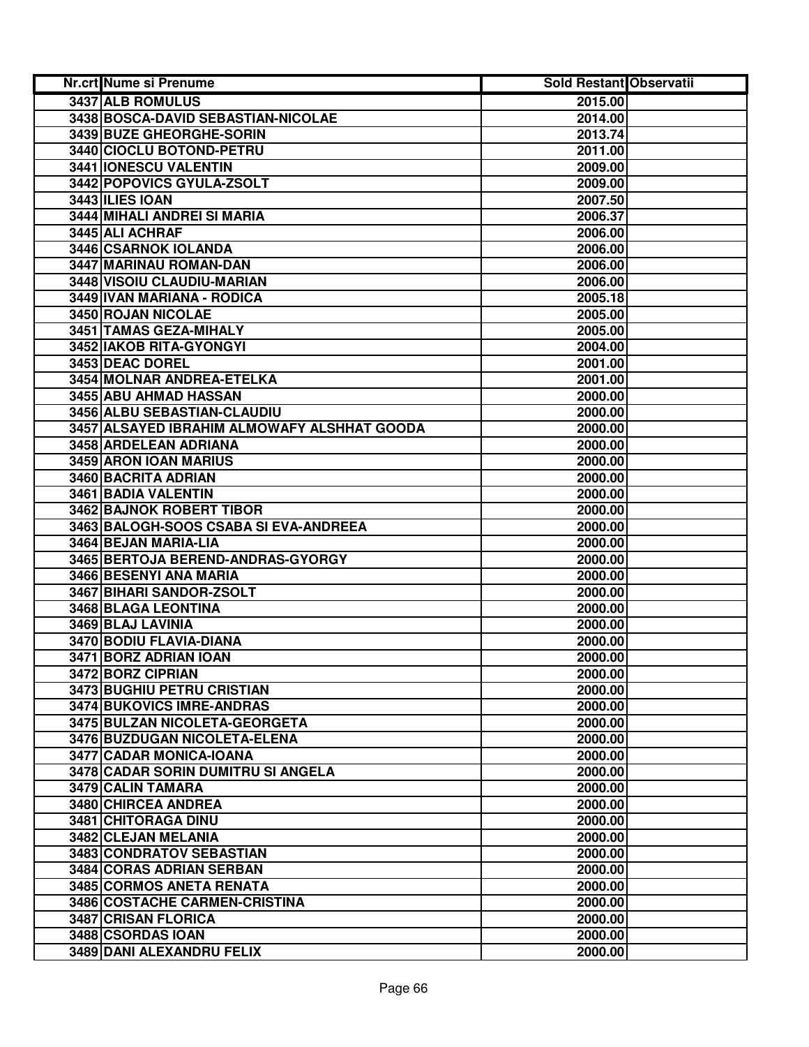| Nr.crt Nume si Prenume                      | <b>Sold Restant Observatii</b> |  |
|---------------------------------------------|--------------------------------|--|
| 3437 ALB ROMULUS                            | 2015.00                        |  |
| 3438 BOSCA-DAVID SEBASTIAN-NICOLAE          | 2014.00                        |  |
| 3439 BUZE GHEORGHE-SORIN                    | 2013.74                        |  |
| 3440 CIOCLU BOTOND-PETRU                    | 2011.00                        |  |
| <b>3441 IONESCU VALENTIN</b>                | 2009.00                        |  |
| 3442 POPOVICS GYULA-ZSOLT                   | 2009.00                        |  |
| <b>3443 ILIES IOAN</b>                      | 2007.50                        |  |
| 3444 MIHALI ANDREI SI MARIA                 | 2006.37                        |  |
| 3445 ALI ACHRAF                             | 2006.00                        |  |
| 3446 CSARNOK IOLANDA                        | 2006.00                        |  |
| 3447 MARINAU ROMAN-DAN                      | 2006.00                        |  |
| 3448 VISOIU CLAUDIU-MARIAN                  | 2006.00                        |  |
| 3449 IVAN MARIANA - RODICA                  | 2005.18                        |  |
| 3450 ROJAN NICOLAE                          | 2005.00                        |  |
| 3451 TAMAS GEZA-MIHALY                      | 2005.00                        |  |
| 3452 IAKOB RITA-GYONGYI                     | 2004.00                        |  |
| 3453 DEAC DOREL                             | 2001.00                        |  |
| 3454 MOLNAR ANDREA-ETELKA                   | 2001.00                        |  |
| 3455 ABU AHMAD HASSAN                       | 2000.00                        |  |
| 3456 ALBU SEBASTIAN-CLAUDIU                 | 2000.00                        |  |
| 3457 ALSAYED IBRAHIM ALMOWAFY ALSHHAT GOODA | 2000.00                        |  |
| 3458 ARDELEAN ADRIANA                       | 2000.00                        |  |
| 3459 ARON IOAN MARIUS                       | 2000.00                        |  |
| 3460 BACRITA ADRIAN                         | 2000.00                        |  |
| 3461 BADIA VALENTIN                         | 2000.00                        |  |
| 3462 BAJNOK ROBERT TIBOR                    | 2000.00                        |  |
| 3463 BALOGH-SOOS CSABA SI EVA-ANDREEA       | 2000.00                        |  |
| 3464 BEJAN MARIA-LIA                        | 2000.00                        |  |
| 3465 BERTOJA BEREND-ANDRAS-GYORGY           | 2000.00                        |  |
| 3466 BESENYI ANA MARIA                      | 2000.00                        |  |
| 3467 BIHARI SANDOR-ZSOLT                    | 2000.00                        |  |
| 3468 BLAGA LEONTINA                         | 2000.00                        |  |
| 3469 BLAJ LAVINIA                           | 2000.00                        |  |
| 3470 BODIU FLAVIA-DIANA                     | 2000.00                        |  |
| 3471 BORZ ADRIAN IOAN                       | 2000.00                        |  |
| 3472 BORZ CIPRIAN                           | 2000.00                        |  |
| 3473 BUGHIU PETRU CRISTIAN                  | 2000.00                        |  |
| 3474 BUKOVICS IMRE-ANDRAS                   | 2000.00                        |  |
| 3475 BULZAN NICOLETA-GEORGETA               | 2000.00                        |  |
| 3476 BUZDUGAN NICOLETA-ELENA                | 2000.00                        |  |
| 3477 CADAR MONICA-IOANA                     | 2000.00                        |  |
| 3478 CADAR SORIN DUMITRU SI ANGELA          | 2000.00                        |  |
| 3479 CALIN TAMARA                           | 2000.00                        |  |
| 3480 CHIRCEA ANDREA                         | 2000.00                        |  |
| 3481 CHITORAGA DINU                         | 2000.00                        |  |
| 3482 CLEJAN MELANIA                         | 2000.00                        |  |
| 3483 CONDRATOV SEBASTIAN                    | 2000.00                        |  |
| 3484 CORAS ADRIAN SERBAN                    | 2000.00                        |  |
| 3485 CORMOS ANETA RENATA                    | 2000.00                        |  |
| 3486 COSTACHE CARMEN-CRISTINA               | 2000.00                        |  |
| 3487 CRISAN FLORICA                         | 2000.00                        |  |
| 3488 CSORDAS IOAN                           | 2000.00                        |  |
| 3489 DANI ALEXANDRU FELIX                   | 2000.00                        |  |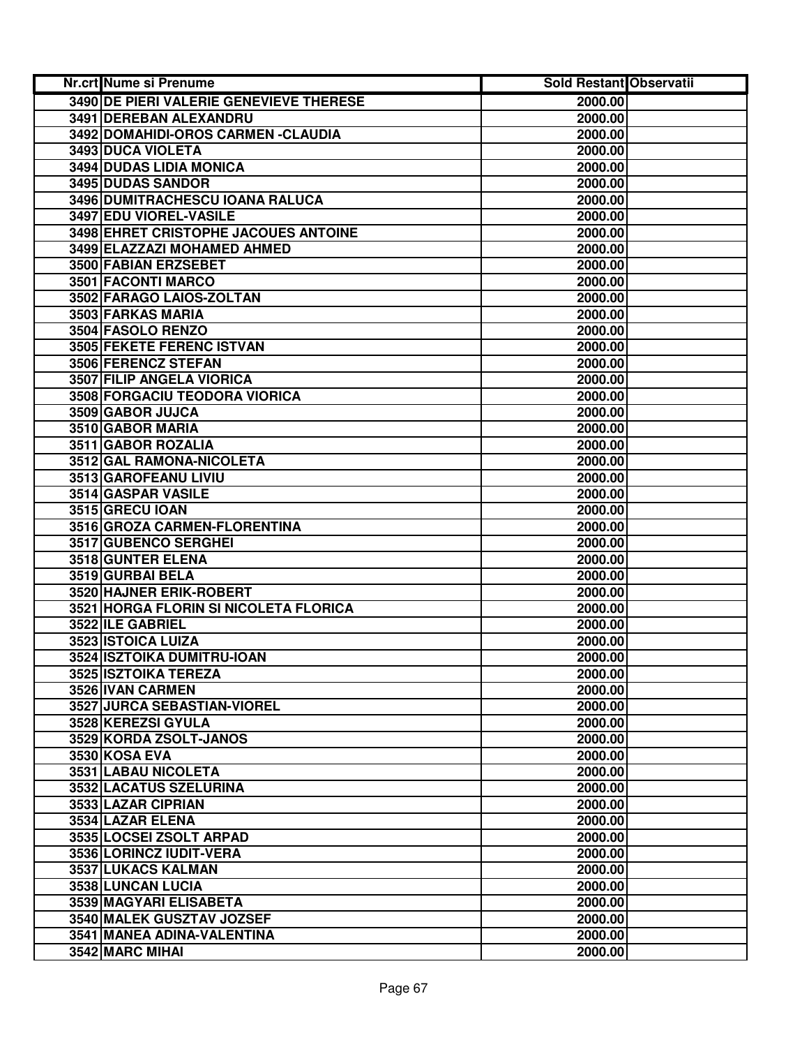| <b>Nr.crt Nume si Prenume</b>                      | <b>Sold Restant Observatii</b> |  |
|----------------------------------------------------|--------------------------------|--|
| 3490 DE PIERI VALERIE GENEVIEVE THERESE            | 2000.00                        |  |
| 3491 DEREBAN ALEXANDRU                             | 2000.00                        |  |
| 3492 DOMAHIDI-OROS CARMEN - CLAUDIA                | 2000.00                        |  |
| 3493 DUCA VIOLETA                                  | 2000.00                        |  |
| 3494 DUDAS LIDIA MONICA                            | 2000.00                        |  |
| 3495 DUDAS SANDOR                                  | 2000.00                        |  |
| 3496 DUMITRACHESCU IOANA RALUCA                    | 2000.00                        |  |
| 3497 EDU VIOREL-VASILE                             | 2000.00                        |  |
| 3498 EHRET CRISTOPHE JACOUES ANTOINE               | 2000.00                        |  |
| 3499 ELAZZAZI MOHAMED AHMED                        | 2000.00                        |  |
| 3500 FABIAN ERZSEBET                               | 2000.00                        |  |
| 3501 FACONTI MARCO                                 | 2000.00                        |  |
| 3502 FARAGO LAIOS-ZOLTAN                           | 2000.00                        |  |
| 3503 FARKAS MARIA                                  | 2000.00                        |  |
| 3504 FASOLO RENZO                                  | 2000.00                        |  |
| <b>3505 FEKETE FERENC ISTVAN</b>                   | 2000.00                        |  |
| 3506 FERENCZ STEFAN                                | 2000.00                        |  |
| 3507 FILIP ANGELA VIORICA                          | 2000.00                        |  |
| 3508 FORGACIU TEODORA VIORICA                      | 2000.00                        |  |
| 3509 GABOR JUJCA                                   | 2000.00                        |  |
| 3510 GABOR MARIA                                   | 2000.00                        |  |
| 3511 GABOR ROZALIA                                 | 2000.00                        |  |
| 3512 GAL RAMONA-NICOLETA                           | 2000.00                        |  |
| 3513 GAROFEANU LIVIU                               | 2000.00                        |  |
| 3514 GASPAR VASILE                                 | 2000.00                        |  |
| 3515 GRECU IOAN                                    | 2000.00                        |  |
| 3516 GROZA CARMEN-FLORENTINA                       | 2000.00                        |  |
| 3517 GUBENCO SERGHEI                               | 2000.00                        |  |
| 3518 GUNTER ELENA                                  | 2000.00                        |  |
| 3519 GURBAI BELA                                   | 2000.00                        |  |
| 3520 HAJNER ERIK-ROBERT                            | 2000.00                        |  |
| 3521 HORGA FLORIN SI NICOLETA FLORICA              | 2000.00                        |  |
| 3522 ILE GABRIEL                                   | 2000.00                        |  |
| 3523 ISTOICA LUIZA                                 | 2000.00<br>2000.00             |  |
| 3524 ISZTOIKA DUMITRU-IOAN<br>3525 ISZTOIKA TEREZA |                                |  |
| 3526 IVAN CARMEN                                   | 2000.00                        |  |
| <b>3527 JURCA SEBASTIAN-VIOREL</b>                 | 2000.00<br>2000.00             |  |
|                                                    | 2000.00                        |  |
| 3528 KEREZSI GYULA<br>3529 KORDA ZSOLT-JANOS       | 2000.00                        |  |
| 3530 KOSA EVA                                      | 2000.00                        |  |
| 3531 LABAU NICOLETA                                | 2000.00                        |  |
| 3532 LACATUS SZELURINA                             | 2000.00                        |  |
| 3533 LAZAR CIPRIAN                                 | 2000.00                        |  |
| 3534 LAZAR ELENA                                   | 2000.00                        |  |
| 3535 LOCSEI ZSOLT ARPAD                            | 2000.00                        |  |
| 3536 LORINCZ IUDIT-VERA                            | 2000.00                        |  |
| 3537 LUKACS KALMAN                                 | 2000.00                        |  |
| 3538 LUNCAN LUCIA                                  | 2000.00                        |  |
| 3539 MAGYARI ELISABETA                             | 2000.00                        |  |
| 3540 MALEK GUSZTAV JOZSEF                          | 2000.00                        |  |
| 3541 MANEA ADINA-VALENTINA                         | 2000.00                        |  |
| 3542 MARC MIHAI                                    | 2000.00                        |  |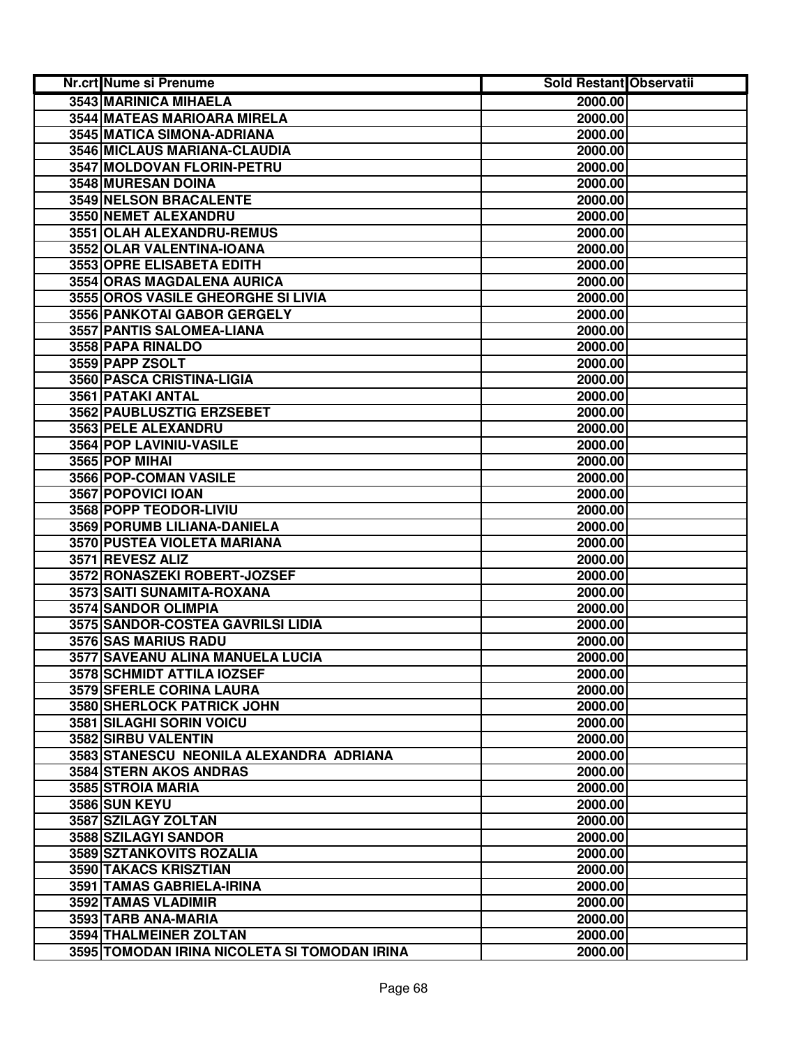| <b>Nr.crt Nume si Prenume</b>                | <b>Sold Restant Observatii</b> |  |
|----------------------------------------------|--------------------------------|--|
| 3543 MARINICA MIHAELA                        | 2000.00                        |  |
| 3544 MATEAS MARIOARA MIRELA                  | 2000.00                        |  |
| 3545 MATICA SIMONA-ADRIANA                   | 2000.00                        |  |
| 3546 MICLAUS MARIANA-CLAUDIA                 | 2000.00                        |  |
| 3547 MOLDOVAN FLORIN-PETRU                   | 2000.00                        |  |
| 3548 MURESAN DOINA                           | 2000.00                        |  |
| 3549 NELSON BRACALENTE                       | 2000.00                        |  |
| 3550 NEMET ALEXANDRU                         | 2000.00                        |  |
| 3551 OLAH ALEXANDRU-REMUS                    | 2000.00                        |  |
| 3552 OLAR VALENTINA-IOANA                    | 2000.00                        |  |
| 3553 OPRE ELISABETA EDITH                    | 2000.00                        |  |
| 3554 ORAS MAGDALENA AURICA                   | 2000.00                        |  |
| 3555 OROS VASILE GHEORGHE SI LIVIA           | 2000.00                        |  |
| 3556 PANKOTAI GABOR GERGELY                  | 2000.00                        |  |
| 3557 PANTIS SALOMEA-LIANA                    | 2000.00                        |  |
| 3558 PAPA RINALDO                            | 2000.00                        |  |
| 3559 PAPP ZSOLT                              | 2000.00                        |  |
| 3560 PASCA CRISTINA-LIGIA                    | 2000.00                        |  |
| 3561 PATAKI ANTAL                            | 2000.00                        |  |
| 3562 PAUBLUSZTIG ERZSEBET                    | 2000.00                        |  |
| 3563 PELE ALEXANDRU                          | 2000.00                        |  |
| 3564 POP LAVINIU-VASILE                      | 2000.00                        |  |
| 3565 POP MIHAI                               | 2000.00                        |  |
| 3566 POP-COMAN VASILE                        | 2000.00                        |  |
| 3567 POPOVICI IOAN                           | 2000.00                        |  |
| 3568 POPP TEODOR-LIVIU                       | 2000.00                        |  |
| 3569 PORUMB LILIANA-DANIELA                  | 2000.00                        |  |
| 3570 PUSTEA VIOLETA MARIANA                  | 2000.00                        |  |
| 3571 REVESZ ALIZ                             | 2000.00                        |  |
| 3572 RONASZEKI ROBERT-JOZSEF                 | 2000.00                        |  |
| 3573 SAITI SUNAMITA-ROXANA                   | 2000.00                        |  |
| 3574 SANDOR OLIMPIA                          | 2000.00                        |  |
| 3575 SANDOR-COSTEA GAVRILSI LIDIA            | 2000.00                        |  |
| 3576 SAS MARIUS RADU                         | 2000.00                        |  |
| 3577 SAVEANU ALINA MANUELA LUCIA             | 2000.00                        |  |
| 3578 SCHMIDT ATTILA IOZSEF                   | 2000.00                        |  |
| 3579 SFERLE CORINA LAURA                     | 2000.00                        |  |
| 3580 SHERLOCK PATRICK JOHN                   | 2000.00                        |  |
| 3581 SILAGHI SORIN VOICU                     | 2000.00                        |  |
| 3582 SIRBU VALENTIN                          | 2000.00                        |  |
| 3583 STANESCU NEONILA ALEXANDRA ADRIANA      | 2000.00                        |  |
| <b>3584 STERN AKOS ANDRAS</b>                | 2000.00                        |  |
| 3585 STROIA MARIA                            | 2000.00                        |  |
| <b>3586 SUN KEYU</b>                         | 2000.00                        |  |
| 3587 SZILAGY ZOLTAN                          | 2000.00                        |  |
| 3588 SZILAGYI SANDOR                         | 2000.00                        |  |
| 3589 SZTANKOVITS ROZALIA                     | 2000.00                        |  |
| 3590 TAKACS KRISZTIAN                        | 2000.00                        |  |
| 3591 TAMAS GABRIELA-IRINA                    | 2000.00                        |  |
| 3592 TAMAS VLADIMIR                          | 2000.00                        |  |
| 3593 TARB ANA-MARIA                          | 2000.00                        |  |
| 3594 THALMEINER ZOLTAN                       | 2000.00                        |  |
| 3595 TOMODAN IRINA NICOLETA SI TOMODAN IRINA | 2000.00                        |  |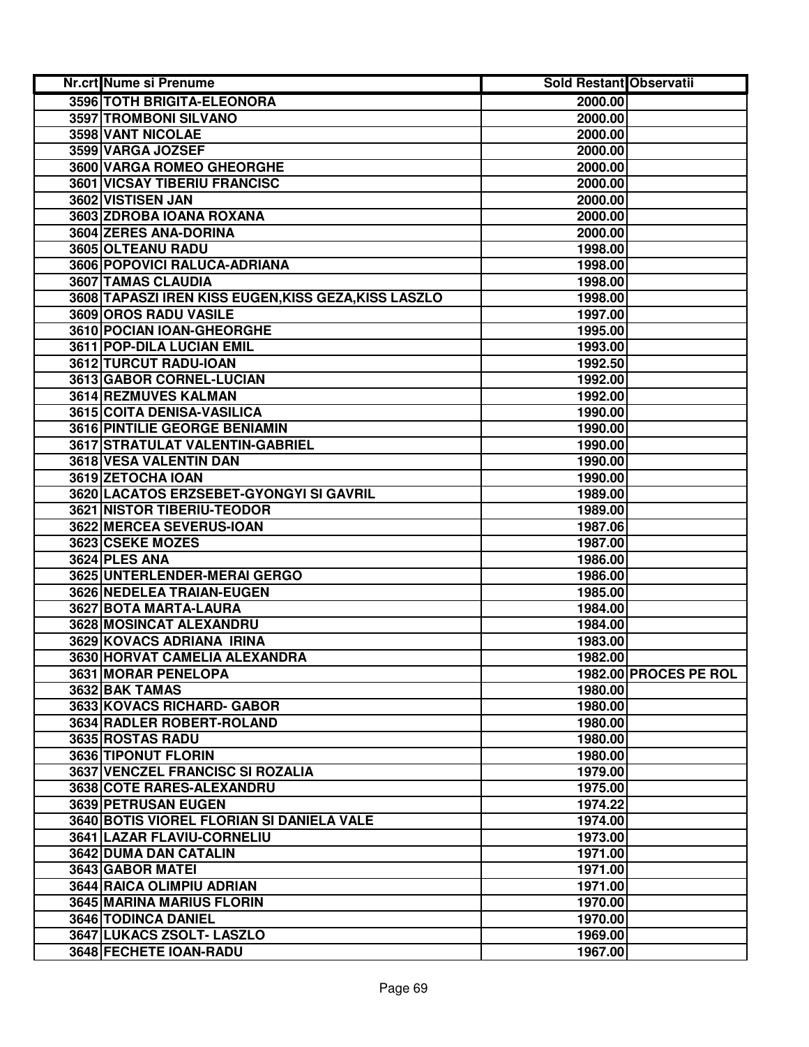| Nr.crt Nume si Prenume                               | <b>Sold Restant Observatii</b> |                       |
|------------------------------------------------------|--------------------------------|-----------------------|
| 3596 TOTH BRIGITA-ELEONORA                           | 2000.00                        |                       |
| 3597 TROMBONI SILVANO                                | 2000.00                        |                       |
| 3598 VANT NICOLAE                                    | 2000.00                        |                       |
| 3599 VARGA JOZSEF                                    | 2000.00                        |                       |
| 3600 VARGA ROMEO GHEORGHE                            | 2000.00                        |                       |
| 3601 VICSAY TIBERIU FRANCISC                         | 2000.00                        |                       |
| 3602 VISTISEN JAN                                    | 2000.00                        |                       |
| 3603 ZDROBA IOANA ROXANA                             | 2000.00                        |                       |
| 3604 ZERES ANA-DORINA                                | 2000.00                        |                       |
| 3605 OLTEANU RADU                                    | 1998.00                        |                       |
| 3606 POPOVICI RALUCA-ADRIANA                         | 1998.00                        |                       |
| 3607 TAMAS CLAUDIA                                   | 1998.00                        |                       |
| 3608 TAPASZI IREN KISS EUGEN, KISS GEZA, KISS LASZLO | 1998.00                        |                       |
| 3609 OROS RADU VASILE                                | 1997.00                        |                       |
| 3610 POCIAN IOAN-GHEORGHE                            | 1995.00                        |                       |
| 3611 POP-DILA LUCIAN EMIL                            | 1993.00                        |                       |
| 3612 TURCUT RADU-IOAN                                | 1992.50                        |                       |
| 3613 GABOR CORNEL-LUCIAN                             | 1992.00                        |                       |
| 3614 REZMUVES KALMAN                                 | 1992.00                        |                       |
| 3615 COITA DENISA-VASILICA                           | 1990.00                        |                       |
| 3616 PINTILIE GEORGE BENIAMIN                        | 1990.00                        |                       |
| 3617 STRATULAT VALENTIN-GABRIEL                      | 1990.00                        |                       |
| 3618 VESA VALENTIN DAN                               | 1990.00                        |                       |
| 3619 ZETOCHA IOAN                                    | 1990.00                        |                       |
| 3620 LACATOS ERZSEBET-GYONGYI SI GAVRIL              | 1989.00                        |                       |
| 3621 NISTOR TIBERIU-TEODOR                           | 1989.00                        |                       |
| 3622 MERCEA SEVERUS-IOAN                             | 1987.06                        |                       |
| 3623 CSEKE MOZES                                     | 1987.00                        |                       |
| 3624 PLES ANA                                        | 1986.00                        |                       |
| 3625 UNTERLENDER-MERAI GERGO                         | 1986.00                        |                       |
| 3626 NEDELEA TRAIAN-EUGEN                            | 1985.00                        |                       |
| 3627 BOTA MARTA-LAURA                                | 1984.00                        |                       |
| 3628 MOSINCAT ALEXANDRU                              | 1984.00                        |                       |
| 3629 KOVACS ADRIANA IRINA                            | 1983.00                        |                       |
| 3630 HORVAT CAMELIA ALEXANDRA                        | 1982.00                        |                       |
| 3631 MORAR PENELOPA                                  |                                | 1982.00 PROCES PE ROL |
| 3632 BAK TAMAS                                       | 1980.00                        |                       |
| 3633 KOVACS RICHARD- GABOR                           | 1980.00                        |                       |
| 3634 RADLER ROBERT-ROLAND                            | 1980.00                        |                       |
| 3635 ROSTAS RADU                                     | 1980.00                        |                       |
| 3636 TIPONUT FLORIN                                  | 1980.00                        |                       |
| <b>3637 VENCZEL FRANCISC SI ROZALIA</b>              | 1979.00                        |                       |
| 3638 COTE RARES-ALEXANDRU                            | 1975.00                        |                       |
| <b>3639 PETRUSAN EUGEN</b>                           | 1974.22                        |                       |
| 3640 BOTIS VIOREL FLORIAN SI DANIELA VALE            | 1974.00                        |                       |
| 3641 LAZAR FLAVIU-CORNELIU                           | 1973.00                        |                       |
| 3642 DUMA DAN CATALIN                                | 1971.00                        |                       |
| 3643 GABOR MATEI                                     | 1971.00                        |                       |
| 3644 RAICA OLIMPIU ADRIAN                            | 1971.00                        |                       |
| 3645 MARINA MARIUS FLORIN                            | 1970.00                        |                       |
| 3646 TODINCA DANIEL                                  | 1970.00                        |                       |
| 3647 LUKACS ZSOLT- LASZLO                            | 1969.00                        |                       |
| 3648 FECHETE IOAN-RADU                               | 1967.00                        |                       |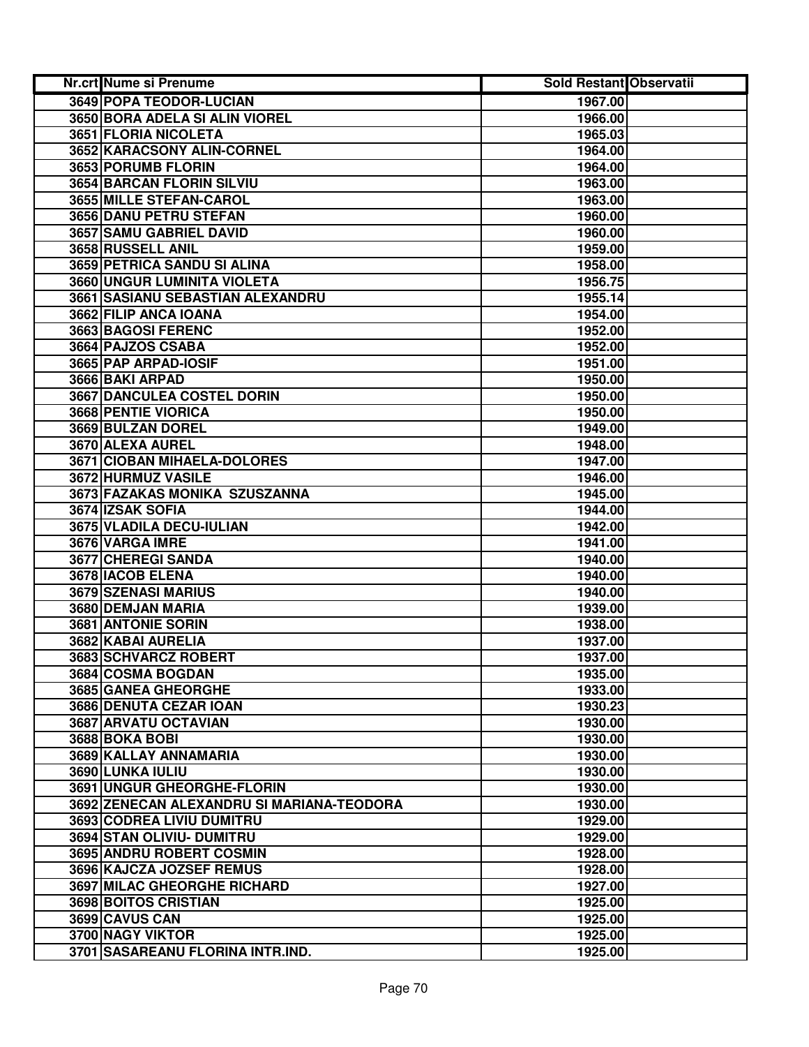| Nr.crt Nume si Prenume                    | <b>Sold Restant Observatii</b> |  |
|-------------------------------------------|--------------------------------|--|
| 3649 POPA TEODOR-LUCIAN                   | 1967.00                        |  |
| 3650 BORA ADELA SI ALIN VIOREL            | 1966.00                        |  |
| 3651 FLORIA NICOLETA                      | 1965.03                        |  |
| 3652 KARACSONY ALIN-CORNEL                | 1964.00                        |  |
| 3653 PORUMB FLORIN                        | 1964.00                        |  |
| 3654 BARCAN FLORIN SILVIU                 | 1963.00                        |  |
| 3655 MILLE STEFAN-CAROL                   | 1963.00                        |  |
| 3656 DANU PETRU STEFAN                    | 1960.00                        |  |
| 3657 SAMU GABRIEL DAVID                   | 1960.00                        |  |
| 3658 RUSSELL ANIL                         | 1959.00                        |  |
| <b>3659 PETRICA SANDU SI ALINA</b>        | 1958.00                        |  |
| 3660 UNGUR LUMINITA VIOLETA               | 1956.75                        |  |
| 3661 SASIANU SEBASTIAN ALEXANDRU          | 1955.14                        |  |
| 3662 FILIP ANCA IOANA                     | 1954.00                        |  |
| 3663 BAGOSI FERENC                        | 1952.00                        |  |
| 3664 PAJZOS CSABA                         | 1952.00                        |  |
| 3665 PAP ARPAD-IOSIF                      | 1951.00                        |  |
| 3666 BAKI ARPAD                           | 1950.00                        |  |
| <b>3667 DANCULEA COSTEL DORIN</b>         | 1950.00                        |  |
| <b>3668 PENTIE VIORICA</b>                | 1950.00                        |  |
| 3669 BULZAN DOREL                         | 1949.00                        |  |
| 3670 ALEXA AUREL                          | 1948.00                        |  |
| 3671 CIOBAN MIHAELA-DOLORES               | 1947.00                        |  |
| 3672 HURMUZ VASILE                        | 1946.00                        |  |
| 3673 FAZAKAS MONIKA SZUSZANNA             | 1945.00                        |  |
| 3674 IZSAK SOFIA                          | 1944.00                        |  |
| 3675 VLADILA DECU-IULIAN                  | 1942.00                        |  |
| 3676 VARGA IMRE                           | 1941.00                        |  |
| 3677 CHEREGI SANDA                        | 1940.00                        |  |
| 3678 IACOB ELENA                          | 1940.00                        |  |
| 3679 SZENASI MARIUS                       | 1940.00                        |  |
| 3680 DEMJAN MARIA                         | 1939.00                        |  |
| 3681 ANTONIE SORIN                        | 1938.00                        |  |
| 3682 KABAI AURELIA                        | 1937.00                        |  |
| 3683 SCHVARCZ ROBERT                      | 1937.00                        |  |
| 3684 COSMA BOGDAN                         | 1935.00                        |  |
| 3685 GANEA GHEORGHE                       | 1933.00                        |  |
| 3686 DENUTA CEZAR IOAN                    | 1930.23                        |  |
| 3687 ARVATU OCTAVIAN                      | 1930.00                        |  |
| 3688 BOKA BOBI                            | 1930.00                        |  |
| 3689 KALLAY ANNAMARIA                     | 1930.00                        |  |
| 3690 LUNKA IULIU                          | 1930.00                        |  |
| 3691 UNGUR GHEORGHE-FLORIN                | 1930.00                        |  |
| 3692 ZENECAN ALEXANDRU SI MARIANA-TEODORA | 1930.00                        |  |
| 3693 CODREA LIVIU DUMITRU                 | 1929.00                        |  |
| 3694 STAN OLIVIU- DUMITRU                 | 1929.00                        |  |
| 3695 ANDRU ROBERT COSMIN                  | 1928.00                        |  |
| 3696 KAJCZA JOZSEF REMUS                  | 1928.00                        |  |
| 3697 MILAC GHEORGHE RICHARD               | 1927.00                        |  |
| 3698 BOITOS CRISTIAN                      | 1925.00                        |  |
| 3699 CAVUS CAN                            | 1925.00                        |  |
| 3700 NAGY VIKTOR                          | 1925.00                        |  |
| 3701 SASAREANU FLORINA INTR.IND.          | 1925.00                        |  |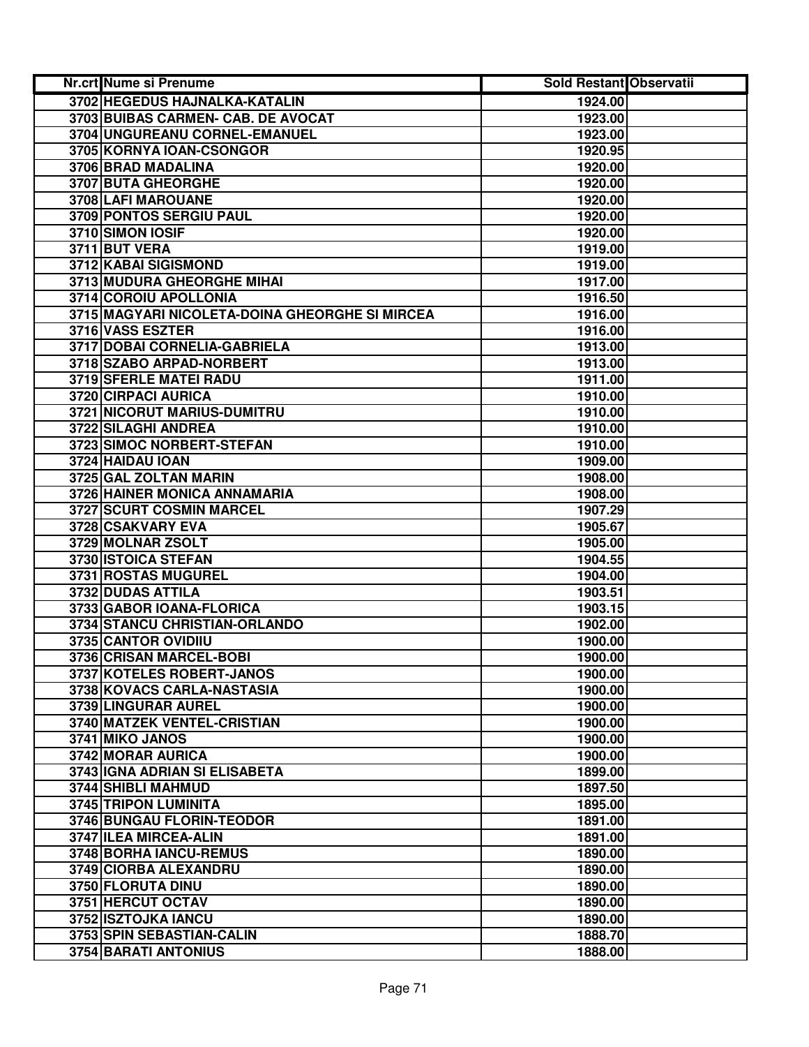| Nr.crt Nume si Prenume                         | <b>Sold Restant Observatii</b> |  |
|------------------------------------------------|--------------------------------|--|
| 3702 HEGEDUS HAJNALKA-KATALIN                  | 1924.00                        |  |
| 3703 BUIBAS CARMEN- CAB. DE AVOCAT             | 1923.00                        |  |
| 3704 UNGUREANU CORNEL-EMANUEL                  | 1923.00                        |  |
| 3705 KORNYA IOAN-CSONGOR                       | 1920.95                        |  |
| 3706 BRAD MADALINA                             | 1920.00                        |  |
| 3707 BUTA GHEORGHE                             | 1920.00                        |  |
| 3708 LAFI MAROUANE                             | 1920.00                        |  |
| 3709 PONTOS SERGIU PAUL                        | 1920.00                        |  |
| 3710 SIMON IOSIF                               | 1920.00                        |  |
| 3711 BUT VERA                                  | 1919.00                        |  |
| 3712 KABAI SIGISMOND                           | 1919.00                        |  |
| 3713 MUDURA GHEORGHE MIHAI                     | 1917.00                        |  |
| 3714 COROIU APOLLONIA                          | 1916.50                        |  |
| 3715 MAGYARI NICOLETA-DOINA GHEORGHE SI MIRCEA | 1916.00                        |  |
| 3716 VASS ESZTER                               | 1916.00                        |  |
| 3717 DOBAI CORNELIA-GABRIELA                   | 1913.00                        |  |
| 3718 SZABO ARPAD-NORBERT                       | 1913.00                        |  |
| <b>3719 SFERLE MATEI RADU</b>                  | 1911.00                        |  |
| <b>3720 CIRPACI AURICA</b>                     | 1910.00                        |  |
| 3721 NICORUT MARIUS-DUMITRU                    | 1910.00                        |  |
| 3722 SILAGHI ANDREA                            | 1910.00                        |  |
| 3723 SIMOC NORBERT-STEFAN                      | 1910.00                        |  |
| 3724 HAIDAU IOAN                               | 1909.00                        |  |
| 3725 GAL ZOLTAN MARIN                          | 1908.00                        |  |
| 3726 HAINER MONICA ANNAMARIA                   | 1908.00                        |  |
| 3727 SCURT COSMIN MARCEL                       | 1907.29                        |  |
| 3728 CSAKVARY EVA                              | 1905.67                        |  |
| 3729 MOLNAR ZSOLT                              | 1905.00                        |  |
| 3730 ISTOICA STEFAN                            | 1904.55                        |  |
| 3731 ROSTAS MUGUREL                            | 1904.00                        |  |
| 3732 DUDAS ATTILA                              | 1903.51                        |  |
| 3733 GABOR IOANA-FLORICA                       | 1903.15                        |  |
| 3734 STANCU CHRISTIAN-ORLANDO                  | 1902.00                        |  |
| 3735 CANTOR OVIDIIU                            | 1900.00                        |  |
| 3736 CRISAN MARCEL-BOBI                        | 1900.00                        |  |
| 3737 KOTELES ROBERT-JANOS                      | 1900.00                        |  |
| 3738 KOVACS CARLA-NASTASIA                     | 1900.00                        |  |
| 3739 LINGURAR AUREL                            | 1900.00                        |  |
| 3740 MATZEK VENTEL-CRISTIAN                    | 1900.00                        |  |
| 3741 MIKO JANOS                                | 1900.00                        |  |
| 3742 MORAR AURICA                              | 1900.00                        |  |
| 3743 IGNA ADRIAN SI ELISABETA                  | 1899.00                        |  |
| <b>3744 SHIBLI MAHMUD</b>                      | 1897.50                        |  |
| <b>3745 TRIPON LUMINITA</b>                    | 1895.00                        |  |
| <b>3746 BUNGAU FLORIN-TEODOR</b>               | 1891.00                        |  |
| 3747 ILEA MIRCEA-ALIN                          | 1891.00                        |  |
| 3748 BORHA IANCU-REMUS                         | 1890.00                        |  |
| 3749 CIORBA ALEXANDRU                          | 1890.00                        |  |
| 3750 FLORUTA DINU                              | 1890.00                        |  |
| 3751 HERCUT OCTAV                              | 1890.00                        |  |
| 3752 ISZTOJKA IANCU                            | 1890.00                        |  |
| 3753 SPIN SEBASTIAN-CALIN                      | 1888.70                        |  |
| 3754 BARATI ANTONIUS                           | 1888.00                        |  |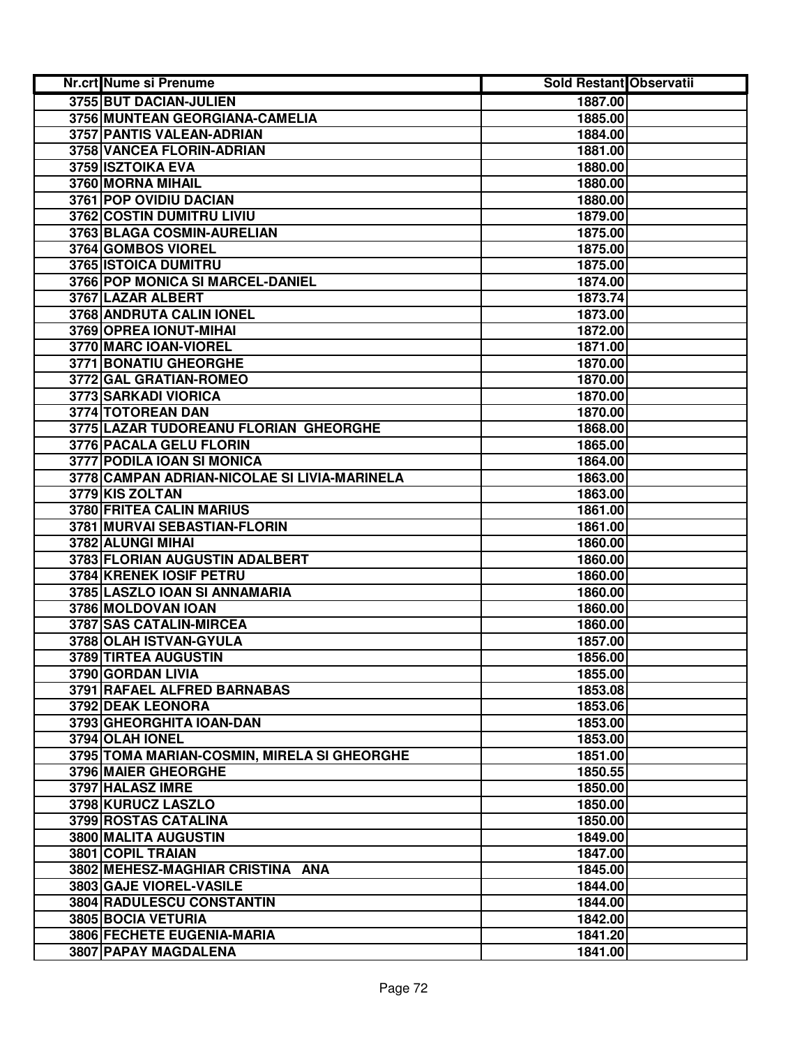| Nr.crt Nume si Prenume                       | <b>Sold Restant Observatii</b> |  |
|----------------------------------------------|--------------------------------|--|
| 3755 BUT DACIAN-JULIEN                       | 1887.00                        |  |
| 3756 MUNTEAN GEORGIANA-CAMELIA               | 1885.00                        |  |
| 3757 PANTIS VALEAN-ADRIAN                    | 1884.00                        |  |
| 3758 VANCEA FLORIN-ADRIAN                    | 1881.00                        |  |
| 3759 ISZTOIKA EVA                            | 1880.00                        |  |
| 3760 MORNA MIHAIL                            | 1880.00                        |  |
| 3761 POP OVIDIU DACIAN                       | 1880.00                        |  |
| 3762 COSTIN DUMITRU LIVIU                    | 1879.00                        |  |
| 3763 BLAGA COSMIN-AURELIAN                   | 1875.00                        |  |
| 3764 GOMBOS VIOREL                           | 1875.00                        |  |
| 3765 ISTOICA DUMITRU                         | 1875.00                        |  |
| 3766 POP MONICA SI MARCEL-DANIEL             | 1874.00                        |  |
| 3767 LAZAR ALBERT                            | 1873.74                        |  |
| 3768 ANDRUTA CALIN IONEL                     | 1873.00                        |  |
| 3769 OPREA IONUT-MIHAI                       | 1872.00                        |  |
| 3770 MARC IOAN-VIOREL                        | 1871.00                        |  |
| 3771 BONATIU GHEORGHE                        | 1870.00                        |  |
| 3772 GAL GRATIAN-ROMEO                       | 1870.00                        |  |
| 3773 SARKADI VIORICA                         | 1870.00                        |  |
| 3774 TOTOREAN DAN                            | 1870.00                        |  |
| 3775 LAZAR TUDOREANU FLORIAN GHEORGHE        | 1868.00                        |  |
| 3776 PACALA GELU FLORIN                      | 1865.00                        |  |
| 3777 PODILA IOAN SI MONICA                   | 1864.00                        |  |
| 3778 CAMPAN ADRIAN-NICOLAE SI LIVIA-MARINELA | 1863.00                        |  |
| 3779 KIS ZOLTAN                              | 1863.00                        |  |
| 3780 FRITEA CALIN MARIUS                     | 1861.00                        |  |
| 3781 MURVAI SEBASTIAN-FLORIN                 | 1861.00                        |  |
| 3782 ALUNGI MIHAI                            | 1860.00                        |  |
| 3783 FLORIAN AUGUSTIN ADALBERT               | 1860.00                        |  |
| 3784 KRENEK IOSIF PETRU                      | 1860.00                        |  |
| 3785 LASZLO IOAN SI ANNAMARIA                | 1860.00                        |  |
| 3786 MOLDOVAN IOAN                           | 1860.00                        |  |
| 3787 SAS CATALIN-MIRCEA                      | 1860.00                        |  |
| 3788 OLAH ISTVAN-GYULA                       | 1857.00                        |  |
| 3789 TIRTEA AUGUSTIN                         | 1856.00                        |  |
| 3790 GORDAN LIVIA                            | 1855.00                        |  |
| 3791 RAFAEL ALFRED BARNABAS                  | 1853.08                        |  |
| 3792 DEAK LEONORA                            | 1853.06                        |  |
| 3793 GHEORGHITA IOAN-DAN                     | 1853.00                        |  |
| 3794 OLAH IONEL                              | 1853.00                        |  |
| 3795 TOMA MARIAN-COSMIN, MIRELA SI GHEORGHE  | 1851.00                        |  |
| 3796 MAIER GHEORGHE                          | 1850.55                        |  |
| 3797 HALASZ IMRE                             | 1850.00                        |  |
| 3798 KURUCZ LASZLO                           | 1850.00                        |  |
| 3799 ROSTAS CATALINA                         | 1850.00                        |  |
| 3800 MALITA AUGUSTIN                         | 1849.00                        |  |
| 3801 COPIL TRAIAN                            | 1847.00                        |  |
| 3802 MEHESZ-MAGHIAR CRISTINA ANA             | 1845.00                        |  |
| 3803 GAJE VIOREL-VASILE                      | 1844.00                        |  |
| 3804 RADULESCU CONSTANTIN                    | 1844.00                        |  |
| 3805 BOCIA VETURIA                           | 1842.00                        |  |
| 3806 FECHETE EUGENIA-MARIA                   | 1841.20                        |  |
| 3807 PAPAY MAGDALENA                         | 1841.00                        |  |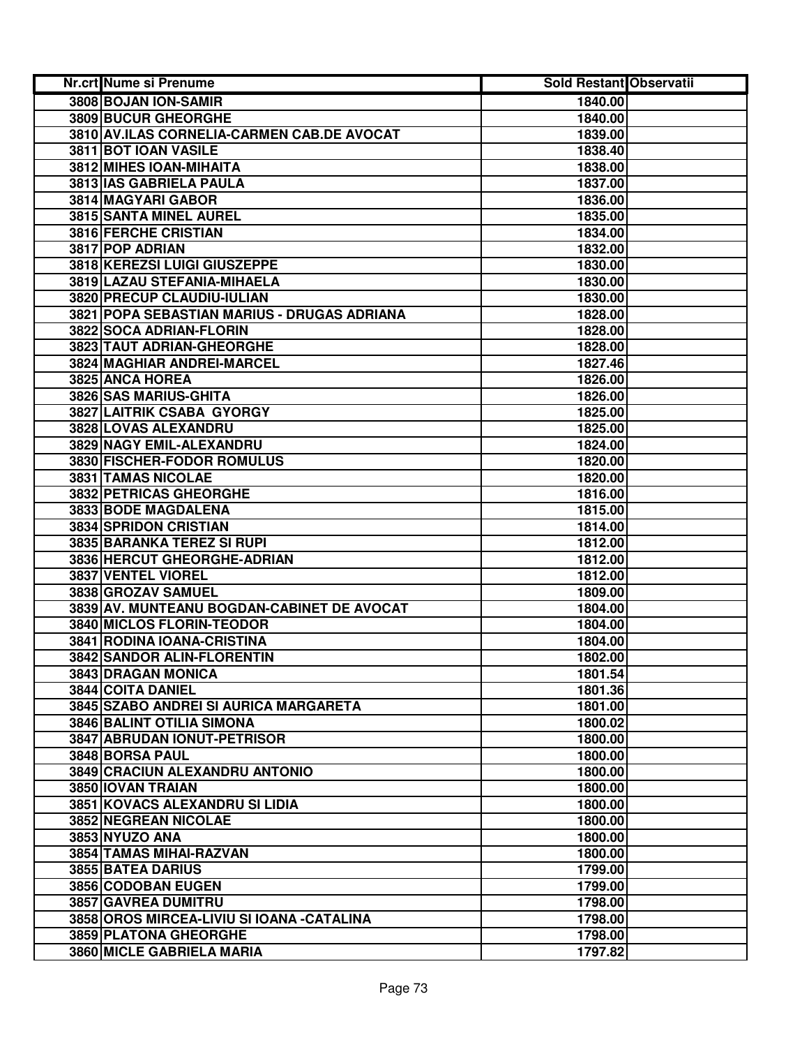| Nr.crt Nume si Prenume                      | Sold Restant Observatii |  |
|---------------------------------------------|-------------------------|--|
| 3808 BOJAN ION-SAMIR                        | 1840.00                 |  |
| 3809 BUCUR GHEORGHE                         | 1840.00                 |  |
| 3810 AV.ILAS CORNELIA-CARMEN CAB.DE AVOCAT  | 1839.00                 |  |
| 3811 BOT IOAN VASILE                        | 1838.40                 |  |
| 3812 MIHES IOAN-MIHAITA                     | 1838.00                 |  |
| 3813 IAS GABRIELA PAULA                     | 1837.00                 |  |
| 3814 MAGYARI GABOR                          | 1836.00                 |  |
| 3815 SANTA MINEL AUREL                      | 1835.00                 |  |
| <b>3816 FERCHE CRISTIAN</b>                 | 1834.00                 |  |
| 3817 POP ADRIAN                             | 1832.00                 |  |
| 3818 KEREZSI LUIGI GIUSZEPPE                | 1830.00                 |  |
| 3819 LAZAU STEFANIA-MIHAELA                 | 1830.00                 |  |
| 3820 PRECUP CLAUDIU-IULIAN                  | 1830.00                 |  |
| 3821 POPA SEBASTIAN MARIUS - DRUGAS ADRIANA | 1828.00                 |  |
| 3822 SOCA ADRIAN-FLORIN                     | 1828.00                 |  |
| 3823 TAUT ADRIAN-GHEORGHE                   | 1828.00                 |  |
| <b>3824 MAGHIAR ANDREI-MARCEL</b>           | 1827.46                 |  |
| 3825 ANCA HOREA                             | 1826.00                 |  |
| 3826 SAS MARIUS-GHITA                       | 1826.00                 |  |
| 3827 LAITRIK CSABA GYORGY                   | 1825.00                 |  |
| 3828 LOVAS ALEXANDRU                        | 1825.00                 |  |
| 3829 NAGY EMIL-ALEXANDRU                    | 1824.00                 |  |
| 3830 FISCHER-FODOR ROMULUS                  | 1820.00                 |  |
| 3831 TAMAS NICOLAE                          | 1820.00                 |  |
| 3832 PETRICAS GHEORGHE                      | 1816.00                 |  |
| 3833 BODE MAGDALENA                         | 1815.00                 |  |
| 3834 SPRIDON CRISTIAN                       | 1814.00                 |  |
| 3835 BARANKA TEREZ SI RUPI                  | 1812.00                 |  |
| 3836 HERCUT GHEORGHE-ADRIAN                 | 1812.00                 |  |
| 3837 VENTEL VIOREL                          | 1812.00                 |  |
| 3838 GROZAV SAMUEL                          | 1809.00                 |  |
| 3839 AV. MUNTEANU BOGDAN-CABINET DE AVOCAT  | 1804.00                 |  |
| 3840 MICLOS FLORIN-TEODOR                   | 1804.00                 |  |
| 3841 RODINA IOANA-CRISTINA                  | 1804.00                 |  |
| 3842 SANDOR ALIN-FLORENTIN                  | 1802.00                 |  |
| 3843 DRAGAN MONICA                          | 1801.54                 |  |
| 3844 COITA DANIEL                           | 1801.36                 |  |
| 3845 SZABO ANDREI SI AURICA MARGARETA       | 1801.00                 |  |
| <b>3846 BALINT OTILIA SIMONA</b>            | 1800.02                 |  |
| 3847 ABRUDAN IONUT-PETRISOR                 | 1800.00                 |  |
| <b>3848 BORSA PAUL</b>                      | 1800.00                 |  |
| 3849 CRACIUN ALEXANDRU ANTONIO              | 1800.00                 |  |
| 3850 IOVAN TRAIAN                           | 1800.00                 |  |
| 3851 KOVACS ALEXANDRU SI LIDIA              | 1800.00                 |  |
| 3852 NEGREAN NICOLAE                        | 1800.00                 |  |
| 3853 NYUZO ANA                              | 1800.00                 |  |
| 3854 TAMAS MIHAI-RAZVAN                     | 1800.00                 |  |
| 3855 BATEA DARIUS                           | 1799.00                 |  |
| 3856 CODOBAN EUGEN                          | 1799.00                 |  |
| 3857 GAVREA DUMITRU                         | 1798.00                 |  |
| 3858 OROS MIRCEA-LIVIU SI IOANA - CATALINA  | 1798.00                 |  |
| 3859 PLATONA GHEORGHE                       | 1798.00                 |  |
| 3860 MICLE GABRIELA MARIA                   | 1797.82                 |  |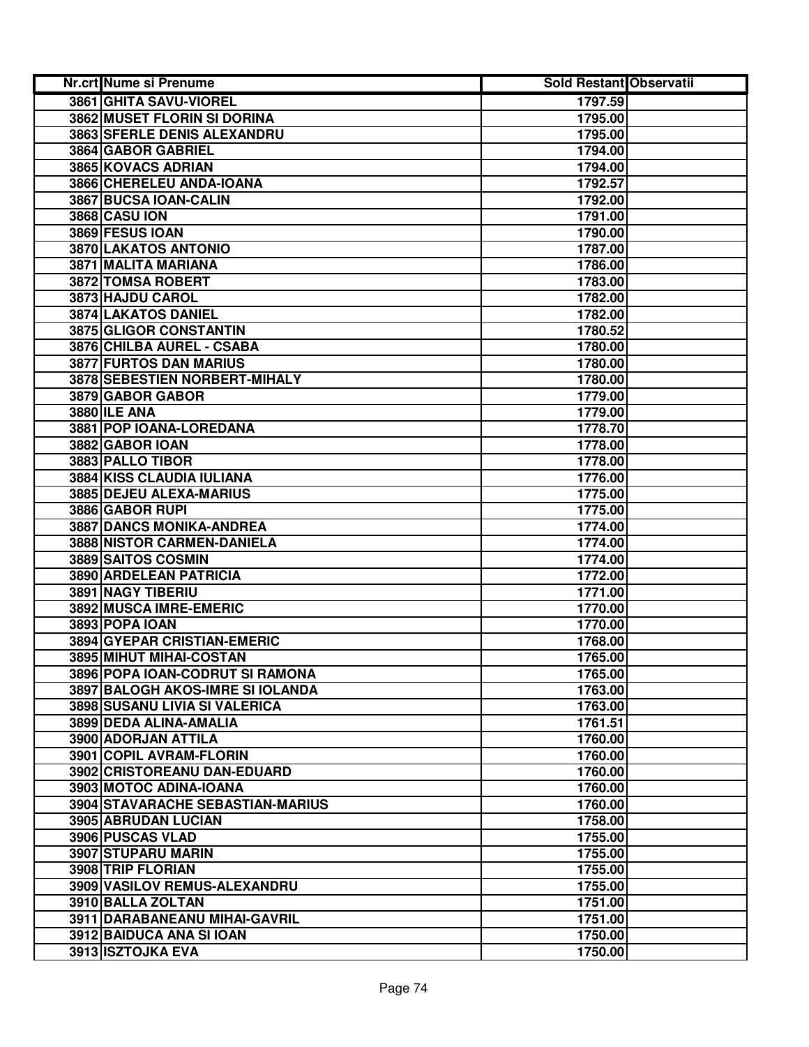| <b>Nr.crt Nume si Prenume</b>           | Sold Restant Observatii |  |
|-----------------------------------------|-------------------------|--|
| 3861 GHITA SAVU-VIOREL                  | 1797.59                 |  |
| <b>3862 MUSET FLORIN SI DORINA</b>      | 1795.00                 |  |
| 3863 SFERLE DENIS ALEXANDRU             | 1795.00                 |  |
| 3864 GABOR GABRIEL                      | 1794.00                 |  |
| 3865 KOVACS ADRIAN                      | 1794.00                 |  |
| 3866 CHERELEU ANDA-IOANA                | 1792.57                 |  |
| 3867 BUCSA IOAN-CALIN                   | 1792.00                 |  |
| <b>3868 CASU ION</b>                    | 1791.00                 |  |
| 3869 FESUS IOAN                         | 1790.00                 |  |
| 3870 LAKATOS ANTONIO                    | 1787.00                 |  |
| 3871 MALITA MARIANA                     | 1786.00                 |  |
| 3872 TOMSA ROBERT                       | 1783.00                 |  |
| 3873 HAJDU CAROL                        | 1782.00                 |  |
| 3874 LAKATOS DANIEL                     | 1782.00                 |  |
| 3875 GLIGOR CONSTANTIN                  | 1780.52                 |  |
| 3876 CHILBA AUREL - CSABA               | 1780.00                 |  |
| 3877 FURTOS DAN MARIUS                  | 1780.00                 |  |
| 3878 SEBESTIEN NORBERT-MIHALY           | 1780.00                 |  |
| 3879 GABOR GABOR                        | 1779.00                 |  |
| <b>3880 ILE ANA</b>                     | 1779.00                 |  |
| 3881 POP IOANA-LOREDANA                 | 1778.70                 |  |
| 3882 GABOR IOAN                         | 1778.00                 |  |
| 3883 PALLO TIBOR                        | 1778.00                 |  |
| 3884 KISS CLAUDIA IULIANA               | 1776.00                 |  |
| 3885 DEJEU ALEXA-MARIUS                 | 1775.00                 |  |
| 3886 GABOR RUPI                         | 1775.00                 |  |
| <b>3887 DANCS MONIKA-ANDREA</b>         | 1774.00                 |  |
| 3888 NISTOR CARMEN-DANIELA              | 1774.00                 |  |
| 3889 SAITOS COSMIN                      | 1774.00                 |  |
| 3890 ARDELEAN PATRICIA                  | 1772.00                 |  |
| 3891 NAGY TIBERIU                       | 1771.00                 |  |
| 3892 MUSCA IMRE-EMERIC                  | 1770.00                 |  |
| 3893 POPA IOAN                          | 1770.00                 |  |
| 3894 GYEPAR CRISTIAN-EMERIC             | 1768.00                 |  |
| 3895 MIHUT MIHAI-COSTAN                 | 1765.00                 |  |
| 3896 POPA IOAN-CODRUT SI RAMONA         | 1765.00                 |  |
| 3897 BALOGH AKOS-IMRE SI IOLANDA        | 1763.00                 |  |
| 3898 SUSANU LIVIA SI VALERICA           | 1763.00                 |  |
| 3899 DEDA ALINA-AMALIA                  | 1761.51                 |  |
| 3900 ADORJAN ATTILA                     | 1760.00                 |  |
| 3901 COPIL AVRAM-FLORIN                 | 1760.00                 |  |
| 3902 CRISTOREANU DAN-EDUARD             | 1760.00                 |  |
| 3903 MOTOC ADINA-IOANA                  | 1760.00                 |  |
| <b>3904 STAVARACHE SEBASTIAN-MARIUS</b> | 1760.00                 |  |
| 3905 ABRUDAN LUCIAN                     | 1758.00                 |  |
| 3906 PUSCAS VLAD                        | 1755.00                 |  |
| 3907 STUPARU MARIN                      | 1755.00                 |  |
| 3908 TRIP FLORIAN                       | 1755.00                 |  |
| 3909 VASILOV REMUS-ALEXANDRU            | 1755.00                 |  |
| 3910 BALLA ZOLTAN                       | 1751.00                 |  |
| 3911 DARABANEANU MIHAI-GAVRIL           | 1751.00                 |  |
| 3912 BAIDUCA ANA SI IOAN                | 1750.00                 |  |
| 3913 ISZTOJKA EVA                       | 1750.00                 |  |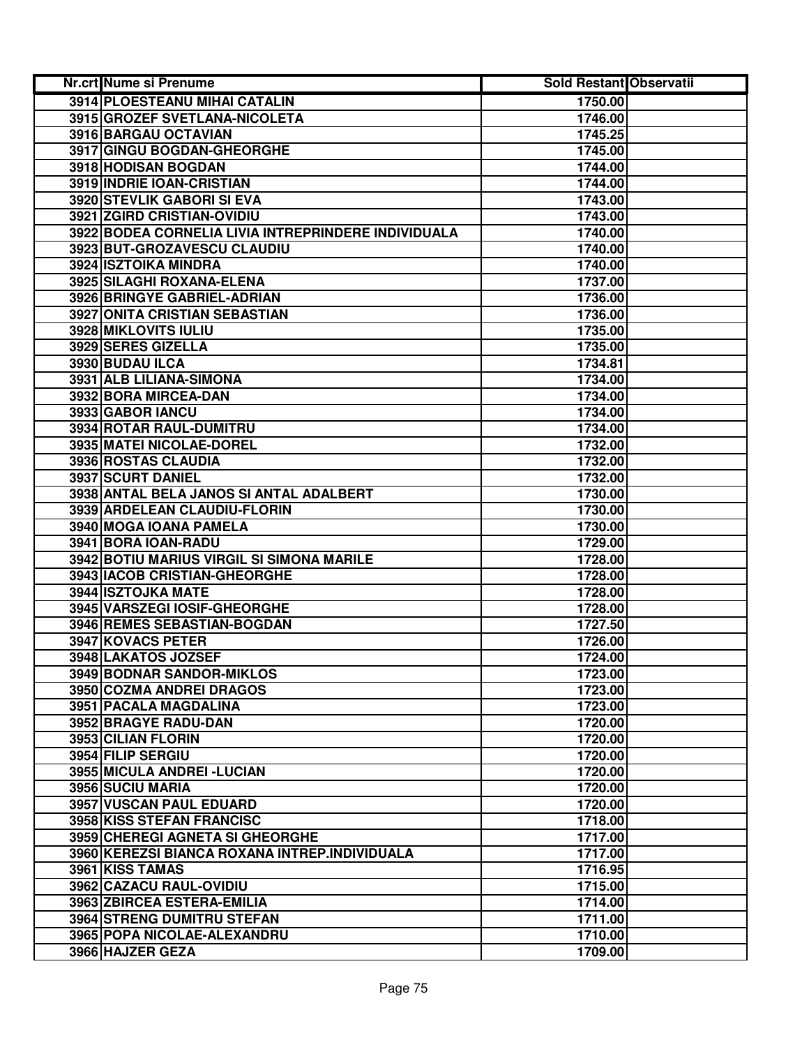| <b>Nr.crt Nume si Prenume</b>                       | Sold Restant Observatii |  |
|-----------------------------------------------------|-------------------------|--|
| 3914 PLOESTEANU MIHAI CATALIN                       | 1750.00                 |  |
| 3915 GROZEF SVETLANA-NICOLETA                       | 1746.00                 |  |
| 3916 BARGAU OCTAVIAN                                | 1745.25                 |  |
| 3917 GINGU BOGDAN-GHEORGHE                          | 1745.00                 |  |
| 3918 HODISAN BOGDAN                                 | 1744.00                 |  |
| 3919 INDRIE IOAN-CRISTIAN                           | 1744.00                 |  |
| 3920 STEVLIK GABORI SI EVA                          | 1743.00                 |  |
| 3921 ZGIRD CRISTIAN-OVIDIU                          | 1743.00                 |  |
| 3922 BODEA CORNELIA LIVIA INTREPRINDERE INDIVIDUALA | 1740.00                 |  |
| 3923 BUT-GROZAVESCU CLAUDIU                         | 1740.00                 |  |
| 3924 ISZTOIKA MINDRA                                | 1740.00                 |  |
| 3925 SILAGHI ROXANA-ELENA                           | 1737.00                 |  |
| 3926 BRINGYE GABRIEL-ADRIAN                         | 1736.00                 |  |
| 3927 ONITA CRISTIAN SEBASTIAN                       | 1736.00                 |  |
| 3928 MIKLOVITS IULIU                                | 1735.00                 |  |
| 3929 SERES GIZELLA                                  | 1735.00                 |  |
| 3930 BUDAU ILCA                                     | 1734.81                 |  |
| 3931 ALB LILIANA-SIMONA                             | 1734.00                 |  |
| 3932 BORA MIRCEA-DAN                                | 1734.00                 |  |
| 3933 GABOR IANCU                                    | 1734.00                 |  |
| 3934 ROTAR RAUL-DUMITRU                             | 1734.00                 |  |
| 3935 MATEI NICOLAE-DOREL                            | 1732.00                 |  |
| 3936 ROSTAS CLAUDIA                                 | 1732.00                 |  |
| 3937 SCURT DANIEL                                   | 1732.00                 |  |
| 3938 ANTAL BELA JANOS SI ANTAL ADALBERT             | 1730.00                 |  |
| 3939 ARDELEAN CLAUDIU-FLORIN                        | 1730.00                 |  |
| 3940 MOGA IOANA PAMELA                              | 1730.00                 |  |
| 3941 BORA IOAN-RADU                                 | 1729.00                 |  |
| 3942 BOTIU MARIUS VIRGIL SI SIMONA MARILE           | 1728.00                 |  |
| 3943 IACOB CRISTIAN-GHEORGHE                        | 1728.00                 |  |
| 3944 ISZTOJKA MATE                                  | 1728.00                 |  |
| 3945 VARSZEGI IOSIF-GHEORGHE                        | 1728.00                 |  |
| 3946 REMES SEBASTIAN-BOGDAN                         | 1727.50                 |  |
| 3947 KOVACS PETER                                   | 1726.00                 |  |
| 3948 LAKATOS JOZSEF                                 | 1724.00                 |  |
| 3949 BODNAR SANDOR-MIKLOS                           | 1723.00                 |  |
| 3950 COZMA ANDREI DRAGOS                            | 1723.00                 |  |
| 3951 PACALA MAGDALINA                               | 1723.00                 |  |
| 3952 BRAGYE RADU-DAN                                | 1720.00                 |  |
| 3953 CILIAN FLORIN                                  | 1720.00                 |  |
| 3954 FILIP SERGIU                                   | 1720.00                 |  |
| 3955 MICULA ANDREI - LUCIAN                         | 1720.00                 |  |
| 3956 SUCIU MARIA                                    | 1720.00                 |  |
| 3957 VUSCAN PAUL EDUARD                             | 1720.00                 |  |
| <b>3958 KISS STEFAN FRANCISC</b>                    | 1718.00                 |  |
| 3959 CHEREGI AGNETA SI GHEORGHE                     | 1717.00                 |  |
| 3960 KEREZSI BIANCA ROXANA INTREP.INDIVIDUALA       | 1717.00                 |  |
| 3961 KISS TAMAS                                     | 1716.95                 |  |
| 3962 CAZACU RAUL-OVIDIU                             | 1715.00                 |  |
| 3963 ZBIRCEA ESTERA-EMILIA                          | 1714.00                 |  |
| 3964 STRENG DUMITRU STEFAN                          | 1711.00                 |  |
| 3965 POPA NICOLAE-ALEXANDRU                         | 1710.00                 |  |
| 3966 HAJZER GEZA                                    | 1709.00                 |  |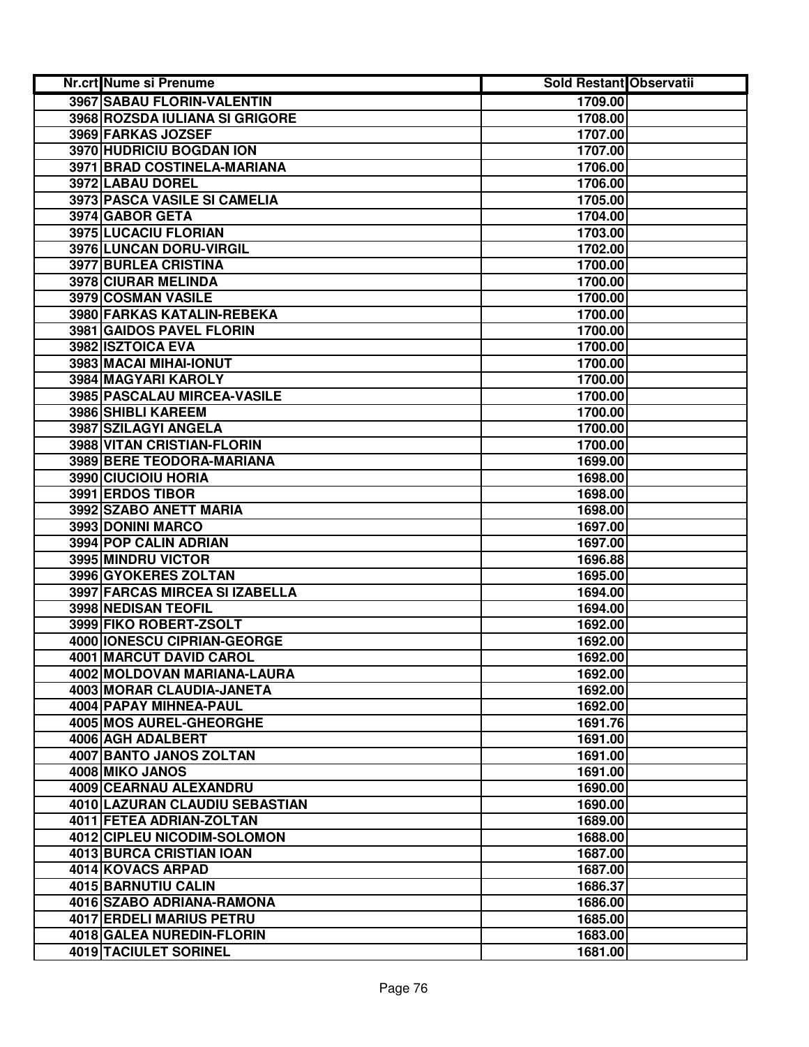| <b>Nr.crt Nume si Prenume</b>  | Sold Restant Observatii |  |
|--------------------------------|-------------------------|--|
| 3967 SABAU FLORIN-VALENTIN     | 1709.00                 |  |
| 3968 ROZSDA IULIANA SI GRIGORE | 1708.00                 |  |
| 3969 FARKAS JOZSEF             | 1707.00                 |  |
| 3970 HUDRICIU BOGDAN ION       | 1707.00                 |  |
| 3971 BRAD COSTINELA-MARIANA    | 1706.00                 |  |
| 3972 LABAU DOREL               | 1706.00                 |  |
| 3973 PASCA VASILE SI CAMELIA   | 1705.00                 |  |
| 3974 GABOR GETA                | 1704.00                 |  |
| 3975 LUCACIU FLORIAN           | 1703.00                 |  |
| 3976 LUNCAN DORU-VIRGIL        | 1702.00                 |  |
| 3977 BURLEA CRISTINA           | 1700.00                 |  |
| 3978 CIURAR MELINDA            | 1700.00                 |  |
| 3979 COSMAN VASILE             | 1700.00                 |  |
| 3980 FARKAS KATALIN-REBEKA     | 1700.00                 |  |
| 3981 GAIDOS PAVEL FLORIN       | 1700.00                 |  |
| 3982 ISZTOICA EVA              | 1700.00                 |  |
| 3983 MACAI MIHAI-IONUT         | 1700.00                 |  |
| <b>3984 MAGYARI KAROLY</b>     | 1700.00                 |  |
| 3985 PASCALAU MIRCEA-VASILE    | 1700.00                 |  |
| 3986 SHIBLI KAREEM             | 1700.00                 |  |
| 3987 SZILAGYI ANGELA           | 1700.00                 |  |
| 3988 VITAN CRISTIAN-FLORIN     | 1700.00                 |  |
| 3989 BERE TEODORA-MARIANA      | 1699.00                 |  |
| 3990 CIUCIOIU HORIA            | 1698.00                 |  |
| 3991 ERDOS TIBOR               | 1698.00                 |  |
| 3992 SZABO ANETT MARIA         | 1698.00                 |  |
| 3993 DONINI MARCO              | 1697.00                 |  |
| 3994 POP CALIN ADRIAN          | 1697.00                 |  |
| 3995 MINDRU VICTOR             | 1696.88                 |  |
| 3996 GYOKERES ZOLTAN           | 1695.00                 |  |
| 3997 FARCAS MIRCEA SI IZABELLA | 1694.00                 |  |
| 3998 NEDISAN TEOFIL            | 1694.00                 |  |
| 3999 FIKO ROBERT-ZSOLT         | 1692.00                 |  |
| 4000 IONESCU CIPRIAN-GEORGE    | 1692.00                 |  |
| 4001 MARCUT DAVID CAROL        | 1692.00                 |  |
| 4002 MOLDOVAN MARIANA-LAURA    | 1692.00                 |  |
| 4003 MORAR CLAUDIA-JANETA      | 1692.00                 |  |
| 4004 PAPAY MIHNEA-PAUL         | 1692.00                 |  |
| 4005 MOS AUREL-GHEORGHE        | 1691.76                 |  |
| 4006 AGH ADALBERT              | 1691.00                 |  |
| 4007 BANTO JANOS ZOLTAN        | 1691.00                 |  |
| 4008 MIKO JANOS                | 1691.00                 |  |
| 4009 CEARNAU ALEXANDRU         | 1690.00                 |  |
| 4010 LAZURAN CLAUDIU SEBASTIAN | 1690.00                 |  |
| 4011 FETEA ADRIAN-ZOLTAN       | 1689.00                 |  |
| 4012 CIPLEU NICODIM-SOLOMON    | 1688.00                 |  |
| 4013 BURCA CRISTIAN IOAN       | 1687.00                 |  |
| 4014 KOVACS ARPAD              | 1687.00                 |  |
| 4015 BARNUTIU CALIN            | 1686.37                 |  |
| 4016 SZABO ADRIANA-RAMONA      | 1686.00                 |  |
| 4017 ERDELI MARIUS PETRU       | 1685.00                 |  |
| 4018 GALEA NUREDIN-FLORIN      | 1683.00                 |  |
| 4019 TACIULET SORINEL          | 1681.00                 |  |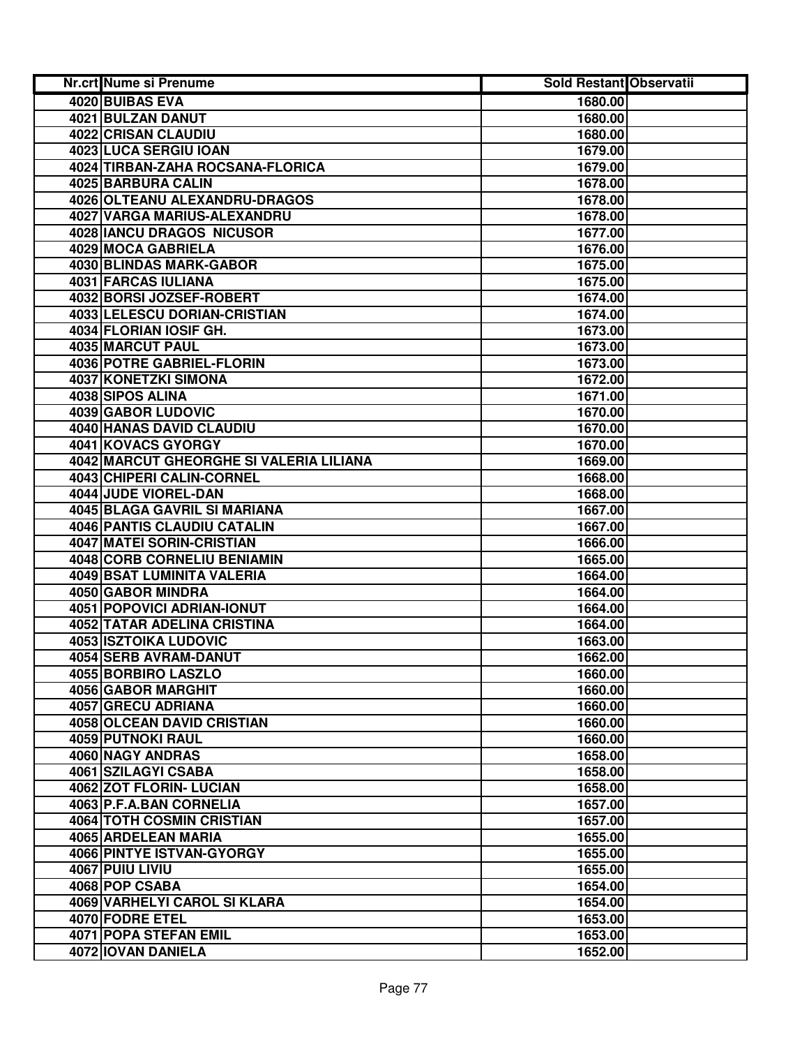| Nr.crt Nume si Prenume                  | Sold Restant Observatii |  |
|-----------------------------------------|-------------------------|--|
| 4020 BUIBAS EVA                         | 1680.00                 |  |
| 4021 BULZAN DANUT                       | 1680.00                 |  |
| 4022 CRISAN CLAUDIU                     | 1680.00                 |  |
| 4023 LUCA SERGIU IOAN                   | 1679.00                 |  |
| 4024 TIRBAN-ZAHA ROCSANA-FLORICA        | 1679.00                 |  |
| 4025 BARBURA CALIN                      | 1678.00                 |  |
| 4026 OLTEANU ALEXANDRU-DRAGOS           | 1678.00                 |  |
| 4027 VARGA MARIUS-ALEXANDRU             | 1678.00                 |  |
| 4028 IANCU DRAGOS NICUSOR               | 1677.00                 |  |
| 4029 MOCA GABRIELA                      | 1676.00                 |  |
| 4030 BLINDAS MARK-GABOR                 | 1675.00                 |  |
| 4031 FARCAS IULIANA                     | 1675.00                 |  |
| 4032 BORSI JOZSEF-ROBERT                | 1674.00                 |  |
| 4033 LELESCU DORIAN-CRISTIAN            | 1674.00                 |  |
| 4034 FLORIAN IOSIF GH.                  | 1673.00                 |  |
| 4035 MARCUT PAUL                        | 1673.00                 |  |
| <b>4036 POTRE GABRIEL-FLORIN</b>        | 1673.00                 |  |
| 4037 KONETZKI SIMONA                    | 1672.00                 |  |
| 4038 SIPOS ALINA                        | 1671.00                 |  |
| 4039 GABOR LUDOVIC                      | 1670.00                 |  |
| 4040 HANAS DAVID CLAUDIU                | 1670.00                 |  |
| 4041 KOVACS GYORGY                      | 1670.00                 |  |
| 4042 MARCUT GHEORGHE SI VALERIA LILIANA | 1669.00                 |  |
| 4043 CHIPERI CALIN-CORNEL               | 1668.00                 |  |
| 4044 JUDE VIOREL-DAN                    | 1668.00                 |  |
| 4045 BLAGA GAVRIL SI MARIANA            | 1667.00                 |  |
| 4046 PANTIS CLAUDIU CATALIN             | 1667.00                 |  |
| <b>4047 MATEI SORIN-CRISTIAN</b>        | 1666.00                 |  |
| 4048 CORB CORNELIU BENIAMIN             | 1665.00                 |  |
| 4049 BSAT LUMINITA VALERIA              | 1664.00                 |  |
| 4050 GABOR MINDRA                       | 1664.00                 |  |
| 4051 POPOVICI ADRIAN-IONUT              | 1664.00                 |  |
| 4052 TATAR ADELINA CRISTINA             | 1664.00                 |  |
| 4053 ISZTOIKA LUDOVIC                   | 1663.00                 |  |
| 4054 SERB AVRAM-DANUT                   | 1662.00                 |  |
| 4055 BORBIRO LASZLO                     | 1660.00                 |  |
| 4056 GABOR MARGHIT                      | 1660.00                 |  |
| 4057 GRECU ADRIANA                      | 1660.00                 |  |
| <b>4058 OLCEAN DAVID CRISTIAN</b>       | 1660.00                 |  |
| <b>4059 PUTNOKI RAUL</b>                | 1660.00                 |  |
| 4060 NAGY ANDRAS                        | 1658.00                 |  |
| 4061 SZILAGYI CSABA                     | 1658.00                 |  |
| 4062 ZOT FLORIN- LUCIAN                 | 1658.00                 |  |
| 4063 P.F.A.BAN CORNELIA                 | 1657.00                 |  |
| <b>4064 TOTH COSMIN CRISTIAN</b>        | 1657.00                 |  |
| 4065 ARDELEAN MARIA                     | 1655.00                 |  |
| 4066 PINTYE ISTVAN-GYORGY               | 1655.00                 |  |
| 4067 PUIU LIVIU                         | 1655.00                 |  |
| 4068 POP CSABA                          | 1654.00                 |  |
| 4069 VARHELYI CAROL SI KLARA            | 1654.00                 |  |
| 4070 FODRE ETEL                         | 1653.00                 |  |
| 4071 POPA STEFAN EMIL                   | 1653.00                 |  |
| 4072 IOVAN DANIELA                      | 1652.00                 |  |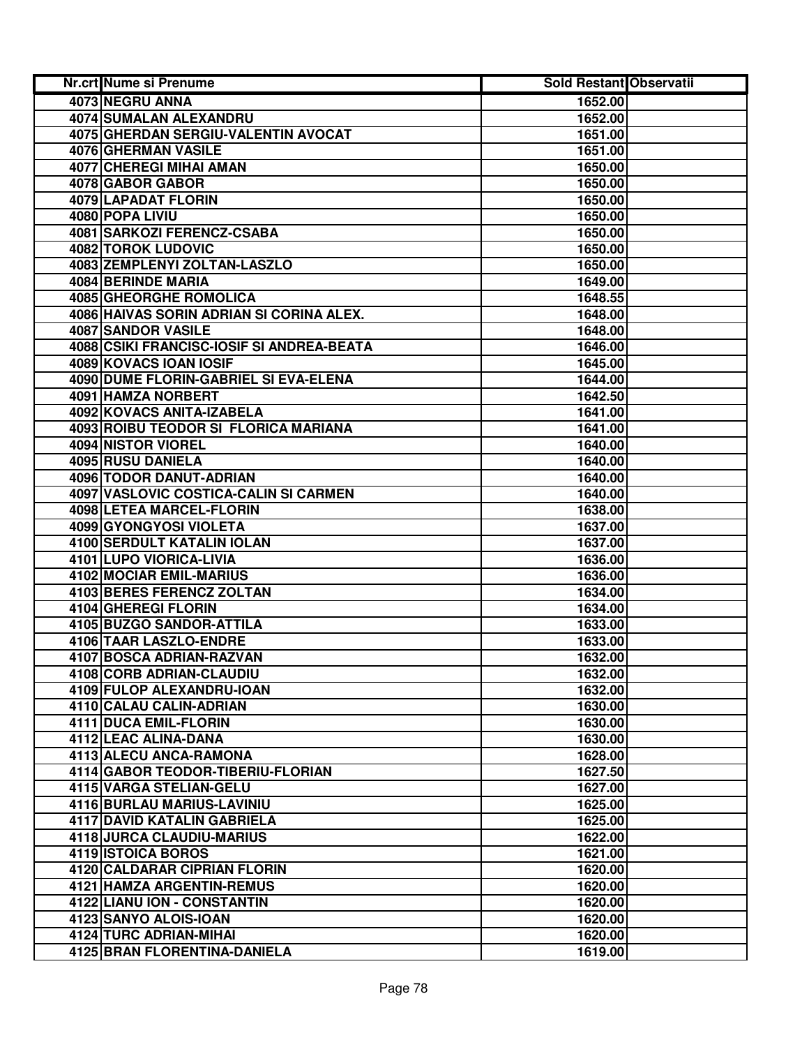| Nr.crt Nume si Prenume                    | <b>Sold Restant Observatii</b> |  |
|-------------------------------------------|--------------------------------|--|
| 4073 NEGRU ANNA                           | 1652.00                        |  |
| <b>4074 SUMALAN ALEXANDRU</b>             | 1652.00                        |  |
| 4075 GHERDAN SERGIU-VALENTIN AVOCAT       | 1651.00                        |  |
| 4076 GHERMAN VASILE                       | 1651.00                        |  |
| 4077 CHEREGI MIHAI AMAN                   | 1650.00                        |  |
| 4078 GABOR GABOR                          | 1650.00                        |  |
| 4079 LAPADAT FLORIN                       | 1650.00                        |  |
| 4080 POPA LIVIU                           | 1650.00                        |  |
| 4081 SARKOZI FERENCZ-CSABA                | 1650.00                        |  |
| <b>4082 TOROK LUDOVIC</b>                 | 1650.00                        |  |
| 4083 ZEMPLENYI ZOLTAN-LASZLO              | 1650.00                        |  |
| 4084 BERINDE MARIA                        | 1649.00                        |  |
| 4085 GHEORGHE ROMOLICA                    | 1648.55                        |  |
| 4086 HAIVAS SORIN ADRIAN SI CORINA ALEX.  | 1648.00                        |  |
| 4087 SANDOR VASILE                        | 1648.00                        |  |
| 4088 CSIKI FRANCISC-IOSIF SI ANDREA-BEATA | 1646.00                        |  |
| 4089 KOVACS IOAN IOSIF                    | 1645.00                        |  |
| 4090 DUME FLORIN-GABRIEL SI EVA-ELENA     | 1644.00                        |  |
| 4091 HAMZA NORBERT                        | 1642.50                        |  |
| 4092 KOVACS ANITA-IZABELA                 | 1641.00                        |  |
| 4093 ROIBU TEODOR SI FLORICA MARIANA      | 1641.00                        |  |
| 4094 NISTOR VIOREL                        | 1640.00                        |  |
| 4095 RUSU DANIELA                         | 1640.00                        |  |
| 4096 TODOR DANUT-ADRIAN                   | 1640.00                        |  |
| 4097 VASLOVIC COSTICA-CALIN SI CARMEN     | 1640.00                        |  |
| 4098 LETEA MARCEL-FLORIN                  | 1638.00                        |  |
| 4099 GYONGYOSI VIOLETA                    | 1637.00                        |  |
| 4100 SERDULT KATALIN IOLAN                | 1637.00                        |  |
| 4101 LUPO VIORICA-LIVIA                   | 1636.00                        |  |
| 4102 MOCIAR EMIL-MARIUS                   | 1636.00                        |  |
| 4103 BERES FERENCZ ZOLTAN                 | 1634.00                        |  |
| 4104 GHEREGI FLORIN                       | 1634.00                        |  |
| 4105 BUZGO SANDOR-ATTILA                  | 1633.00                        |  |
| 4106 TAAR LASZLO-ENDRE                    | 1633.00                        |  |
| 4107 BOSCA ADRIAN-RAZVAN                  | 1632.00                        |  |
| 4108 CORB ADRIAN-CLAUDIU                  | 1632.00                        |  |
| 4109 FULOP ALEXANDRU-IOAN                 | 1632.00                        |  |
| 4110 CALAU CALIN-ADRIAN                   | 1630.00                        |  |
| 4111 DUCA EMIL-FLORIN                     | 1630.00                        |  |
| 4112 LEAC ALINA-DANA                      | 1630.00                        |  |
| 4113 ALECU ANCA-RAMONA                    | 1628.00                        |  |
| <b>4114 GABOR TEODOR-TIBERIU-FLORIAN</b>  | 1627.50                        |  |
| 4115 VARGA STELIAN-GELU                   | 1627.00                        |  |
| 4116 BURLAU MARIUS-LAVINIU                | 1625.00                        |  |
| 4117 DAVID KATALIN GABRIELA               | 1625.00                        |  |
| 4118 JURCA CLAUDIU-MARIUS                 | 1622.00                        |  |
| 4119 ISTOICA BOROS                        | 1621.00                        |  |
| 4120 CALDARAR CIPRIAN FLORIN              | 1620.00                        |  |
| 4121 HAMZA ARGENTIN-REMUS                 | 1620.00                        |  |
| 4122 LIANU ION - CONSTANTIN               | 1620.00                        |  |
| 4123 SANYO ALOIS-IOAN                     | 1620.00                        |  |
| 4124 TURC ADRIAN-MIHAI                    | 1620.00                        |  |
| 4125 BRAN FLORENTINA-DANIELA              | 1619.00                        |  |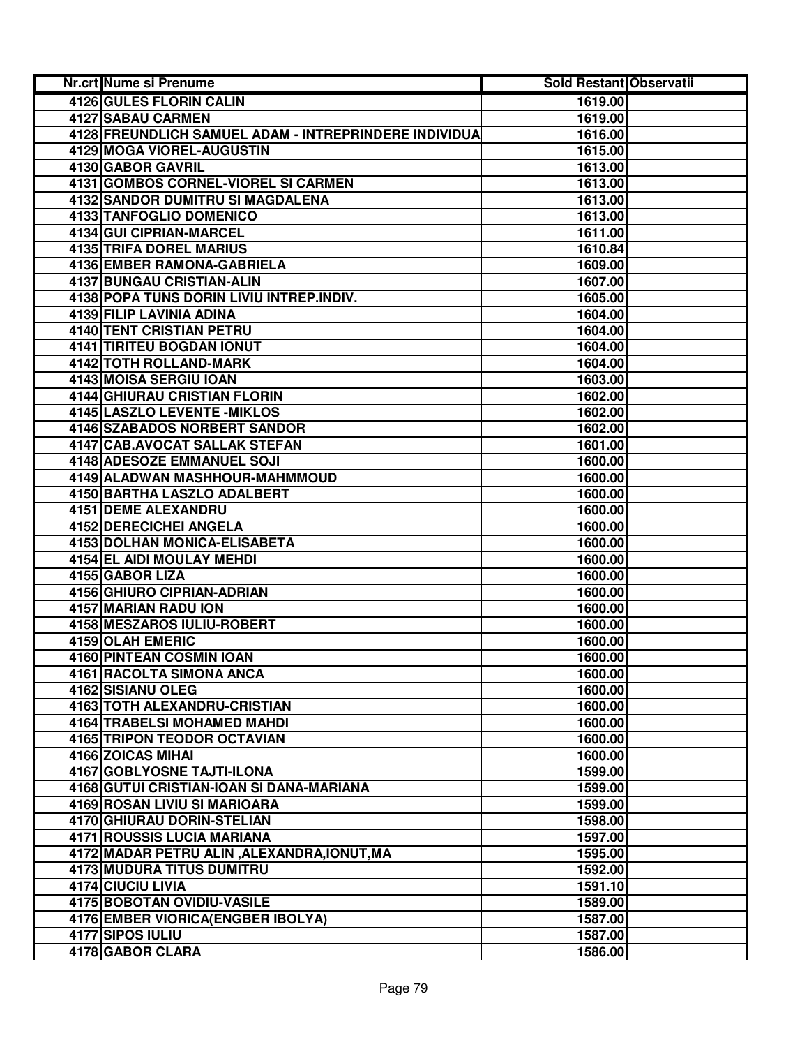| <b>Nr.crt Nume si Prenume</b>                         | Sold Restant Observatii |  |
|-------------------------------------------------------|-------------------------|--|
| 4126 GULES FLORIN CALIN                               | 1619.00                 |  |
| <b>4127 SABAU CARMEN</b>                              | 1619.00                 |  |
| 4128 FREUNDLICH SAMUEL ADAM - INTREPRINDERE INDIVIDUA | 1616.00                 |  |
| 4129 MOGA VIOREL-AUGUSTIN                             | 1615.00                 |  |
| 4130 GABOR GAVRIL                                     | 1613.00                 |  |
| 4131 GOMBOS CORNEL-VIOREL SI CARMEN                   | 1613.00                 |  |
| 4132 SANDOR DUMITRU SI MAGDALENA                      | 1613.00                 |  |
| 4133 TANFOGLIO DOMENICO                               | 1613.00                 |  |
| 4134 GUI CIPRIAN-MARCEL                               | 1611.00                 |  |
| <b>4135 TRIFA DOREL MARIUS</b>                        | 1610.84                 |  |
| 4136 EMBER RAMONA-GABRIELA                            | 1609.00                 |  |
| 4137 BUNGAU CRISTIAN-ALIN                             | 1607.00                 |  |
| 4138 POPA TUNS DORIN LIVIU INTREP.INDIV.              | 1605.00                 |  |
| 4139 FILIP LAVINIA ADINA                              | 1604.00                 |  |
| <b>4140 TENT CRISTIAN PETRU</b>                       | 1604.00                 |  |
| <b>4141 TIRITEU BOGDAN IONUT</b>                      | 1604.00                 |  |
| <b>4142 TOTH ROLLAND-MARK</b>                         | 1604.00                 |  |
| 4143 MOISA SERGIU IOAN                                | 1603.00                 |  |
| <b>4144 GHIURAU CRISTIAN FLORIN</b>                   | 1602.00                 |  |
| <b>4145 LASZLO LEVENTE - MIKLOS</b>                   | 1602.00                 |  |
| <b>4146 SZABADOS NORBERT SANDOR</b>                   | 1602.00                 |  |
| 4147 CAB.AVOCAT SALLAK STEFAN                         | 1601.00                 |  |
| 4148 ADESOZE EMMANUEL SOJI                            | 1600.00                 |  |
| 4149 ALADWAN MASHHOUR-MAHMMOUD                        | 1600.00                 |  |
| 4150 BARTHA LASZLO ADALBERT                           | 1600.00                 |  |
| <b>4151 DEME ALEXANDRU</b>                            | 1600.00                 |  |
| 4152 DERECICHEI ANGELA                                | 1600.00                 |  |
| 4153 DOLHAN MONICA-ELISABETA                          | 1600.00                 |  |
| 4154 EL AIDI MOULAY MEHDI                             | 1600.00                 |  |
| 4155 GABOR LIZA                                       | 1600.00                 |  |
| 4156 GHIURO CIPRIAN-ADRIAN                            | 1600.00                 |  |
| 4157 MARIAN RADU ION                                  | 1600.00                 |  |
| 4158 MESZAROS IULIU-ROBERT                            | 1600.00                 |  |
| 4159 OLAH EMERIC                                      | 1600.00                 |  |
| 4160 PINTEAN COSMIN IOAN                              | 1600.00                 |  |
| 4161 RACOLTA SIMONA ANCA                              | 1600.00                 |  |
| 4162 SISIANU OLEG                                     | 1600.00                 |  |
| 4163 TOTH ALEXANDRU-CRISTIAN                          | 1600.00                 |  |
| 4164 TRABELSI MOHAMED MAHDI                           | 1600.00                 |  |
| <b>4165 TRIPON TEODOR OCTAVIAN</b>                    | 1600.00                 |  |
| 4166 ZOICAS MIHAI                                     | 1600.00                 |  |
| <b>4167 GOBLYOSNE TAJTI-ILONA</b>                     | 1599.00                 |  |
| 4168 GUTUI CRISTIAN-IOAN SI DANA-MARIANA              | 1599.00                 |  |
| 4169 ROSAN LIVIU SI MARIOARA                          | 1599.00                 |  |
| <b>4170 GHIURAU DORIN-STELIAN</b>                     | 1598.00                 |  |
| 4171 ROUSSIS LUCIA MARIANA                            | 1597.00                 |  |
| 4172 MADAR PETRU ALIN, ALEXANDRA, IONUT, MA           | 1595.00                 |  |
| 4173 MUDURA TITUS DUMITRU                             | 1592.00                 |  |
| 4174 CIUCIU LIVIA                                     | 1591.10                 |  |
| 4175 BOBOTAN OVIDIU-VASILE                            | 1589.00                 |  |
| 4176 EMBER VIORICA (ENGBER IBOLYA)                    | 1587.00                 |  |
| 4177 SIPOS IULIU                                      | 1587.00                 |  |
| 4178 GABOR CLARA                                      | 1586.00                 |  |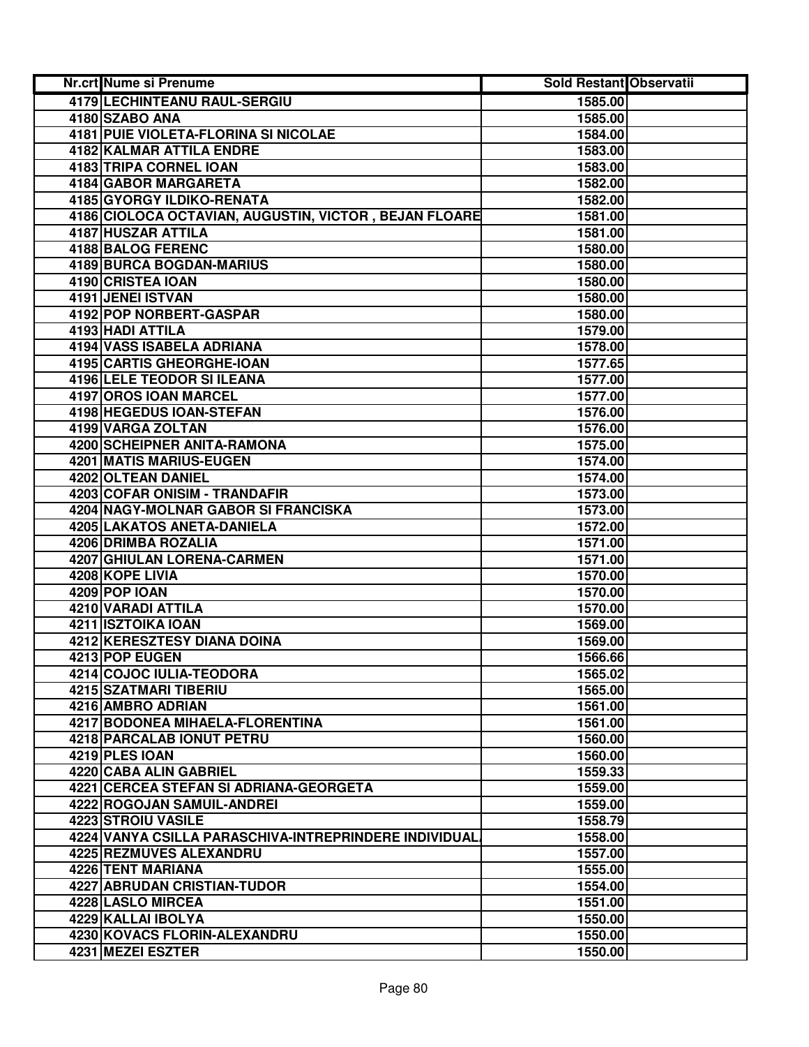| Nr.crt Nume si Prenume                                | Sold Restant Observatii |  |
|-------------------------------------------------------|-------------------------|--|
| 4179 LECHINTEANU RAUL-SERGIU                          | 1585.00                 |  |
| 4180 SZABO ANA                                        | 1585.00                 |  |
| 4181 PUIE VIOLETA-FLORINA SI NICOLAE                  | 1584.00                 |  |
| <b>4182 KALMAR ATTILA ENDRE</b>                       | 1583.00                 |  |
| 4183 TRIPA CORNEL IOAN                                | 1583.00                 |  |
| 4184 GABOR MARGARETA                                  | 1582.00                 |  |
| 4185 GYORGY ILDIKO-RENATA                             | 1582.00                 |  |
| 4186 CIOLOCA OCTAVIAN, AUGUSTIN, VICTOR, BEJAN FLOARE | 1581.00                 |  |
| 4187 HUSZAR ATTILA                                    | 1581.00                 |  |
| 4188 BALOG FERENC                                     | 1580.00                 |  |
| 4189 BURCA BOGDAN-MARIUS                              | 1580.00                 |  |
| 4190 CRISTEA IOAN                                     | 1580.00                 |  |
| 4191 JENEI ISTVAN                                     | 1580.00                 |  |
| 4192 POP NORBERT-GASPAR                               | 1580.00                 |  |
| 4193 HADI ATTILA                                      | 1579.00                 |  |
| 4194 VASS ISABELA ADRIANA                             | 1578.00                 |  |
| <b>4195 CARTIS GHEORGHE-IOAN</b>                      | 1577.65                 |  |
| <b>4196 LELE TEODOR SI ILEANA</b>                     | 1577.00                 |  |
| 4197 OROS IOAN MARCEL                                 | 1577.00                 |  |
| <b>4198 HEGEDUS IOAN-STEFAN</b>                       | 1576.00                 |  |
| 4199 VARGA ZOLTAN                                     | 1576.00                 |  |
| 4200 SCHEIPNER ANITA-RAMONA                           | 1575.00                 |  |
| 4201 MATIS MARIUS-EUGEN                               | 1574.00                 |  |
| 4202 OLTEAN DANIEL                                    | 1574.00                 |  |
| 4203 COFAR ONISIM - TRANDAFIR                         | 1573.00                 |  |
| 4204 NAGY-MOLNAR GABOR SI FRANCISKA                   | 1573.00                 |  |
| 4205 LAKATOS ANETA-DANIELA                            | 1572.00                 |  |
| 4206 DRIMBA ROZALIA                                   | 1571.00                 |  |
| 4207 GHIULAN LORENA-CARMEN                            | 1571.00                 |  |
| 4208 KOPE LIVIA                                       | 1570.00                 |  |
| 4209 POP IOAN                                         | 1570.00                 |  |
| 4210 VARADI ATTILA                                    | 1570.00                 |  |
| 4211 ISZTOIKA IOAN                                    | 1569.00                 |  |
| 4212 KERESZTESY DIANA DOINA                           | 1569.00                 |  |
| 4213 POP EUGEN                                        | 1566.66                 |  |
| 4214 COJOC IULIA-TEODORA                              | 1565.02                 |  |
| 4215 SZATMARI TIBERIU                                 | 1565.00                 |  |
| 4216 AMBRO ADRIAN                                     | 1561.00                 |  |
| 4217 BODONEA MIHAELA-FLORENTINA                       | 1561.00                 |  |
| <b>4218 PARCALAB IONUT PETRU</b>                      | 1560.00                 |  |
| 4219 PLES IOAN                                        | 1560.00                 |  |
| <b>4220 CABA ALIN GABRIEL</b>                         | 1559.33                 |  |
| 4221 CERCEA STEFAN SI ADRIANA-GEORGETA                | 1559.00                 |  |
| <b>4222 ROGOJAN SAMUIL-ANDREI</b>                     | 1559.00                 |  |
| <b>4223 STROIU VASILE</b>                             | 1558.79                 |  |
| 4224 VANYA CSILLA PARASCHIVA-INTREPRINDERE INDIVIDUAL | 1558.00                 |  |
| 4225 REZMUVES ALEXANDRU                               | 1557.00                 |  |
| 4226 TENT MARIANA                                     | 1555.00                 |  |
| 4227 ABRUDAN CRISTIAN-TUDOR                           | 1554.00                 |  |
| 4228 LASLO MIRCEA                                     | 1551.00                 |  |
| 4229 KALLAI IBOLYA                                    | 1550.00                 |  |
| 4230 KOVACS FLORIN-ALEXANDRU                          | 1550.00                 |  |
| 4231 MEZEI ESZTER                                     | 1550.00                 |  |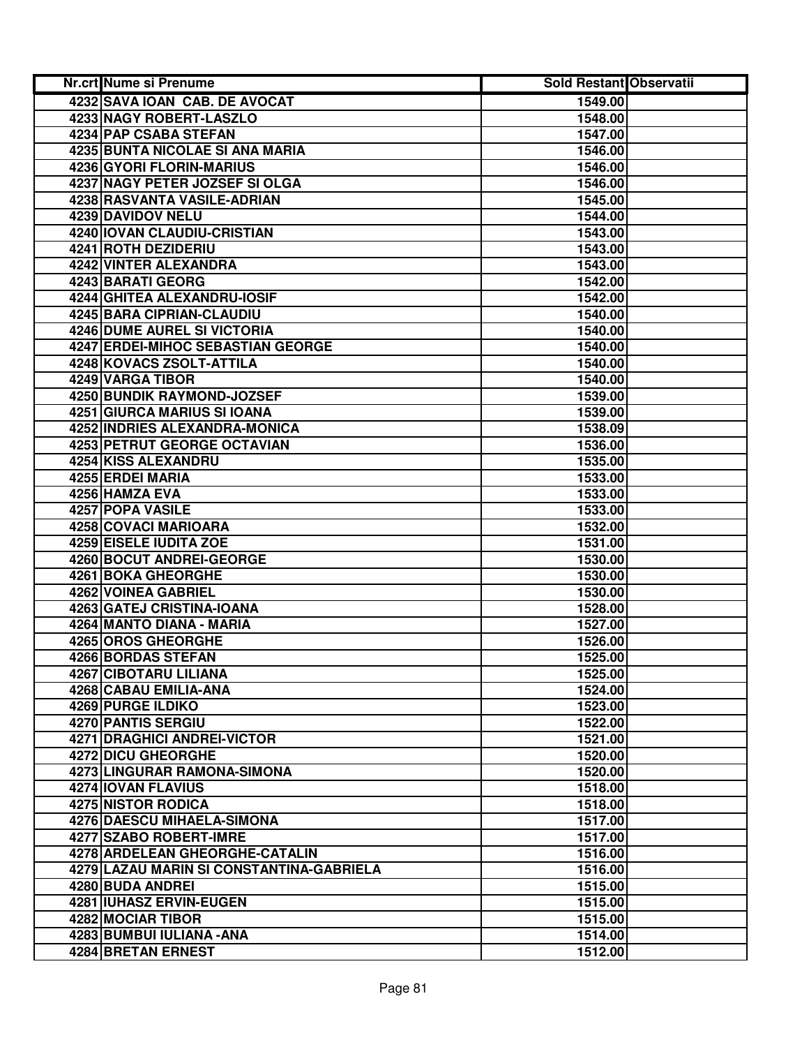| <b>Nr.crt Nume si Prenume</b>            | Sold Restant Observatii |  |
|------------------------------------------|-------------------------|--|
| 4232 SAVA IOAN CAB. DE AVOCAT            | 1549.00                 |  |
| <b>4233 NAGY ROBERT-LASZLO</b>           | 1548.00                 |  |
| 4234 PAP CSABA STEFAN                    | 1547.00                 |  |
| 4235 BUNTA NICOLAE SI ANA MARIA          | 1546.00                 |  |
| 4236 GYORI FLORIN-MARIUS                 | 1546.00                 |  |
| 4237 NAGY PETER JOZSEF SI OLGA           | 1546.00                 |  |
| 4238 RASVANTA VASILE-ADRIAN              | 1545.00                 |  |
| 4239 DAVIDOV NELU                        | 1544.00                 |  |
| 4240 IOVAN CLAUDIU-CRISTIAN              | 1543.00                 |  |
| 4241 ROTH DEZIDERIU                      | 1543.00                 |  |
| 4242 VINTER ALEXANDRA                    | 1543.00                 |  |
| 4243 BARATI GEORG                        | 1542.00                 |  |
| 4244 GHITEA ALEXANDRU-IOSIF              | 1542.00                 |  |
| 4245 BARA CIPRIAN-CLAUDIU                | 1540.00                 |  |
| 4246 DUME AUREL SI VICTORIA              | 1540.00                 |  |
| 4247 ERDEI-MIHOC SEBASTIAN GEORGE        | 1540.00                 |  |
| 4248 KOVACS ZSOLT-ATTILA                 | 1540.00                 |  |
| 4249 VARGA TIBOR                         | 1540.00                 |  |
| 4250 BUNDIK RAYMOND-JOZSEF               | 1539.00                 |  |
| <b>4251 GIURCA MARIUS SI IOANA</b>       | 1539.00                 |  |
| 4252 INDRIES ALEXANDRA-MONICA            | 1538.09                 |  |
| 4253 PETRUT GEORGE OCTAVIAN              | 1536.00                 |  |
| 4254 KISS ALEXANDRU                      | 1535.00                 |  |
| 4255 ERDEI MARIA                         | 1533.00                 |  |
| 4256 HAMZA EVA                           | 1533.00                 |  |
| 4257 POPA VASILE                         | 1533.00                 |  |
| 4258 COVACI MARIOARA                     | 1532.00                 |  |
| 4259 EISELE IUDITA ZOE                   | 1531.00                 |  |
| 4260 BOCUT ANDREI-GEORGE                 | 1530.00                 |  |
| 4261 BOKA GHEORGHE                       | 1530.00                 |  |
| 4262 VOINEA GABRIEL                      | 1530.00                 |  |
| 4263 GATEJ CRISTINA-IOANA                | 1528.00                 |  |
| 4264 MANTO DIANA - MARIA                 | 1527.00                 |  |
| 4265 OROS GHEORGHE                       | 1526.00                 |  |
| 4266 BORDAS STEFAN                       | 1525.00                 |  |
| 4267 CIBOTARU LILIANA                    | 1525.00                 |  |
| 4268 CABAU EMILIA-ANA                    | 1524.00                 |  |
| <b>4269 PURGE ILDIKO</b>                 | 1523.00                 |  |
| 4270 PANTIS SERGIU                       | 1522.00                 |  |
| <b>4271 DRAGHICI ANDREI-VICTOR</b>       | 1521.00                 |  |
| <b>4272 DICU GHEORGHE</b>                | 1520.00                 |  |
| <b>4273 LINGURAR RAMONA-SIMONA</b>       | 1520.00                 |  |
| <b>4274 IOVAN FLAVIUS</b>                | 1518.00                 |  |
| <b>4275 NISTOR RODICA</b>                | 1518.00                 |  |
| <b>4276 DAESCU MIHAELA-SIMONA</b>        | 1517.00                 |  |
| 4277 SZABO ROBERT-IMRE                   | 1517.00                 |  |
| 4278 ARDELEAN GHEORGHE-CATALIN           | 1516.00                 |  |
| 4279 LAZAU MARIN SI CONSTANTINA-GABRIELA | 1516.00                 |  |
| 4280 BUDA ANDREI                         | 1515.00                 |  |
| 4281 IUHASZ ERVIN-EUGEN                  | 1515.00                 |  |
| 4282 MOCIAR TIBOR                        | 1515.00                 |  |
| 4283 BUMBUI IULIANA - ANA                | 1514.00                 |  |
| 4284 BRETAN ERNEST                       | 1512.00                 |  |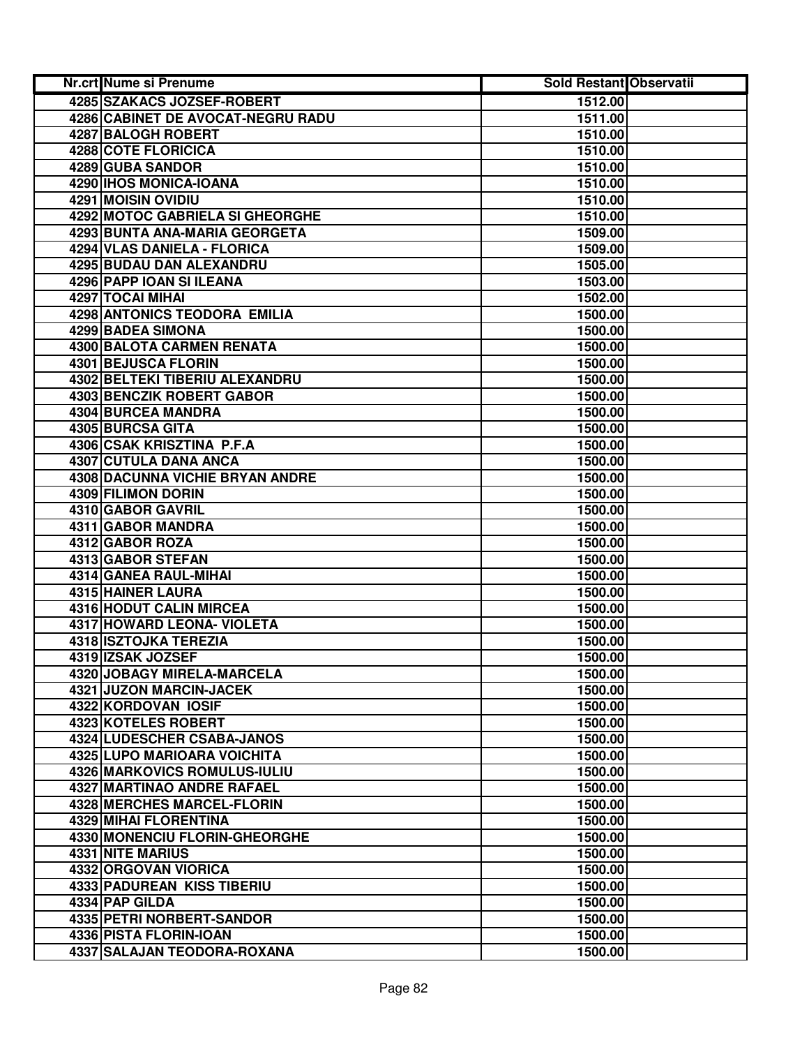| <b>Nr.crt Nume si Prenume</b>          | Sold Restant Observatii |  |
|----------------------------------------|-------------------------|--|
| 4285 SZAKACS JOZSEF-ROBERT             | 1512.00                 |  |
| 4286 CABINET DE AVOCAT-NEGRU RADU      | 1511.00                 |  |
| 4287 BALOGH ROBERT                     | 1510.00                 |  |
| <b>4288 COTE FLORICICA</b>             | 1510.00                 |  |
| 4289 GUBA SANDOR                       | 1510.00                 |  |
| 4290 IHOS MONICA-IOANA                 | 1510.00                 |  |
| 4291 MOISIN OVIDIU                     | 1510.00                 |  |
| <b>4292 MOTOC GABRIELA SI GHEORGHE</b> | 1510.00                 |  |
| 4293 BUNTA ANA-MARIA GEORGETA          | 1509.00                 |  |
| 4294 VLAS DANIELA - FLORICA            | 1509.00                 |  |
| 4295 BUDAU DAN ALEXANDRU               | 1505.00                 |  |
| 4296 PAPP IOAN SI ILEANA               | 1503.00                 |  |
| 4297 TOCAI MIHAI                       | 1502.00                 |  |
| 4298 ANTONICS TEODORA EMILIA           | 1500.00                 |  |
| 4299 BADEA SIMONA                      | 1500.00                 |  |
| 4300 BALOTA CARMEN RENATA              | 1500.00                 |  |
| <b>4301 BEJUSCA FLORIN</b>             | 1500.00                 |  |
| 4302 BELTEKI TIBERIU ALEXANDRU         | 1500.00                 |  |
| <b>4303 BENCZIK ROBERT GABOR</b>       | 1500.00                 |  |
| <b>4304 BURCEA MANDRA</b>              | 1500.00                 |  |
| 4305 BURCSA GITA                       | 1500.00                 |  |
| 4306 CSAK KRISZTINA P.F.A              | 1500.00                 |  |
| 4307 CUTULA DANA ANCA                  | 1500.00                 |  |
| 4308 DACUNNA VICHIE BRYAN ANDRE        | 1500.00                 |  |
| 4309 FILIMON DORIN                     | 1500.00                 |  |
| 4310 GABOR GAVRIL                      | 1500.00                 |  |
| 4311 GABOR MANDRA                      | 1500.00                 |  |
| 4312 GABOR ROZA                        | 1500.00                 |  |
| 4313 GABOR STEFAN                      | 1500.00                 |  |
| 4314 GANEA RAUL-MIHAI                  | 1500.00                 |  |
| 4315 HAINER LAURA                      | 1500.00                 |  |
| 4316 HODUT CALIN MIRCEA                | 1500.00                 |  |
| 4317 HOWARD LEONA- VIOLETA             | 1500.00                 |  |
| 4318 ISZTOJKA TEREZIA                  | 1500.00                 |  |
| 4319 IZSAK JOZSEF                      | 1500.00                 |  |
| 4320 JOBAGY MIRELA-MARCELA             | 1500.00                 |  |
| 4321 JUZON MARCIN-JACEK                | 1500.00                 |  |
| 4322 KORDOVAN IOSIF                    | 1500.00                 |  |
| <b>4323 KOTELES ROBERT</b>             | 1500.00                 |  |
| 4324 LUDESCHER CSABA-JANOS             | 1500.00                 |  |
| 4325 LUPO MARIOARA VOICHITA            | 1500.00                 |  |
| 4326 MARKOVICS ROMULUS-IULIU           | 1500.00                 |  |
| <b>4327 MARTINAO ANDRE RAFAEL</b>      | 1500.00                 |  |
| <b>4328 MERCHES MARCEL-FLORIN</b>      | 1500.00                 |  |
| <b>4329 MIHAI FLORENTINA</b>           | 1500.00                 |  |
| 4330 MONENCIU FLORIN-GHEORGHE          | 1500.00                 |  |
| 4331 NITE MARIUS                       | 1500.00                 |  |
| 4332 ORGOVAN VIORICA                   | 1500.00                 |  |
| 4333 PADUREAN KISS TIBERIU             | 1500.00                 |  |
| 4334 PAP GILDA                         | 1500.00                 |  |
| 4335 PETRI NORBERT-SANDOR              | 1500.00                 |  |
| 4336 PISTA FLORIN-IOAN                 | 1500.00                 |  |
| 4337 SALAJAN TEODORA-ROXANA            | 1500.00                 |  |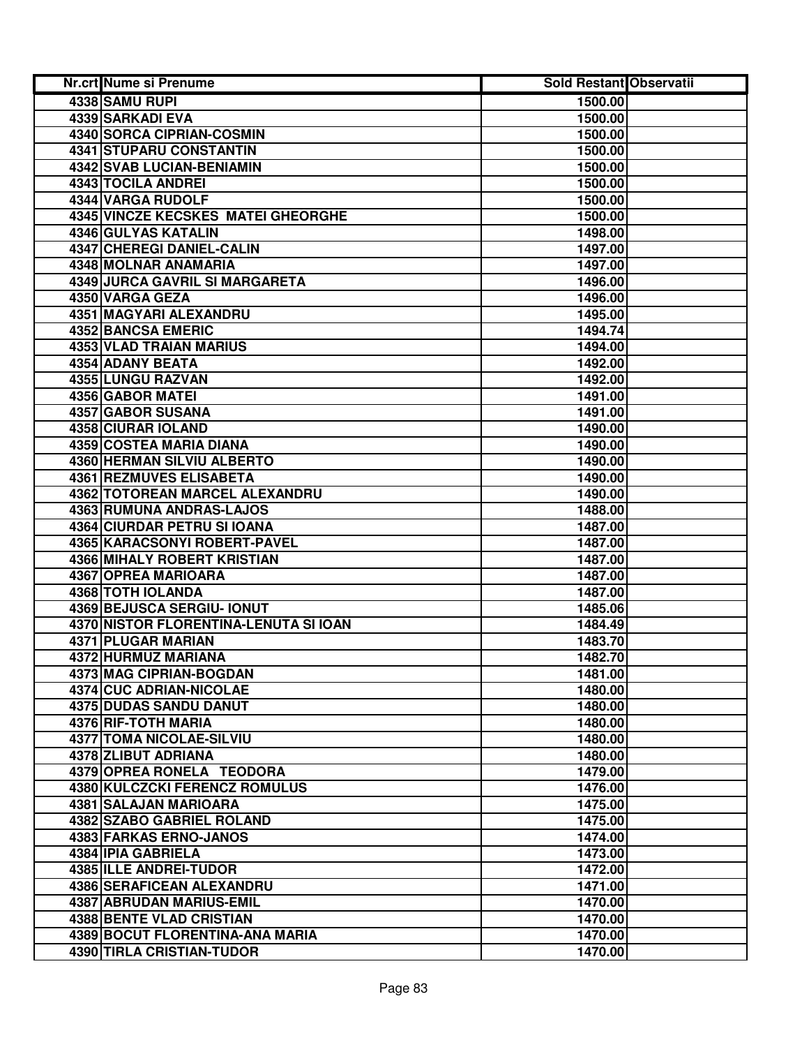| Nr.crt Nume si Prenume                | <b>Sold Restant Observatii</b> |  |
|---------------------------------------|--------------------------------|--|
| 4338 SAMU RUPI                        | 1500.00                        |  |
| <b>4339 SARKADI EVA</b>               | 1500.00                        |  |
| <b>4340 SORCA CIPRIAN-COSMIN</b>      | 1500.00                        |  |
| 4341 STUPARU CONSTANTIN               | 1500.00                        |  |
| 4342 SVAB LUCIAN-BENIAMIN             | 1500.00                        |  |
| 4343 TOCILA ANDREI                    | 1500.00                        |  |
| 4344 VARGA RUDOLF                     | 1500.00                        |  |
| 4345 VINCZE KECSKES MATEI GHEORGHE    | 1500.00                        |  |
| 4346 GULYAS KATALIN                   | 1498.00                        |  |
| 4347 CHEREGI DANIEL-CALIN             | 1497.00                        |  |
| 4348 MOLNAR ANAMARIA                  | 1497.00                        |  |
| 4349 JURCA GAVRIL SI MARGARETA        | 1496.00                        |  |
| 4350 VARGA GEZA                       | 1496.00                        |  |
| 4351 MAGYARI ALEXANDRU                | 1495.00                        |  |
| <b>4352 BANCSA EMERIC</b>             | 1494.74                        |  |
| <b>4353 VLAD TRAIAN MARIUS</b>        | 1494.00                        |  |
| <b>4354 ADANY BEATA</b>               | 1492.00                        |  |
| 4355 LUNGU RAZVAN                     | 1492.00                        |  |
| <b>4356 GABOR MATEI</b>               | 1491.00                        |  |
| 4357 GABOR SUSANA                     | 1491.00                        |  |
| 4358 CIURAR IOLAND                    | 1490.00                        |  |
| 4359 COSTEA MARIA DIANA               | 1490.00                        |  |
| 4360 HERMAN SILVIU ALBERTO            | 1490.00                        |  |
| <b>4361 REZMUVES ELISABETA</b>        | 1490.00                        |  |
| 4362 TOTOREAN MARCEL ALEXANDRU        | 1490.00                        |  |
| 4363 RUMUNA ANDRAS-LAJOS              | 1488.00                        |  |
| 4364 CIURDAR PETRU SI IOANA           | 1487.00                        |  |
| 4365 KARACSONYI ROBERT-PAVEL          | 1487.00                        |  |
| 4366 MIHALY ROBERT KRISTIAN           | 1487.00                        |  |
| 4367 OPREA MARIOARA                   | 1487.00                        |  |
| 4368 TOTH IOLANDA                     | 1487.00                        |  |
| <b>4369 BEJUSCA SERGIU- IONUT</b>     | 1485.06                        |  |
| 4370 NISTOR FLORENTINA-LENUTA SI IOAN | 1484.49                        |  |
| 4371 PLUGAR MARIAN                    | 1483.70                        |  |
| 4372 HURMUZ MARIANA                   | 1482.70                        |  |
| 4373 MAG CIPRIAN-BOGDAN               | 1481.00                        |  |
| 4374 CUC ADRIAN-NICOLAE               | 1480.00                        |  |
| 4375 DUDAS SANDU DANUT                | 1480.00                        |  |
| <b>4376 RIF-TOTH MARIA</b>            | 1480.00                        |  |
| <b>4377 TOMA NICOLAE-SILVIU</b>       | 1480.00                        |  |
| 4378 ZLIBUT ADRIANA                   | 1480.00                        |  |
| 4379 OPREA RONELA TEODORA             | 1479.00                        |  |
| <b>4380 KULCZCKI FERENCZ ROMULUS</b>  | 1476.00                        |  |
| 4381 SALAJAN MARIOARA                 | 1475.00                        |  |
| <b>4382 SZABO GABRIEL ROLAND</b>      | 1475.00                        |  |
| 4383 FARKAS ERNO-JANOS                | 1474.00                        |  |
| 4384 IPIA GABRIELA                    | 1473.00                        |  |
| 4385 ILLE ANDREI-TUDOR                | 1472.00                        |  |
| 4386 SERAFICEAN ALEXANDRU             | 1471.00                        |  |
| 4387 ABRUDAN MARIUS-EMIL              | 1470.00                        |  |
| 4388 BENTE VLAD CRISTIAN              | 1470.00                        |  |
| 4389 BOCUT FLORENTINA-ANA MARIA       | 1470.00                        |  |
| 4390 TIRLA CRISTIAN-TUDOR             | 1470.00                        |  |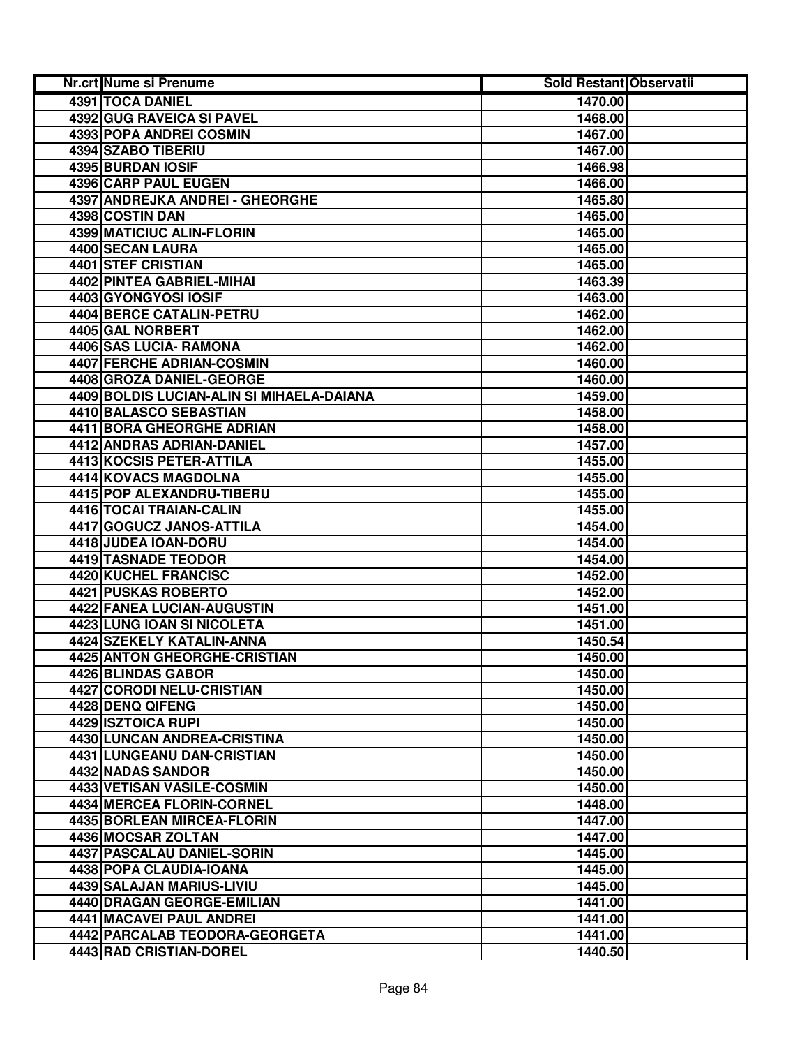| Nr.crt Nume si Prenume                                   | Sold Restant Observatii |  |
|----------------------------------------------------------|-------------------------|--|
| 4391 TOCA DANIEL                                         | 1470.00                 |  |
| 4392 GUG RAVEICA SI PAVEL                                | 1468.00                 |  |
| <b>4393 POPA ANDREI COSMIN</b>                           | 1467.00                 |  |
| 4394 SZABO TIBERIU                                       | 1467.00                 |  |
| 4395 BURDAN IOSIF                                        | 1466.98                 |  |
| 4396 CARP PAUL EUGEN                                     | 1466.00                 |  |
| 4397 ANDREJKA ANDREI - GHEORGHE                          | 1465.80                 |  |
| 4398 COSTIN DAN                                          | 1465.00                 |  |
| 4399 MATICIUC ALIN-FLORIN                                | 1465.00                 |  |
| <b>4400 SECAN LAURA</b>                                  | 1465.00                 |  |
| 4401 STEF CRISTIAN                                       | 1465.00                 |  |
| 4402 PINTEA GABRIEL-MIHAI                                | 1463.39                 |  |
| 4403 GYONGYOSI IOSIF                                     | 1463.00                 |  |
| 4404 BERCE CATALIN-PETRU                                 | 1462.00                 |  |
| 4405 GAL NORBERT                                         | 1462.00                 |  |
| 4406 SAS LUCIA- RAMONA                                   | 1462.00                 |  |
| <b>4407 FERCHE ADRIAN-COSMIN</b>                         | 1460.00                 |  |
| 4408 GROZA DANIEL-GEORGE                                 | 1460.00                 |  |
| 4409 BOLDIS LUCIAN-ALIN SI MIHAELA-DAIANA                | 1459.00                 |  |
| 4410 BALASCO SEBASTIAN                                   | 1458.00                 |  |
| 4411 BORA GHEORGHE ADRIAN                                | 1458.00                 |  |
| <b>4412 ANDRAS ADRIAN-DANIEL</b>                         | 1457.00                 |  |
| <b>4413 KOCSIS PETER-ATTILA</b>                          | 1455.00                 |  |
| 4414 KOVACS MAGDOLNA                                     | 1455.00                 |  |
| 4415 POP ALEXANDRU-TIBERU                                | 1455.00                 |  |
| 4416 TOCAI TRAIAN-CALIN                                  | 1455.00                 |  |
| 4417 GOGUCZ JANOS-ATTILA                                 | 1454.00                 |  |
| 4418 JUDEA IOAN-DORU                                     | 1454.00                 |  |
| 4419 TASNADE TEODOR                                      | 1454.00                 |  |
| 4420 KUCHEL FRANCISC                                     | 1452.00                 |  |
| 4421 PUSKAS ROBERTO                                      | 1452.00                 |  |
| 4422 FANEA LUCIAN-AUGUSTIN                               | 1451.00                 |  |
| 4423 LUNG IOAN SI NICOLETA                               | 1451.00                 |  |
| 4424 SZEKELY KATALIN-ANNA                                | 1450.54                 |  |
| 4425 ANTON GHEORGHE-CRISTIAN                             | 1450.00                 |  |
| 4426 BLINDAS GABOR                                       | 1450.00                 |  |
| 4427 CORODI NELU-CRISTIAN                                | 1450.00                 |  |
| 4428 DENQ QIFENG                                         | 1450.00                 |  |
| 4429 ISZTOICA RUPI<br><b>4430 LUNCAN ANDREA-CRISTINA</b> | 1450.00                 |  |
|                                                          | 1450.00                 |  |
| 4431 LUNGEANU DAN-CRISTIAN<br>4432 NADAS SANDOR          | 1450.00<br>1450.00      |  |
| 4433 VETISAN VASILE-COSMIN                               | 1450.00                 |  |
| 4434 MERCEA FLORIN-CORNEL                                | 1448.00                 |  |
| 4435 BORLEAN MIRCEA-FLORIN                               | 1447.00                 |  |
| 4436 MOCSAR ZOLTAN                                       | 1447.00                 |  |
| 4437 PASCALAU DANIEL-SORIN                               | 1445.00                 |  |
| 4438 POPA CLAUDIA-IOANA                                  | 1445.00                 |  |
| 4439 SALAJAN MARIUS-LIVIU                                | 1445.00                 |  |
| 4440 DRAGAN GEORGE-EMILIAN                               | 1441.00                 |  |
| 4441 MACAVEI PAUL ANDREI                                 | 1441.00                 |  |
| 4442 PARCALAB TEODORA-GEORGETA                           | 1441.00                 |  |
| 4443 RAD CRISTIAN-DOREL                                  | 1440.50                 |  |
|                                                          |                         |  |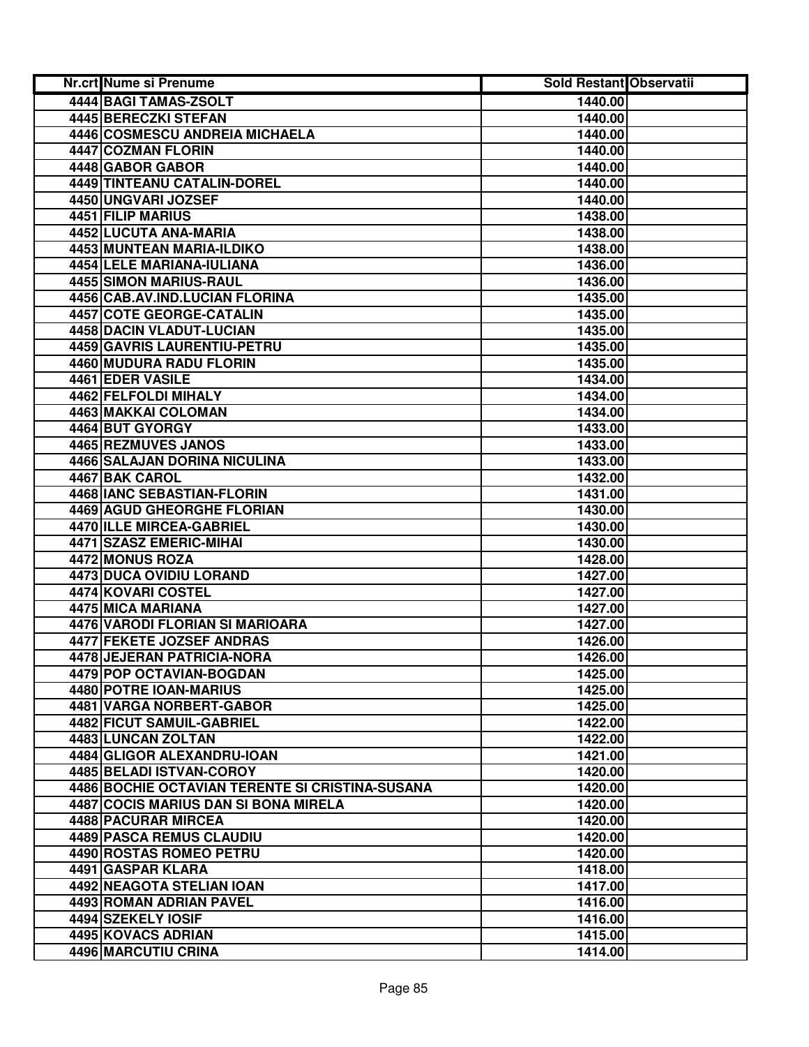| <b>Nr.crt Nume si Prenume</b>                   | Sold Restant Observatii |  |
|-------------------------------------------------|-------------------------|--|
| 4444 BAGI TAMAS-ZSOLT                           | 1440.00                 |  |
| 4445 BERECZKI STEFAN                            | 1440.00                 |  |
| 4446 COSMESCU ANDREIA MICHAELA                  | 1440.00                 |  |
| 4447 COZMAN FLORIN                              | 1440.00                 |  |
| 4448 GABOR GABOR                                | 1440.00                 |  |
| 4449 TINTEANU CATALIN-DOREL                     | 1440.00                 |  |
| 4450 UNGVARI JOZSEF                             | 1440.00                 |  |
| 4451 FILIP MARIUS                               | 1438.00                 |  |
| 4452 LUCUTA ANA-MARIA                           | 1438.00                 |  |
| 4453 MUNTEAN MARIA-ILDIKO                       | 1438.00                 |  |
| 4454 LELE MARIANA-IULIANA                       | 1436.00                 |  |
| 4455 SIMON MARIUS-RAUL                          | 1436.00                 |  |
| 4456 CAB.AV.IND.LUCIAN FLORINA                  | 1435.00                 |  |
| 4457 COTE GEORGE-CATALIN                        | 1435.00                 |  |
| 4458 DACIN VLADUT-LUCIAN                        | 1435.00                 |  |
| 4459 GAVRIS LAURENTIU-PETRU                     | 1435.00                 |  |
| 4460 MUDURA RADU FLORIN                         | 1435.00                 |  |
| 4461 EDER VASILE                                | 1434.00                 |  |
| 4462 FELFOLDI MIHALY                            | 1434.00                 |  |
| 4463 MAKKAI COLOMAN                             | 1434.00                 |  |
| 4464 BUT GYORGY                                 | 1433.00                 |  |
| 4465 REZMUVES JANOS                             | 1433.00                 |  |
| 4466 SALAJAN DORINA NICULINA                    | 1433.00                 |  |
| 4467 BAK CAROL                                  | 1432.00                 |  |
| 4468 IANC SEBASTIAN-FLORIN                      | 1431.00                 |  |
| <b>4469 AGUD GHEORGHE FLORIAN</b>               | 1430.00                 |  |
| 4470 ILLE MIRCEA-GABRIEL                        | 1430.00                 |  |
| 4471 SZASZ EMERIC-MIHAI                         | 1430.00                 |  |
| 4472 MONUS ROZA                                 | 1428.00                 |  |
| 4473 DUCA OVIDIU LORAND                         | 1427.00                 |  |
| 4474 KOVARI COSTEL                              | 1427.00                 |  |
| 4475 MICA MARIANA                               | 1427.00                 |  |
| 4476 VARODI FLORIAN SI MARIOARA                 | 1427.00                 |  |
| 4477 FEKETE JOZSEF ANDRAS                       | 1426.00                 |  |
| <b>4478 JEJERAN PATRICIA-NORA</b>               | 1426.00                 |  |
| 4479 POP OCTAVIAN-BOGDAN                        | 1425.00                 |  |
| 4480 POTRE IOAN-MARIUS                          | 1425.00                 |  |
| 4481 VARGA NORBERT-GABOR                        | 1425.00                 |  |
| 4482 FICUT SAMUIL-GABRIEL                       | 1422.00                 |  |
| 4483 LUNCAN ZOLTAN                              | 1422.00                 |  |
| 4484 GLIGOR ALEXANDRU-IOAN                      | 1421.00                 |  |
| 4485 BELADI ISTVAN-COROY                        | 1420.00                 |  |
| 4486 BOCHIE OCTAVIAN TERENTE SI CRISTINA-SUSANA | 1420.00                 |  |
| <b>4487 COCIS MARIUS DAN SI BONA MIRELA</b>     | 1420.00                 |  |
| 4488 PACURAR MIRCEA                             | 1420.00                 |  |
| 4489 PASCA REMUS CLAUDIU                        | 1420.00                 |  |
| 4490 ROSTAS ROMEO PETRU                         | 1420.00                 |  |
| 4491 GASPAR KLARA                               | 1418.00                 |  |
| 4492 NEAGOTA STELIAN IOAN                       | 1417.00                 |  |
| 4493 ROMAN ADRIAN PAVEL                         | 1416.00                 |  |
| 4494 SZEKELY IOSIF                              | 1416.00                 |  |
| 4495 KOVACS ADRIAN                              | 1415.00                 |  |
| 4496 MARCUTIU CRINA                             | 1414.00                 |  |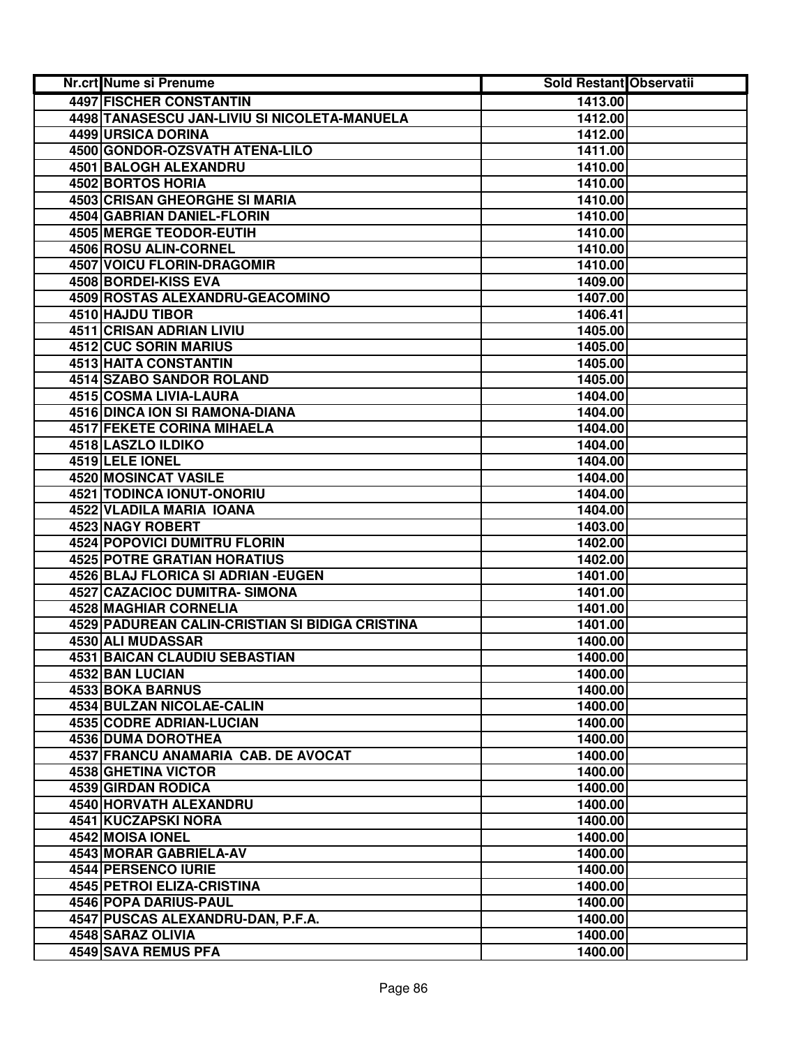| <b>Nr.crt Nume si Prenume</b>                   | Sold Restant Observatii |  |
|-------------------------------------------------|-------------------------|--|
| <b>4497 FISCHER CONSTANTIN</b>                  | 1413.00                 |  |
| 4498 TANASESCU JAN-LIVIU SI NICOLETA-MANUELA    | 1412.00                 |  |
| 4499 URSICA DORINA                              | 1412.00                 |  |
| 4500 GONDOR-OZSVATH ATENA-LILO                  | 1411.00                 |  |
| 4501 BALOGH ALEXANDRU                           | 1410.00                 |  |
| 4502 BORTOS HORIA                               | 1410.00                 |  |
| 4503 CRISAN GHEORGHE SI MARIA                   | 1410.00                 |  |
| <b>4504 GABRIAN DANIEL-FLORIN</b>               | 1410.00                 |  |
| 4505 MERGE TEODOR-EUTIH                         | 1410.00                 |  |
| 4506 ROSU ALIN-CORNEL                           | 1410.00                 |  |
| 4507 VOICU FLORIN-DRAGOMIR                      | 1410.00                 |  |
| 4508 BORDEI-KISS EVA                            | 1409.00                 |  |
| 4509 ROSTAS ALEXANDRU-GEACOMINO                 | 1407.00                 |  |
| 4510 HAJDU TIBOR                                | 1406.41                 |  |
| 4511 CRISAN ADRIAN LIVIU                        | 1405.00                 |  |
| 4512 CUC SORIN MARIUS                           | 1405.00                 |  |
| 4513 HAITA CONSTANTIN                           | 1405.00                 |  |
| <b>4514 SZABO SANDOR ROLAND</b>                 | 1405.00                 |  |
| 4515 COSMA LIVIA-LAURA                          | 1404.00                 |  |
| 4516 DINCA ION SI RAMONA-DIANA                  | 1404.00                 |  |
| 4517 FEKETE CORINA MIHAELA                      | 1404.00                 |  |
| 4518 LASZLO ILDIKO                              | 1404.00                 |  |
| 4519 LELE IONEL                                 | 1404.00                 |  |
| 4520 MOSINCAT VASILE                            | 1404.00                 |  |
| 4521 TODINCA IONUT-ONORIU                       | 1404.00                 |  |
| 4522 VLADILA MARIA IOANA                        | 1404.00                 |  |
| 4523 NAGY ROBERT                                | 1403.00                 |  |
| 4524 POPOVICI DUMITRU FLORIN                    | 1402.00                 |  |
| <b>4525 POTRE GRATIAN HORATIUS</b>              | 1402.00                 |  |
| 4526 BLAJ FLORICA SI ADRIAN - EUGEN             | 1401.00                 |  |
| 4527 CAZACIOC DUMITRA- SIMONA                   | 1401.00                 |  |
| 4528 MAGHIAR CORNELIA                           | 1401.00                 |  |
| 4529 PADUREAN CALIN-CRISTIAN SI BIDIGA CRISTINA | 1401.00                 |  |
| 4530 ALI MUDASSAR                               | 1400.00                 |  |
| 4531 BAICAN CLAUDIU SEBASTIAN                   | 1400.00                 |  |
| 4532 BAN LUCIAN                                 | 1400.00                 |  |
| 4533 BOKA BARNUS                                | 1400.00                 |  |
| <b>4534 BULZAN NICOLAE-CALIN</b>                | 1400.00                 |  |
| 4535 CODRE ADRIAN-LUCIAN                        | 1400.00                 |  |
| <b>4536 DUMA DOROTHEA</b>                       | 1400.00                 |  |
| 4537 FRANCU ANAMARIA CAB. DE AVOCAT             | 1400.00                 |  |
| 4538 GHETINA VICTOR                             | 1400.00                 |  |
| 4539 GIRDAN RODICA                              | 1400.00                 |  |
| <b>4540 HORVATH ALEXANDRU</b>                   | 1400.00                 |  |
| 4541 KUCZAPSKI NORA                             | 1400.00                 |  |
| 4542 MOISA IONEL                                | 1400.00                 |  |
| 4543 MORAR GABRIELA-AV                          | 1400.00                 |  |
| 4544 PERSENCO IURIE                             | 1400.00                 |  |
| 4545 PETROI ELIZA-CRISTINA                      | 1400.00                 |  |
| 4546 POPA DARIUS-PAUL                           | 1400.00                 |  |
| 4547 PUSCAS ALEXANDRU-DAN, P.F.A.               | 1400.00                 |  |
| 4548 SARAZ OLIVIA                               | 1400.00                 |  |
| 4549 SAVA REMUS PFA                             | 1400.00                 |  |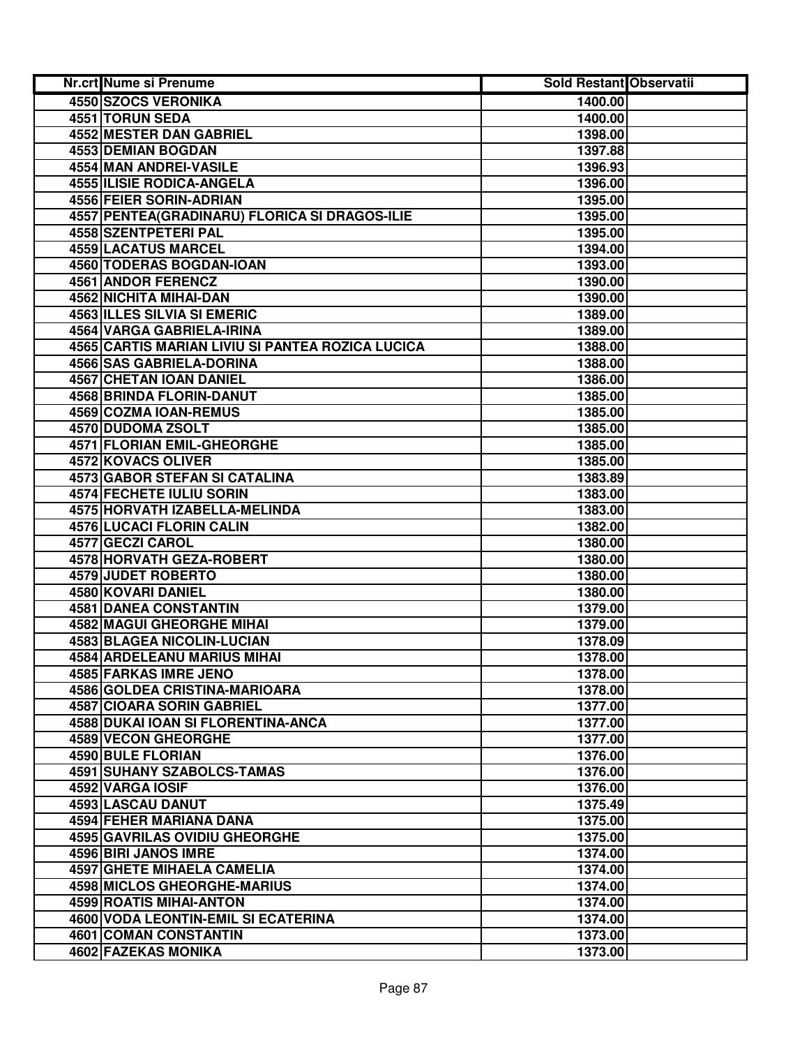| Nr.crt Nume si Prenume                           | <b>Sold Restant Observatii</b> |  |
|--------------------------------------------------|--------------------------------|--|
| <b>4550 SZOCS VERONIKA</b>                       | 1400.00                        |  |
| 4551 TORUN SEDA                                  | 1400.00                        |  |
| 4552 MESTER DAN GABRIEL                          | 1398.00                        |  |
| 4553 DEMIAN BOGDAN                               | 1397.88                        |  |
| 4554 MAN ANDREI-VASILE                           | 1396.93                        |  |
| <b>4555 ILISIE RODICA-ANGELA</b>                 | 1396.00                        |  |
| 4556 FEIER SORIN-ADRIAN                          | 1395.00                        |  |
| 4557 PENTEA (GRADINARU) FLORICA SI DRAGOS-ILIE   | 1395.00                        |  |
| 4558 SZENTPETERI PAL                             | 1395.00                        |  |
| 4559 LACATUS MARCEL                              | 1394.00                        |  |
| 4560 TODERAS BOGDAN-IOAN                         | 1393.00                        |  |
| 4561 ANDOR FERENCZ                               | 1390.00                        |  |
| 4562 NICHITA MIHAI-DAN                           | 1390.00                        |  |
| 4563 ILLES SILVIA SI EMERIC                      | 1389.00                        |  |
| 4564 VARGA GABRIELA-IRINA                        | 1389.00                        |  |
| 4565 CARTIS MARIAN LIVIU SI PANTEA ROZICA LUCICA | 1388.00                        |  |
| <b>4566 SAS GABRIELA-DORINA</b>                  | 1388.00                        |  |
| <b>4567 CHETAN IOAN DANIEL</b>                   | 1386.00                        |  |
| 4568 BRINDA FLORIN-DANUT                         | 1385.00                        |  |
| 4569 COZMA IOAN-REMUS                            | 1385.00                        |  |
| 4570 DUDOMA ZSOLT                                | 1385.00                        |  |
| 4571 FLORIAN EMIL-GHEORGHE                       | 1385.00                        |  |
| 4572 KOVACS OLIVER                               | 1385.00                        |  |
| <b>4573 GABOR STEFAN SI CATALINA</b>             | 1383.89                        |  |
| <b>4574 FECHETE IULIU SORIN</b>                  | 1383.00                        |  |
| 4575 HORVATH IZABELLA-MELINDA                    | 1383.00                        |  |
| 4576 LUCACI FLORIN CALIN                         | 1382.00                        |  |
| 4577 GECZI CAROL                                 | 1380.00                        |  |
| 4578 HORVATH GEZA-ROBERT                         | 1380.00                        |  |
| 4579 JUDET ROBERTO                               | 1380.00                        |  |
| 4580 KOVARI DANIEL                               | 1380.00                        |  |
| 4581 DANEA CONSTANTIN                            | 1379.00                        |  |
| <b>4582 MAGUI GHEORGHE MIHAI</b>                 | 1379.00                        |  |
| 4583 BLAGEA NICOLIN-LUCIAN                       | 1378.09                        |  |
| <b>4584 ARDELEANU MARIUS MIHAI</b>               | 1378.00                        |  |
| 4585 FARKAS IMRE JENO                            | 1378.00                        |  |
| 4586 GOLDEA CRISTINA-MARIOARA                    | 1378.00                        |  |
| 4587 CIOARA SORIN GABRIEL                        | 1377.00                        |  |
| 4588 DUKAI IOAN SI FLORENTINA-ANCA               | 1377.00                        |  |
| <b>4589 VECON GHEORGHE</b>                       | 1377.00                        |  |
| <b>4590 BULE FLORIAN</b>                         | 1376.00                        |  |
| <b>4591 SUHANY SZABOLCS-TAMAS</b>                | 1376.00                        |  |
| 4592 VARGA IOSIF                                 | 1376.00                        |  |
| 4593 LASCAU DANUT                                | 1375.49                        |  |
| 4594 FEHER MARIANA DANA                          | 1375.00                        |  |
| 4595 GAVRILAS OVIDIU GHEORGHE                    | 1375.00                        |  |
| 4596 BIRI JANOS IMRE                             | 1374.00                        |  |
| <b>4597 GHETE MIHAELA CAMELIA</b>                | 1374.00                        |  |
| 4598 MICLOS GHEORGHE-MARIUS                      | 1374.00                        |  |
| 4599 ROATIS MIHAI-ANTON                          | 1374.00                        |  |
| 4600 VODA LEONTIN-EMIL SI ECATERINA              | 1374.00                        |  |
| 4601 COMAN CONSTANTIN                            | 1373.00                        |  |
| 4602 FAZEKAS MONIKA                              | 1373.00                        |  |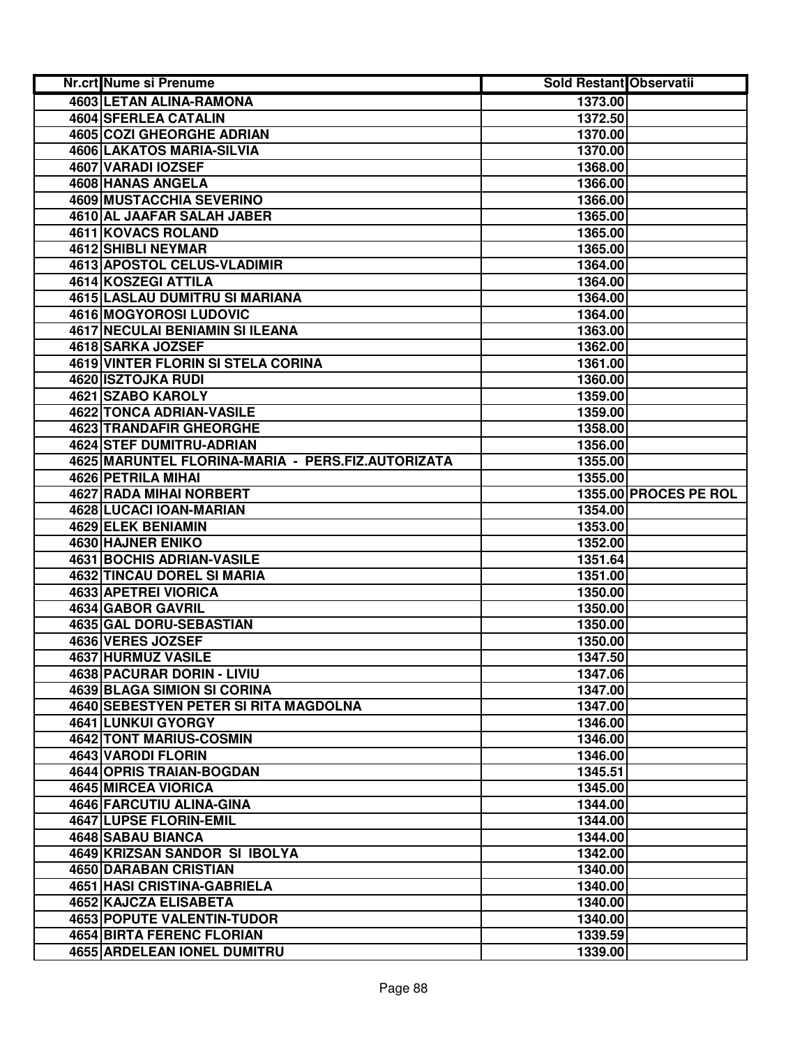| <b>Nr.crt Nume si Prenume</b>                     | <b>Sold Restant Observatii</b> |                       |
|---------------------------------------------------|--------------------------------|-----------------------|
| 4603 LETAN ALINA-RAMONA                           | 1373.00                        |                       |
| 4604 SFERLEA CATALIN                              | 1372.50                        |                       |
| 4605 COZI GHEORGHE ADRIAN                         | 1370.00                        |                       |
| 4606 LAKATOS MARIA-SILVIA                         | 1370.00                        |                       |
| 4607 VARADI IOZSEF                                | 1368.00                        |                       |
| 4608 HANAS ANGELA                                 | 1366.00                        |                       |
| 4609 MUSTACCHIA SEVERINO                          | 1366.00                        |                       |
| 4610 AL JAAFAR SALAH JABER                        | 1365.00                        |                       |
| 4611 KOVACS ROLAND                                | 1365.00                        |                       |
| 4612 SHIBLI NEYMAR                                | 1365.00                        |                       |
| 4613 APOSTOL CELUS-VLADIMIR                       | 1364.00                        |                       |
| 4614 KOSZEGI ATTILA                               | 1364.00                        |                       |
| 4615 LASLAU DUMITRU SI MARIANA                    | 1364.00                        |                       |
| 4616 MOGYOROSI LUDOVIC                            | 1364.00                        |                       |
| <b>4617 NECULAI BENIAMIN SI ILEANA</b>            | 1363.00                        |                       |
| 4618 SARKA JOZSEF                                 | 1362.00                        |                       |
| <b>4619 VINTER FLORIN SI STELA CORINA</b>         | 1361.00                        |                       |
| 4620 ISZTOJKA RUDI                                | 1360.00                        |                       |
| 4621 SZABO KAROLY                                 | 1359.00                        |                       |
| <b>4622 TONCA ADRIAN-VASILE</b>                   | 1359.00                        |                       |
| <b>4623 TRANDAFIR GHEORGHE</b>                    | 1358.00                        |                       |
| 4624 STEF DUMITRU-ADRIAN                          | 1356.00                        |                       |
| 4625 MARUNTEL FLORINA-MARIA - PERS.FIZ.AUTORIZATA | 1355.00                        |                       |
| 4626 PETRILA MIHAI                                | 1355.00                        |                       |
| 4627 RADA MIHAI NORBERT                           |                                | 1355.00 PROCES PE ROL |
| 4628 LUCACI IOAN-MARIAN                           | 1354.00                        |                       |
| 4629 ELEK BENIAMIN                                | 1353.00                        |                       |
| 4630 HAJNER ENIKO                                 | 1352.00                        |                       |
| <b>4631 BOCHIS ADRIAN-VASILE</b>                  | 1351.64                        |                       |
| <b>4632 TINCAU DOREL SI MARIA</b>                 | 1351.00                        |                       |
| 4633 APETREI VIORICA                              | 1350.00                        |                       |
| 4634 GABOR GAVRIL                                 | 1350.00                        |                       |
| 4635 GAL DORU-SEBASTIAN                           | 1350.00                        |                       |
| 4636 VERES JOZSEF                                 | 1350.00                        |                       |
| 4637 HURMUZ VASILE                                | 1347.50                        |                       |
| 4638 PACURAR DORIN - LIVIU                        | 1347.06                        |                       |
| <b>4639 BLAGA SIMION SI CORINA</b>                | 1347.00                        |                       |
| 4640 SEBESTYEN PETER SI RITA MAGDOLNA             | 1347.00                        |                       |
| 4641 LUNKUI GYORGY                                | 1346.00                        |                       |
| <b>4642 TONT MARIUS-COSMIN</b>                    | 1346.00                        |                       |
| 4643 VARODI FLORIN                                | 1346.00                        |                       |
| 4644 OPRIS TRAIAN-BOGDAN                          | 1345.51                        |                       |
| <b>4645 MIRCEA VIORICA</b>                        | 1345.00                        |                       |
| 4646 FARCUTIU ALINA-GINA                          | 1344.00                        |                       |
| 4647 LUPSE FLORIN-EMIL                            | 1344.00                        |                       |
| 4648 SABAU BIANCA                                 | 1344.00                        |                       |
| 4649 KRIZSAN SANDOR SI IBOLYA                     | 1342.00                        |                       |
| 4650 DARABAN CRISTIAN                             | 1340.00                        |                       |
| 4651 HASI CRISTINA-GABRIELA                       | 1340.00                        |                       |
| 4652 KAJCZA ELISABETA                             | 1340.00                        |                       |
| 4653 POPUTE VALENTIN-TUDOR                        | 1340.00                        |                       |
| <b>4654 BIRTA FERENC FLORIAN</b>                  | 1339.59                        |                       |
| 4655 ARDELEAN IONEL DUMITRU                       | 1339.00                        |                       |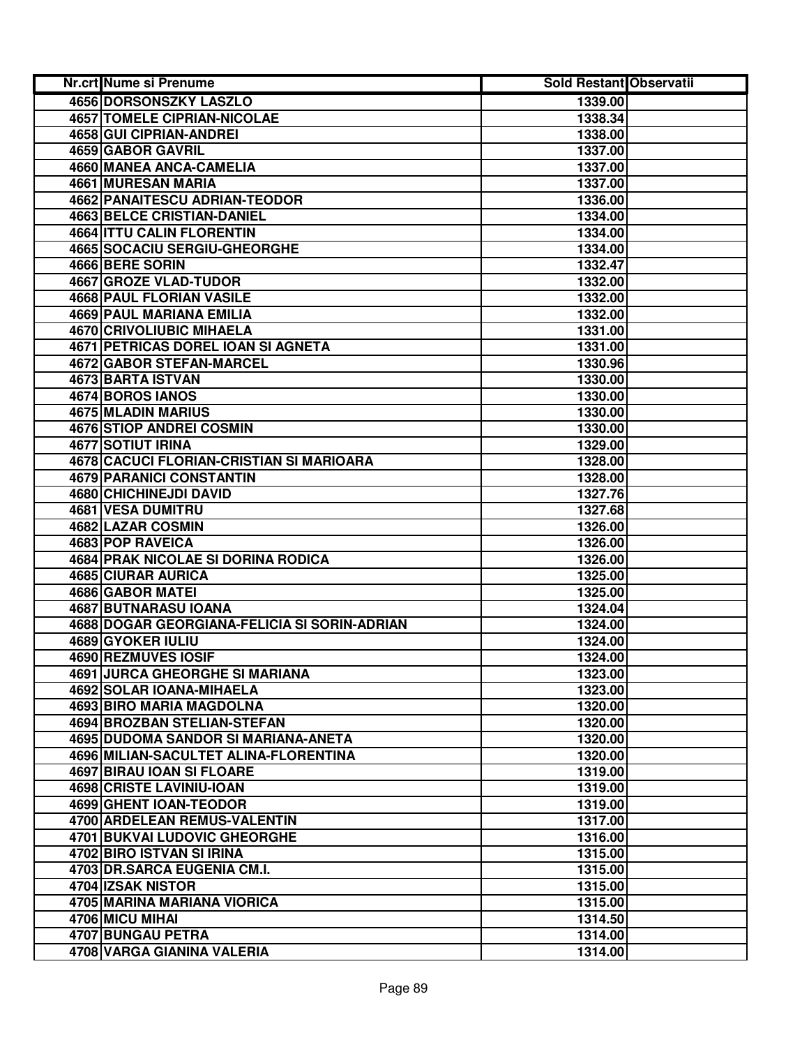| Nr.crt Nume si Prenume                       | Sold Restant Observatii |  |
|----------------------------------------------|-------------------------|--|
| <b>4656 DORSONSZKY LASZLO</b>                | 1339.00                 |  |
| <b>4657 TOMELE CIPRIAN-NICOLAE</b>           | 1338.34                 |  |
| 4658 GUI CIPRIAN-ANDREI                      | 1338.00                 |  |
| 4659 GABOR GAVRIL                            | 1337.00                 |  |
| <b>4660 MANEA ANCA-CAMELIA</b>               | 1337.00                 |  |
| 4661 MURESAN MARIA                           | 1337.00                 |  |
| 4662 PANAITESCU ADRIAN-TEODOR                | 1336.00                 |  |
| <b>4663 BELCE CRISTIAN-DANIEL</b>            | 1334.00                 |  |
| <b>4664 ITTU CALIN FLORENTIN</b>             | 1334.00                 |  |
| <b>4665 SOCACIU SERGIU-GHEORGHE</b>          | 1334.00                 |  |
| 4666 BERE SORIN                              | 1332.47                 |  |
| 4667 GROZE VLAD-TUDOR                        | 1332.00                 |  |
| 4668 PAUL FLORIAN VASILE                     | 1332.00                 |  |
| 4669 PAUL MARIANA EMILIA                     | 1332.00                 |  |
| <b>4670 CRIVOLIUBIC MIHAELA</b>              | 1331.00                 |  |
| 4671 PETRICAS DOREL IOAN SI AGNETA           | 1331.00                 |  |
| <b>4672 GABOR STEFAN-MARCEL</b>              | 1330.96                 |  |
| <b>4673 BARTA ISTVAN</b>                     | 1330.00                 |  |
| 4674 BOROS IANOS                             | 1330.00                 |  |
| <b>4675 MLADIN MARIUS</b>                    | 1330.00                 |  |
| <b>4676 STIOP ANDREI COSMIN</b>              | 1330.00                 |  |
| 4677 SOTIUT IRINA                            | 1329.00                 |  |
| 4678 CACUCI FLORIAN-CRISTIAN SI MARIOARA     | 1328.00                 |  |
| <b>4679 PARANICI CONSTANTIN</b>              | 1328.00                 |  |
| 4680 CHICHINEJDI DAVID                       | 1327.76                 |  |
| 4681 VESA DUMITRU                            | 1327.68                 |  |
| 4682 LAZAR COSMIN                            | 1326.00                 |  |
| 4683 POP RAVEICA                             | 1326.00                 |  |
| 4684 PRAK NICOLAE SI DORINA RODICA           | 1326.00                 |  |
| 4685 CIURAR AURICA                           | 1325.00                 |  |
| 4686 GABOR MATEI                             | 1325.00                 |  |
| 4687 BUTNARASU IOANA                         | 1324.04                 |  |
| 4688 DOGAR GEORGIANA-FELICIA SI SORIN-ADRIAN | 1324.00                 |  |
| 4689 GYOKER IULIU                            | 1324.00                 |  |
| 4690 REZMUVES IOSIF                          | 1324.00                 |  |
| 4691 JURCA GHEORGHE SI MARIANA               | 1323.00                 |  |
| 4692 SOLAR IOANA-MIHAELA                     | 1323.00                 |  |
| 4693 BIRO MARIA MAGDOLNA                     | 1320.00                 |  |
| <b>4694 BROZBAN STELIAN-STEFAN</b>           | 1320.00                 |  |
| 4695 DUDOMA SANDOR SI MARIANA-ANETA          | 1320.00                 |  |
| 4696 MILIAN-SACULTET ALINA-FLORENTINA        | 1320.00                 |  |
| 4697 BIRAU IOAN SI FLOARE                    | 1319.00                 |  |
| 4698 CRISTE LAVINIU-IOAN                     | 1319.00                 |  |
| 4699 GHENT IOAN-TEODOR                       | 1319.00                 |  |
| 4700 ARDELEAN REMUS-VALENTIN                 | 1317.00                 |  |
| 4701 BUKVAI LUDOVIC GHEORGHE                 | 1316.00                 |  |
| 4702 BIRO ISTVAN SI IRINA                    | 1315.00                 |  |
| 4703 DR.SARCA EUGENIA CM.I.                  | 1315.00                 |  |
| 4704 IZSAK NISTOR                            | 1315.00                 |  |
| 4705 MARINA MARIANA VIORICA                  | 1315.00                 |  |
| 4706 MICU MIHAI                              | 1314.50                 |  |
| 4707 BUNGAU PETRA                            | 1314.00                 |  |
| 4708 VARGA GIANINA VALERIA                   | 1314.00                 |  |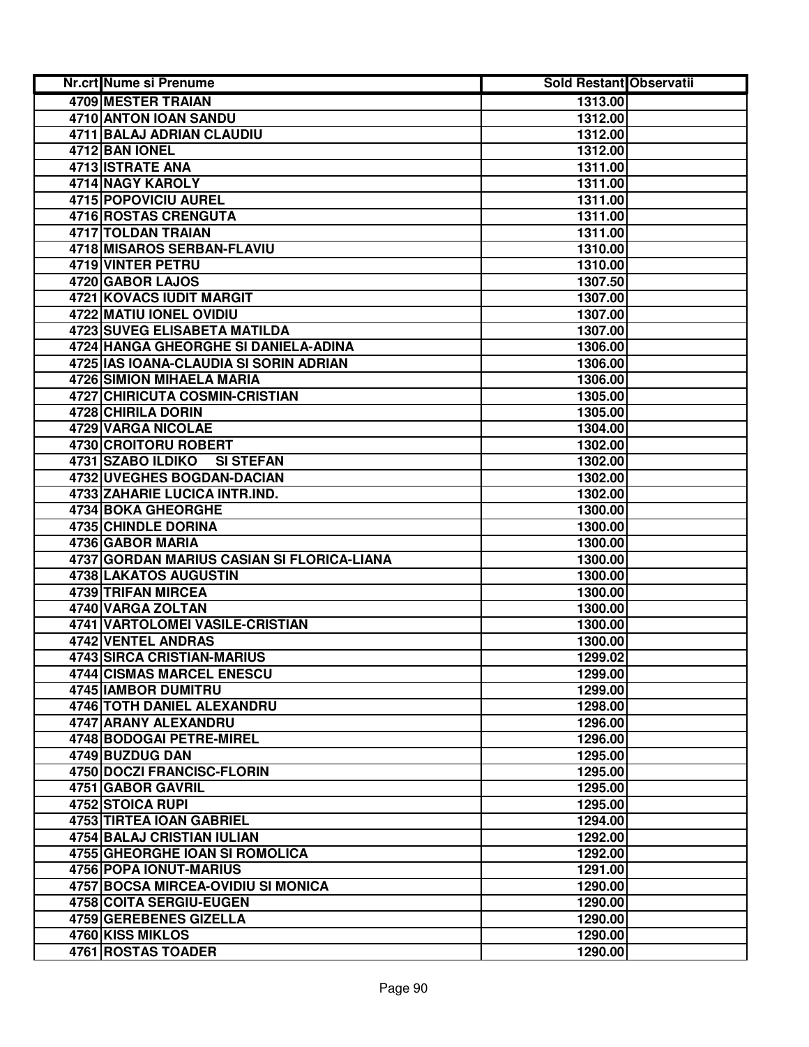| Nr.crt Nume si Prenume                     | <b>Sold Restant Observatii</b> |  |
|--------------------------------------------|--------------------------------|--|
| 4709 MESTER TRAIAN                         | 1313.00                        |  |
| 4710 ANTON IOAN SANDU                      | 1312.00                        |  |
| 4711 BALAJ ADRIAN CLAUDIU                  | 1312.00                        |  |
| 4712 BAN IONEL                             | 1312.00                        |  |
| 4713 ISTRATE ANA                           | 1311.00                        |  |
| 4714 NAGY KAROLY                           | 1311.00                        |  |
| 4715 POPOVICIU AUREL                       | 1311.00                        |  |
| <b>4716 ROSTAS CRENGUTA</b>                | 1311.00                        |  |
| 4717 TOLDAN TRAIAN                         | 1311.00                        |  |
| 4718 MISAROS SERBAN-FLAVIU                 | 1310.00                        |  |
| 4719 VINTER PETRU                          | 1310.00                        |  |
| 4720 GABOR LAJOS                           | 1307.50                        |  |
| 4721 KOVACS IUDIT MARGIT                   | 1307.00                        |  |
| 4722 MATIU IONEL OVIDIU                    | 1307.00                        |  |
| <b>4723 SUVEG ELISABETA MATILDA</b>        | 1307.00                        |  |
| 4724 HANGA GHEORGHE SI DANIELA-ADINA       | 1306.00                        |  |
| 4725 IAS IOANA-CLAUDIA SI SORIN ADRIAN     | 1306.00                        |  |
| <b>4726 SIMION MIHAELA MARIA</b>           | 1306.00                        |  |
| <b>4727 CHIRICUTA COSMIN-CRISTIAN</b>      | 1305.00                        |  |
| 4728 CHIRILA DORIN                         | 1305.00                        |  |
| 4729 VARGA NICOLAE                         | 1304.00                        |  |
| <b>4730 CROITORU ROBERT</b>                | 1302.00                        |  |
| 4731 SZABO ILDIKO<br><b>SI STEFAN</b>      | 1302.00                        |  |
| 4732 UVEGHES BOGDAN-DACIAN                 | 1302.00                        |  |
| 4733 ZAHARIE LUCICA INTR.IND.              | 1302.00                        |  |
| 4734 BOKA GHEORGHE                         | 1300.00                        |  |
| 4735 CHINDLE DORINA                        | 1300.00                        |  |
| 4736 GABOR MARIA                           | 1300.00                        |  |
| 4737 GORDAN MARIUS CASIAN SI FLORICA-LIANA | 1300.00                        |  |
| 4738 LAKATOS AUGUSTIN                      | 1300.00                        |  |
| 4739 TRIFAN MIRCEA                         | 1300.00                        |  |
| 4740 VARGA ZOLTAN                          | 1300.00                        |  |
| 4741 VARTOLOMEI VASILE-CRISTIAN            | 1300.00                        |  |
| 4742 VENTEL ANDRAS                         | 1300.00                        |  |
| 4743 SIRCA CRISTIAN-MARIUS                 | 1299.02                        |  |
| 4744 CISMAS MARCEL ENESCU                  | 1299.00                        |  |
| 4745 IAMBOR DUMITRU                        | 1299.00                        |  |
| 4746 TOTH DANIEL ALEXANDRU                 | 1298.00                        |  |
| 4747 ARANY ALEXANDRU                       | 1296.00                        |  |
| 4748 BODOGAI PETRE-MIREL                   | 1296.00                        |  |
| 4749 BUZDUG DAN                            | 1295.00                        |  |
| <b>4750 DOCZI FRANCISC-FLORIN</b>          | 1295.00                        |  |
| 4751 GABOR GAVRIL                          | 1295.00                        |  |
| 4752 STOICA RUPI                           | 1295.00                        |  |
| 4753 TIRTEA IOAN GABRIEL                   | 1294.00                        |  |
| 4754 BALAJ CRISTIAN IULIAN                 | 1292.00                        |  |
| 4755 GHEORGHE IOAN SI ROMOLICA             | 1292.00                        |  |
| 4756 POPA IONUT-MARIUS                     | 1291.00                        |  |
| 4757 BOCSA MIRCEA-OVIDIU SI MONICA         | 1290.00                        |  |
| 4758 COITA SERGIU-EUGEN                    | 1290.00                        |  |
| 4759 GEREBENES GIZELLA                     | 1290.00                        |  |
| 4760 KISS MIKLOS                           | 1290.00                        |  |
| 4761 ROSTAS TOADER                         | 1290.00                        |  |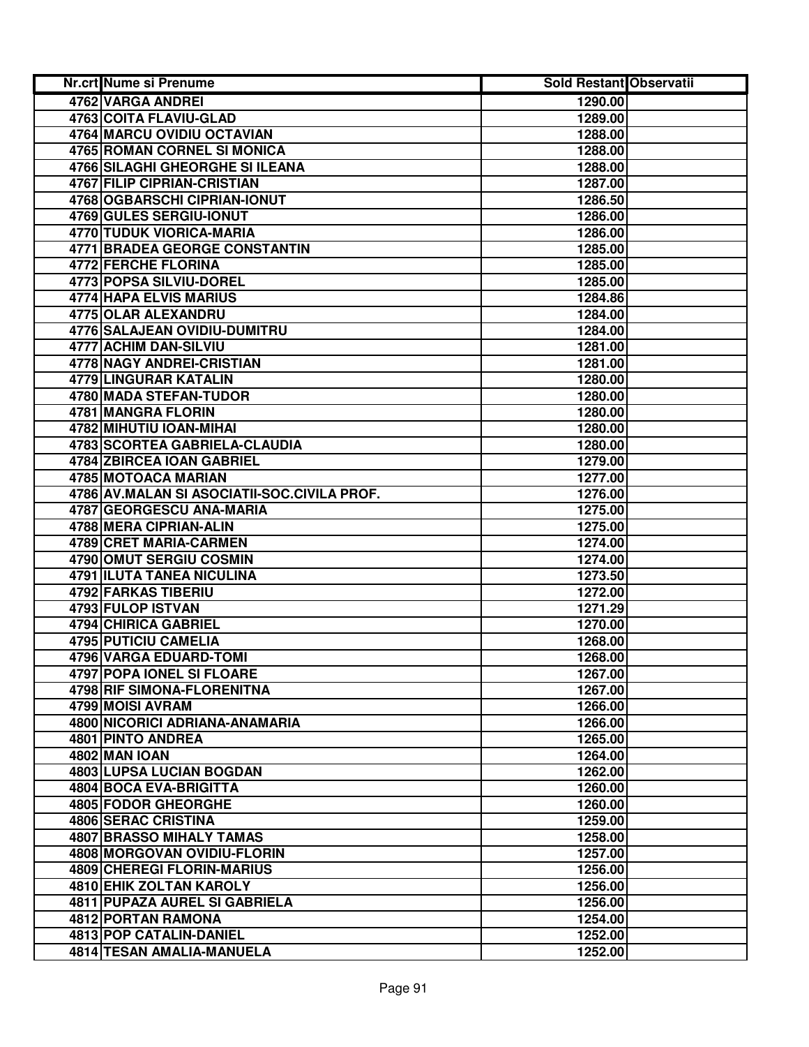| Nr.crt Nume si Prenume                      | <b>Sold Restant Observatii</b> |  |
|---------------------------------------------|--------------------------------|--|
| 4762 VARGA ANDREI                           | 1290.00                        |  |
| 4763 COITA FLAVIU-GLAD                      | 1289.00                        |  |
| 4764 MARCU OVIDIU OCTAVIAN                  | 1288.00                        |  |
| 4765 ROMAN CORNEL SI MONICA                 | 1288.00                        |  |
| <b>4766 SILAGHI GHEORGHE SI ILEANA</b>      | 1288.00                        |  |
| 4767 FILIP CIPRIAN-CRISTIAN                 | 1287.00                        |  |
| 4768 OGBARSCHI CIPRIAN-IONUT                | 1286.50                        |  |
| 4769 GULES SERGIU-IONUT                     | 1286.00                        |  |
| 4770 TUDUK VIORICA-MARIA                    | 1286.00                        |  |
| 4771 BRADEA GEORGE CONSTANTIN               | 1285.00                        |  |
| 4772 FERCHE FLORINA                         | 1285.00                        |  |
| 4773 POPSA SILVIU-DOREL                     | 1285.00                        |  |
| 4774 HAPA ELVIS MARIUS                      | 1284.86                        |  |
| 4775 OLAR ALEXANDRU                         | 1284.00                        |  |
| 4776 SALAJEAN OVIDIU-DUMITRU                | 1284.00                        |  |
| <b>4777 ACHIM DAN-SILVIU</b>                | 1281.00                        |  |
| <b>4778 NAGY ANDREI-CRISTIAN</b>            | 1281.00                        |  |
| 4779 LINGURAR KATALIN                       | 1280.00                        |  |
| <b>4780 MADA STEFAN-TUDOR</b>               | 1280.00                        |  |
| 4781 MANGRA FLORIN                          | 1280.00                        |  |
| 4782 MIHUTIU IOAN-MIHAI                     | 1280.00                        |  |
| 4783 SCORTEA GABRIELA-CLAUDIA               | 1280.00                        |  |
| 4784 ZBIRCEA IOAN GABRIEL                   | 1279.00                        |  |
| 4785 MOTOACA MARIAN                         | 1277.00                        |  |
| 4786 AV.MALAN SI ASOCIATII-SOC.CIVILA PROF. | 1276.00                        |  |
| 4787 GEORGESCU ANA-MARIA                    | 1275.00                        |  |
| 4788 MERA CIPRIAN-ALIN                      | 1275.00                        |  |
| 4789 CRET MARIA-CARMEN                      | 1274.00                        |  |
| 4790 OMUT SERGIU COSMIN                     | 1274.00                        |  |
| 4791 ILUTA TANEA NICULINA                   | 1273.50                        |  |
| 4792 FARKAS TIBERIU                         | 1272.00                        |  |
| 4793 FULOP ISTVAN                           | 1271.29                        |  |
| 4794 CHIRICA GABRIEL                        | 1270.00                        |  |
| 4795 PUTICIU CAMELIA                        | 1268.00                        |  |
| 4796 VARGA EDUARD-TOMI                      | 1268.00                        |  |
| 4797 POPA IONEL SI FLOARE                   | 1267.00                        |  |
| 4798 RIF SIMONA-FLORENITNA                  | 1267.00                        |  |
| 4799 MOISI AVRAM                            | 1266.00                        |  |
| 4800 NICORICI ADRIANA-ANAMARIA              | 1266.00                        |  |
| 4801 PINTO ANDREA                           | 1265.00                        |  |
| <b>4802 MAN IOAN</b>                        | 1264.00                        |  |
| <b>4803 LUPSA LUCIAN BOGDAN</b>             | 1262.00                        |  |
| 4804 BOCA EVA-BRIGITTA                      | 1260.00                        |  |
| <b>4805 FODOR GHEORGHE</b>                  | 1260.00                        |  |
| 4806 SERAC CRISTINA                         | 1259.00                        |  |
| <b>4807 BRASSO MIHALY TAMAS</b>             | 1258.00                        |  |
| 4808 MORGOVAN OVIDIU-FLORIN                 | 1257.00                        |  |
| 4809 CHEREGI FLORIN-MARIUS                  | 1256.00                        |  |
| 4810 EHIK ZOLTAN KAROLY                     | 1256.00                        |  |
| 4811 PUPAZA AUREL SI GABRIELA               | 1256.00                        |  |
| 4812 PORTAN RAMONA                          | 1254.00                        |  |
| 4813 POP CATALIN-DANIEL                     | 1252.00                        |  |
| 4814 TESAN AMALIA-MANUELA                   | 1252.00                        |  |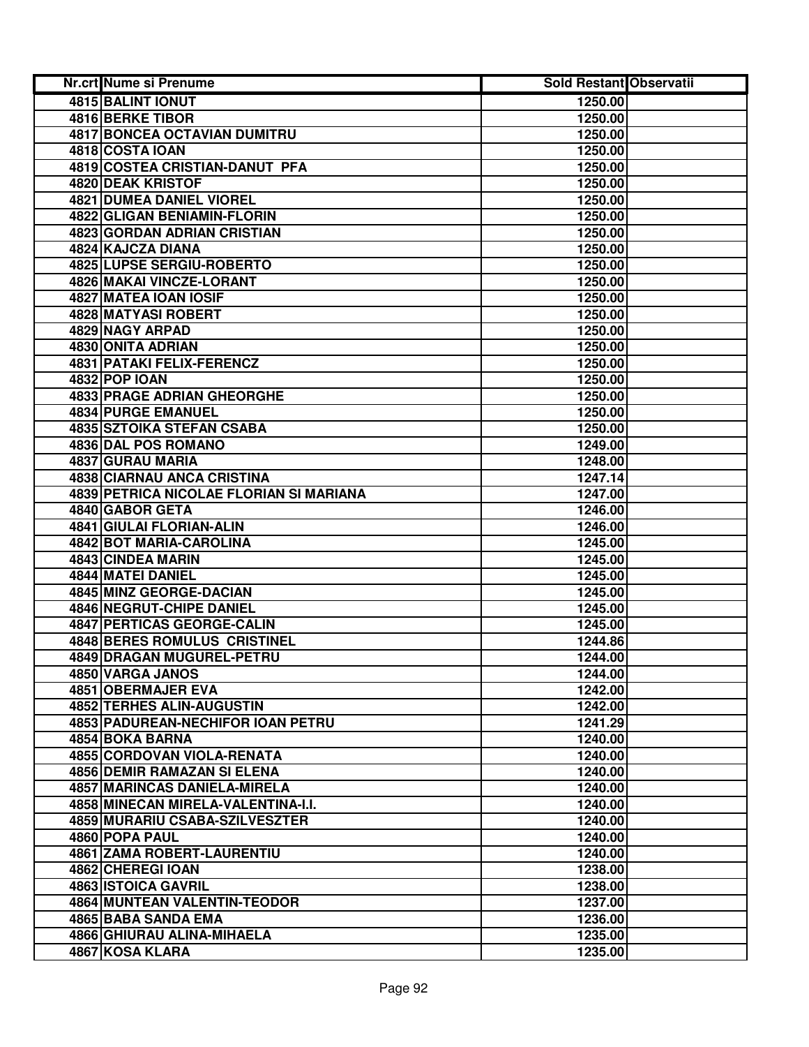| Nr.crt Nume si Prenume                                                    | Sold Restant Observatii |  |
|---------------------------------------------------------------------------|-------------------------|--|
| <b>4815 BALINT IONUT</b>                                                  | 1250.00                 |  |
| <b>4816 BERKE TIBOR</b>                                                   | 1250.00                 |  |
| 4817 BONCEA OCTAVIAN DUMITRU                                              | 1250.00                 |  |
| 4818 COSTA IOAN                                                           | 1250.00                 |  |
| 4819 COSTEA CRISTIAN-DANUT PFA                                            | 1250.00                 |  |
| 4820 DEAK KRISTOF                                                         | 1250.00                 |  |
| <b>4821 DUMEA DANIEL VIOREL</b>                                           | 1250.00                 |  |
| 4822 GLIGAN BENIAMIN-FLORIN                                               | 1250.00                 |  |
| 4823 GORDAN ADRIAN CRISTIAN                                               | 1250.00                 |  |
| 4824 KAJCZA DIANA                                                         | 1250.00                 |  |
| 4825 LUPSE SERGIU-ROBERTO                                                 | 1250.00                 |  |
| 4826 MAKAI VINCZE-LORANT                                                  | 1250.00                 |  |
| 4827 MATEA IOAN IOSIF                                                     | 1250.00                 |  |
| 4828 MATYASI ROBERT                                                       | 1250.00                 |  |
| 4829 NAGY ARPAD                                                           | 1250.00                 |  |
| <b>4830 ONITA ADRIAN</b>                                                  | 1250.00                 |  |
| <b>4831 PATAKI FELIX-FERENCZ</b>                                          | 1250.00                 |  |
| <b>4832 POP IOAN</b>                                                      | 1250.00                 |  |
| <b>4833 PRAGE ADRIAN GHEORGHE</b>                                         | 1250.00                 |  |
| <b>4834 PURGE EMANUEL</b>                                                 | 1250.00                 |  |
| <b>4835 SZTOIKA STEFAN CSABA</b>                                          | 1250.00                 |  |
| 4836 DAL POS ROMANO                                                       | 1249.00                 |  |
| 4837 GURAU MARIA                                                          | 1248.00                 |  |
| 4838 CIARNAU ANCA CRISTINA                                                | 1247.14                 |  |
| 4839 PETRICA NICOLAE FLORIAN SI MARIANA                                   | 1247.00                 |  |
| 4840 GABOR GETA                                                           | 1246.00                 |  |
| 4841 GIULAI FLORIAN-ALIN                                                  | 1246.00                 |  |
| 4842 BOT MARIA-CAROLINA                                                   | 1245.00                 |  |
| 4843 CINDEA MARIN                                                         | 1245.00                 |  |
| 4844 MATEI DANIEL                                                         | 1245.00                 |  |
| 4845 MINZ GEORGE-DACIAN                                                   | 1245.00                 |  |
| 4846 NEGRUT-CHIPE DANIEL                                                  | 1245.00                 |  |
| 4847 PERTICAS GEORGE-CALIN                                                | 1245.00                 |  |
| 4848 BERES ROMULUS CRISTINEL                                              | 1244.86                 |  |
| 4849 DRAGAN MUGUREL-PETRU                                                 | 1244.00                 |  |
| 4850 VARGA JANOS                                                          | 1244.00                 |  |
| 4851 OBERMAJER EVA                                                        | 1242.00                 |  |
| 4852 TERHES ALIN-AUGUSTIN                                                 | 1242.00                 |  |
| <b>4853 PADUREAN-NECHIFOR IOAN PETRU</b>                                  | 1241.29                 |  |
| 4854 BOKA BARNA                                                           | 1240.00                 |  |
| 4855 CORDOVAN VIOLA-RENATA                                                | 1240.00                 |  |
| <b>4856 DEMIR RAMAZAN SI ELENA</b><br><b>4857 MARINCAS DANIELA-MIRELA</b> | 1240.00                 |  |
| 4858 MINECAN MIRELA-VALENTINA-I.I.                                        | 1240.00<br>1240.00      |  |
| 4859 MURARIU CSABA-SZILVESZTER                                            | 1240.00                 |  |
| 4860 POPA PAUL                                                            | 1240.00                 |  |
| <b>4861 ZAMA ROBERT-LAURENTIU</b>                                         | 1240.00                 |  |
| 4862 CHEREGI IOAN                                                         | 1238.00                 |  |
| 4863 ISTOICA GAVRIL                                                       | 1238.00                 |  |
| 4864 MUNTEAN VALENTIN-TEODOR                                              | 1237.00                 |  |
| 4865 BABA SANDA EMA                                                       | 1236.00                 |  |
| 4866 GHIURAU ALINA-MIHAELA                                                | 1235.00                 |  |
| 4867 KOSA KLARA                                                           | 1235.00                 |  |
|                                                                           |                         |  |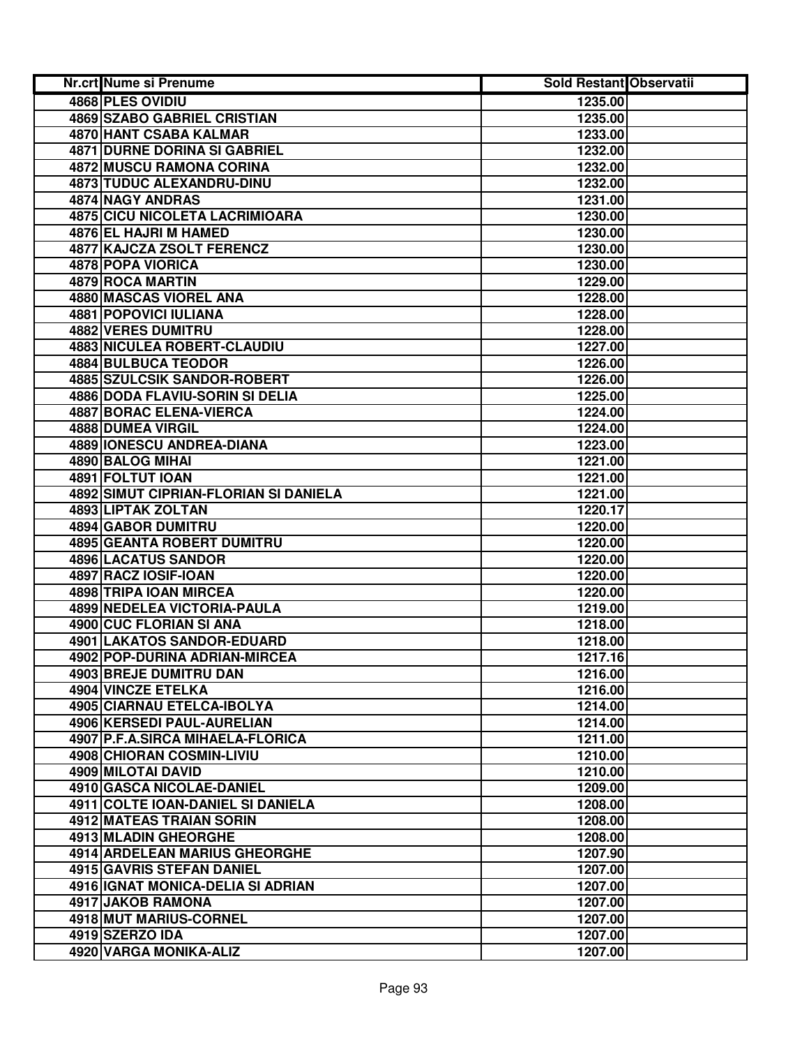| Nr.crt Nume si Prenume                                 | Sold Restant Observatii |  |
|--------------------------------------------------------|-------------------------|--|
| 4868 PLES OVIDIU                                       | 1235.00                 |  |
| <b>4869 SZABO GABRIEL CRISTIAN</b>                     | 1235.00                 |  |
| 4870 HANT CSABA KALMAR                                 | 1233.00                 |  |
| <b>4871 DURNE DORINA SI GABRIEL</b>                    | 1232.00                 |  |
| 4872 MUSCU RAMONA CORINA                               | 1232.00                 |  |
| 4873 TUDUC ALEXANDRU-DINU                              | 1232.00                 |  |
| 4874 NAGY ANDRAS                                       | 1231.00                 |  |
| 4875 CICU NICOLETA LACRIMIOARA                         | 1230.00                 |  |
| 4876 EL HAJRI M HAMED                                  | 1230.00                 |  |
| 4877 KAJCZA ZSOLT FERENCZ                              | 1230.00                 |  |
| 4878 POPA VIORICA                                      | 1230.00                 |  |
| 4879 ROCA MARTIN                                       | 1229.00                 |  |
| 4880 MASCAS VIOREL ANA                                 | 1228.00                 |  |
| 4881 POPOVICI IULIANA                                  | 1228.00                 |  |
| <b>4882 VERES DUMITRU</b>                              | 1228.00                 |  |
| 4883 NICULEA ROBERT-CLAUDIU                            | 1227.00                 |  |
| <b>4884 BULBUCA TEODOR</b>                             | 1226.00                 |  |
| <b>4885 SZULCSIK SANDOR-ROBERT</b>                     | 1226.00                 |  |
| <b>4886 DODA FLAVIU-SORIN SI DELIA</b>                 | 1225.00                 |  |
| <b>4887 BORAC ELENA-VIERCA</b>                         | 1224.00                 |  |
| 4888 DUMEA VIRGIL                                      | 1224.00                 |  |
| <b>4889 IONESCU ANDREA-DIANA</b>                       | 1223.00                 |  |
| 4890 BALOG MIHAI                                       | 1221.00                 |  |
| 4891 FOLTUT IOAN                                       | 1221.00                 |  |
| 4892 SIMUT CIPRIAN-FLORIAN SI DANIELA                  | 1221.00                 |  |
| 4893 LIPTAK ZOLTAN                                     | 1220.17                 |  |
| 4894 GABOR DUMITRU                                     | 1220.00                 |  |
| 4895 GEANTA ROBERT DUMITRU                             | 1220.00                 |  |
| 4896 LACATUS SANDOR                                    | 1220.00                 |  |
| 4897 RACZ IOSIF-IOAN                                   | 1220.00                 |  |
| 4898 TRIPA IOAN MIRCEA                                 | 1220.00                 |  |
| 4899 NEDELEA VICTORIA-PAULA                            | 1219.00                 |  |
| 4900 CUC FLORIAN SI ANA                                | 1218.00                 |  |
| 4901 LAKATOS SANDOR-EDUARD                             | 1218.00                 |  |
| 4902 POP-DURINA ADRIAN-MIRCEA                          | 1217.16                 |  |
| 4903 BREJE DUMITRU DAN                                 | 1216.00                 |  |
| 4904 VINCZE ETELKA                                     | 1216.00                 |  |
| 4905 CIARNAU ETELCA-IBOLYA                             | 1214.00                 |  |
| 4906 KERSEDI PAUL-AURELIAN                             | 1214.00                 |  |
| 4907 P.F.A.SIRCA MIHAELA-FLORICA                       | 1211.00                 |  |
| 4908 CHIORAN COSMIN-LIVIU                              | 1210.00                 |  |
| 4909 MILOTAI DAVID<br><b>4910 GASCA NICOLAE-DANIEL</b> | 1210.00                 |  |
|                                                        | 1209.00                 |  |
| 4911 COLTE IOAN-DANIEL SI DANIELA                      | 1208.00                 |  |
| 4912 MATEAS TRAIAN SORIN                               | 1208.00                 |  |
| 4913 MLADIN GHEORGHE<br>4914 ARDELEAN MARIUS GHEORGHE  | 1208.00<br>1207.90      |  |
| 4915 GAVRIS STEFAN DANIEL                              | 1207.00                 |  |
| 4916 IGNAT MONICA-DELIA SI ADRIAN                      | 1207.00                 |  |
| 4917 JAKOB RAMONA                                      | 1207.00                 |  |
| 4918 MUT MARIUS-CORNEL                                 | 1207.00                 |  |
| 4919 SZERZO IDA                                        | 1207.00                 |  |
| 4920 VARGA MONIKA-ALIZ                                 | 1207.00                 |  |
|                                                        |                         |  |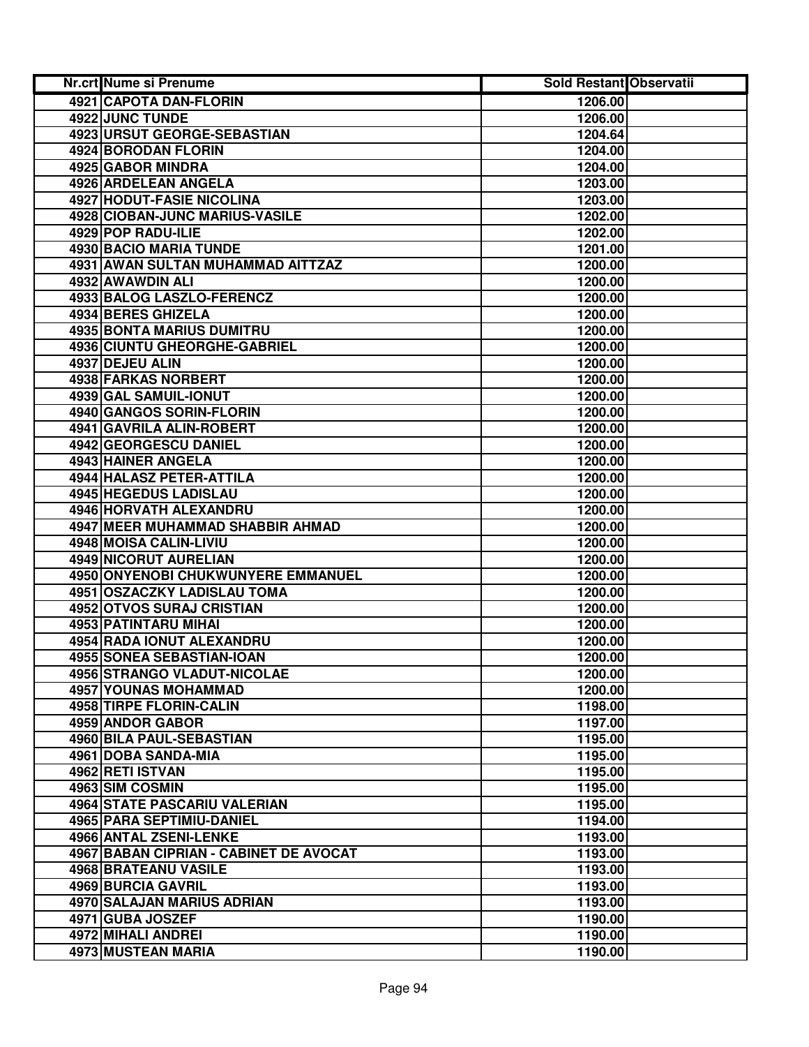| Nr.crt Nume si Prenume                 | Sold Restant Observatii |  |
|----------------------------------------|-------------------------|--|
| 4921 CAPOTA DAN-FLORIN                 | 1206.00                 |  |
| 4922 JUNC TUNDE                        | 1206.00                 |  |
| 4923 URSUT GEORGE-SEBASTIAN            | 1204.64                 |  |
| 4924 BORODAN FLORIN                    | 1204.00                 |  |
| 4925 GABOR MINDRA                      | 1204.00                 |  |
| 4926 ARDELEAN ANGELA                   | 1203.00                 |  |
| <b>4927 HODUT-FASIE NICOLINA</b>       | 1203.00                 |  |
| 4928 CIOBAN-JUNC MARIUS-VASILE         | 1202.00                 |  |
| 4929 POP RADU-ILIE                     | 1202.00                 |  |
| 4930 BACIO MARIA TUNDE                 | 1201.00                 |  |
| 4931 AWAN SULTAN MUHAMMAD AITTZAZ      | 1200.00                 |  |
| 4932 AWAWDIN ALI                       | 1200.00                 |  |
| 4933 BALOG LASZLO-FERENCZ              | 1200.00                 |  |
| 4934 BERES GHIZELA                     | 1200.00                 |  |
| 4935 BONTA MARIUS DUMITRU              | 1200.00                 |  |
| 4936 CIUNTU GHEORGHE-GABRIEL           | 1200.00                 |  |
| 4937 DEJEU ALIN                        | 1200.00                 |  |
| <b>4938 FARKAS NORBERT</b>             | 1200.00                 |  |
| 4939 GAL SAMUIL-IONUT                  | 1200.00                 |  |
| 4940 GANGOS SORIN-FLORIN               | 1200.00                 |  |
| 4941 GAVRILA ALIN-ROBERT               | 1200.00                 |  |
| 4942 GEORGESCU DANIEL                  | 1200.00                 |  |
| 4943 HAINER ANGELA                     | 1200.00                 |  |
| 4944 HALASZ PETER-ATTILA               | 1200.00                 |  |
| 4945 HEGEDUS LADISLAU                  | 1200.00                 |  |
| 4946 HORVATH ALEXANDRU                 | 1200.00                 |  |
| 4947 MEER MUHAMMAD SHABBIR AHMAD       | 1200.00                 |  |
| 4948 MOISA CALIN-LIVIU                 | 1200.00                 |  |
| 4949 NICORUT AURELIAN                  | 1200.00                 |  |
| 4950 ONYENOBI CHUKWUNYERE EMMANUEL     | 1200.00                 |  |
| 4951 OSZACZKY LADISLAU TOMA            | 1200.00                 |  |
| 4952 OTVOS SURAJ CRISTIAN              | 1200.00                 |  |
| 4953 PATINTARU MIHAI                   | 1200.00                 |  |
| 4954 RADA IONUT ALEXANDRU              | 1200.00                 |  |
| 4955 SONEA SEBASTIAN-IOAN              | 1200.00                 |  |
| 4956 STRANGO VLADUT-NICOLAE            | 1200.00                 |  |
| 4957 YOUNAS MOHAMMAD                   | 1200.00                 |  |
| 4958 TIRPE FLORIN-CALIN                | 1198.00                 |  |
| 4959 ANDOR GABOR                       | 1197.00                 |  |
| 4960 BILA PAUL-SEBASTIAN               | 1195.00                 |  |
| 4961 DOBA SANDA-MIA                    | 1195.00                 |  |
| 4962 RETI ISTVAN                       | 1195.00                 |  |
| 4963 SIM COSMIN                        | 1195.00                 |  |
| <b>4964 STATE PASCARIU VALERIAN</b>    | 1195.00                 |  |
| 4965 PARA SEPTIMIU-DANIEL              | 1194.00                 |  |
| 4966 ANTAL ZSENI-LENKE                 | 1193.00                 |  |
| 4967 BABAN CIPRIAN - CABINET DE AVOCAT | 1193.00                 |  |
| 4968 BRATEANU VASILE                   | 1193.00                 |  |
| 4969 BURCIA GAVRIL                     | 1193.00                 |  |
| 4970 SALAJAN MARIUS ADRIAN             | 1193.00                 |  |
| 4971 GUBA JOSZEF                       | 1190.00                 |  |
| 4972 MIHALI ANDREI                     | 1190.00                 |  |
| 4973 MUSTEAN MARIA                     | 1190.00                 |  |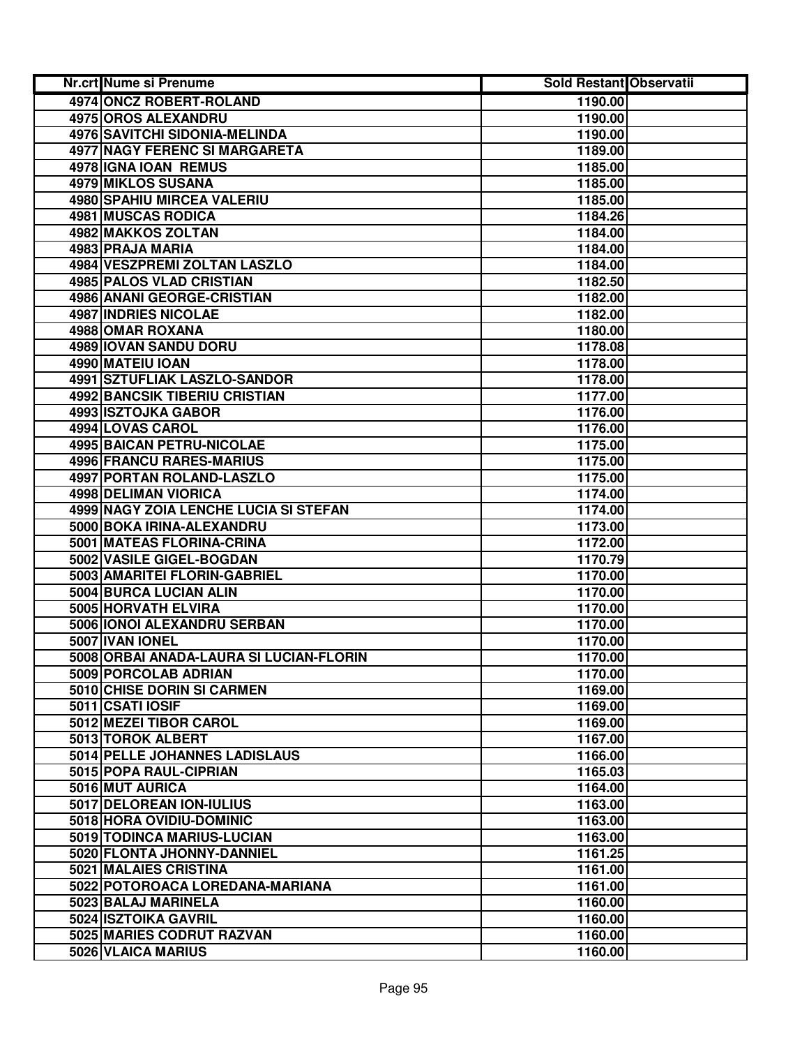| Nr.crt Nume si Prenume                  | <b>Sold Restant Observatii</b> |  |
|-----------------------------------------|--------------------------------|--|
| 4974 ONCZ ROBERT-ROLAND                 | 1190.00                        |  |
| 4975 OROS ALEXANDRU                     | 1190.00                        |  |
| 4976 SAVITCHI SIDONIA-MELINDA           | 1190.00                        |  |
| 4977 NAGY FERENC SI MARGARETA           | 1189.00                        |  |
| 4978 IGNA IOAN REMUS                    | 1185.00                        |  |
| 4979 MIKLOS SUSANA                      | 1185.00                        |  |
| 4980 SPAHIU MIRCEA VALERIU              | 1185.00                        |  |
| <b>4981 MUSCAS RODICA</b>               | 1184.26                        |  |
| 4982 MAKKOS ZOLTAN                      | 1184.00                        |  |
| 4983 PRAJA MARIA                        | 1184.00                        |  |
| 4984 VESZPREMI ZOLTAN LASZLO            | 1184.00                        |  |
| 4985 PALOS VLAD CRISTIAN                | 1182.50                        |  |
| 4986 ANANI GEORGE-CRISTIAN              | 1182.00                        |  |
| 4987 INDRIES NICOLAE                    | 1182.00                        |  |
| 4988 OMAR ROXANA                        | 1180.00                        |  |
| 4989 IOVAN SANDU DORU                   | 1178.08                        |  |
| 4990 MATEIU IOAN                        | 1178.00                        |  |
| <b>4991 SZTUFLIAK LASZLO-SANDOR</b>     | 1178.00                        |  |
| <b>4992 BANCSIK TIBERIU CRISTIAN</b>    | 1177.00                        |  |
| 4993 ISZTOJKA GABOR                     | 1176.00                        |  |
| 4994 LOVAS CAROL                        | 1176.00                        |  |
| <b>4995 BAICAN PETRU-NICOLAE</b>        | 1175.00                        |  |
| 4996 FRANCU RARES-MARIUS                | 1175.00                        |  |
| 4997 PORTAN ROLAND-LASZLO               | 1175.00                        |  |
| 4998 DELIMAN VIORICA                    | 1174.00                        |  |
| 4999 NAGY ZOIA LENCHE LUCIA SI STEFAN   | 1174.00                        |  |
| 5000 BOKA IRINA-ALEXANDRU               | 1173.00                        |  |
| 5001 MATEAS FLORINA-CRINA               | 1172.00                        |  |
| 5002 VASILE GIGEL-BOGDAN                | 1170.79                        |  |
| 5003 AMARITEI FLORIN-GABRIEL            | 1170.00                        |  |
| 5004 BURCA LUCIAN ALIN                  | 1170.00                        |  |
| 5005 HORVATH ELVIRA                     | 1170.00                        |  |
| 5006 IONOI ALEXANDRU SERBAN             | 1170.00                        |  |
| 5007 IVAN IONEL                         | 1170.00                        |  |
| 5008 ORBAI ANADA-LAURA SI LUCIAN-FLORIN | 1170.00                        |  |
| 5009 PORCOLAB ADRIAN                    | 1170.00                        |  |
| 5010 CHISE DORIN SI CARMEN              | 1169.00                        |  |
| 5011 CSATI IOSIF                        | 1169.00                        |  |
| 5012 MEZEI TIBOR CAROL                  | 1169.00                        |  |
| 5013 TOROK ALBERT                       | 1167.00                        |  |
| 5014 PELLE JOHANNES LADISLAUS           | 1166.00                        |  |
| 5015 POPA RAUL-CIPRIAN                  | 1165.03                        |  |
| 5016 MUT AURICA                         | 1164.00                        |  |
| 5017 DELOREAN ION-IULIUS                | 1163.00                        |  |
| 5018 HORA OVIDIU-DOMINIC                | 1163.00                        |  |
| 5019 TODINCA MARIUS-LUCIAN              | 1163.00                        |  |
| 5020 FLONTA JHONNY-DANNIEL              | 1161.25                        |  |
| 5021 MALAIES CRISTINA                   | 1161.00                        |  |
| 5022 POTOROACA LOREDANA-MARIANA         | 1161.00                        |  |
| 5023 BALAJ MARINELA                     | 1160.00                        |  |
| 5024 ISZTOIKA GAVRIL                    | 1160.00                        |  |
| 5025 MARIES CODRUT RAZVAN               | 1160.00                        |  |
| 5026 VLAICA MARIUS                      | 1160.00                        |  |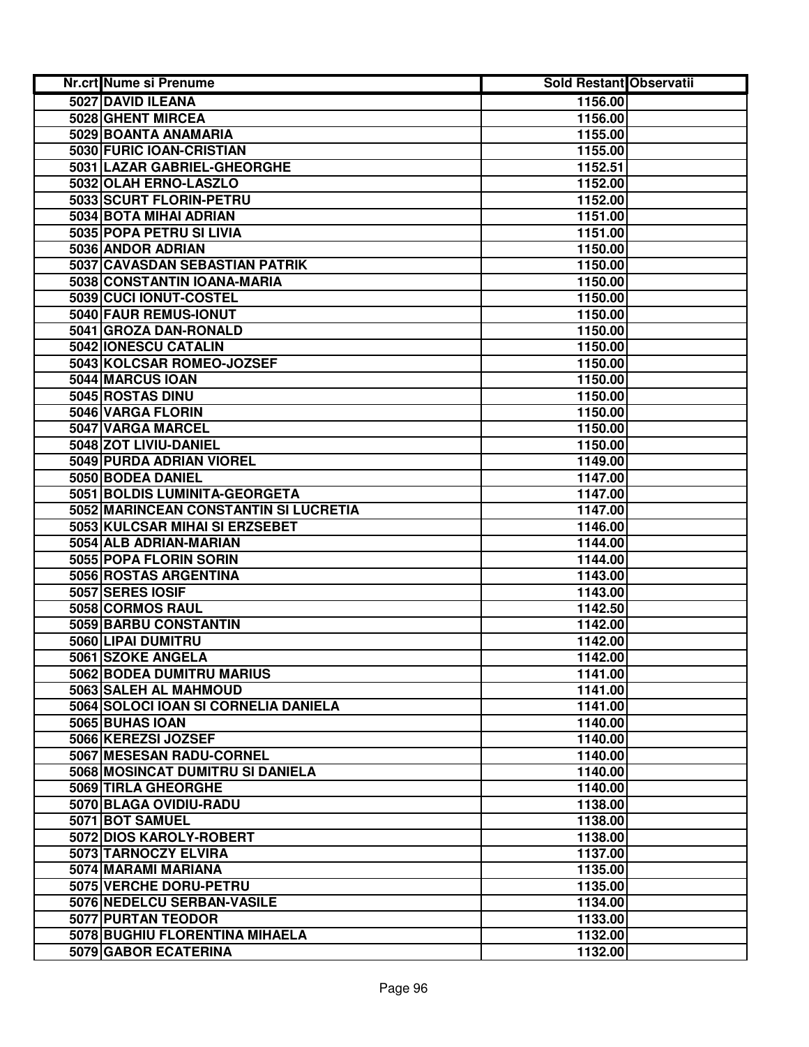| Nr.crt Nume si Prenume                | <b>Sold Restant Observatii</b> |  |
|---------------------------------------|--------------------------------|--|
| 5027 DAVID ILEANA                     | 1156.00                        |  |
| 5028 GHENT MIRCEA                     | 1156.00                        |  |
| 5029 BOANTA ANAMARIA                  | 1155.00                        |  |
| 5030 FURIC IOAN-CRISTIAN              | 1155.00                        |  |
| 5031 LAZAR GABRIEL-GHEORGHE           | 1152.51                        |  |
| 5032 OLAH ERNO-LASZLO                 | 1152.00                        |  |
| 5033 SCURT FLORIN-PETRU               | 1152.00                        |  |
| 5034 BOTA MIHAI ADRIAN                | 1151.00                        |  |
| 5035 POPA PETRU SI LIVIA              | 1151.00                        |  |
| 5036 ANDOR ADRIAN                     | 1150.00                        |  |
| 5037 CAVASDAN SEBASTIAN PATRIK        | 1150.00                        |  |
| 5038 CONSTANTIN IOANA-MARIA           | 1150.00                        |  |
| 5039 CUCI IONUT-COSTEL                | 1150.00                        |  |
| 5040 FAUR REMUS-IONUT                 | 1150.00                        |  |
| 5041 GROZA DAN-RONALD                 | 1150.00                        |  |
| 5042 IONESCU CATALIN                  | 1150.00                        |  |
| 5043 KOLCSAR ROMEO-JOZSEF             | 1150.00                        |  |
| 5044 MARCUS IOAN                      | 1150.00                        |  |
| 5045 ROSTAS DINU                      | 1150.00                        |  |
| 5046 VARGA FLORIN                     | 1150.00                        |  |
| 5047 VARGA MARCEL                     | 1150.00                        |  |
| 5048 ZOT LIVIU-DANIEL                 | 1150.00                        |  |
| 5049 PURDA ADRIAN VIOREL              | 1149.00                        |  |
| 5050 BODEA DANIEL                     | 1147.00                        |  |
| 5051 BOLDIS LUMINITA-GEORGETA         | 1147.00                        |  |
| 5052 MARINCEAN CONSTANTIN SI LUCRETIA | 1147.00                        |  |
| 5053 KULCSAR MIHAI SI ERZSEBET        | 1146.00                        |  |
| 5054 ALB ADRIAN-MARIAN                | 1144.00                        |  |
| 5055 POPA FLORIN SORIN                | 1144.00                        |  |
| 5056 ROSTAS ARGENTINA                 | 1143.00                        |  |
| 5057 SERES IOSIF                      | 1143.00                        |  |
| 5058 CORMOS RAUL                      | 1142.50                        |  |
| 5059 BARBU CONSTANTIN                 | 1142.00                        |  |
| 5060 LIPAI DUMITRU                    | 1142.00                        |  |
| 5061 SZOKE ANGELA                     | 1142.00                        |  |
| 5062 BODEA DUMITRU MARIUS             | 1141.00                        |  |
| 5063 SALEH AL MAHMOUD                 | 1141.00                        |  |
| 5064 SOLOCI IOAN SI CORNELIA DANIELA  | 1141.00                        |  |
| 5065 BUHAS IOAN                       | 1140.00                        |  |
| 5066 KEREZSI JOZSEF                   | 1140.00                        |  |
| 5067 MESESAN RADU-CORNEL              | 1140.00                        |  |
| 5068 MOSINCAT DUMITRU SI DANIELA      | 1140.00                        |  |
| 5069 TIRLA GHEORGHE                   | 1140.00                        |  |
| 5070 BLAGA OVIDIU-RADU                | 1138.00                        |  |
| 5071 BOT SAMUEL                       | 1138.00                        |  |
| 5072 DIOS KAROLY-ROBERT               | 1138.00                        |  |
| 5073 TARNOCZY ELVIRA                  | 1137.00                        |  |
| 5074 MARAMI MARIANA                   | 1135.00                        |  |
| 5075 VERCHE DORU-PETRU                | 1135.00                        |  |
| 5076 NEDELCU SERBAN-VASILE            | 1134.00                        |  |
| 5077 PURTAN TEODOR                    | 1133.00                        |  |
| 5078 BUGHIU FLORENTINA MIHAELA        | 1132.00                        |  |
| 5079 GABOR ECATERINA                  | 1132.00                        |  |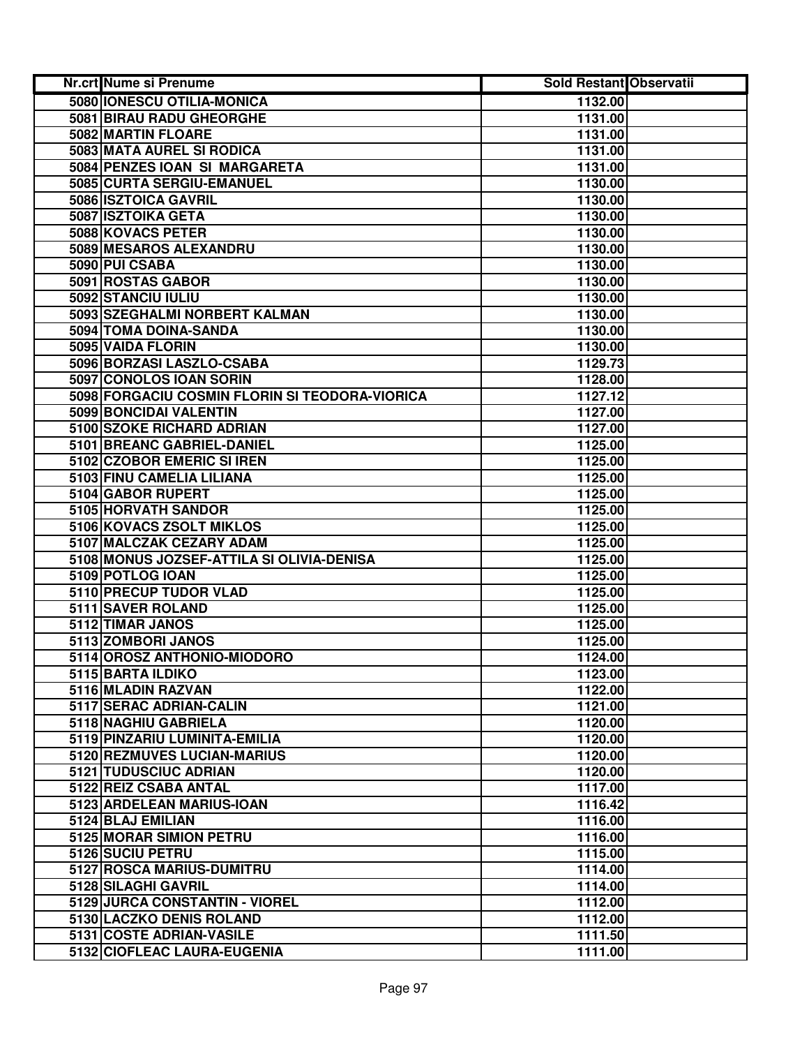| Nr.crt Nume si Prenume                         | <b>Sold Restant Observatii</b> |  |
|------------------------------------------------|--------------------------------|--|
| 5080 IONESCU OTILIA-MONICA                     | 1132.00                        |  |
| 5081 BIRAU RADU GHEORGHE                       | 1131.00                        |  |
| 5082 MARTIN FLOARE                             | 1131.00                        |  |
| 5083 MATA AUREL SI RODICA                      | 1131.00                        |  |
| 5084 PENZES IOAN SI MARGARETA                  | 1131.00                        |  |
| 5085 CURTA SERGIU-EMANUEL                      | 1130.00                        |  |
| 5086 ISZTOICA GAVRIL                           | 1130.00                        |  |
| 5087 ISZTOIKA GETA                             | 1130.00                        |  |
| 5088 KOVACS PETER                              | 1130.00                        |  |
| 5089 MESAROS ALEXANDRU                         | 1130.00                        |  |
| 5090 PUI CSABA                                 | 1130.00                        |  |
| 5091 ROSTAS GABOR                              | 1130.00                        |  |
| 5092 STANCIU IULIU                             | 1130.00                        |  |
| 5093 SZEGHALMI NORBERT KALMAN                  | 1130.00                        |  |
| 5094 TOMA DOINA-SANDA                          | 1130.00                        |  |
| 5095 VAIDA FLORIN                              | 1130.00                        |  |
| 5096 BORZASI LASZLO-CSABA                      | 1129.73                        |  |
| 5097 CONOLOS IOAN SORIN                        | 1128.00                        |  |
| 5098 FORGACIU COSMIN FLORIN SI TEODORA-VIORICA | 1127.12                        |  |
| 5099 BONCIDAI VALENTIN                         | 1127.00                        |  |
| 5100 SZOKE RICHARD ADRIAN                      | 1127.00                        |  |
| 5101 BREANC GABRIEL-DANIEL                     | 1125.00                        |  |
| 5102 CZOBOR EMERIC SI IREN                     | 1125.00                        |  |
| 5103 FINU CAMELIA LILIANA                      | 1125.00                        |  |
| 5104 GABOR RUPERT                              | 1125.00                        |  |
| 5105 HORVATH SANDOR                            | 1125.00                        |  |
| 5106 KOVACS ZSOLT MIKLOS                       | 1125.00                        |  |
| 5107 MALCZAK CEZARY ADAM                       | 1125.00                        |  |
| 5108 MONUS JOZSEF-ATTILA SI OLIVIA-DENISA      | 1125.00                        |  |
| 5109 POTLOG IOAN                               | 1125.00                        |  |
| 5110 PRECUP TUDOR VLAD                         | 1125.00                        |  |
| 5111 SAVER ROLAND                              | 1125.00                        |  |
| 5112 TIMAR JANOS                               | 1125.00                        |  |
| 5113 ZOMBORI JANOS                             | 1125.00                        |  |
| 5114 OROSZ ANTHONIO-MIODORO                    | 1124.00                        |  |
| 5115 BARTA ILDIKO                              | 1123.00                        |  |
| 5116 MLADIN RAZVAN                             | 1122.00                        |  |
| 5117 SERAC ADRIAN-CALIN                        | 1121.00                        |  |
| 5118 NAGHIU GABRIELA                           | 1120.00                        |  |
| 5119 PINZARIU LUMINITA-EMILIA                  | 1120.00                        |  |
| 5120 REZMUVES LUCIAN-MARIUS                    | 1120.00                        |  |
| 5121 TUDUSCIUC ADRIAN                          | 1120.00                        |  |
| 5122 REIZ CSABA ANTAL                          | 1117.00                        |  |
| 5123 ARDELEAN MARIUS-IOAN                      | 1116.42                        |  |
| 5124 BLAJ EMILIAN                              | 1116.00                        |  |
| 5125 MORAR SIMION PETRU                        | 1116.00                        |  |
| 5126 SUCIU PETRU                               | 1115.00                        |  |
| 5127 ROSCA MARIUS-DUMITRU                      | 1114.00                        |  |
| 5128 SILAGHI GAVRIL                            | 1114.00                        |  |
| 5129 JURCA CONSTANTIN - VIOREL                 | 1112.00                        |  |
| 5130 LACZKO DENIS ROLAND                       | 1112.00                        |  |
| 5131 COSTE ADRIAN-VASILE                       | 1111.50                        |  |
| 5132 CIOFLEAC LAURA-EUGENIA                    | 1111.00                        |  |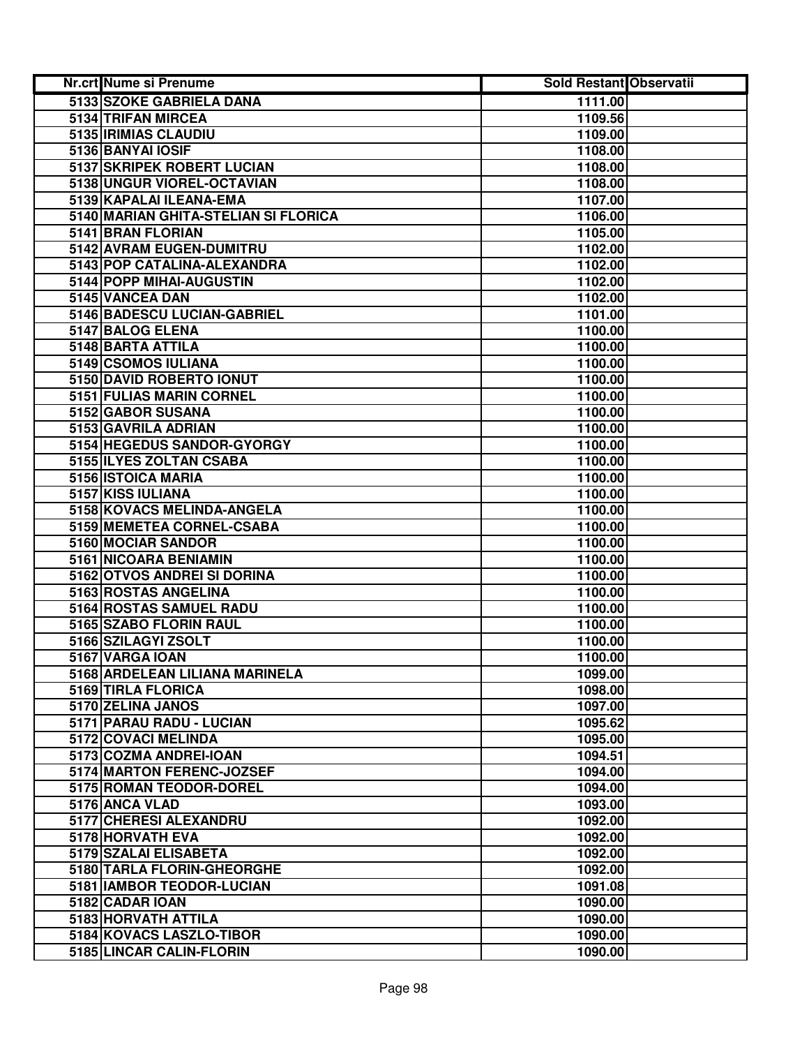| Nr.crt Nume si Prenume               | <b>Sold Restant Observatii</b> |  |
|--------------------------------------|--------------------------------|--|
| 5133 SZOKE GABRIELA DANA             | 1111.00                        |  |
| 5134 TRIFAN MIRCEA                   | 1109.56                        |  |
| 5135 IRIMIAS CLAUDIU                 | 1109.00                        |  |
| 5136 BANYAI IOSIF                    | 1108.00                        |  |
| 5137 SKRIPEK ROBERT LUCIAN           | 1108.00                        |  |
| 5138 UNGUR VIOREL-OCTAVIAN           | 1108.00                        |  |
| 5139 KAPALAI ILEANA-EMA              | 1107.00                        |  |
| 5140 MARIAN GHITA-STELIAN SI FLORICA | 1106.00                        |  |
| 5141 BRAN FLORIAN                    | 1105.00                        |  |
| 5142 AVRAM EUGEN-DUMITRU             | 1102.00                        |  |
| 5143 POP CATALINA-ALEXANDRA          | 1102.00                        |  |
| 5144 POPP MIHAI-AUGUSTIN             | 1102.00                        |  |
| 5145 VANCEA DAN                      | 1102.00                        |  |
| 5146 BADESCU LUCIAN-GABRIEL          | 1101.00                        |  |
| 5147 BALOG ELENA                     | 1100.00                        |  |
| 5148 BARTA ATTILA                    | 1100.00                        |  |
| 5149 CSOMOS IULIANA                  | 1100.00                        |  |
| 5150 DAVID ROBERTO IONUT             | 1100.00                        |  |
| 5151 FULIAS MARIN CORNEL             | 1100.00                        |  |
| 5152 GABOR SUSANA                    | 1100.00                        |  |
| 5153 GAVRILA ADRIAN                  | 1100.00                        |  |
| 5154 HEGEDUS SANDOR-GYORGY           | 1100.00                        |  |
| 5155 ILYES ZOLTAN CSABA              | 1100.00                        |  |
| 5156 ISTOICA MARIA                   | 1100.00                        |  |
| 5157 KISS IULIANA                    | 1100.00                        |  |
| 5158 KOVACS MELINDA-ANGELA           | 1100.00                        |  |
| 5159 MEMETEA CORNEL-CSABA            | 1100.00                        |  |
| 5160 MOCIAR SANDOR                   | 1100.00                        |  |
| 5161 NICOARA BENIAMIN                | 1100.00                        |  |
| 5162 OTVOS ANDREI SI DORINA          | 1100.00                        |  |
| 5163 ROSTAS ANGELINA                 | 1100.00                        |  |
| 5164 ROSTAS SAMUEL RADU              | 1100.00                        |  |
| 5165 SZABO FLORIN RAUL               | 1100.00                        |  |
| 5166 SZILAGYI ZSOLT                  | 1100.00                        |  |
| 5167 VARGA IOAN                      | 1100.00                        |  |
| 5168 ARDELEAN LILIANA MARINELA       | 1099.00                        |  |
| 5169 TIRLA FLORICA                   | 1098.00                        |  |
| 5170 ZELINA JANOS                    | 1097.00                        |  |
| 5171 PARAU RADU - LUCIAN             | 1095.62                        |  |
| 5172 COVACI MELINDA                  | 1095.00                        |  |
| 5173 COZMA ANDREI-IOAN               | 1094.51                        |  |
| 5174 MARTON FERENC-JOZSEF            | 1094.00                        |  |
| 5175 ROMAN TEODOR-DOREL              | 1094.00                        |  |
| 5176 ANCA VLAD                       | 1093.00                        |  |
| 5177 CHERESI ALEXANDRU               | 1092.00                        |  |
| 5178 HORVATH EVA                     | 1092.00                        |  |
| 5179 SZALAI ELISABETA                | 1092.00                        |  |
| 5180 TARLA FLORIN-GHEORGHE           | 1092.00                        |  |
| 5181   IAMBOR TEODOR-LUCIAN          | 1091.08                        |  |
| 5182 CADAR IOAN                      | 1090.00                        |  |
| 5183 HORVATH ATTILA                  | 1090.00                        |  |
| 5184 KOVACS LASZLO-TIBOR             | 1090.00                        |  |
| 5185 LINCAR CALIN-FLORIN             | 1090.00                        |  |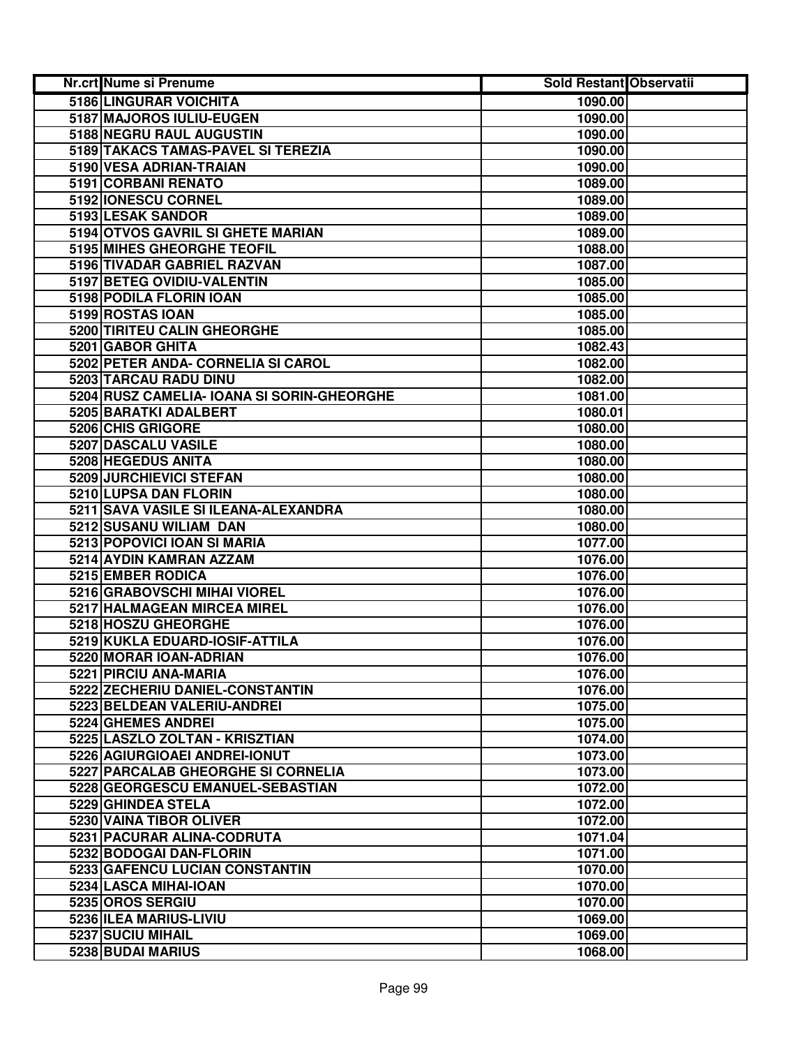| Nr.crt Nume si Prenume                     | Sold Restant Observatii |  |
|--------------------------------------------|-------------------------|--|
| 5186 LINGURAR VOICHITA                     | 1090.00                 |  |
| 5187 MAJOROS IULIU-EUGEN                   | 1090.00                 |  |
| 5188 NEGRU RAUL AUGUSTIN                   | 1090.00                 |  |
| 5189 TAKACS TAMAS-PAVEL SI TEREZIA         | 1090.00                 |  |
| 5190 VESA ADRIAN-TRAIAN                    | 1090.00                 |  |
| 5191 CORBANI RENATO                        | 1089.00                 |  |
| 5192 IONESCU CORNEL                        | 1089.00                 |  |
| 5193 LESAK SANDOR                          | 1089.00                 |  |
| 5194 OTVOS GAVRIL SI GHETE MARIAN          | 1089.00                 |  |
| 5195 MIHES GHEORGHE TEOFIL                 | 1088.00                 |  |
| 5196 TIVADAR GABRIEL RAZVAN                | 1087.00                 |  |
| 5197 BETEG OVIDIU-VALENTIN                 | 1085.00                 |  |
| 5198 PODILA FLORIN IOAN                    | 1085.00                 |  |
| 5199 ROSTAS IOAN                           | 1085.00                 |  |
| 5200 TIRITEU CALIN GHEORGHE                | 1085.00                 |  |
| 5201 GABOR GHITA                           | 1082.43                 |  |
| 5202 PETER ANDA- CORNELIA SI CAROL         | 1082.00                 |  |
| 5203 TARCAU RADU DINU                      | 1082.00                 |  |
| 5204 RUSZ CAMELIA- IOANA SI SORIN-GHEORGHE | 1081.00                 |  |
| 5205 BARATKI ADALBERT                      | 1080.01                 |  |
| 5206 CHIS GRIGORE                          | 1080.00                 |  |
| 5207 DASCALU VASILE                        | 1080.00                 |  |
| 5208 HEGEDUS ANITA                         | 1080.00                 |  |
| 5209 JURCHIEVICI STEFAN                    | 1080.00                 |  |
| 5210 LUPSA DAN FLORIN                      | 1080.00                 |  |
| 5211 SAVA VASILE SI ILEANA-ALEXANDRA       | 1080.00                 |  |
| 5212 SUSANU WILIAM DAN                     | 1080.00                 |  |
| 5213 POPOVICI IOAN SI MARIA                | 1077.00                 |  |
| 5214 AYDIN KAMRAN AZZAM                    | 1076.00                 |  |
| 5215 EMBER RODICA                          | 1076.00                 |  |
| 5216 GRABOVSCHI MIHAI VIOREL               | 1076.00                 |  |
| 5217 HALMAGEAN MIRCEA MIREL                | 1076.00                 |  |
| 5218 HOSZU GHEORGHE                        | 1076.00                 |  |
| 5219 KUKLA EDUARD-IOSIF-ATTILA             | 1076.00                 |  |
| 5220 MORAR IOAN-ADRIAN                     | 1076.00                 |  |
| 5221 PIRCIU ANA-MARIA                      | 1076.00                 |  |
| 5222 ZECHERIU DANIEL-CONSTANTIN            | 1076.00                 |  |
| 5223 BELDEAN VALERIU-ANDREI                | 1075.00                 |  |
| 5224 GHEMES ANDREI                         | 1075.00                 |  |
| 5225 LASZLO ZOLTAN - KRISZTIAN             | 1074.00                 |  |
| 5226 AGIURGIOAEI ANDREI-IONUT              | 1073.00                 |  |
| 5227 PARCALAB GHEORGHE SI CORNELIA         | 1073.00                 |  |
| 5228 GEORGESCU EMANUEL-SEBASTIAN           | 1072.00                 |  |
| 5229 GHINDEA STELA                         | 1072.00                 |  |
| 5230 VAINA TIBOR OLIVER                    | 1072.00                 |  |
| 5231 PACURAR ALINA-CODRUTA                 | 1071.04                 |  |
| 5232 BODOGAI DAN-FLORIN                    | 1071.00                 |  |
| 5233 GAFENCU LUCIAN CONSTANTIN             | 1070.00                 |  |
| 5234 LASCA MIHAI-IOAN                      | 1070.00                 |  |
| 5235 OROS SERGIU                           | 1070.00                 |  |
| 5236 ILEA MARIUS-LIVIU                     | 1069.00                 |  |
| 5237 SUCIU MIHAIL                          | 1069.00                 |  |
| 5238 BUDAI MARIUS                          | 1068.00                 |  |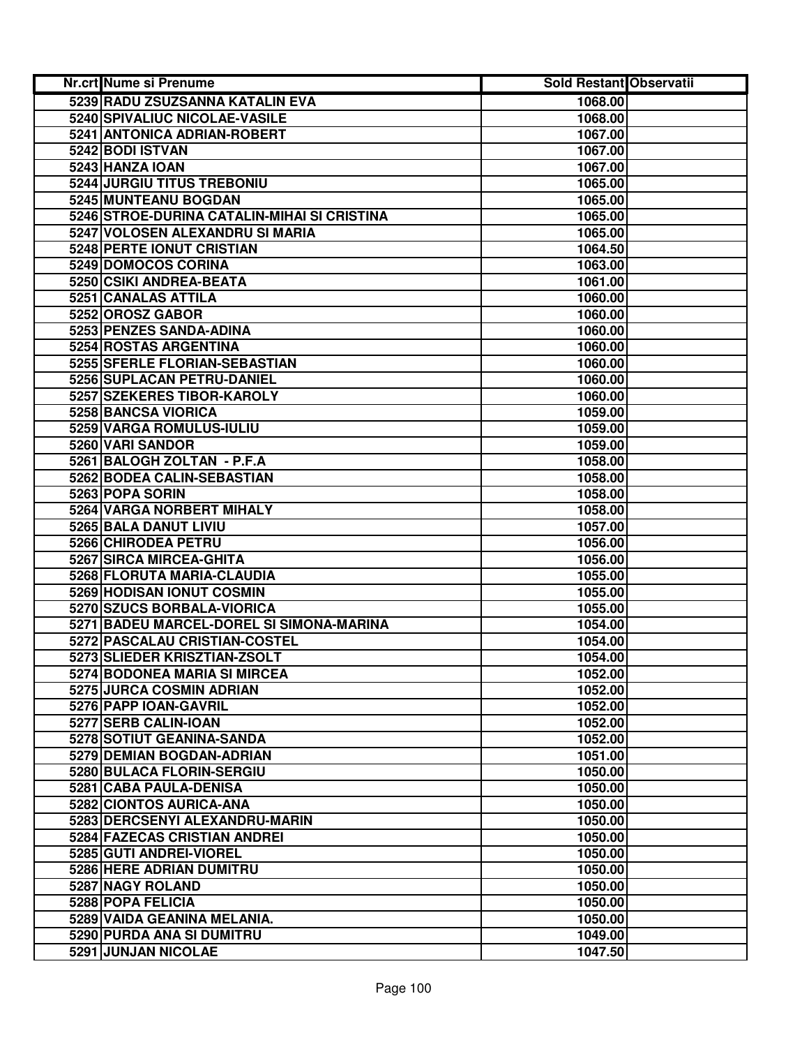| Nr.crt Nume si Prenume                      | Sold Restant Observatii |  |
|---------------------------------------------|-------------------------|--|
| 5239 RADU ZSUZSANNA KATALIN EVA             | 1068.00                 |  |
| 5240 SPIVALIUC NICOLAE-VASILE               | 1068.00                 |  |
| 5241 ANTONICA ADRIAN-ROBERT                 | 1067.00                 |  |
| 5242 BODI ISTVAN                            | 1067.00                 |  |
| 5243 HANZA IOAN                             | 1067.00                 |  |
| 5244 JURGIU TITUS TREBONIU                  | 1065.00                 |  |
| 5245 MUNTEANU BOGDAN                        | 1065.00                 |  |
| 5246 STROE-DURINA CATALIN-MIHAI SI CRISTINA | 1065.00                 |  |
| 5247 VOLOSEN ALEXANDRU SI MARIA             | 1065.00                 |  |
| 5248 PERTE IONUT CRISTIAN                   | 1064.50                 |  |
| 5249 DOMOCOS CORINA                         | 1063.00                 |  |
| 5250 CSIKI ANDREA-BEATA                     | 1061.00                 |  |
| 5251 CANALAS ATTILA                         | 1060.00                 |  |
| 5252 OROSZ GABOR                            | 1060.00                 |  |
| 5253 PENZES SANDA-ADINA                     | 1060.00                 |  |
| 5254 ROSTAS ARGENTINA                       | 1060.00                 |  |
| 5255 SFERLE FLORIAN-SEBASTIAN               | 1060.00                 |  |
| 5256 SUPLACAN PETRU-DANIEL                  | 1060.00                 |  |
| 5257 SZEKERES TIBOR-KAROLY                  | 1060.00                 |  |
| 5258 BANCSA VIORICA                         | 1059.00                 |  |
| 5259 VARGA ROMULUS-IULIU                    | 1059.00                 |  |
| 5260 VARI SANDOR                            | 1059.00                 |  |
| 5261 BALOGH ZOLTAN - P.F.A                  | 1058.00                 |  |
| 5262 BODEA CALIN-SEBASTIAN                  | 1058.00                 |  |
| 5263 POPA SORIN                             | 1058.00                 |  |
| 5264 VARGA NORBERT MIHALY                   | 1058.00                 |  |
| 5265 BALA DANUT LIVIU                       | 1057.00                 |  |
| 5266 CHIRODEA PETRU                         | 1056.00                 |  |
| 5267 SIRCA MIRCEA-GHITA                     | 1056.00                 |  |
| 5268 FLORUTA MARIA-CLAUDIA                  | 1055.00                 |  |
| 5269 HODISAN IONUT COSMIN                   | 1055.00                 |  |
| 5270 SZUCS BORBALA-VIORICA                  | 1055.00                 |  |
| 5271 BADEU MARCEL-DOREL SI SIMONA-MARINA    | 1054.00                 |  |
| 5272 PASCALAU CRISTIAN-COSTEL               | 1054.00                 |  |
| 5273 SLIEDER KRISZTIAN-ZSOLT                | 1054.00                 |  |
| 5274 BODONEA MARIA SI MIRCEA                | 1052.00                 |  |
| 5275 JURCA COSMIN ADRIAN                    | 1052.00                 |  |
| 5276 PAPP IOAN-GAVRIL                       | 1052.00                 |  |
| 5277 SERB CALIN-IOAN                        | 1052.00                 |  |
| 5278 SOTIUT GEANINA-SANDA                   | 1052.00                 |  |
| 5279 DEMIAN BOGDAN-ADRIAN                   | 1051.00                 |  |
| 5280 BULACA FLORIN-SERGIU                   | 1050.00                 |  |
| 5281 CABA PAULA-DENISA                      | 1050.00                 |  |
| 5282 CIONTOS AURICA-ANA                     | 1050.00                 |  |
| 5283 DERCSENYI ALEXANDRU-MARIN              | 1050.00                 |  |
| 5284 FAZECAS CRISTIAN ANDREI                | 1050.00                 |  |
| 5285 GUTI ANDREI-VIOREL                     | 1050.00                 |  |
| 5286 HERE ADRIAN DUMITRU                    | 1050.00                 |  |
| 5287 NAGY ROLAND                            | 1050.00                 |  |
| 5288 POPA FELICIA                           | 1050.00                 |  |
| 5289 VAIDA GEANINA MELANIA.                 | 1050.00                 |  |
| 5290 PURDA ANA SI DUMITRU                   | 1049.00                 |  |
| 5291 JUNJAN NICOLAE                         | 1047.50                 |  |
|                                             |                         |  |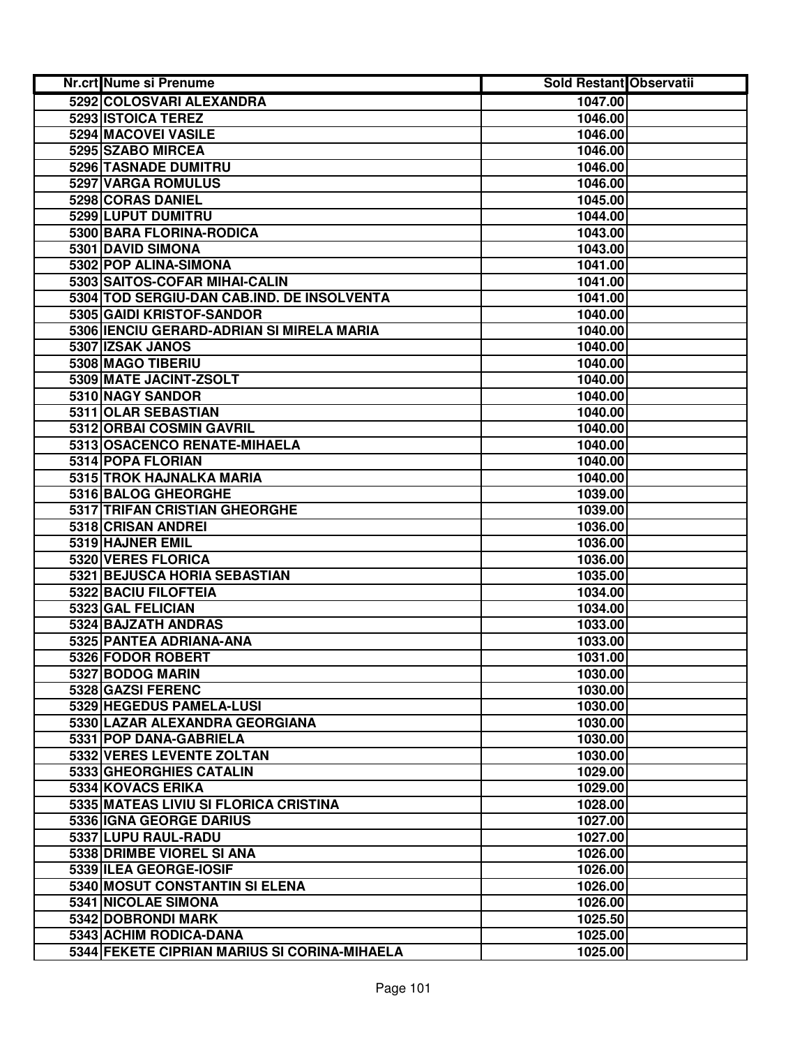| Nr.crt Nume si Prenume                       | <b>Sold Restant Observatii</b> |  |
|----------------------------------------------|--------------------------------|--|
| 5292 COLOSVARI ALEXANDRA                     | 1047.00                        |  |
| 5293 ISTOICA TEREZ                           | 1046.00                        |  |
| 5294 MACOVEI VASILE                          | 1046.00                        |  |
| 5295 SZABO MIRCEA                            | 1046.00                        |  |
| 5296 TASNADE DUMITRU                         | 1046.00                        |  |
| 5297 VARGA ROMULUS                           | 1046.00                        |  |
| 5298 CORAS DANIEL                            | 1045.00                        |  |
| 5299 LUPUT DUMITRU                           | 1044.00                        |  |
| 5300 BARA FLORINA-RODICA                     | 1043.00                        |  |
| 5301 DAVID SIMONA                            | 1043.00                        |  |
| 5302 POP ALINA-SIMONA                        | 1041.00                        |  |
| 5303 SAITOS-COFAR MIHAI-CALIN                | 1041.00                        |  |
| 5304 TOD SERGIU-DAN CAB.IND. DE INSOLVENTA   | 1041.00                        |  |
| 5305 GAIDI KRISTOF-SANDOR                    | 1040.00                        |  |
| 5306 IENCIU GERARD-ADRIAN SI MIRELA MARIA    | 1040.00                        |  |
| 5307 IZSAK JANOS                             | 1040.00                        |  |
| 5308 MAGO TIBERIU                            | 1040.00                        |  |
| 5309 MATE JACINT-ZSOLT                       | 1040.00                        |  |
| 5310 NAGY SANDOR                             | 1040.00                        |  |
| 5311 OLAR SEBASTIAN                          | 1040.00                        |  |
| 5312 ORBAI COSMIN GAVRIL                     | 1040.00                        |  |
| 5313 OSACENCO RENATE-MIHAELA                 | 1040.00                        |  |
| 5314 POPA FLORIAN                            | 1040.00                        |  |
| 5315 TROK HAJNALKA MARIA                     | 1040.00                        |  |
| 5316 BALOG GHEORGHE                          | 1039.00                        |  |
| 5317 TRIFAN CRISTIAN GHEORGHE                | 1039.00                        |  |
| 5318 CRISAN ANDREI                           | 1036.00                        |  |
| 5319 HAJNER EMIL                             | 1036.00                        |  |
| 5320 VERES FLORICA                           | 1036.00                        |  |
| 5321 BEJUSCA HORIA SEBASTIAN                 | 1035.00                        |  |
| 5322 BACIU FILOFTEIA                         | 1034.00                        |  |
| 5323 GAL FELICIAN                            | 1034.00                        |  |
| 5324 BAJZATH ANDRAS                          | 1033.00                        |  |
| 5325 PANTEA ADRIANA-ANA                      | 1033.00                        |  |
| 5326 FODOR ROBERT                            | 1031.00                        |  |
| 5327 BODOG MARIN                             | 1030.00                        |  |
| 5328 GAZSI FERENC                            | 1030.00                        |  |
| 5329 HEGEDUS PAMELA-LUSI                     | 1030.00                        |  |
| 5330 LAZAR ALEXANDRA GEORGIANA               | 1030.00                        |  |
| 5331 POP DANA-GABRIELA                       | 1030.00                        |  |
| 5332 VERES LEVENTE ZOLTAN                    | 1030.00                        |  |
| 5333 GHEORGHIES CATALIN                      | 1029.00                        |  |
| <b>5334 KOVACS ERIKA</b>                     | 1029.00                        |  |
| 5335 MATEAS LIVIU SI FLORICA CRISTINA        | 1028.00                        |  |
| 5336 IGNA GEORGE DARIUS                      | 1027.00                        |  |
| 5337 LUPU RAUL-RADU                          | 1027.00                        |  |
| 5338 DRIMBE VIOREL SI ANA                    | 1026.00                        |  |
| 5339 ILEA GEORGE-IOSIF                       | 1026.00                        |  |
| 5340 MOSUT CONSTANTIN SI ELENA               | 1026.00                        |  |
| 5341 NICOLAE SIMONA                          | 1026.00                        |  |
| 5342 DOBRONDI MARK                           | 1025.50                        |  |
| 5343 ACHIM RODICA-DANA                       | 1025.00                        |  |
| 5344 FEKETE CIPRIAN MARIUS SI CORINA-MIHAELA | 1025.00                        |  |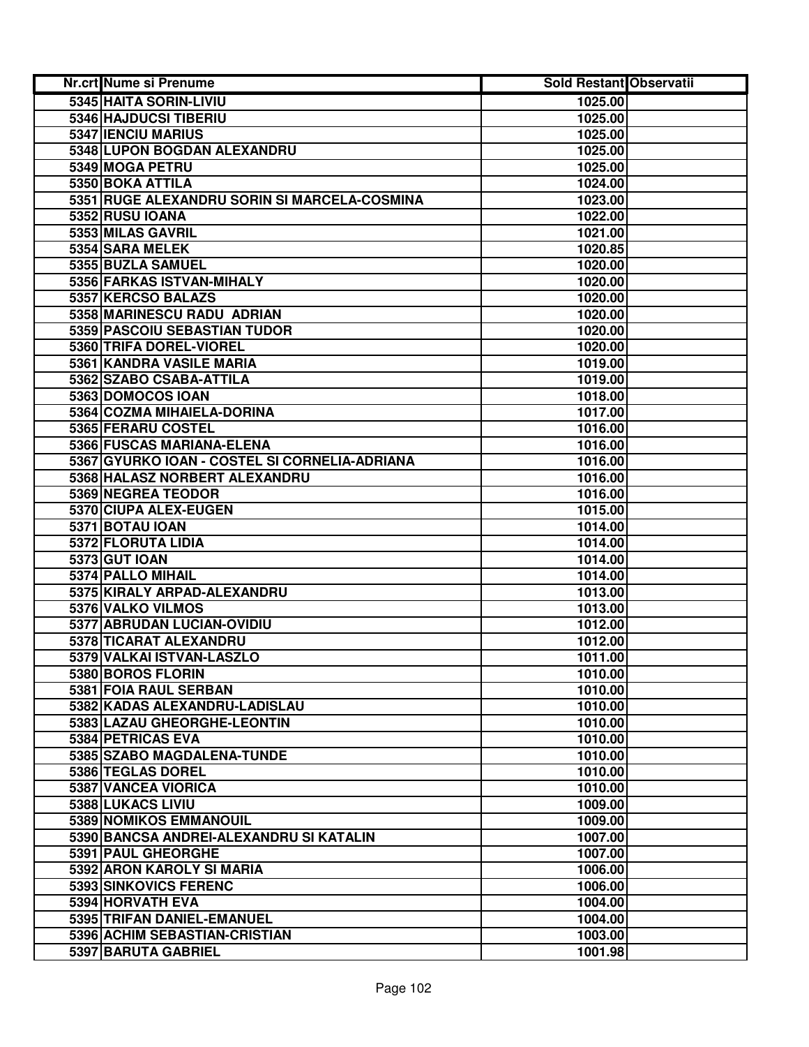| Nr.crt Nume si Prenume                        | Sold Restant Observatii |  |
|-----------------------------------------------|-------------------------|--|
| 5345 HAITA SORIN-LIVIU                        | 1025.00                 |  |
| 5346 HAJDUCSI TIBERIU                         | 1025.00                 |  |
| 5347 IENCIU MARIUS                            | 1025.00                 |  |
| 5348 LUPON BOGDAN ALEXANDRU                   | 1025.00                 |  |
| 5349 MOGA PETRU                               | 1025.00                 |  |
| 5350 BOKA ATTILA                              | 1024.00                 |  |
| 5351 RUGE ALEXANDRU SORIN SI MARCELA-COSMINA  | 1023.00                 |  |
| 5352 RUSU IOANA                               | 1022.00                 |  |
| 5353 MILAS GAVRIL                             | 1021.00                 |  |
| 5354 SARA MELEK                               | 1020.85                 |  |
| 5355 BUZLA SAMUEL                             | 1020.00                 |  |
| 5356 FARKAS ISTVAN-MIHALY                     | 1020.00                 |  |
| 5357 KERCSO BALAZS                            | 1020.00                 |  |
| 5358 MARINESCU RADU ADRIAN                    | 1020.00                 |  |
| 5359 PASCOIU SEBASTIAN TUDOR                  | 1020.00                 |  |
| 5360 TRIFA DOREL-VIOREL                       | 1020.00                 |  |
| 5361 KANDRA VASILE MARIA                      | 1019.00                 |  |
| 5362 SZABO CSABA-ATTILA                       | 1019.00                 |  |
| 5363 DOMOCOS IOAN                             | 1018.00                 |  |
| 5364 COZMA MIHAIELA-DORINA                    | 1017.00                 |  |
| 5365 FERARU COSTEL                            | 1016.00                 |  |
| 5366 FUSCAS MARIANA-ELENA                     | 1016.00                 |  |
| 5367 GYURKO IOAN - COSTEL SI CORNELIA-ADRIANA | 1016.00                 |  |
| 5368 HALASZ NORBERT ALEXANDRU                 | 1016.00                 |  |
| 5369 NEGREA TEODOR                            | 1016.00                 |  |
| 5370 CIUPA ALEX-EUGEN                         | 1015.00                 |  |
| 5371 BOTAU IOAN                               | 1014.00                 |  |
| 5372 FLORUTA LIDIA                            | 1014.00                 |  |
| 5373 GUT IOAN                                 | 1014.00                 |  |
| 5374 PALLO MIHAIL                             | 1014.00                 |  |
| 5375 KIRALY ARPAD-ALEXANDRU                   | 1013.00                 |  |
| 5376 VALKO VILMOS                             | 1013.00                 |  |
| 5377 ABRUDAN LUCIAN-OVIDIU                    | 1012.00                 |  |
| 5378 TICARAT ALEXANDRU                        | 1012.00                 |  |
| 5379 VALKAI ISTVAN-LASZLO                     | 1011.00                 |  |
| 5380 BOROS FLORIN                             | 1010.00                 |  |
| 5381 FOIA RAUL SERBAN                         | 1010.00                 |  |
| 5382 KADAS ALEXANDRU-LADISLAU                 | 1010.00                 |  |
| 5383 LAZAU GHEORGHE-LEONTIN                   | 1010.00                 |  |
| 5384 PETRICAS EVA                             | 1010.00                 |  |
| 5385 SZABO MAGDALENA-TUNDE                    | 1010.00                 |  |
| 5386 TEGLAS DOREL                             | 1010.00                 |  |
| 5387 VANCEA VIORICA                           | 1010.00                 |  |
| 5388 LUKACS LIVIU                             | 1009.00                 |  |
| 5389 NOMIKOS EMMANOUIL                        | 1009.00                 |  |
| 5390 BANCSA ANDREI-ALEXANDRU SI KATALIN       | 1007.00                 |  |
| 5391 PAUL GHEORGHE                            | 1007.00                 |  |
| 5392 ARON KAROLY SI MARIA                     | 1006.00                 |  |
| 5393 SINKOVICS FERENC                         | 1006.00                 |  |
| 5394 HORVATH EVA                              | 1004.00                 |  |
| 5395 TRIFAN DANIEL-EMANUEL                    | 1004.00                 |  |
| 5396 ACHIM SEBASTIAN-CRISTIAN                 | 1003.00                 |  |
| 5397 BARUTA GABRIEL                           | 1001.98                 |  |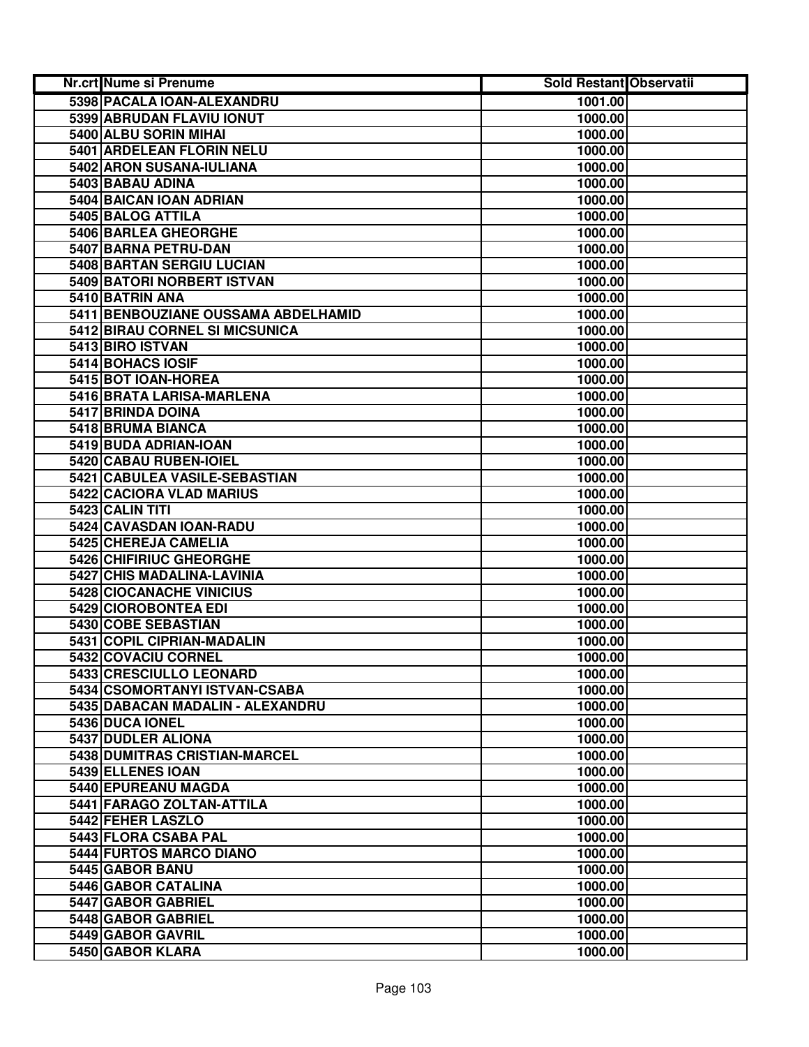| Nr.crt Nume si Prenume              | <b>Sold Restant Observatii</b> |  |
|-------------------------------------|--------------------------------|--|
| 5398 PACALA IOAN-ALEXANDRU          | 1001.00                        |  |
| 5399 ABRUDAN FLAVIU IONUT           | 1000.00                        |  |
| 5400 ALBU SORIN MIHAI               | 1000.00                        |  |
| 5401 ARDELEAN FLORIN NELU           | 1000.00                        |  |
| 5402 ARON SUSANA-IULIANA            | 1000.00                        |  |
| 5403 BABAU ADINA                    | 1000.00                        |  |
| 5404 BAICAN IOAN ADRIAN             | 1000.00                        |  |
| 5405 BALOG ATTILA                   | 1000.00                        |  |
| 5406 BARLEA GHEORGHE                | 1000.00                        |  |
| 5407 BARNA PETRU-DAN                | 1000.00                        |  |
| 5408 BARTAN SERGIU LUCIAN           | 1000.00                        |  |
| 5409 BATORI NORBERT ISTVAN          | 1000.00                        |  |
| 5410 BATRIN ANA                     | 1000.00                        |  |
| 5411 BENBOUZIANE OUSSAMA ABDELHAMID | 1000.00                        |  |
| 5412 BIRAU CORNEL SI MICSUNICA      | 1000.00                        |  |
| 5413 BIRO ISTVAN                    | 1000.00                        |  |
| 5414 BOHACS IOSIF                   | 1000.00                        |  |
| 5415 BOT IOAN-HOREA                 | 1000.00                        |  |
| 5416 BRATA LARISA-MARLENA           | 1000.00                        |  |
| 5417 BRINDA DOINA                   | 1000.00                        |  |
| 5418 BRUMA BIANCA                   | 1000.00                        |  |
| 5419 BUDA ADRIAN-IOAN               | 1000.00                        |  |
| 5420 CABAU RUBEN-IOIEL              | 1000.00                        |  |
| 5421 CABULEA VASILE-SEBASTIAN       | 1000.00                        |  |
| 5422 CACIORA VLAD MARIUS            | 1000.00                        |  |
| 5423 CALIN TITI                     | 1000.00                        |  |
| 5424 CAVASDAN IOAN-RADU             | 1000.00                        |  |
| 5425 CHEREJA CAMELIA                | 1000.00                        |  |
| 5426 CHIFIRIUC GHEORGHE             | 1000.00                        |  |
| 5427 CHIS MADALINA-LAVINIA          | 1000.00                        |  |
| 5428 CIOCANACHE VINICIUS            | 1000.00                        |  |
| 5429 CIOROBONTEA EDI                | 1000.00                        |  |
| 5430 COBE SEBASTIAN                 | 1000.00                        |  |
| 5431 COPIL CIPRIAN-MADALIN          | 1000.00                        |  |
| 5432 COVACIU CORNEL                 | 1000.00                        |  |
| 5433 CRESCIULLO LEONARD             | 1000.00                        |  |
| 5434 CSOMORTANYI ISTVAN-CSABA       | 1000.00                        |  |
| 5435 DABACAN MADALIN - ALEXANDRU    | 1000.00                        |  |
| 5436 DUCA IONEL                     | 1000.00                        |  |
| 5437 DUDLER ALIONA                  | 1000.00                        |  |
| 5438 DUMITRAS CRISTIAN-MARCEL       | 1000.00                        |  |
| 5439 ELLENES IOAN                   | 1000.00                        |  |
| 5440 EPUREANU MAGDA                 | 1000.00                        |  |
| 5441 FARAGO ZOLTAN-ATTILA           | 1000.00                        |  |
| 5442 FEHER LASZLO                   | 1000.00                        |  |
| 5443 FLORA CSABA PAL                | 1000.00                        |  |
| 5444 FURTOS MARCO DIANO             | 1000.00                        |  |
| 5445 GABOR BANU                     | 1000.00                        |  |
| 5446 GABOR CATALINA                 | 1000.00                        |  |
| 5447 GABOR GABRIEL                  | 1000.00                        |  |
| 5448 GABOR GABRIEL                  | 1000.00                        |  |
| 5449 GABOR GAVRIL                   | 1000.00                        |  |
| 5450 GABOR KLARA                    | 1000.00                        |  |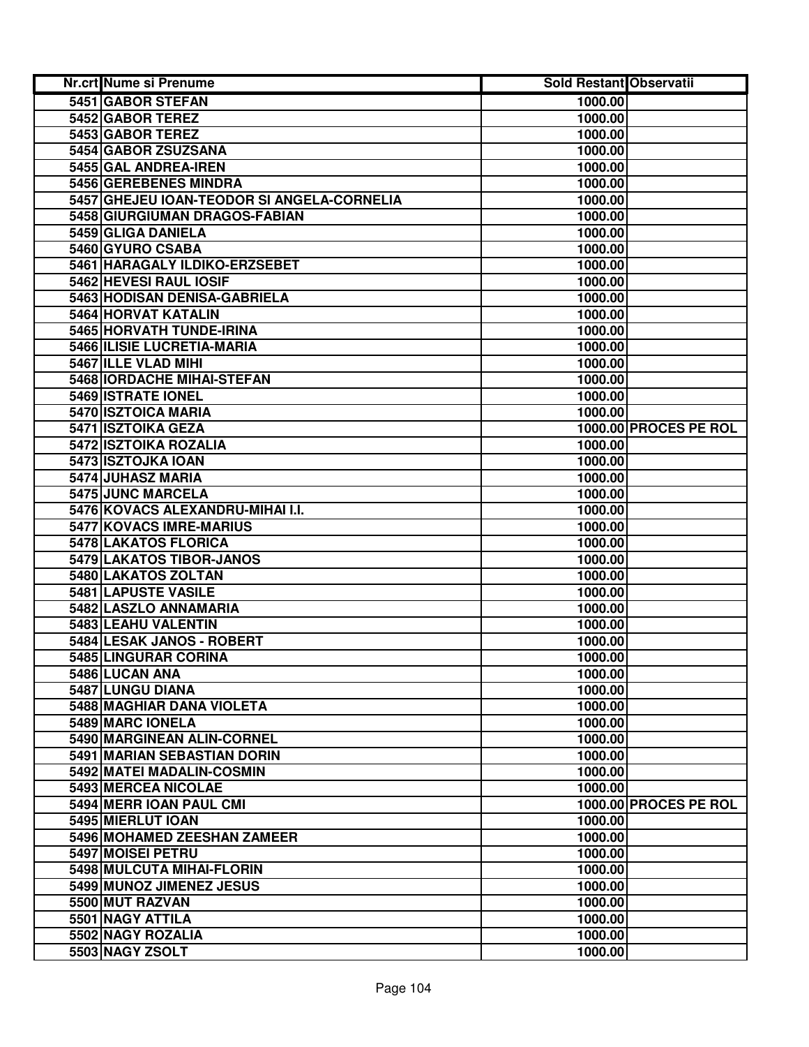| Nr.crt Nume si Prenume                     | Sold Restant Observatii |                       |
|--------------------------------------------|-------------------------|-----------------------|
| 5451 GABOR STEFAN                          | 1000.00                 |                       |
| 5452 GABOR TEREZ                           | 1000.00                 |                       |
| 5453 GABOR TEREZ                           | 1000.00                 |                       |
| 5454 GABOR ZSUZSANA                        | 1000.00                 |                       |
| 5455 GAL ANDREA-IREN                       | 1000.00                 |                       |
| 5456 GEREBENES MINDRA                      | 1000.00                 |                       |
| 5457 GHEJEU IOAN-TEODOR SI ANGELA-CORNELIA | 1000.00                 |                       |
| 5458 GIURGIUMAN DRAGOS-FABIAN              | 1000.00                 |                       |
| 5459 GLIGA DANIELA                         | 1000.00                 |                       |
| 5460 GYURO CSABA                           | 1000.00                 |                       |
| 5461 HARAGALY ILDIKO-ERZSEBET              | 1000.00                 |                       |
| 5462 HEVESI RAUL IOSIF                     | 1000.00                 |                       |
| 5463 HODISAN DENISA-GABRIELA               | 1000.00                 |                       |
| 5464 HORVAT KATALIN                        | 1000.00                 |                       |
| 5465 HORVATH TUNDE-IRINA                   | 1000.00                 |                       |
| 5466 ILISIE LUCRETIA-MARIA                 | 1000.00                 |                       |
| 5467 ILLE VLAD MIHI                        | 1000.00                 |                       |
| 5468 IORDACHE MIHAI-STEFAN                 | 1000.00                 |                       |
| 5469 ISTRATE IONEL                         | 1000.00                 |                       |
| 5470 ISZTOICA MARIA                        | 1000.00                 |                       |
| 5471 ISZTOIKA GEZA                         |                         | 1000.00 PROCES PE ROL |
| 5472 ISZTOIKA ROZALIA                      | 1000.00                 |                       |
| 5473 ISZTOJKA IOAN                         | 1000.00                 |                       |
| 5474 JUHASZ MARIA                          | 1000.00                 |                       |
| 5475 JUNC MARCELA                          | 1000.00                 |                       |
| 5476 KOVACS ALEXANDRU-MIHAI I.I.           | 1000.00                 |                       |
| 5477 KOVACS IMRE-MARIUS                    | 1000.00                 |                       |
| 5478 LAKATOS FLORICA                       | 1000.00                 |                       |
| 5479 LAKATOS TIBOR-JANOS                   | 1000.00                 |                       |
| 5480 LAKATOS ZOLTAN                        | 1000.00                 |                       |
| 5481 LAPUSTE VASILE                        | 1000.00                 |                       |
| 5482 LASZLO ANNAMARIA                      | 1000.00                 |                       |
| 5483 LEAHU VALENTIN                        | 1000.00                 |                       |
| 5484 LESAK JANOS - ROBERT                  | 1000.00                 |                       |
| 5485 LINGURAR CORINA                       | 1000.00                 |                       |
| 5486 LUCAN ANA                             | 1000.00                 |                       |
| 5487 LUNGU DIANA                           | 1000.00                 |                       |
| 5488 MAGHIAR DANA VIOLETA                  | 1000.00                 |                       |
| 5489 MARC IONELA                           | 1000.00                 |                       |
| 5490 MARGINEAN ALIN-CORNEL                 | 1000.00                 |                       |
| 5491 MARIAN SEBASTIAN DORIN                | 1000.00                 |                       |
| 5492 MATEI MADALIN-COSMIN                  | 1000.00                 |                       |
| <b>5493 MERCEA NICOLAE</b>                 | 1000.00                 |                       |
| 5494 MERR IOAN PAUL CMI                    |                         | 1000.00 PROCES PE ROL |
| 5495 MIERLUT IOAN                          | 1000.00                 |                       |
| 5496 MOHAMED ZEESHAN ZAMEER                | 1000.00                 |                       |
| 5497 MOISEI PETRU                          | 1000.00                 |                       |
| 5498 MULCUTA MIHAI-FLORIN                  | 1000.00                 |                       |
| 5499 MUNOZ JIMENEZ JESUS                   | 1000.00                 |                       |
| 5500 MUT RAZVAN                            | 1000.00                 |                       |
| 5501 NAGY ATTILA                           | 1000.00                 |                       |
| 5502 NAGY ROZALIA                          | 1000.00                 |                       |
| 5503 NAGY ZSOLT                            | 1000.00                 |                       |